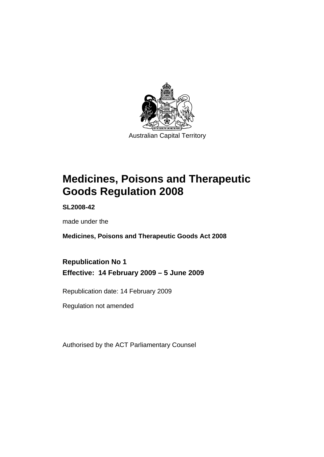

# **[Medicines, Poisons and Therapeutic](#page-24-0)  [Goods Regulation 2008](#page-24-0)**

**SL2008-42** 

made under the

**[Medicines, Poisons and Therapeutic Goods Act 2008](#page-24-0)** 

**Republication No 1 Effective: 14 February 2009 – 5 June 2009** 

Republication date: 14 February 2009

Regulation not amended

Authorised by the ACT Parliamentary Counsel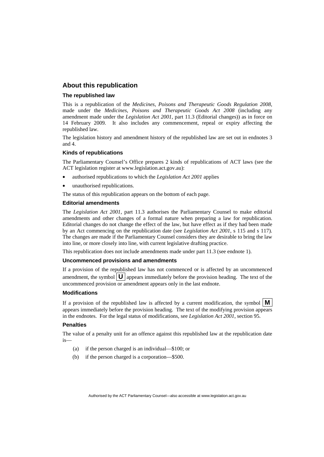#### **About this republication**

#### **The republished law**

This is a republication of the *Medicines, Poisons and Therapeutic Goods Regulation 2008*, made under the *[Medicines, Poisons and Therapeutic Goods Act 2008](#page-24-0)* (including any amendment made under the *Legislation Act 2001*, part 11.3 (Editorial changes)) as in force on 14 February 2009*.* It also includes any commencement, repeal or expiry affecting the republished law.

The legislation history and amendment history of the republished law are set out in endnotes 3 and 4.

#### **Kinds of republications**

The Parliamentary Counsel's Office prepares 2 kinds of republications of ACT laws (see the ACT legislation register at www.legislation.act.gov.au):

- authorised republications to which the *Legislation Act 2001* applies
- unauthorised republications.

The status of this republication appears on the bottom of each page.

#### **Editorial amendments**

The *Legislation Act 2001*, part 11.3 authorises the Parliamentary Counsel to make editorial amendments and other changes of a formal nature when preparing a law for republication. Editorial changes do not change the effect of the law, but have effect as if they had been made by an Act commencing on the republication date (see *Legislation Act 2001*, s 115 and s 117). The changes are made if the Parliamentary Counsel considers they are desirable to bring the law into line, or more closely into line, with current legislative drafting practice.

This republication does not include amendments made under part 11.3 (see endnote 1).

#### **Uncommenced provisions and amendments**

If a provision of the republished law has not commenced or is affected by an uncommenced amendment, the symbol  $\mathbf{U}$  appears immediately before the provision heading. The text of the uncommenced provision or amendment appears only in the last endnote.

#### **Modifications**

If a provision of the republished law is affected by a current modification, the symbol  $\vert \mathbf{M} \vert$ appears immediately before the provision heading. The text of the modifying provision appears in the endnotes. For the legal status of modifications, see *Legislation Act 2001*, section 95.

#### **Penalties**

The value of a penalty unit for an offence against this republished law at the republication date  $i<sub>s</sub>$ 

- (a) if the person charged is an individual—\$100; or
- (b) if the person charged is a corporation—\$500.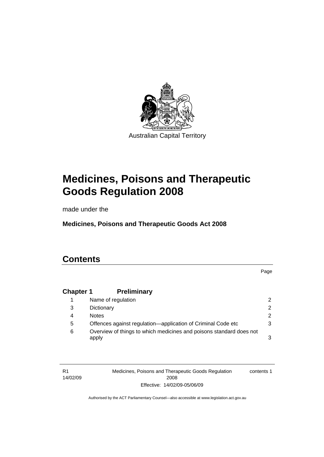

# **[Medicines, Poisons and Therapeutic](#page-24-0)  [Goods Regulation 2008](#page-24-0)**

made under the

**[Medicines, Poisons and Therapeutic Goods Act 2008](#page-24-0)** 

# **Contents**

Page

# **Chapter 1 Preliminary**

|   | Name of regulation                                                           |               |
|---|------------------------------------------------------------------------------|---------------|
| 3 | Dictionary                                                                   | $\mathcal{P}$ |
| 4 | <b>Notes</b>                                                                 | $\mathcal{P}$ |
| 5 | Offences against regulation—application of Criminal Code etc                 | 3             |
| 6 | Overview of things to which medicines and poisons standard does not<br>apply | 3             |

R1 14/02/09 Medicines, Poisons and Therapeutic Goods Regulation 2008 Effective: 14/02/09-05/06/09 contents 1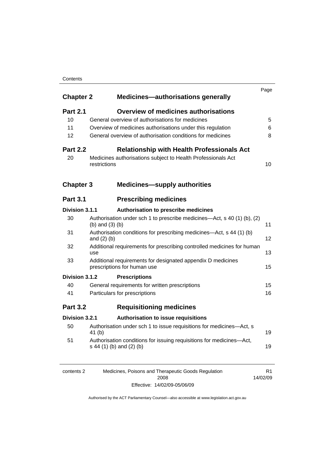#### **Contents**

| <b>Chapter 2</b> | <b>Medicines-authorisations generally</b>                                                        | Page |
|------------------|--------------------------------------------------------------------------------------------------|------|
| <b>Part 2.1</b>  | <b>Overview of medicines authorisations</b>                                                      |      |
| 10               | General overview of authorisations for medicines                                                 | 5    |
| 11               | Overview of medicines authorisations under this regulation                                       | 6    |
| 12               | General overview of authorisation conditions for medicines                                       | 8    |
| <b>Part 2.2</b>  | <b>Relationship with Health Professionals Act</b>                                                |      |
| 20               | Medicines authorisations subject to Health Professionals Act<br>restrictions                     | 10   |
| <b>Chapter 3</b> | <b>Medicines-supply authorities</b>                                                              |      |
| <b>Part 3.1</b>  | <b>Prescribing medicines</b>                                                                     |      |
| Division 3.1.1   | Authorisation to prescribe medicines                                                             |      |
| 30               | Authorisation under sch 1 to prescribe medicines—Act, s 40 (1) (b), (2)<br>$(b)$ and $(3)$ $(b)$ | 11   |
| 31               | Authorisation conditions for prescribing medicines—Act, s 44 (1) (b)<br>and $(2)$ $(b)$          | 12   |
| 32               | Additional requirements for prescribing controlled medicines for human<br>use                    | 13   |
| 33               | Additional requirements for designated appendix D medicines<br>prescriptions for human use       | 15   |
| Division 3.1.2   | <b>Prescriptions</b>                                                                             |      |
| 40               | General requirements for written prescriptions                                                   | 15   |
| 41               | Particulars for prescriptions                                                                    | 16   |
| <b>Part 3.2</b>  | <b>Requisitioning medicines</b>                                                                  |      |
| Division 3.2.1   | <b>Authorisation to issue requisitions</b>                                                       |      |
| 50               | Authorisation under sch 1 to issue requisitions for medicines-Act, s<br>41(b)                    | 19   |
| 51               | Authorisation conditions for issuing requisitions for medicines-Act,<br>s 44 (1) (b) and (2) (b) | 19   |
|                  |                                                                                                  |      |

| contents 2 | Medicines, Poisons and Therapeutic Goods Regulation |          |
|------------|-----------------------------------------------------|----------|
|            | 2008                                                | 14/02/09 |
|            | Effective: 14/02/09-05/06/09                        |          |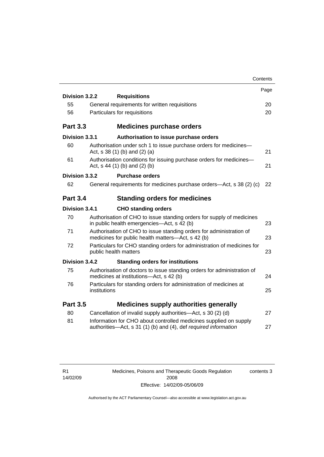|                 | Contents                                                                                                                             |      |
|-----------------|--------------------------------------------------------------------------------------------------------------------------------------|------|
|                 |                                                                                                                                      | Page |
| Division 3.2.2  | <b>Requisitions</b>                                                                                                                  |      |
| 55              | General requirements for written requisitions                                                                                        | 20   |
| 56              | Particulars for requisitions                                                                                                         | 20   |
| <b>Part 3.3</b> | <b>Medicines purchase orders</b>                                                                                                     |      |
| Division 3.3.1  | Authorisation to issue purchase orders                                                                                               |      |
| 60              | Authorisation under sch 1 to issue purchase orders for medicines-<br>Act, $s$ 38 (1) (b) and (2) (a)                                 | 21   |
| 61              | Authorisation conditions for issuing purchase orders for medicines-<br>Act, $s$ 44 (1) (b) and (2) (b)                               | 21   |
| Division 3.3.2  | <b>Purchase orders</b>                                                                                                               |      |
| 62              | General requirements for medicines purchase orders—Act, s 38 (2) (c)                                                                 | 22   |
| <b>Part 3.4</b> | <b>Standing orders for medicines</b>                                                                                                 |      |
| Division 3.4.1  | <b>CHO standing orders</b>                                                                                                           |      |
| 70              | Authorisation of CHO to issue standing orders for supply of medicines<br>in public health emergencies-Act, s 42 (b)                  | 23   |
| 71              | Authorisation of CHO to issue standing orders for administration of<br>medicines for public health matters—Act, s 42 (b)             | 23   |
| 72              | Particulars for CHO standing orders for administration of medicines for<br>public health matters                                     | 23   |
| Division 3.4.2  | <b>Standing orders for institutions</b>                                                                                              |      |
| 75              | Authorisation of doctors to issue standing orders for administration of<br>medicines at institutions-Act, s 42 (b)                   | 24   |
| 76              | Particulars for standing orders for administration of medicines at<br>institutions                                                   | 25   |
| <b>Part 3.5</b> | <b>Medicines supply authorities generally</b>                                                                                        |      |
| 80              | Cancellation of invalid supply authorities—Act, s 30 (2) (d)                                                                         | 27   |
| 81              | Information for CHO about controlled medicines supplied on supply<br>authorities-Act, s 31 (1) (b) and (4), def required information | 27   |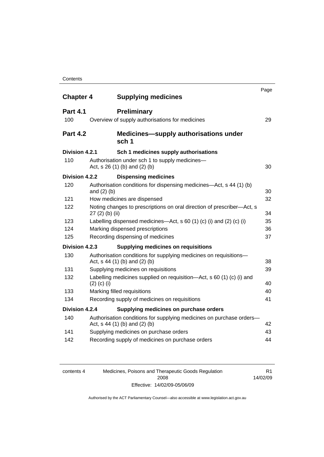| <b>Chapter 4</b> |                  | <b>Supplying medicines</b>                                                                            | Page |
|------------------|------------------|-------------------------------------------------------------------------------------------------------|------|
|                  |                  |                                                                                                       |      |
| <b>Part 4.1</b>  |                  | <b>Preliminary</b>                                                                                    |      |
| 100              |                  | Overview of supply authorisations for medicines                                                       | 29   |
| <b>Part 4.2</b>  |                  | <b>Medicines—supply authorisations under</b><br>sch 1                                                 |      |
| Division 4.2.1   |                  | Sch 1 medicines supply authorisations                                                                 |      |
| 110              |                  | Authorisation under sch 1 to supply medicines-<br>Act, s 26 (1) (b) and (2) (b)                       | 30   |
| Division 4.2.2   |                  | <b>Dispensing medicines</b>                                                                           |      |
| 120              |                  | Authorisation conditions for dispensing medicines—Act, s 44 (1) (b)                                   |      |
|                  | and $(2)$ $(b)$  |                                                                                                       | 30   |
| 121              |                  | How medicines are dispensed                                                                           | 32   |
| 122              | $27(2)$ (b) (ii) | Noting changes to prescriptions on oral direction of prescriber—Act, s                                | 34   |
| 123              |                  | Labelling dispensed medicines—Act, $s$ 60 (1) (c) (i) and (2) (c) (i)                                 | 35   |
| 124              |                  | Marking dispensed prescriptions                                                                       | 36   |
| 125              |                  | Recording dispensing of medicines                                                                     | 37   |
| Division 4.2.3   |                  | <b>Supplying medicines on requisitions</b>                                                            |      |
| 130              |                  | Authorisation conditions for supplying medicines on requisitions-<br>Act, s 44 (1) (b) and (2) (b)    | 38   |
| 131              |                  | Supplying medicines on requisitions                                                                   | 39   |
| 132              | $(2)$ (c) (i)    | Labelling medicines supplied on requisition-Act, s 60 (1) (c) (i) and                                 | 40   |
| 133              |                  | Marking filled requisitions                                                                           | 40   |
| 134              |                  | Recording supply of medicines on requisitions                                                         | 41   |
| Division 4.2.4   |                  | Supplying medicines on purchase orders                                                                |      |
| 140              |                  | Authorisation conditions for supplying medicines on purchase orders-<br>Act, s 44 (1) (b) and (2) (b) | 42   |
| 141              |                  | Supplying medicines on purchase orders                                                                | 43   |
| 142              |                  | Recording supply of medicines on purchase orders                                                      | 44   |
|                  |                  |                                                                                                       |      |

| contents 4 | Medicines, Poisons and Therapeutic Goods Regulation | R1.      |
|------------|-----------------------------------------------------|----------|
|            | 2008                                                | 14/02/09 |
|            | Effective: 14/02/09-05/06/09                        |          |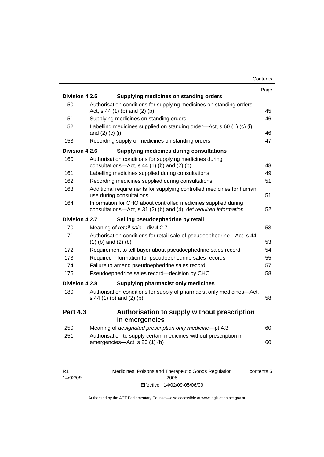|                 |                                                                                                                                     | Page |
|-----------------|-------------------------------------------------------------------------------------------------------------------------------------|------|
| Division 4.2.5  | Supplying medicines on standing orders                                                                                              |      |
| 150             | Authorisation conditions for supplying medicines on standing orders-<br>Act, s 44 (1) (b) and (2) (b)                               | 45   |
| 151             | Supplying medicines on standing orders                                                                                              | 46   |
| 152             | Labelling medicines supplied on standing order-Act, s 60 (1) (c) (i)<br>and $(2)$ $(c)$ $(i)$                                       | 46   |
| 153             | Recording supply of medicines on standing orders                                                                                    | 47   |
| Division 4.2.6  | Supplying medicines during consultations                                                                                            |      |
| 160             | Authorisation conditions for supplying medicines during<br>consultations- $-\text{Act}$ , s 44 (1) (b) and (2) (b)                  | 48   |
| 161             | Labelling medicines supplied during consultations                                                                                   | 49   |
| 162             | Recording medicines supplied during consultations                                                                                   | 51   |
| 163             | Additional requirements for supplying controlled medicines for human<br>use during consultations                                    | 51   |
| 164             | Information for CHO about controlled medicines supplied during<br>consultations-Act, s 31 (2) (b) and (4), def required information | 52   |
| Division 4.2.7  | Selling pseudoephedrine by retail                                                                                                   |      |
| 170             | Meaning of retail sale-div 4.2.7                                                                                                    | 53   |
| 171             | Authorisation conditions for retail sale of pseudoephedrine-Act, s 44<br>$(1)$ (b) and $(2)$ (b)                                    | 53   |
| 172             | Requirement to tell buyer about pseudoephedrine sales record                                                                        | 54   |
| 173             | Required information for pseudoephedrine sales records                                                                              | 55   |
| 174             | Failure to amend pseudoephedrine sales record                                                                                       | 57   |
| 175             | Pseudoephedrine sales record-decision by CHO                                                                                        | 58   |
| Division 4.2.8  | Supplying pharmacist only medicines                                                                                                 |      |
| 180             | Authorisation conditions for supply of pharmacist only medicines-Act,<br>s 44 (1) (b) and (2) (b)                                   | 58   |
| <b>Part 4.3</b> | Authorisation to supply without prescription<br>in emergencies                                                                      |      |
| 250             | Meaning of designated prescription only medicine-pt 4.3                                                                             | 60   |
| 251             | Authorisation to supply certain medicines without prescription in<br>emergencies-Act, s 26 (1) (b)                                  | 60   |
|                 |                                                                                                                                     |      |

| R1       |  |
|----------|--|
| 14/02/09 |  |

Medicines, Poisons and Therapeutic Goods Regulation 2008 Effective: 14/02/09-05/06/09 contents 5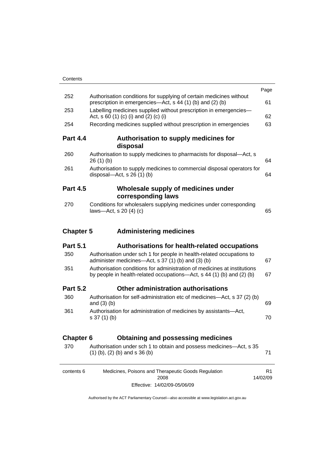|                  |                                                                                                                                                   | Page                       |
|------------------|---------------------------------------------------------------------------------------------------------------------------------------------------|----------------------------|
| 252              | Authorisation conditions for supplying of certain medicines without<br>prescription in emergencies—Act, s 44 (1) (b) and (2) (b)                  | 61                         |
| 253              | Labelling medicines supplied without prescription in emergencies-<br>Act, s 60 (1) (c) (i) and (2) (c) (i)                                        | 62                         |
| 254              | Recording medicines supplied without prescription in emergencies                                                                                  | 63                         |
| <b>Part 4.4</b>  | Authorisation to supply medicines for<br>disposal                                                                                                 |                            |
| 260              | Authorisation to supply medicines to pharmacists for disposal-Act, s<br>26(1)(b)                                                                  | 64                         |
| 261              | Authorisation to supply medicines to commercial disposal operators for<br>disposal- $-\text{Act}$ , s 26 (1) (b)                                  | 64                         |
| <b>Part 4.5</b>  | Wholesale supply of medicines under                                                                                                               |                            |
|                  | corresponding laws                                                                                                                                |                            |
| 270              | Conditions for wholesalers supplying medicines under corresponding<br>laws-Act, s $20(4)(c)$                                                      | 65                         |
| <b>Chapter 5</b> | <b>Administering medicines</b>                                                                                                                    |                            |
| <b>Part 5.1</b>  | Authorisations for health-related occupations                                                                                                     |                            |
| 350              | Authorisation under sch 1 for people in health-related occupations to<br>administer medicines—Act, s 37 (1) (b) and (3) (b)                       | 67                         |
| 351              | Authorisation conditions for administration of medicines at institutions<br>by people in health-related occupations-Act, s 44 (1) (b) and (2) (b) | 67                         |
| <b>Part 5.2</b>  | Other administration authorisations                                                                                                               |                            |
| 360              | Authorisation for self-administration etc of medicines-Act, s 37 (2) (b)<br>and $(3)$ $(b)$                                                       | 69                         |
| 361              | Authorisation for administration of medicines by assistants-Act,<br>$s 37(1)$ (b)                                                                 | 70                         |
| <b>Chapter 6</b> | <b>Obtaining and possessing medicines</b>                                                                                                         |                            |
| 370              | Authorisation under sch 1 to obtain and possess medicines—Act, s 35<br>$(1)$ (b), (2) (b) and s 36 (b)                                            | 71                         |
| contents 6       | Medicines, Poisons and Therapeutic Goods Regulation<br>2008                                                                                       | R <sub>1</sub><br>14/02/09 |

Effective: 14/02/09-05/06/09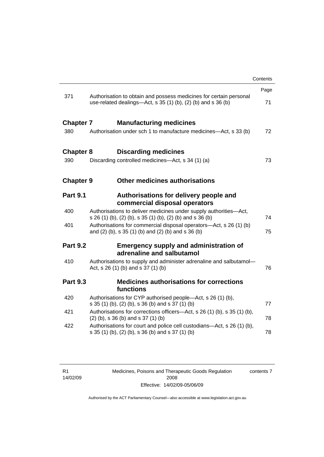|                                                                                                                                           | Contents |
|-------------------------------------------------------------------------------------------------------------------------------------------|----------|
|                                                                                                                                           | Page     |
| 371<br>Authorisation to obtain and possess medicines for certain personal<br>use-related dealings—Act, s 35 (1) (b), (2) (b) and s 36 (b) | 71       |
| <b>Chapter 7</b><br><b>Manufacturing medicines</b>                                                                                        |          |
| 380<br>Authorisation under sch 1 to manufacture medicines-Act, s 33 (b)                                                                   | 72       |
| <b>Discarding medicines</b><br><b>Chapter 8</b>                                                                                           |          |
| Discarding controlled medicines—Act, s 34 (1) (a)<br>390                                                                                  | 73       |
| Other medicines authorisations<br><b>Chapter 9</b>                                                                                        |          |
| <b>Part 9.1</b><br>Authorisations for delivery people and<br>commercial disposal operators                                                |          |
| 400<br>Authorisations to deliver medicines under supply authorities-Act,<br>s 26 (1) (b), (2) (b), s 35 (1) (b), (2) (b) and s 36 (b)     | 74       |
| Authorisations for commercial disposal operators-Act, s 26 (1) (b)<br>401<br>and (2) (b), s 35 (1) (b) and (2) (b) and s 36 (b)           | 75       |
| <b>Part 9.2</b><br><b>Emergency supply and administration of</b><br>adrenaline and salbutamol                                             |          |
| 410<br>Authorisations to supply and administer adrenaline and salbutamol-<br>Act, s 26 (1) (b) and s 37 (1) (b)                           | 76       |
| <b>Medicines authorisations for corrections</b><br><b>Part 9.3</b><br>functions                                                           |          |
| 420<br>Authorisations for CYP authorised people-Act, s 26 (1) (b),<br>s 35 (1) (b), (2) (b), s 36 (b) and s 37 (1) (b)                    | 77       |
| 421<br>Authorisations for corrections officers—Act, s 26 (1) (b), s 35 (1) (b),<br>$(2)$ (b), s 36 (b) and s 37 (1) (b)                   | 78       |
| 422<br>Authorisations for court and police cell custodians—Act, s 26 (1) (b),<br>s 35 (1) (b), (2) (b), s 36 (b) and s 37 (1) (b)         | 78       |

Medicines, Poisons and Therapeutic Goods Regulation 2008 Effective: 14/02/09-05/06/09 contents 7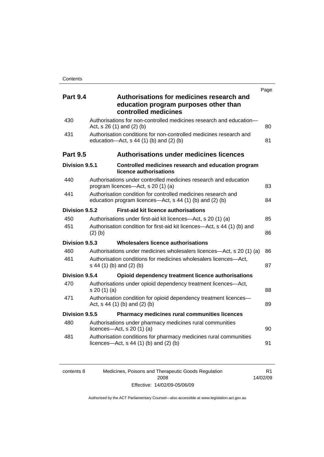| <b>Part 9.4</b> | Authorisations for medicines research and<br>education program purposes other than<br>controlled medicines                | Page |
|-----------------|---------------------------------------------------------------------------------------------------------------------------|------|
| 430             | Authorisations for non-controlled medicines research and education-<br>Act, s 26 (1) and (2) (b)                          | 80   |
| 431             | Authorisation conditions for non-controlled medicines research and<br>education- $Act$ , s 44 (1) (b) and (2) (b)         | 81   |
| <b>Part 9.5</b> | <b>Authorisations under medicines licences</b>                                                                            |      |
| Division 9.5.1  | Controlled medicines research and education program<br>licence authorisations                                             |      |
| 440             | Authorisations under controlled medicines research and education<br>program licences-Act, s 20 (1) (a)                    | 83   |
| 441             | Authorisation condition for controlled medicines research and<br>education program licences—Act, s 44 (1) (b) and (2) (b) | 84   |
| Division 9.5.2  | <b>First-aid kit licence authorisations</b>                                                                               |      |
| 450             | Authorisations under first-aid kit licences—Act, s 20 (1) (a)                                                             | 85   |
| 451             | Authorisation condition for first-aid kit licences-Act, s 44 (1) (b) and<br>$(2)$ (b)                                     | 86   |
| Division 9.5.3  | Wholesalers licence authorisations                                                                                        |      |
| 460             | Authorisations under medicines wholesalers licences—Act, s 20 (1) (a)                                                     | 86   |
| 461             | Authorisation conditions for medicines wholesalers licences-Act,<br>s 44 (1) (b) and (2) (b)                              | 87   |
| Division 9.5.4  | Opioid dependency treatment licence authorisations                                                                        |      |
| 470             | Authorisations under opioid dependency treatment licences-Act,<br>s 20(1)(a)                                              | 88   |
| 471             | Authorisation condition for opioid dependency treatment licences-<br>Act, $s$ 44 (1) (b) and (2) (b)                      | 89   |
| Division 9.5.5  | Pharmacy medicines rural communities licences                                                                             |      |
| 480             | Authorisations under pharmacy medicines rural communities<br>licences- $-\text{Act}$ , s 20 (1) (a)                       | 90   |
| 481             | Authorisation conditions for pharmacy medicines rural communities<br>licences—Act, $s$ 44 (1) (b) and (2) (b)             | 91   |
|                 |                                                                                                                           |      |

| contents 8 | Medicines, Poisons and Therapeutic Goods Regulation |          |
|------------|-----------------------------------------------------|----------|
|            | 2008                                                | 14/02/09 |
|            | Effective: 14/02/09-05/06/09                        |          |

R1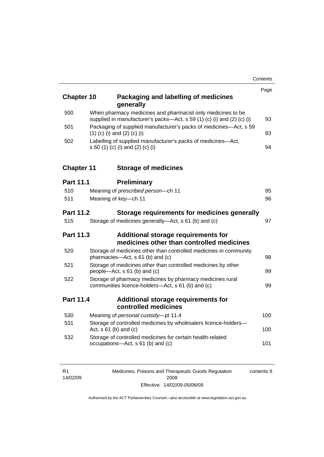| <b>Chapter 10</b> | Packaging and labelling of medicines<br>generally                                                                                     | Page |
|-------------------|---------------------------------------------------------------------------------------------------------------------------------------|------|
| 500               | When pharmacy medicines and pharmacist only medicines to be<br>supplied in manufacturer's packs-Act, s 59 (1) (c) (i) and (2) (c) (i) |      |
| 501               | Packaging of supplied manufacturer's packs of medicines-Act, s 59<br>$(1)$ (c) (i) and (2) (c) (i)                                    | 93   |
| 502               | Labelling of supplied manufacturer's packs of medicines-Act,<br>s 60 (1) (c) (i) and (2) (c) (i)                                      | 94   |
| <b>Chapter 11</b> | <b>Storage of medicines</b>                                                                                                           |      |
| <b>Part 11.1</b>  | <b>Preliminary</b>                                                                                                                    |      |
| 510               | Meaning of prescribed person-ch 11                                                                                                    | 95   |
| 511               | Meaning of key-ch 11                                                                                                                  | 96   |
| <b>Part 11.2</b>  | Storage requirements for medicines generally                                                                                          |      |
| 515               | Storage of medicines generally-Act, s 61 (b) and (c)                                                                                  | 97   |
| <b>Part 11.3</b>  | Additional storage requirements for<br>medicines other than controlled medicines                                                      |      |
| 520               | Storage of medicines other than controlled medicines in community<br>pharmacies-Act, s 61 (b) and (c)                                 | 98   |
| 521               | Storage of medicines other than controlled medicines by other<br>people—Act, s 61 (b) and (c)                                         | 99   |
| 522               | Storage of pharmacy medicines by pharmacy medicines rural<br>communities licence-holders-Act, s 61 (b) and (c)                        | 99   |
| <b>Part 11.4</b>  | Additional storage requirements for<br>controlled medicines                                                                           |      |
| 530               | Meaning of personal custody-pt 11.4                                                                                                   | 100  |
| 531               | Storage of controlled medicines by wholesalers licence-holders-<br>Act, $s 61$ (b) and (c)                                            | 100  |
| 532               | Storage of controlled medicines for certain health-related<br>occupations-Act, s 61 (b) and (c)                                       | 101  |

| R <sub>1</sub> | Medicines, Poisons and Therapeutic Goods Regulation | contents 9 |
|----------------|-----------------------------------------------------|------------|
| 14/02/09       | 2008                                                |            |
|                | Effective: 14/02/09-05/06/09                        |            |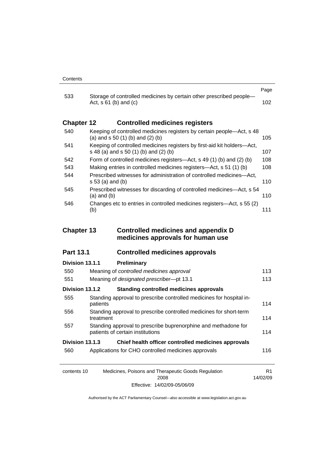| 533               |                                                                                                                  | Page |
|-------------------|------------------------------------------------------------------------------------------------------------------|------|
|                   | Storage of controlled medicines by certain other prescribed people-<br>Act, $s \, 61$ (b) and (c)                | 102. |
| <b>Chapter 12</b> | <b>Controlled medicines registers</b>                                                                            |      |
| 540               | Keeping of controlled medicines registers by certain people—Act, s 48<br>(a) and $s$ 50 (1) (b) and (2) (b)      | 105  |
| 541               | Keeping of controlled medicines registers by first-aid kit holders—Act,<br>s 48 (a) and s 50 (1) (b) and (2) (b) | 107  |
| 542               | Form of controlled medicines registers—Act, s 49 (1) (b) and (2) (b)                                             | 108  |
| 543               | Making entries in controlled medicines registers—Act, s 51 (1) (b)                                               | 108  |
| 544               | Prescribed witnesses for administration of controlled medicines—Act,<br>s 53 (a) and (b)                         | 110  |
| 545               | Prescribed witnesses for discarding of controlled medicines—Act, s 54<br>$(a)$ and $(b)$                         | 110  |
| 546               | Changes etc to entries in controlled medicines registers—Act, s 55 (2)<br>(b)                                    | 111  |

### **Chapter 13 Controlled medicines and appendix D medicines approvals for human use**

### **Part 13.1 Controlled medicines approvals**

# **Division 13.1.1 Preliminary** 550 Meaning of *controlled medicines approval* [113](#page-136-0) 551 Meaning of *designated prescriber*—pt 13.1 [113](#page-136-0) **Division 13.1.2 Standing controlled medicines approvals** 555 Standing approval to prescribe controlled medicines for hospital in-patients [114](#page-137-0) 556 Standing approval to prescribe controlled medicines for short-term treatment [114](#page-137-0) 557 Standing approval to prescribe buprenorphine and methadone for patients of certain institutions [114](#page-137-0) **Division 13.1.3 Chief health officer controlled medicines approvals** 560 Applications for CHO controlled medicines approvals [116](#page-139-0)

| contents 10 | Medicines, Poisons and Therapeutic Goods Regulation | R1       |
|-------------|-----------------------------------------------------|----------|
|             | 2008                                                | 14/02/09 |
|             | Effective: 14/02/09-05/06/09                        |          |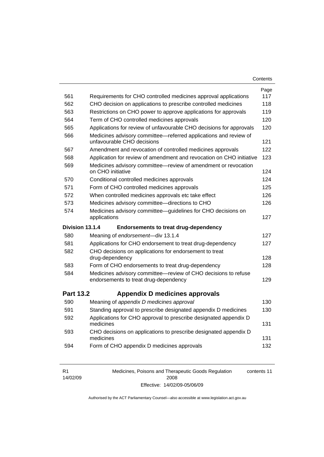| Contents |  |
|----------|--|
|----------|--|

|                  |                                                                                                                                                 | Page |
|------------------|-------------------------------------------------------------------------------------------------------------------------------------------------|------|
| 561              | Requirements for CHO controlled medicines approval applications                                                                                 | 117  |
| 562              | CHO decision on applications to prescribe controlled medicines                                                                                  | 118  |
| 563              | Restrictions on CHO power to approve applications for approvals                                                                                 | 119  |
| 564              | Term of CHO controlled medicines approvals                                                                                                      | 120  |
| 565              | Applications for review of unfavourable CHO decisions for approvals                                                                             | 120  |
| 566              | Medicines advisory committee-referred applications and review of<br>unfavourable CHO decisions                                                  | 121  |
| 567              | Amendment and revocation of controlled medicines approvals                                                                                      | 122  |
| 568              | Application for review of amendment and revocation on CHO initiative                                                                            | 123  |
| 569              | Medicines advisory committee-review of amendment or revocation<br>on CHO initiative                                                             | 124  |
| 570              | Conditional controlled medicines approvals                                                                                                      | 124  |
| 571              | Form of CHO controlled medicines approvals                                                                                                      | 125  |
| 572              | When controlled medicines approvals etc take effect                                                                                             | 126  |
| 573              | Medicines advisory committee-directions to CHO                                                                                                  | 126  |
| 574              | Medicines advisory committee-guidelines for CHO decisions on<br>applications                                                                    | 127  |
|                  |                                                                                                                                                 |      |
| Division 13.1.4  | <b>Endorsements to treat drug-dependency</b>                                                                                                    |      |
| 580              | Meaning of endorsement-div 13.1.4                                                                                                               | 127  |
| 581              | Applications for CHO endorsement to treat drug-dependency                                                                                       | 127  |
| 582              | CHO decisions on applications for endorsement to treat<br>drug-dependency                                                                       | 128  |
| 583              | Form of CHO endorsements to treat drug-dependency                                                                                               | 128  |
| 584              | Medicines advisory committee-review of CHO decisions to refuse<br>endorsements to treat drug-dependency                                         | 129  |
| <b>Part 13.2</b> | Appendix D medicines approvals                                                                                                                  |      |
| 590              | Meaning of appendix D medicines approval                                                                                                        | 130  |
| 591              |                                                                                                                                                 | 130  |
| 592              | Standing approval to prescribe designated appendix D medicines<br>Applications for CHO approval to prescribe designated appendix D<br>medicines | 131  |
| 593              | CHO decisions on applications to prescribe designated appendix D<br>medicines                                                                   | 131  |

| R <sub>1</sub> | Medicines, Poisons and Therapeutic Goods Regulation | contents 11 |
|----------------|-----------------------------------------------------|-------------|
| 14/02/09       | 2008                                                |             |
|                | Effective: 14/02/09-05/06/09                        |             |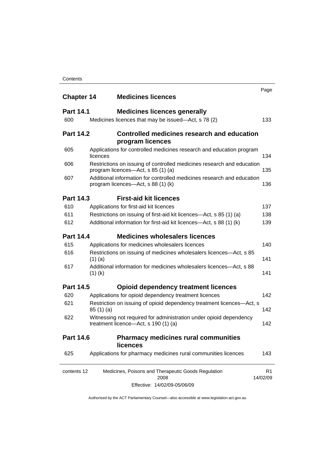| <b>Chapter 14</b> |           | <b>Medicines licences</b>                                                                                    | Page     |
|-------------------|-----------|--------------------------------------------------------------------------------------------------------------|----------|
| <b>Part 14.1</b>  |           | <b>Medicines licences generally</b>                                                                          |          |
| 600               |           | Medicines licences that may be issued—Act, s 78 (2)                                                          |          |
| <b>Part 14.2</b>  |           | Controlled medicines research and education<br>program licences                                              |          |
| 605               | licences  | Applications for controlled medicines research and education program                                         |          |
| 606               |           | Restrictions on issuing of controlled medicines research and education<br>program licences-Act, s 85 (1) (a) |          |
| 607               |           | Additional information for controlled medicines research and education<br>program licences—Act, s 88 (1) (k) |          |
| <b>Part 14.3</b>  |           | <b>First-aid kit licences</b>                                                                                |          |
| 610               |           | Applications for first-aid kit licences                                                                      |          |
| 611               |           | Restrictions on issuing of first-aid kit licences—Act, s 85 (1) (a)                                          |          |
| 612               |           | Additional information for first-aid kit licences—Act, s 88 (1) (k)                                          |          |
| <b>Part 14.4</b>  |           | <b>Medicines wholesalers licences</b>                                                                        |          |
| 615               |           | Applications for medicines wholesalers licences                                                              |          |
| 616               | $(1)$ (a) | Restrictions on issuing of medicines wholesalers licences—Act, s 85                                          |          |
| 617               | $(1)$ (k) | Additional information for medicines wholesalers licences-Act, s 88                                          |          |
| <b>Part 14.5</b>  |           | <b>Opioid dependency treatment licences</b>                                                                  |          |
| 620               |           | Applications for opioid dependency treatment licences                                                        |          |
| 621               | 85(1)(a)  | Restriction on issuing of opioid dependency treatment licences-Act, s                                        |          |
| 622               |           | Witnessing not required for administration under opioid dependency<br>treatment licence-Act, s 190 (1) (a)   |          |
| <b>Part 14.6</b>  |           | <b>Pharmacy medicines rural communities</b><br>licences                                                      |          |
| 625               |           | Applications for pharmacy medicines rural communities licences                                               |          |
| contents 12       |           | Medicines, Poisons and Therapeutic Goods Regulation<br>2008                                                  | 14/02/09 |
|                   |           | Effective: 14/02/09-05/06/09                                                                                 |          |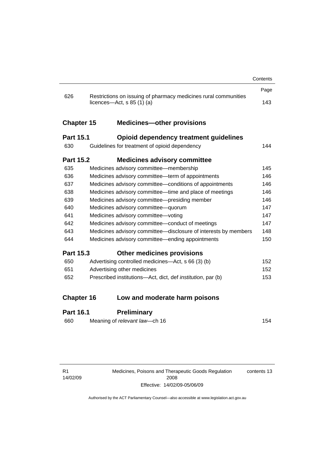|                   |                                                                                                 | Contents |
|-------------------|-------------------------------------------------------------------------------------------------|----------|
|                   |                                                                                                 | Page     |
| 626               | Restrictions on issuing of pharmacy medicines rural communities<br>licences—Act, $s$ 85 (1) (a) | 143      |
| <b>Chapter 15</b> | <b>Medicines-other provisions</b>                                                               |          |
| <b>Part 15.1</b>  | Opioid dependency treatment guidelines                                                          |          |
| 630               | Guidelines for treatment of opioid dependency                                                   | 144      |
| <b>Part 15.2</b>  | <b>Medicines advisory committee</b>                                                             |          |
| 635               | Medicines advisory committee-membership                                                         | 145      |
| 636               | Medicines advisory committee—term of appointments                                               | 146      |
| 637               | Medicines advisory committee-conditions of appointments                                         | 146      |
| 638               | Medicines advisory committee—time and place of meetings                                         | 146      |
| 639               | Medicines advisory committee-presiding member                                                   | 146      |
| 640               | Medicines advisory committee-quorum                                                             | 147      |
| 641               | Medicines advisory committee-voting                                                             | 147      |
| 642               | Medicines advisory committee-conduct of meetings                                                | 147      |
| 643               | Medicines advisory committee-disclosure of interests by members                                 | 148      |
| 644               | Medicines advisory committee—ending appointments                                                | 150      |
| <b>Part 15.3</b>  | <b>Other medicines provisions</b>                                                               |          |
| 650               | Advertising controlled medicines-Act, s 66 (3) (b)                                              | 152      |
| 651               | Advertising other medicines                                                                     | 152      |
| 652               | Prescribed institutions—Act, dict, def <i>institution</i> , par (b)                             | 153      |
| <b>Chapter 16</b> | Low and moderate harm poisons                                                                   |          |
|                   |                                                                                                 |          |
| Part 16.1         | Preliminary                                                                                     |          |

### **Part 16.1 Preliminary**

| 154 |
|-----|
|     |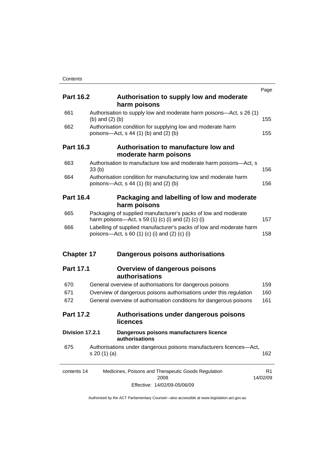|                   |                   |                                                                                                                                  | Page           |
|-------------------|-------------------|----------------------------------------------------------------------------------------------------------------------------------|----------------|
| <b>Part 16.2</b>  |                   | Authorisation to supply low and moderate<br>harm poisons                                                                         |                |
| 661               | (b) and $(2)$ (b) | Authorisation to supply low and moderate harm poisons—Act, s 26 (1)                                                              | 155            |
| 662               |                   | Authorisation condition for supplying low and moderate harm<br>poisons-Act, $s$ 44 (1) (b) and (2) (b)                           | 155            |
| <b>Part 16.3</b>  |                   | Authorisation to manufacture low and<br>moderate harm poisons                                                                    |                |
| 663               | 33(b)             | Authorisation to manufacture low and moderate harm poisons-Act, s                                                                | 156            |
| 664               |                   | Authorisation condition for manufacturing low and moderate harm<br>poisons-Act, $s$ 44 (1) (b) and (2) (b)                       | 156            |
| <b>Part 16.4</b>  |                   | Packaging and labelling of low and moderate<br>harm poisons                                                                      |                |
| 665               |                   | Packaging of supplied manufacturer's packs of low and moderate<br>harm poisons—Act, s 59 (1) (c) (i) and (2) (c) (i)             | 157            |
| 666               |                   | Labelling of supplied manufacturer's packs of low and moderate harm<br>poisons—Act, s 60 $(1)$ $(c)$ $(i)$ and $(2)$ $(c)$ $(i)$ | 158            |
| <b>Chapter 17</b> |                   | Dangerous poisons authorisations                                                                                                 |                |
| <b>Part 17.1</b>  |                   | <b>Overview of dangerous poisons</b><br>authorisations                                                                           |                |
| 670               |                   | General overview of authorisations for dangerous poisons                                                                         | 159            |
| 671               |                   | Overview of dangerous poisons authorisations under this regulation                                                               | 160            |
| 672               |                   | General overview of authorisation conditions for dangerous poisons                                                               | 161            |
| <b>Part 17.2</b>  |                   | Authorisations under dangerous poisons<br>licences                                                                               |                |
| Division 17.2.1   |                   | Dangerous poisons manufacturers licence<br>authorisations                                                                        |                |
| 675               | s 20 (1) (a)      | Authorisations under dangerous poisons manufacturers licences-Act,                                                               | 162            |
| contents 14       |                   | Medicines, Poisons and Therapeutic Goods Regulation<br>2008                                                                      | R1<br>14/02/09 |
|                   |                   | Effective: 14/02/09-05/06/09                                                                                                     |                |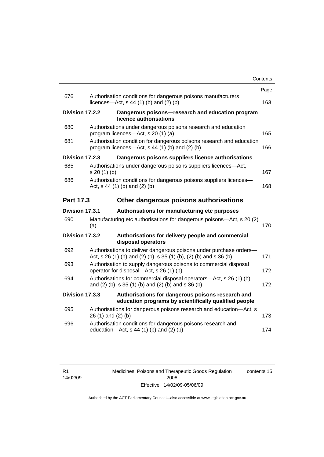|                  |                                                                                                                                         | Contents |
|------------------|-----------------------------------------------------------------------------------------------------------------------------------------|----------|
|                  |                                                                                                                                         | Page     |
| 676              | Authorisation conditions for dangerous poisons manufacturers<br>licences- $-\text{Act}$ , s 44 (1) (b) and (2) (b)                      | 163      |
| Division 17.2.2  | Dangerous poisons-research and education program<br>licence authorisations                                                              |          |
| 680              | Authorisations under dangerous poisons research and education<br>program licences—Act, s 20 (1) (a)                                     | 165      |
| 681              | Authorisation condition for dangerous poisons research and education<br>program licences—Act, s 44 (1) (b) and (2) (b)                  | 166      |
| Division 17.2.3  | Dangerous poisons suppliers licence authorisations                                                                                      |          |
| 685              | Authorisations under dangerous poisons suppliers licences—Act,<br>s 20 (1) (b)                                                          | 167      |
| 686              | Authorisation conditions for dangerous poisons suppliers licences-<br>Act, $s$ 44 (1) (b) and (2) (b)                                   | 168      |
| <b>Part 17.3</b> | Other dangerous poisons authorisations                                                                                                  |          |
| Division 17.3.1  | Authorisations for manufacturing etc purposes                                                                                           |          |
| 690              | Manufacturing etc authorisations for dangerous poisons—Act, s 20 (2)<br>(a)                                                             | 170      |
| Division 17.3.2  | Authorisations for delivery people and commercial<br>disposal operators                                                                 |          |
| 692              | Authorisations to deliver dangerous poisons under purchase orders-<br>Act, s 26 (1) (b) and (2) (b), s 35 (1) (b), (2) (b) and s 36 (b) | 171      |
| 693              | Authorisation to supply dangerous poisons to commercial disposal<br>operator for disposal—Act, s 26 (1) (b)                             | 172      |
| 694              | Authorisations for commercial disposal operators-Act, s 26 (1) (b)<br>and (2) (b), s 35 (1) (b) and (2) (b) and s 36 (b)                | 172      |
| Division 17.3.3  | Authorisations for dangerous poisons research and<br>education programs by scientifically qualified people                              |          |
| 695              | Authorisations for dangerous poisons research and education-Act, s<br>26 (1) and (2) (b)                                                | 173      |
| 696              | Authorisation conditions for dangerous poisons research and<br>education-Act, s 44 (1) (b) and (2) (b)                                  | 174      |
|                  |                                                                                                                                         |          |

Medicines, Poisons and Therapeutic Goods Regulation 2008 Effective: 14/02/09-05/06/09 contents 15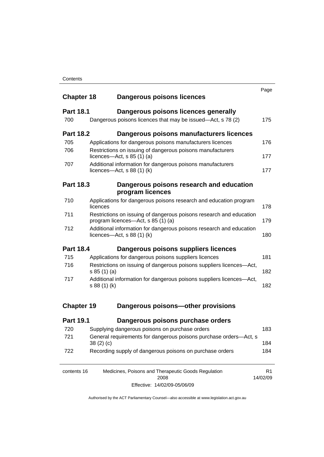| <b>Chapter 18</b> |              | Dangerous poisons licences                                                                                | Page                       |
|-------------------|--------------|-----------------------------------------------------------------------------------------------------------|----------------------------|
| <b>Part 18.1</b>  |              | Dangerous poisons licences generally                                                                      |                            |
| 700               |              | Dangerous poisons licences that may be issued—Act, s 78 (2)                                               | 175                        |
| <b>Part 18.2</b>  |              | Dangerous poisons manufacturers licences                                                                  |                            |
| 705               |              | Applications for dangerous poisons manufacturers licences                                                 | 176                        |
| 706               |              | Restrictions on issuing of dangerous poisons manufacturers<br>licences- $-\text{Act}$ , s 85 (1) (a)      | 177                        |
| 707               |              | Additional information for dangerous poisons manufacturers<br>licences—Act, $s$ 88 (1) (k)                | 177                        |
| <b>Part 18.3</b>  |              | Dangerous poisons research and education<br>program licences                                              |                            |
| 710               | licences     | Applications for dangerous poisons research and education program                                         | 178                        |
| 711               |              | Restrictions on issuing of dangerous poisons research and education<br>program licences—Act, s 85 (1) (a) | 179                        |
| 712               |              | Additional information for dangerous poisons research and education<br>licences—Act, $s$ 88 (1) (k)       | 180                        |
| <b>Part 18.4</b>  |              | Dangerous poisons suppliers licences                                                                      |                            |
| 715               |              | Applications for dangerous poisons suppliers licences                                                     | 181                        |
| 716               | s 85(1)(a)   | Restrictions on issuing of dangerous poisons suppliers licences-Act,                                      | 182                        |
| 717               | s 88 (1) (k) | Additional information for dangerous poisons suppliers licences-Act,                                      | 182                        |
| <b>Chapter 19</b> |              | Dangerous poisons-other provisions                                                                        |                            |
| <b>Part 19.1</b>  |              | Dangerous poisons purchase orders                                                                         |                            |
|                   |              | 720 Supplying dangerous poisons on purchase orders                                                        | 183                        |
| 721               | 38(2)(c)     | General requirements for dangerous poisons purchase orders-Act, s                                         | 184                        |
| 722               |              | Recording supply of dangerous poisons on purchase orders                                                  | 184                        |
| contents 16       |              | Medicines, Poisons and Therapeutic Goods Regulation<br>2008                                               | R <sub>1</sub><br>14/02/09 |

Effective: 14/02/09-05/06/09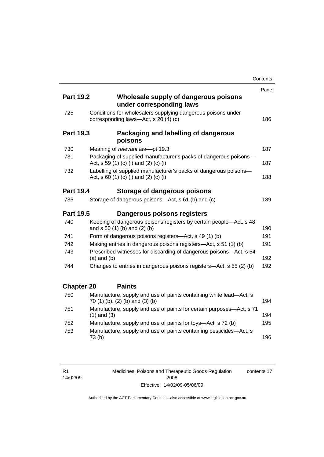|                   |                                                                                                           | Contents |
|-------------------|-----------------------------------------------------------------------------------------------------------|----------|
|                   |                                                                                                           | Page     |
| <b>Part 19.2</b>  | Wholesale supply of dangerous poisons<br>under corresponding laws                                         |          |
| 725               | Conditions for wholesalers supplying dangerous poisons under<br>corresponding laws-Act, s 20 (4) (c)      | 186      |
| <b>Part 19.3</b>  | Packaging and labelling of dangerous<br>poisons                                                           |          |
| 730               | Meaning of relevant law-pt 19.3                                                                           | 187      |
| 731               | Packaging of supplied manufacturer's packs of dangerous poisons-<br>Act, s 59 (1) (c) (i) and (2) (c) (i) | 187      |
| 732               | Labelling of supplied manufacturer's packs of dangerous poisons-<br>Act, s 60 (1) (c) (i) and (2) (c) (i) | 188      |
| <b>Part 19.4</b>  | Storage of dangerous poisons                                                                              |          |
| 735               | Storage of dangerous poisons-Act, s 61 (b) and (c)                                                        | 189      |
| <b>Part 19.5</b>  | Dangerous poisons registers                                                                               |          |
| 740               | Keeping of dangerous poisons registers by certain people-Act, s 48<br>and s 50 (1) (b) and (2) (b)        | 190      |
| 741               | Form of dangerous poisons registers-Act, s 49 (1) (b)                                                     | 191      |
| 742               | Making entries in dangerous poisons registers—Act, s 51 (1) (b)                                           | 191      |
| 743               | Prescribed witnesses for discarding of dangerous poisons-Act, s 54<br>$(a)$ and $(b)$                     | 192      |
| 744               | Changes to entries in dangerous poisons registers—Act, s 55 (2) (b)                                       | 192      |
| <b>Chapter 20</b> | <b>Paints</b>                                                                                             |          |
| 750               | Manufacture, supply and use of paints containing white lead-Act, s<br>70 (1) (b), (2) (b) and (3) (b)     | 194      |
| 751               | Manufacture, supply and use of paints for certain purposes-Act, s 71<br>$(1)$ and $(3)$                   | 194      |
| 752               | Manufacture, supply and use of paints for toys—Act, s 72 (b)                                              | 195      |
| 753               | Manufacture, supply and use of paints containing pesticides-Act, s<br>73(b)                               | 196      |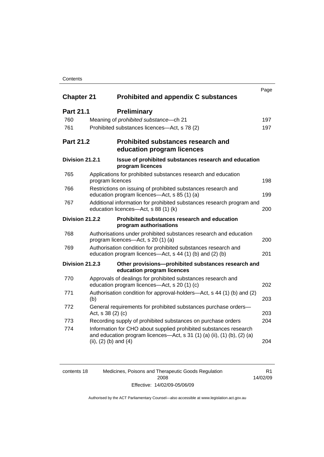### **Contents**

|                   |                                              |                                                                                                                                                | Page |
|-------------------|----------------------------------------------|------------------------------------------------------------------------------------------------------------------------------------------------|------|
| <b>Chapter 21</b> |                                              | <b>Prohibited and appendix C substances</b>                                                                                                    |      |
| <b>Part 21.1</b>  | <b>Preliminary</b>                           |                                                                                                                                                |      |
| 760               | Meaning of prohibited substance-ch 21        |                                                                                                                                                | 197  |
| 761               | Prohibited substances licences—Act, s 78 (2) |                                                                                                                                                | 197  |
| <b>Part 21.2</b>  |                                              | <b>Prohibited substances research and</b><br>education program licences                                                                        |      |
| Division 21.2.1   | program licences                             | Issue of prohibited substances research and education                                                                                          |      |
| 765               | program licences                             | Applications for prohibited substances research and education                                                                                  | 198  |
| 766               | education program licences-Act, s 85 (1) (a) | Restrictions on issuing of prohibited substances research and                                                                                  | 199  |
| 767               | education licences-Act, s 88 (1) (k)         | Additional information for prohibited substances research program and                                                                          | 200  |
| Division 21.2.2   | program authorisations                       | Prohibited substances research and education                                                                                                   |      |
| 768               | program licences-Act, s 20 (1) (a)           | Authorisations under prohibited substances research and education                                                                              | 200  |
| 769               |                                              | Authorisation condition for prohibited substances research and<br>education program licences—Act, s 44 (1) (b) and (2) (b)                     | 201  |
| Division 21.2.3   | education program licences                   | Other provisions-prohibited substances research and                                                                                            |      |
| 770               | education program licences—Act, s 20 (1) (c) | Approvals of dealings for prohibited substances research and                                                                                   | 202  |
| 771               | (b)                                          | Authorisation condition for approval-holders—Act, s 44 (1) (b) and (2)                                                                         | 203  |
| 772               | Act, s 38 (2) (c)                            | General requirements for prohibited substances purchase orders-                                                                                | 203  |
| 773               |                                              | Recording supply of prohibited substances on purchase orders                                                                                   | 204  |
| 774               | (ii), $(2)$ (b) and $(4)$                    | Information for CHO about supplied prohibited substances research<br>and education program licences—Act, s $31$ (1) (a) (ii), (1) (b), (2) (a) | 204  |

| contents 18 | Medicines, Poisons and Therapeutic Goods Regulation | R1       |
|-------------|-----------------------------------------------------|----------|
|             | 2008                                                | 14/02/09 |
|             | Effective: 14/02/09-05/06/09                        |          |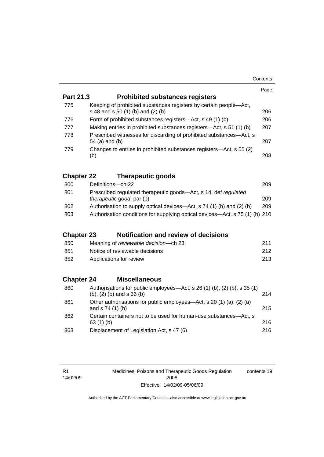|                   |                                                                                                                  | Page |
|-------------------|------------------------------------------------------------------------------------------------------------------|------|
| Part 21.3         | <b>Prohibited substances registers</b>                                                                           |      |
| 775               | Keeping of prohibited substances registers by certain people-Act,<br>s 48 and s 50 (1) (b) and (2) (b)           | 206  |
| 776               | Form of prohibited substances registers-Act, s 49 (1) (b)                                                        | 206  |
| 777               | Making entries in prohibited substances registers—Act, s 51 (1) (b)                                              | 207  |
| 778               | Prescribed witnesses for discarding of prohibited substances-Act, s<br>54 (a) and (b)                            | 207  |
| 779               | Changes to entries in prohibited substances registers—Act, s 55 (2)<br>(b)                                       | 208  |
| <b>Chapter 22</b> | <b>Therapeutic goods</b>                                                                                         |      |
| 800               | Definitions-ch 22                                                                                                | 209  |
| 801               | Prescribed regulated therapeutic goods-Act, s 14, def regulated<br>therapeutic good, par (b)                     | 209  |
| 802               | Authorisation to supply optical devices—Act, s 74 (1) (b) and (2) (b)                                            | 209  |
| 803               | Authorisation conditions for supplying optical devices—Act, s 75 (1) (b) 210                                     |      |
| <b>Chapter 23</b> | Notification and review of decisions                                                                             |      |
| 850               | Meaning of reviewable decision--- ch 23                                                                          | 211  |
| 851               | Notice of reviewable decisions                                                                                   | 212  |
| 852               | Applications for review                                                                                          | 213  |
| <b>Chapter 24</b> | <b>Miscellaneous</b>                                                                                             |      |
| 860               | Authorisations for public employees—Act, s 26 (1) (b), (2) (b), s 35 (1)<br>$(b)$ , $(2)$ $(b)$ and s $36$ $(b)$ | 214  |
| 861               | Other authorisations for public employees-Act, s 20 (1) (a), (2) (a)<br>and s 74 (1) (b)                         | 215  |
| 862               | Certain containers not to be used for human-use substances-Act, s<br>63 $(1)$ $(b)$                              | 216  |
| 863               | Displacement of Legislation Act, s 47 (6)                                                                        | 216  |

R1 14/02/09 Medicines, Poisons and Therapeutic Goods Regulation 2008 Effective: 14/02/09-05/06/09 contents 19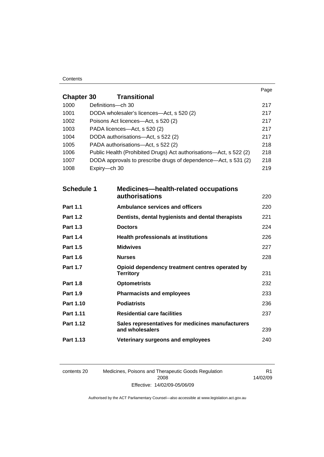#### **Contents**

|                   |                                                                    |                                                                      | Page |
|-------------------|--------------------------------------------------------------------|----------------------------------------------------------------------|------|
| <b>Chapter 30</b> |                                                                    | <b>Transitional</b>                                                  |      |
| 1000              | Definitions-ch 30                                                  |                                                                      | 217  |
| 1001              |                                                                    | DODA wholesaler's licences-Act, s 520 (2)                            | 217  |
| 1002              |                                                                    | Poisons Act licences—Act, s 520 (2)                                  | 217  |
| 1003              |                                                                    | PADA licences-Act, s 520 (2)                                         | 217  |
| 1004              | DODA authorisations-Act, s 522 (2)                                 |                                                                      |      |
| 1005              | PADA authorisations-Act, s 522 (2)                                 |                                                                      |      |
| 1006              | Public Health (Prohibited Drugs) Act authorisations—Act, s 522 (2) |                                                                      |      |
| 1007              | DODA approvals to prescribe drugs of dependence—Act, s 531 (2)     |                                                                      | 218  |
| 1008              | Expiry-ch 30                                                       |                                                                      | 219  |
|                   |                                                                    |                                                                      |      |
| <b>Schedule 1</b> |                                                                    | <b>Medicines—health-related occupations</b>                          |      |
|                   |                                                                    | <b>authorisations</b>                                                | 220  |
| <b>Part 1.1</b>   |                                                                    | <b>Ambulance services and officers</b>                               | 220  |
| <b>Part 1.2</b>   |                                                                    | Dentists, dental hygienists and dental therapists                    | 221  |
| <b>Part 1.3</b>   |                                                                    | <b>Doctors</b>                                                       | 224  |
| <b>Part 1.4</b>   |                                                                    | <b>Health professionals at institutions</b>                          | 226  |
| <b>Part 1.5</b>   |                                                                    | <b>Midwives</b>                                                      | 227  |
| <b>Part 1.6</b>   |                                                                    | <b>Nurses</b>                                                        | 228  |
| <b>Part 1.7</b>   |                                                                    | Opioid dependency treatment centres operated by                      | 231  |
|                   |                                                                    | <b>Territory</b>                                                     |      |
| <b>Part 1.8</b>   |                                                                    | <b>Optometrists</b>                                                  | 232  |
| <b>Part 1.9</b>   |                                                                    | <b>Pharmacists and employees</b>                                     | 233  |
| Part 1.10         |                                                                    | <b>Podiatrists</b>                                                   | 236  |
| Part 1.11         |                                                                    | <b>Residential care facilities</b>                                   | 237  |
| <b>Part 1.12</b>  |                                                                    | Sales representatives for medicines manufacturers<br>and wholesalers | 239  |
| Part 1.13         |                                                                    | Veterinary surgeons and employees                                    | 240  |

contents 20 Medicines, Poisons and Therapeutic Goods Regulation 2008 Effective: 14/02/09-05/06/09

R1 14/02/09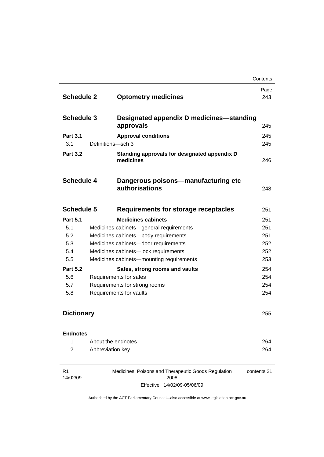|                   |                    |                                                       | Contents |
|-------------------|--------------------|-------------------------------------------------------|----------|
|                   |                    |                                                       | Page     |
| <b>Schedule 2</b> |                    | <b>Optometry medicines</b>                            | 243      |
|                   |                    |                                                       |          |
| <b>Schedule 3</b> |                    | Designated appendix D medicines—standing              |          |
|                   |                    | approvals                                             | 245      |
| <b>Part 3.1</b>   |                    | <b>Approval conditions</b>                            | 245      |
| 3.1               | Definitions-sch 3  |                                                       | 245      |
| <b>Part 3.2</b>   |                    | Standing approvals for designated appendix D          |          |
|                   |                    | medicines                                             | 246      |
|                   |                    |                                                       |          |
| <b>Schedule 4</b> |                    | Dangerous poisons—manufacturing etc<br>authorisations |          |
|                   |                    |                                                       | 248      |
| <b>Schedule 5</b> |                    | Requirements for storage receptacles                  | 251      |
| <b>Part 5.1</b>   |                    | <b>Medicines cabinets</b>                             | 251      |
| 5.1               |                    | Medicines cabinets-general requirements               | 251      |
| 5.2               |                    | Medicines cabinets-body requirements                  | 251      |
| 5.3               |                    | Medicines cabinets-door requirements                  | 252      |
| 5.4               |                    | Medicines cabinets-lock requirements                  | 252      |
| 5.5               |                    | Medicines cabinets-mounting requirements              | 253      |
| <b>Part 5.2</b>   |                    | Safes, strong rooms and vaults                        | 254      |
| 5.6               |                    | Requirements for safes                                | 254      |
| 5.7               |                    | Requirements for strong rooms                         | 254      |
| 5.8               |                    | Requirements for vaults                               | 254      |
|                   |                    |                                                       |          |
| <b>Dictionary</b> |                    |                                                       | 255      |
| <b>Endnotes</b>   |                    |                                                       |          |
| 1                 | About the endnotes |                                                       | 264      |
| 2                 | Abbreviation key   |                                                       | 264      |
|                   |                    |                                                       |          |

R1 14/02/09 Medicines, Poisons and Therapeutic Goods Regulation 2008 Effective: 14/02/09-05/06/09 contents 21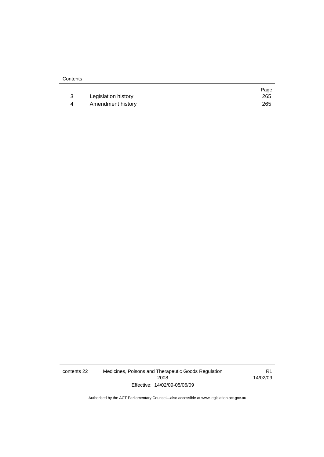|   |                     | Page |
|---|---------------------|------|
|   | Legislation history | 265  |
| 4 | Amendment history   | 265  |

contents 22 Medicines, Poisons and Therapeutic Goods Regulation 2008 Effective: 14/02/09-05/06/09

R1 14/02/09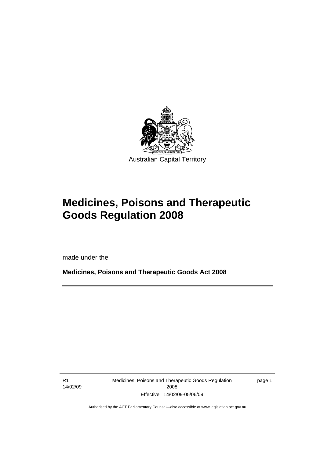<span id="page-24-0"></span>

# **Medicines, Poisons and Therapeutic Goods Regulation 2008**

made under the

**Medicines, Poisons and Therapeutic Goods Act 2008** 

R1 14/02/09

l

Medicines, Poisons and Therapeutic Goods Regulation 2008 Effective: 14/02/09-05/06/09

page 1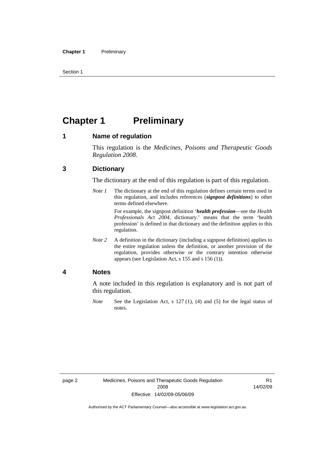<span id="page-25-0"></span>Section 1

# **Chapter 1 Preliminary**

### **1 Name of regulation**

This regulation is the *Medicines, Poisons and Therapeutic Goods Regulation 2008*.

### **3 Dictionary**

The dictionary at the end of this regulation is part of this regulation.

*Note 1* The dictionary at the end of this regulation defines certain terms used in this regulation, and includes references (*signpost definitions*) to other terms defined elsewhere.

> For example, the signpost definition '*health profession*—see the *Health Professionals Act 2004*, dictionary.' means that the term 'health profession' is defined in that dictionary and the definition applies to this regulation.

*Note 2* A definition in the dictionary (including a signpost definition) applies to the entire regulation unless the definition, or another provision of the regulation, provides otherwise or the contrary intention otherwise appears (see Legislation Act, s 155 and s 156 (1)).

### **4 Notes**

A note included in this regulation is explanatory and is not part of this regulation.

*Note* See the Legislation Act, s 127 (1), (4) and (5) for the legal status of notes.

R1 14/02/09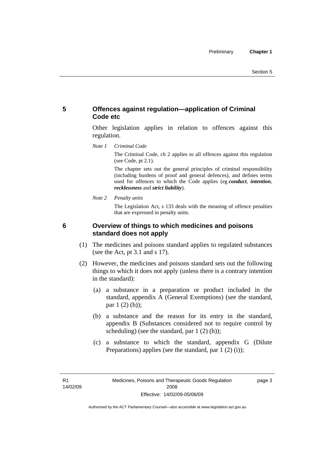## <span id="page-26-0"></span>**5 Offences against regulation—application of Criminal Code etc**

Other legislation applies in relation to offences against this regulation.

*Note 1 Criminal Code*

The Criminal Code, ch 2 applies to all offences against this regulation (see Code, pt 2.1).

The chapter sets out the general principles of criminal responsibility (including burdens of proof and general defences), and defines terms used for offences to which the Code applies (eg *conduct*, *intention*, *recklessness* and *strict liability*).

*Note 2 Penalty units* 

The Legislation Act, s 133 deals with the meaning of offence penalties that are expressed in penalty units.

### **6 Overview of things to which medicines and poisons standard does not apply**

- (1) The medicines and poisons standard applies to regulated substances (see the Act, pt 3.1 and s 17).
- (2) However, the medicines and poisons standard sets out the following things to which it does not apply (unless there is a contrary intention in the standard):
	- (a) a substance in a preparation or product included in the standard, appendix A (General Exemptions) (see the standard, par 1 (2) (h));
	- (b) a substance and the reason for its entry in the standard, appendix B (Substances considered not to require control by scheduling) (see the standard, par 1 (2) (h));
	- (c) a substance to which the standard, appendix G (Dilute Preparations) applies (see the standard, par  $1(2)(i)$ );

R1 14/02/09 page 3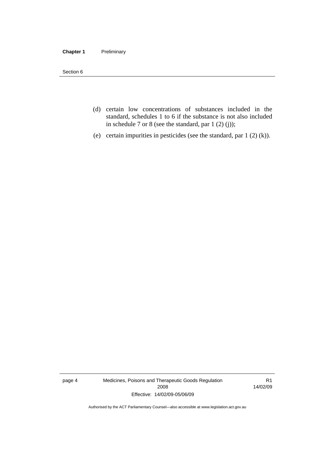#### **Chapter 1** Preliminary

Section 6

- (d) certain low concentrations of substances included in the standard, schedules 1 to 6 if the substance is not also included in schedule 7 or 8 (see the standard, par 1 (2) (j));
- (e) certain impurities in pesticides (see the standard, par 1 (2) (k)).

page 4 Medicines, Poisons and Therapeutic Goods Regulation 2008 Effective: 14/02/09-05/06/09

R1 14/02/09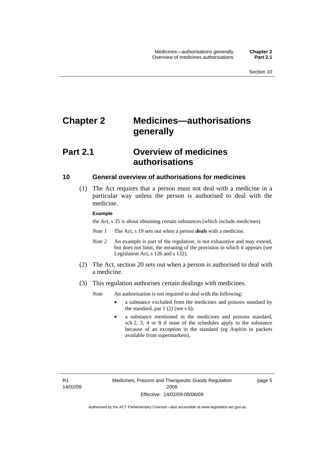# <span id="page-28-0"></span>**Chapter 2 Medicines—authorisations generally**

# **Part 2.1 Overview of medicines authorisations**

#### **10 General overview of authorisations for medicines**

 (1) The Act requires that a person must not deal with a medicine in a particular way unless the person is authorised to deal with the medicine.

#### **Example**

the Act, s 35 is about obtaining certain substances (which include medicines)

- *Note 1* The Act, s 19 sets out when a person *deals* with a medicine.
- *Note 2* An example is part of the regulation, is not exhaustive and may extend, but does not limit, the meaning of the provision in which it appears (see Legislation Act, s 126 and s 132).
- (2) The Act, section 20 sets out when a person is authorised to deal with a medicine.
- (3) This regulation authorises certain dealings with medicines.

*Note* An authorisation is not required to deal with the following:

- a substance excluded from the medicines and poisons standard by the standard, par  $1(2)$  (see s 6);
- a substance mentioned in the medicines and poisons standard, sch 2, 3, 4 or 8 if none of the schedules apply to the substance because of an exception in the standard (eg Aspirin in packets available from supermarkets).

R1 14/02/09 page 5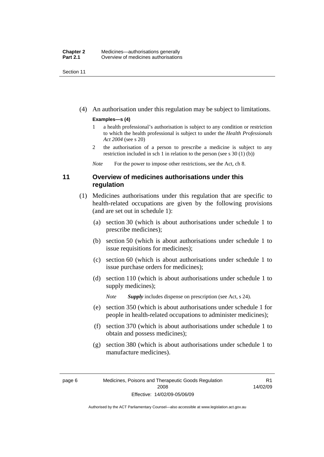<span id="page-29-0"></span>Section 11

(4) An authorisation under this regulation may be subject to limitations.

#### **Examples—s (4)**

- 1 a health professional's authorisation is subject to any condition or restriction to which the health professional is subject to under the *Health Professionals Act 2004* (see s 20)
- 2 the authorisation of a person to prescribe a medicine is subject to any restriction included in sch 1 in relation to the person (see s 30 (1) (b))

*Note* For the power to impose other restrictions, see the Act, ch 8.

## **11 Overview of medicines authorisations under this regulation**

- (1) Medicines authorisations under this regulation that are specific to health-related occupations are given by the following provisions (and are set out in schedule 1):
	- (a) section 30 (which is about authorisations under schedule 1 to prescribe medicines);
	- (b) section 50 (which is about authorisations under schedule 1 to issue requisitions for medicines);
	- (c) section 60 (which is about authorisations under schedule 1 to issue purchase orders for medicines);
	- (d) section 110 (which is about authorisations under schedule 1 to supply medicines);

*Note Supply* includes dispense on prescription (see Act, s 24).

- (e) section 350 (which is about authorisations under schedule 1 for people in health-related occupations to administer medicines);
- (f) section 370 (which is about authorisations under schedule 1 to obtain and possess medicines);
- (g) section 380 (which is about authorisations under schedule 1 to manufacture medicines).

R1 14/02/09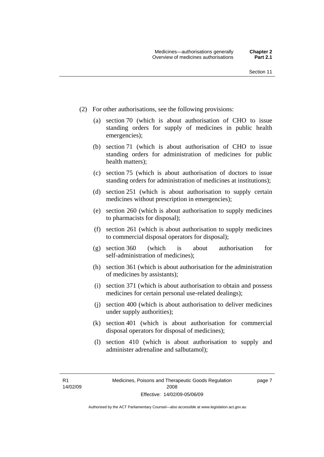- (2) For other authorisations, see the following provisions:
	- (a) section 70 (which is about authorisation of CHO to issue standing orders for supply of medicines in public health emergencies);
	- (b) section 71 (which is about authorisation of CHO to issue standing orders for administration of medicines for public health matters);
	- (c) section 75 (which is about authorisation of doctors to issue standing orders for administration of medicines at institutions);
	- (d) section 251 (which is about authorisation to supply certain medicines without prescription in emergencies);
	- (e) section 260 (which is about authorisation to supply medicines to pharmacists for disposal);
	- (f) section 261 (which is about authorisation to supply medicines to commercial disposal operators for disposal);
	- (g) section 360 (which is about authorisation for self-administration of medicines);
	- (h) section 361 (which is about authorisation for the administration of medicines by assistants);
	- (i) section 371 (which is about authorisation to obtain and possess medicines for certain personal use-related dealings);
	- (j) section 400 (which is about authorisation to deliver medicines under supply authorities);
	- (k) section 401 (which is about authorisation for commercial disposal operators for disposal of medicines);
	- (l) section 410 (which is about authorisation to supply and administer adrenaline and salbutamol);

R1 14/02/09 page 7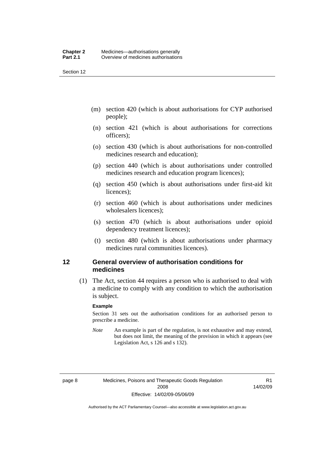<span id="page-31-0"></span>Section 12

- (m) section 420 (which is about authorisations for CYP authorised people);
- (n) section 421 (which is about authorisations for corrections officers);
- (o) section 430 (which is about authorisations for non-controlled medicines research and education);
- (p) section 440 (which is about authorisations under controlled medicines research and education program licences);
- (q) section 450 (which is about authorisations under first-aid kit licences);
- (r) section 460 (which is about authorisations under medicines wholesalers licences);
- (s) section 470 (which is about authorisations under opioid dependency treatment licences);
- (t) section 480 (which is about authorisations under pharmacy medicines rural communities licences).

### **12 General overview of authorisation conditions for medicines**

 (1) The Act, section 44 requires a person who is authorised to deal with a medicine to comply with any condition to which the authorisation is subject.

#### **Example**

Section 31 sets out the authorisation conditions for an authorised person to prescribe a medicine.

*Note* An example is part of the regulation, is not exhaustive and may extend, but does not limit, the meaning of the provision in which it appears (see Legislation Act, s 126 and s 132).

R1 14/02/09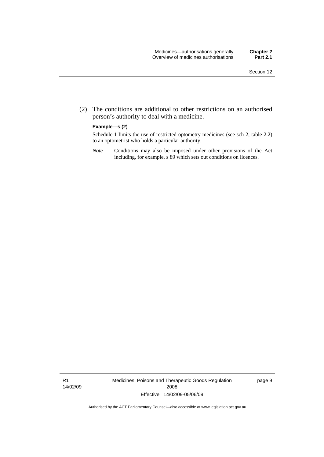(2) The conditions are additional to other restrictions on an authorised person's authority to deal with a medicine.

#### **Example—s (2)**

Schedule 1 limits the use of restricted optometry medicines (see sch 2, table 2.2) to an optometrist who holds a particular authority.

*Note* Conditions may also be imposed under other provisions of the Act including, for example, s 89 which sets out conditions on licences.

R1 14/02/09 Medicines, Poisons and Therapeutic Goods Regulation 2008 Effective: 14/02/09-05/06/09

page 9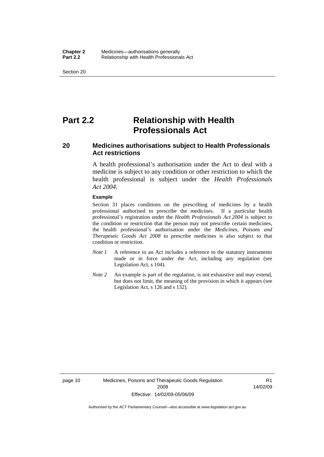<span id="page-33-0"></span>Section 20

# **Part 2.2 Relationship with Health Professionals Act**

## **20 Medicines authorisations subject to Health Professionals Act restrictions**

A health professional's authorisation under the Act to deal with a medicine is subject to any condition or other restriction to which the health professional is subject under the *Health Professionals Act 2004*.

#### **Example**

Section 31 places conditions on the prescribing of medicines by a health professional authorised to prescribe the medicines. If a particular health professional's registration under the *Health Professionals Act 2004* is subject to the condition or restriction that the person may not prescribe certain medicines, the health professional's authorisation under the *Medicines, Poisons and Therapeutic Goods Act 2008* to prescribe medicines is also subject to that condition or restriction.

- *Note 1* A reference to an Act includes a reference to the statutory instruments made or in force under the Act, including any regulation (see Legislation Act, s 104).
- *Note 2* An example is part of the regulation, is not exhaustive and may extend, but does not limit, the meaning of the provision in which it appears (see Legislation Act, s 126 and s 132).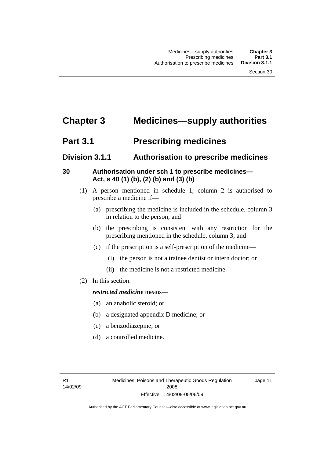# <span id="page-34-0"></span>**Chapter 3 Medicines—supply authorities**

# **Part 3.1** Prescribing medicines

# **Division 3.1.1 Authorisation to prescribe medicines**

# **30 Authorisation under sch 1 to prescribe medicines— Act, s 40 (1) (b), (2) (b) and (3) (b)**

- (1) A person mentioned in schedule 1, column 2 is authorised to prescribe a medicine if—
	- (a) prescribing the medicine is included in the schedule, column 3 in relation to the person; and
	- (b) the prescribing is consistent with any restriction for the prescribing mentioned in the schedule, column 3; and
	- (c) if the prescription is a self-prescription of the medicine—
		- (i) the person is not a trainee dentist or intern doctor; or
		- (ii) the medicine is not a restricted medicine.
- (2) In this section:

## *restricted medicine* means—

- (a) an anabolic steroid; or
- (b) a designated appendix D medicine; or
- (c) a benzodiazepine; or
- (d) a controlled medicine.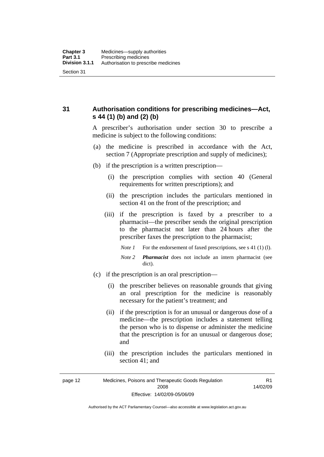<span id="page-35-0"></span>**31 Authorisation conditions for prescribing medicines—Act, s 44 (1) (b) and (2) (b)** 

> A prescriber's authorisation under section 30 to prescribe a medicine is subject to the following conditions:

- (a) the medicine is prescribed in accordance with the Act, section 7 (Appropriate prescription and supply of medicines);
- (b) if the prescription is a written prescription—
	- (i) the prescription complies with section 40 (General requirements for written prescriptions); and
	- (ii) the prescription includes the particulars mentioned in section 41 on the front of the prescription; and
	- (iii) if the prescription is faxed by a prescriber to a pharmacist—the prescriber sends the original prescription to the pharmacist not later than 24 hours after the prescriber faxes the prescription to the pharmacist;
		- *Note 1* For the endorsement of faxed prescriptions, see s 41 (1) (1).
		- *Note 2 Pharmacist* does not include an intern pharmacist (see dict).
- (c) if the prescription is an oral prescription—
	- (i) the prescriber believes on reasonable grounds that giving an oral prescription for the medicine is reasonably necessary for the patient's treatment; and
	- (ii) if the prescription is for an unusual or dangerous dose of a medicine—the prescription includes a statement telling the person who is to dispense or administer the medicine that the prescription is for an unusual or dangerous dose; and
	- (iii) the prescription includes the particulars mentioned in section 41; and

R1 14/02/09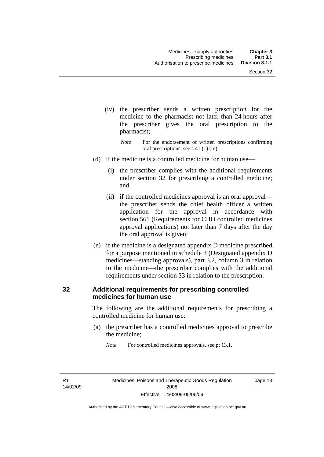- (iv) the prescriber sends a written prescription for the medicine to the pharmacist not later than 24 hours after the prescriber gives the oral prescription to the pharmacist;
	- *Note* For the endorsement of written prescriptions confirming oral prescriptions, see s 41 (1) (m).
- (d) if the medicine is a controlled medicine for human use—
	- (i) the prescriber complies with the additional requirements under section 32 for prescribing a controlled medicine; and
	- (ii) if the controlled medicines approval is an oral approval the prescriber sends the chief health officer a written application for the approval in accordance with section 561 (Requirements for CHO controlled medicines approval applications) not later than 7 days after the day the oral approval is given;
- (e) if the medicine is a designated appendix D medicine prescribed for a purpose mentioned in schedule 3 (Designated appendix D medicines—standing approvals), part 3.2, column 3 in relation to the medicine—the prescriber complies with the additional requirements under section 33 in relation to the prescription.

### **32 Additional requirements for prescribing controlled medicines for human use**

The following are the additional requirements for prescribing a controlled medicine for human use:

 (a) the prescriber has a controlled medicines approval to prescribe the medicine;

*Note* For controlled medicines approvals, see pt 13.1.

R1 14/02/09 page 13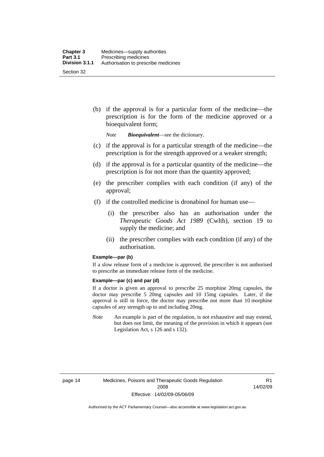(b) if the approval is for a particular form of the medicine—the prescription is for the form of the medicine approved or a bioequivalent form;

*Note Bioequivalent*—see the dictionary.

- (c) if the approval is for a particular strength of the medicine—the prescription is for the strength approved or a weaker strength;
- (d) if the approval is for a particular quantity of the medicine—the prescription is for not more than the quantity approved;
- (e) the prescriber complies with each condition (if any) of the approval;
- (f) if the controlled medicine is dronabinol for human use—
	- (i) the prescriber also has an authorisation under the *Therapeutic Goods Act 1989* (Cwlth), section 19 to supply the medicine; and
	- (ii) the prescriber complies with each condition (if any) of the authorisation.

#### **Example—par (b)**

If a slow release form of a medicine is approved, the prescriber is not authorised to prescribe an immediate release form of the medicine.

#### **Example—par (c) and par (d)**

If a doctor is given an approval to prescribe 25 morphine 20mg capsules, the doctor may prescribe 5 20mg capsules and 10 15mg capsules. Later, if the approval is still in force, the doctor may prescribe not more than 10 morphine capsules of any strength up to and including 20mg.

*Note* An example is part of the regulation, is not exhaustive and may extend, but does not limit, the meaning of the provision in which it appears (see Legislation Act, s 126 and s 132).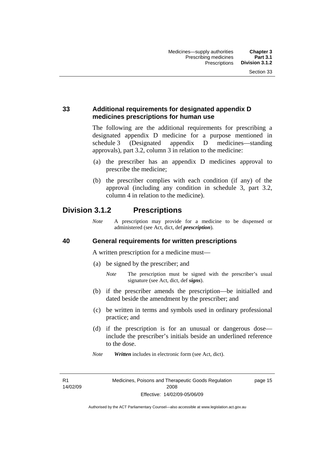### **33 Additional requirements for designated appendix D medicines prescriptions for human use**

The following are the additional requirements for prescribing a designated appendix D medicine for a purpose mentioned in schedule 3 (Designated appendix D medicines—standing approvals), part 3.2, column 3 in relation to the medicine:

- (a) the prescriber has an appendix D medicines approval to prescribe the medicine;
- (b) the prescriber complies with each condition (if any) of the approval (including any condition in schedule 3, part 3.2, column 4 in relation to the medicine).

### **Division 3.1.2 Prescriptions**

*Note* A prescription may provide for a medicine to be dispensed or administered (see Act, dict, def *prescription*).

### **40 General requirements for written prescriptions**

A written prescription for a medicine must—

- (a) be signed by the prescriber; and
	- *Note* The prescription must be signed with the prescriber's usual signature (see Act, dict, def *signs*).
- (b) if the prescriber amends the prescription—be initialled and dated beside the amendment by the prescriber; and
- (c) be written in terms and symbols used in ordinary professional practice; and
- (d) if the prescription is for an unusual or dangerous dose include the prescriber's initials beside an underlined reference to the dose.
- *Note Written* includes in electronic form (see Act, dict).

R1 14/02/09 page 15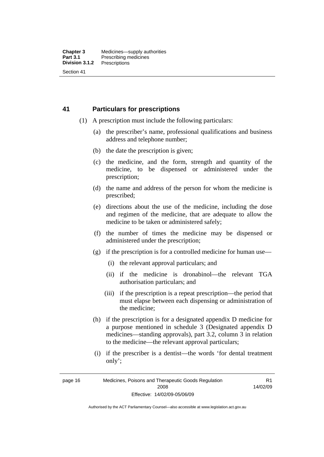### **41 Particulars for prescriptions**

- (1) A prescription must include the following particulars:
	- (a) the prescriber's name, professional qualifications and business address and telephone number;
	- (b) the date the prescription is given;
	- (c) the medicine, and the form, strength and quantity of the medicine, to be dispensed or administered under the prescription;
	- (d) the name and address of the person for whom the medicine is prescribed;
	- (e) directions about the use of the medicine, including the dose and regimen of the medicine, that are adequate to allow the medicine to be taken or administered safely;
	- (f) the number of times the medicine may be dispensed or administered under the prescription;
	- (g) if the prescription is for a controlled medicine for human use—
		- (i) the relevant approval particulars; and
		- (ii) if the medicine is dronabinol—the relevant TGA authorisation particulars; and
		- (iii) if the prescription is a repeat prescription—the period that must elapse between each dispensing or administration of the medicine;
	- (h) if the prescription is for a designated appendix D medicine for a purpose mentioned in schedule 3 (Designated appendix D medicines—standing approvals), part 3.2, column 3 in relation to the medicine—the relevant approval particulars;
	- (i) if the prescriber is a dentist—the words 'for dental treatment only';

R1 14/02/09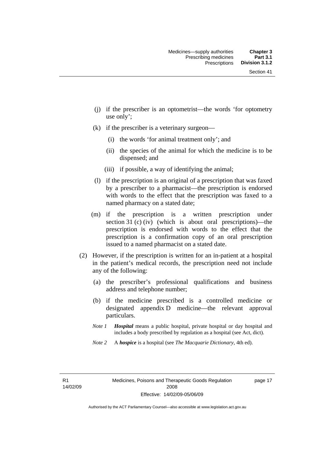- (j) if the prescriber is an optometrist—the words 'for optometry use only';
- (k) if the prescriber is a veterinary surgeon—
	- (i) the words 'for animal treatment only'; and
	- (ii) the species of the animal for which the medicine is to be dispensed; and
	- (iii) if possible, a way of identifying the animal;
- (l) if the prescription is an original of a prescription that was faxed by a prescriber to a pharmacist—the prescription is endorsed with words to the effect that the prescription was faxed to a named pharmacy on a stated date;
- (m) if the prescription is a written prescription under section 31 (c) (iv) (which is about oral prescriptions)—the prescription is endorsed with words to the effect that the prescription is a confirmation copy of an oral prescription issued to a named pharmacist on a stated date.
- (2) However, if the prescription is written for an in-patient at a hospital in the patient's medical records, the prescription need not include any of the following:
	- (a) the prescriber's professional qualifications and business address and telephone number;
	- (b) if the medicine prescribed is a controlled medicine or designated appendix D medicine—the relevant approval particulars.
	- *Note 1 Hospital* means a public hospital, private hospital or day hospital and includes a body prescribed by regulation as a hospital (see Act, dict).
	- *Note 2* A *hospice* is a hospital (see *The Macquarie Dictionary*, 4th ed).

R1 14/02/09 page 17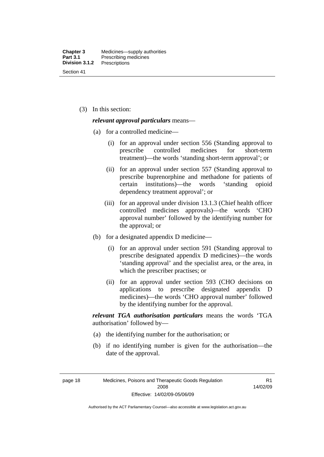(3) In this section:

#### *relevant approval particulars* means—

- (a) for a controlled medicine—
	- (i) for an approval under section 556 (Standing approval to prescribe controlled medicines for short-term treatment)—the words 'standing short-term approval'; or
	- (ii) for an approval under section 557 (Standing approval to prescribe buprenorphine and methadone for patients of certain institutions)—the words 'standing opioid dependency treatment approval'; or
	- (iii) for an approval under division 13.1.3 (Chief health officer controlled medicines approvals)—the words 'CHO approval number' followed by the identifying number for the approval; or
- (b) for a designated appendix D medicine—
	- (i) for an approval under section 591 (Standing approval to prescribe designated appendix D medicines)—the words 'standing approval' and the specialist area, or the area, in which the prescriber practises; or
	- (ii) for an approval under section 593 (CHO decisions on applications to prescribe designated appendix D medicines)—the words 'CHO approval number' followed by the identifying number for the approval.

*relevant TGA authorisation particulars* means the words 'TGA authorisation' followed by—

- (a) the identifying number for the authorisation; or
- (b) if no identifying number is given for the authorisation—the date of the approval.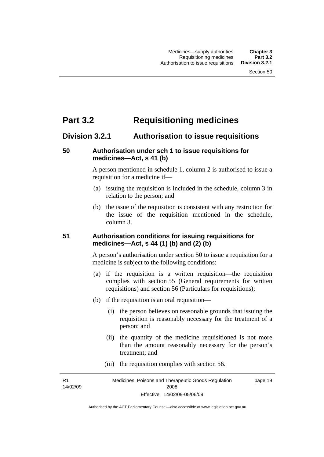# **Part 3.2 Requisitioning medicines**

### **Division 3.2.1 Authorisation to issue requisitions**

### **50 Authorisation under sch 1 to issue requisitions for medicines—Act, s 41 (b)**

A person mentioned in schedule 1, column 2 is authorised to issue a requisition for a medicine if—

- (a) issuing the requisition is included in the schedule, column 3 in relation to the person; and
- (b) the issue of the requisition is consistent with any restriction for the issue of the requisition mentioned in the schedule, column 3.

### **51 Authorisation conditions for issuing requisitions for medicines—Act, s 44 (1) (b) and (2) (b)**

A person's authorisation under section 50 to issue a requisition for a medicine is subject to the following conditions:

- (a) if the requisition is a written requisition—the requisition complies with section 55 (General requirements for written requisitions) and section 56 (Particulars for requisitions);
- (b) if the requisition is an oral requisition—
	- (i) the person believes on reasonable grounds that issuing the requisition is reasonably necessary for the treatment of a person; and
	- (ii) the quantity of the medicine requisitioned is not more than the amount reasonably necessary for the person's treatment; and
	- (iii) the requisition complies with section 56.

R1 14/02/09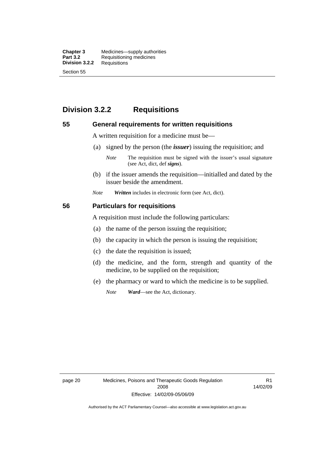**Chapter 3** Medicines—supply authorities<br>**Part 3.2** Requisitioning medicines **Requisitioning medicines**<br>Requisitions **Division 3.2.2** Section 55

# **Division 3.2.2 Requisitions**

#### **55 General requirements for written requisitions**

A written requisition for a medicine must be—

(a) signed by the person (the *issuer*) issuing the requisition; and

 (b) if the issuer amends the requisition—initialled and dated by the issuer beside the amendment.

*Note Written* includes in electronic form (see Act, dict).

#### **56 Particulars for requisitions**

A requisition must include the following particulars:

- (a) the name of the person issuing the requisition;
- (b) the capacity in which the person is issuing the requisition;
- (c) the date the requisition is issued;
- (d) the medicine, and the form, strength and quantity of the medicine, to be supplied on the requisition;
- (e) the pharmacy or ward to which the medicine is to be supplied.

*Note Ward*—see the Act, dictionary.

page 20 Medicines, Poisons and Therapeutic Goods Regulation 2008 Effective: 14/02/09-05/06/09

R1 14/02/09

*Note* The requisition must be signed with the issuer's usual signature (see Act, dict, def *signs*).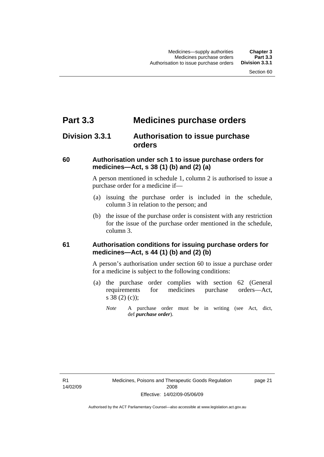# **Part 3.3 Medicines purchase orders**

# **Division 3.3.1 Authorisation to issue purchase orders**

### **60 Authorisation under sch 1 to issue purchase orders for medicines—Act, s 38 (1) (b) and (2) (a)**

A person mentioned in schedule 1, column 2 is authorised to issue a purchase order for a medicine if—

- (a) issuing the purchase order is included in the schedule, column 3 in relation to the person; and
- (b) the issue of the purchase order is consistent with any restriction for the issue of the purchase order mentioned in the schedule, column 3.

### **61 Authorisation conditions for issuing purchase orders for medicines—Act, s 44 (1) (b) and (2) (b)**

A person's authorisation under section 60 to issue a purchase order for a medicine is subject to the following conditions:

- (a) the purchase order complies with section 62 (General requirements for medicines purchase orders—Act, s 38 (2) (c));
	- *Note* A purchase order must be in writing (see Act, dict, def *purchase order*).

R1 14/02/09 page 21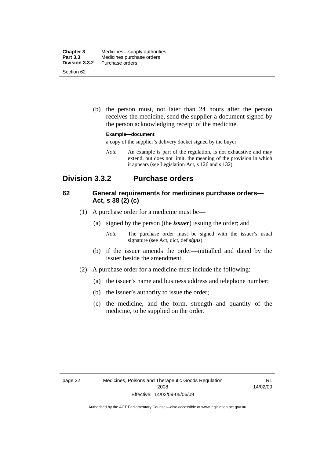| <b>Chapter 3</b><br><b>Part 3.3</b> | Medicines—supply authorities<br>Medicines purchase orders |
|-------------------------------------|-----------------------------------------------------------|
| Division 3.3.2                      | Purchase orders                                           |
| Section 62                          |                                                           |

 (b) the person must, not later than 24 hours after the person receives the medicine, send the supplier a document signed by the person acknowledging receipt of the medicine.

#### **Example—document**

a copy of the supplier's delivery docket signed by the buyer

*Note* An example is part of the regulation, is not exhaustive and may extend, but does not limit, the meaning of the provision in which it appears (see Legislation Act, s 126 and s 132).

### **Division 3.3.2 Purchase orders**

### **62 General requirements for medicines purchase orders— Act, s 38 (2) (c)**

- (1) A purchase order for a medicine must be—
	- (a) signed by the person (the *issuer*) issuing the order; and
		- *Note* The purchase order must be signed with the issuer's usual signature (see Act, dict, def *signs*).
	- (b) if the issuer amends the order—initialled and dated by the issuer beside the amendment.
- (2) A purchase order for a medicine must include the following:
	- (a) the issuer's name and business address and telephone number;
	- (b) the issuer's authority to issue the order;
	- (c) the medicine, and the form, strength and quantity of the medicine, to be supplied on the order.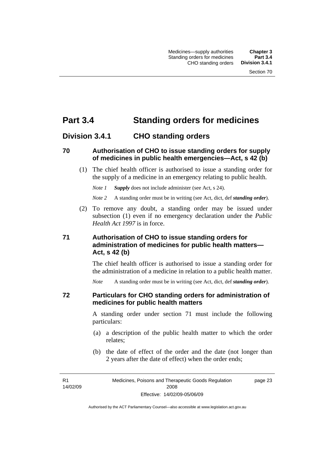# **Part 3.4 Standing orders for medicines**

### **Division 3.4.1 CHO standing orders**

### **70 Authorisation of CHO to issue standing orders for supply of medicines in public health emergencies—Act, s 42 (b)**

 (1) The chief health officer is authorised to issue a standing order for the supply of a medicine in an emergency relating to public health.

*Note 1 Supply* does not include administer (see Act, s 24).

*Note 2* A standing order must be in writing (see Act, dict, def *standing order*).

 (2) To remove any doubt, a standing order may be issued under subsection (1) even if no emergency declaration under the *Public Health Act 1997* is in force.

### **71 Authorisation of CHO to issue standing orders for administration of medicines for public health matters— Act, s 42 (b)**

The chief health officer is authorised to issue a standing order for the administration of a medicine in relation to a public health matter.

*Note* A standing order must be in writing (see Act, dict, def *standing order*).

### **72 Particulars for CHO standing orders for administration of medicines for public health matters**

A standing order under section 71 must include the following particulars:

- (a) a description of the public health matter to which the order relates;
- (b) the date of effect of the order and the date (not longer than 2 years after the date of effect) when the order ends;

R1 14/02/09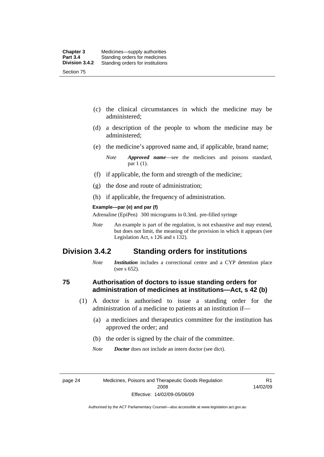- (c) the clinical circumstances in which the medicine may be administered;
- (d) a description of the people to whom the medicine may be administered;
- (e) the medicine's approved name and, if applicable, brand name;

- (f) if applicable, the form and strength of the medicine;
- (g) the dose and route of administration;
- (h) if applicable, the frequency of administration.

#### **Example—par (e) and par (f)**

Adrenaline (EpiPen) 300 micrograms in 0.3mL pre-filled syringe

*Note* An example is part of the regulation, is not exhaustive and may extend, but does not limit, the meaning of the provision in which it appears (see Legislation Act, s 126 and s 132).

### **Division 3.4.2 Standing orders for institutions**

*Note Institution* includes a correctional centre and a CYP detention place (see s 652).

### **75 Authorisation of doctors to issue standing orders for administration of medicines at institutions—Act, s 42 (b)**

- (1) A doctor is authorised to issue a standing order for the administration of a medicine to patients at an institution if—
	- (a) a medicines and therapeutics committee for the institution has approved the order; and
	- (b) the order is signed by the chair of the committee.
	- *Note Doctor* does not include an intern doctor (see dict).

page 24 Medicines, Poisons and Therapeutic Goods Regulation 2008 Effective: 14/02/09-05/06/09

R1 14/02/09

*Note Approved name*—see the medicines and poisons standard, par 1 (1).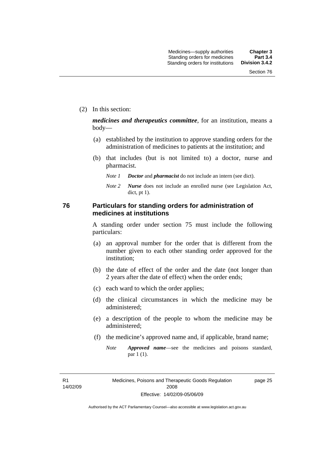(2) In this section:

*medicines and therapeutics committee*, for an institution, means a body—

- (a) established by the institution to approve standing orders for the administration of medicines to patients at the institution; and
- (b) that includes (but is not limited to) a doctor, nurse and pharmacist.
	- *Note 1 Doctor* and *pharmacist* do not include an intern (see dict).
	- *Note 2 Nurse* does not include an enrolled nurse (see Legislation Act, dict, pt 1).

### **76 Particulars for standing orders for administration of medicines at institutions**

A standing order under section 75 must include the following particulars:

- (a) an approval number for the order that is different from the number given to each other standing order approved for the institution;
- (b) the date of effect of the order and the date (not longer than 2 years after the date of effect) when the order ends;
- (c) each ward to which the order applies;
- (d) the clinical circumstances in which the medicine may be administered;
- (e) a description of the people to whom the medicine may be administered;
- (f) the medicine's approved name and, if applicable, brand name;
	- *Note Approved name*—see the medicines and poisons standard, par 1 (1).

R1 14/02/09 page 25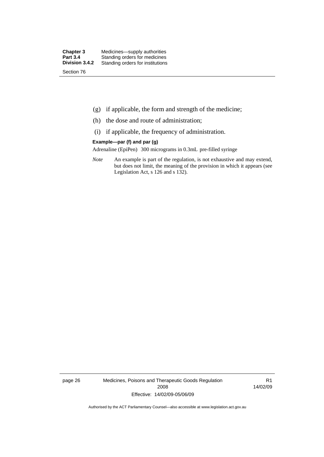- (g) if applicable, the form and strength of the medicine;
- (h) the dose and route of administration;
- (i) if applicable, the frequency of administration.

#### **Example—par (f) and par (g)**

Adrenaline (EpiPen) 300 micrograms in 0.3mL pre-filled syringe

*Note* An example is part of the regulation, is not exhaustive and may extend, but does not limit, the meaning of the provision in which it appears (see Legislation Act, s 126 and s 132).

page 26 Medicines, Poisons and Therapeutic Goods Regulation 2008 Effective: 14/02/09-05/06/09

R1 14/02/09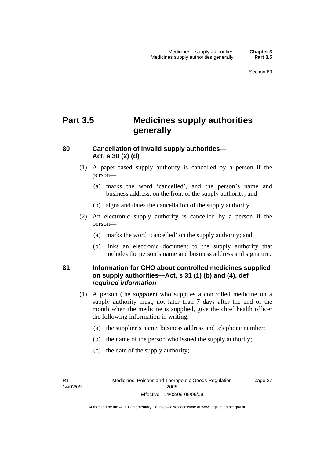# **Part 3.5 Medicines supply authorities generally**

### **80 Cancellation of invalid supply authorities— Act, s 30 (2) (d)**

- (1) A paper-based supply authority is cancelled by a person if the person—
	- (a) marks the word 'cancelled', and the person's name and business address, on the front of the supply authority; and
	- (b) signs and dates the cancellation of the supply authority.
- (2) An electronic supply authority is cancelled by a person if the person—
	- (a) marks the word 'cancelled' on the supply authority; and
	- (b) links an electronic document to the supply authority that includes the person's name and business address and signature.

### **81 Information for CHO about controlled medicines supplied on supply authorities—Act, s 31 (1) (b) and (4), def**  *required information*

- (1) A person (the *supplier*) who supplies a controlled medicine on a supply authority must, not later than 7 days after the end of the month when the medicine is supplied, give the chief health officer the following information in writing:
	- (a) the supplier's name, business address and telephone number;
	- (b) the name of the person who issued the supply authority;
	- (c) the date of the supply authority;

R1 14/02/09 page 27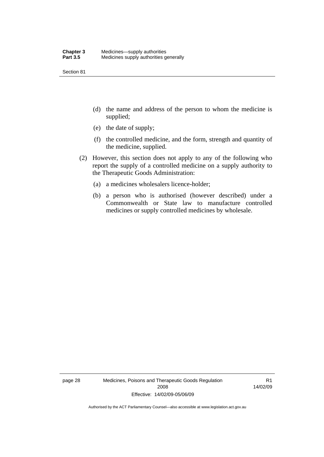Section 81

- (d) the name and address of the person to whom the medicine is supplied;
- (e) the date of supply;
- (f) the controlled medicine, and the form, strength and quantity of the medicine, supplied.
- (2) However, this section does not apply to any of the following who report the supply of a controlled medicine on a supply authority to the Therapeutic Goods Administration:
	- (a) a medicines wholesalers licence-holder;
	- (b) a person who is authorised (however described) under a Commonwealth or State law to manufacture controlled medicines or supply controlled medicines by wholesale.

page 28 Medicines, Poisons and Therapeutic Goods Regulation 2008 Effective: 14/02/09-05/06/09

R1 14/02/09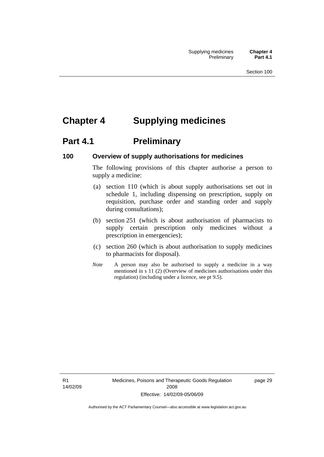# **Chapter 4 Supplying medicines**

# **Part 4.1** Preliminary

### **100 Overview of supply authorisations for medicines**

The following provisions of this chapter authorise a person to supply a medicine:

- (a) section 110 (which is about supply authorisations set out in schedule 1, including dispensing on prescription, supply on requisition, purchase order and standing order and supply during consultations);
- (b) section 251 (which is about authorisation of pharmacists to supply certain prescription only medicines without a prescription in emergencies);
- (c) section 260 (which is about authorisation to supply medicines to pharmacists for disposal).
- *Note* A person may also be authorised to supply a medicine in a way mentioned in s 11 (2) (Overview of medicines authorisations under this regulation) (including under a licence, see pt 9.5).

R1 14/02/09 Medicines, Poisons and Therapeutic Goods Regulation 2008 Effective: 14/02/09-05/06/09

page 29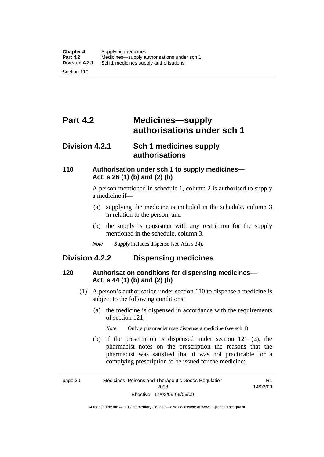# **Part 4.2 Medicines—supply authorisations under sch 1**

### **Division 4.2.1 Sch 1 medicines supply authorisations**

### **110 Authorisation under sch 1 to supply medicines— Act, s 26 (1) (b) and (2) (b)**

A person mentioned in schedule 1, column 2 is authorised to supply a medicine if—

- (a) supplying the medicine is included in the schedule, column 3 in relation to the person; and
- (b) the supply is consistent with any restriction for the supply mentioned in the schedule, column 3.
- *Note Supply* includes dispense (see Act, s 24).

### **Division 4.2.2 Dispensing medicines**

### **120 Authorisation conditions for dispensing medicines— Act, s 44 (1) (b) and (2) (b)**

- (1) A person's authorisation under section 110 to dispense a medicine is subject to the following conditions:
	- (a) the medicine is dispensed in accordance with the requirements of section 121;

*Note* Only a pharmacist may dispense a medicine (see sch 1).

 (b) if the prescription is dispensed under section 121 (2), the pharmacist notes on the prescription the reasons that the pharmacist was satisfied that it was not practicable for a complying prescription to be issued for the medicine;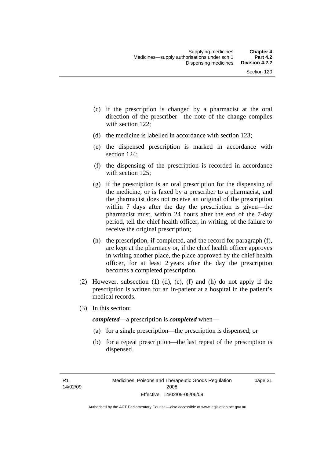- (c) if the prescription is changed by a pharmacist at the oral direction of the prescriber—the note of the change complies with section 122;
- (d) the medicine is labelled in accordance with section 123;
- (e) the dispensed prescription is marked in accordance with section 124;
- (f) the dispensing of the prescription is recorded in accordance with section 125:
- (g) if the prescription is an oral prescription for the dispensing of the medicine, or is faxed by a prescriber to a pharmacist, and the pharmacist does not receive an original of the prescription within 7 days after the day the prescription is given—the pharmacist must, within 24 hours after the end of the 7-day period, tell the chief health officer, in writing, of the failure to receive the original prescription;
- (h) the prescription, if completed, and the record for paragraph (f), are kept at the pharmacy or, if the chief health officer approves in writing another place, the place approved by the chief health officer, for at least 2 years after the day the prescription becomes a completed prescription.
- (2) However, subsection (1) (d), (e), (f) and (h) do not apply if the prescription is written for an in-patient at a hospital in the patient's medical records.
- (3) In this section:

*completed*—a prescription is *completed* when—

- (a) for a single prescription—the prescription is dispensed; or
- (b) for a repeat prescription—the last repeat of the prescription is dispensed.

page 31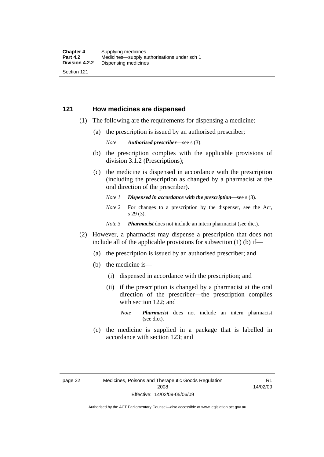### **121 How medicines are dispensed**

- (1) The following are the requirements for dispensing a medicine:
	- (a) the prescription is issued by an authorised prescriber;

*Note Authorised prescriber*—see s (3).

- (b) the prescription complies with the applicable provisions of division 3.1.2 (Prescriptions);
- (c) the medicine is dispensed in accordance with the prescription (including the prescription as changed by a pharmacist at the oral direction of the prescriber).
	- *Note 1 Dispensed in accordance with the prescription*—see s (3).
	- *Note* 2 For changes to a prescription by the dispenser, see the Act, s 29 (3).
	- *Note 3 Pharmacist* does not include an intern pharmacist (see dict).
- (2) However, a pharmacist may dispense a prescription that does not include all of the applicable provisions for subsection (1) (b) if—
	- (a) the prescription is issued by an authorised prescriber; and
	- (b) the medicine is—
		- (i) dispensed in accordance with the prescription; and
		- (ii) if the prescription is changed by a pharmacist at the oral direction of the prescriber—the prescription complies with section 122; and
			- *Note Pharmacist* does not include an intern pharmacist (see dict).
	- (c) the medicine is supplied in a package that is labelled in accordance with section 123; and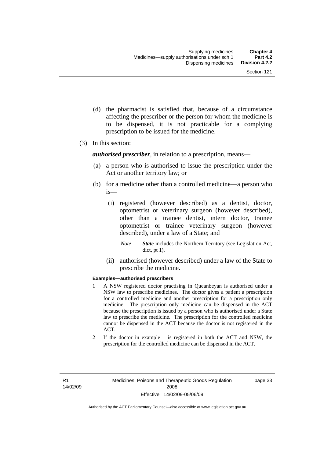- (d) the pharmacist is satisfied that, because of a circumstance affecting the prescriber or the person for whom the medicine is to be dispensed, it is not practicable for a complying prescription to be issued for the medicine.
- (3) In this section:

*authorised prescriber*, in relation to a prescription, means—

- (a) a person who is authorised to issue the prescription under the Act or another territory law; or
- (b) for a medicine other than a controlled medicine—a person who is—
	- (i) registered (however described) as a dentist, doctor, optometrist or veterinary surgeon (however described), other than a trainee dentist, intern doctor, trainee optometrist or trainee veterinary surgeon (however described), under a law of a State; and
		- *Note State* includes the Northern Territory (see Legislation Act, dict, pt 1).
	- (ii) authorised (however described) under a law of the State to prescribe the medicine.

#### **Examples—authorised prescribers**

- 1 A NSW registered doctor practising in Queanbeyan is authorised under a NSW law to prescribe medicines. The doctor gives a patient a prescription for a controlled medicine and another prescription for a prescription only medicine. The prescription only medicine can be dispensed in the ACT because the prescription is issued by a person who is authorised under a State law to prescribe the medicine. The prescription for the controlled medicine cannot be dispensed in the ACT because the doctor is not registered in the ACT.
- 2 If the doctor in example 1 is registered in both the ACT and NSW, the prescription for the controlled medicine can be dispensed in the ACT.

page 33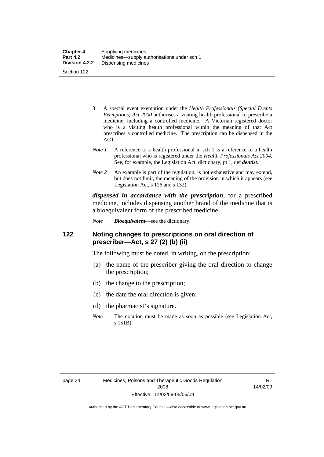| <b>Chapter 4</b> | Supplying medicines                         |
|------------------|---------------------------------------------|
| <b>Part 4.2</b>  | Medicines—supply authorisations under sch 1 |
| Division 4.2.2   | Dispensing medicines                        |
| Section 122      |                                             |

- 3 A special event exemption under the *Health Professionals (Special Events Exemptions) Act 2000* authorises a visiting health professional to prescribe a medicine, including a controlled medicine. A Victorian registered doctor who is a visiting health professional within the meaning of that Act prescribes a controlled medicine. The prescription can be dispensed in the ACT.
- *Note 1* A reference to a health professional in sch 1 is a reference to a health professional who is registered under the *Health Professionals Act 2004*. See, for example, the Legislation Act, dictionary, pt 1, def *dentist*.
- *Note 2* An example is part of the regulation, is not exhaustive and may extend, but does not limit, the meaning of the provision in which it appears (see Legislation Act, s 126 and s 132).

*dispensed in accordance with the prescription*, for a prescribed medicine, includes dispensing another brand of the medicine that is a bioequivalent form of the prescribed medicine.

*Note Bioequivalent*—see the dictionary.

### **122 Noting changes to prescriptions on oral direction of prescriber—Act, s 27 (2) (b) (ii)**

The following must be noted, in writing, on the prescription:

- (a) the name of the prescriber giving the oral direction to change the prescription;
- (b) the change to the prescription;
- (c) the date the oral direction is given;
- (d) the pharmacist's signature.
- *Note* The notation must be made as soon as possible (see Legislation Act, s 151B).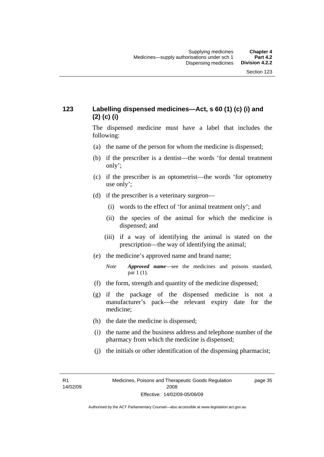### **123 Labelling dispensed medicines—Act, s 60 (1) (c) (i) and (2) (c) (i)**

The dispensed medicine must have a label that includes the following:

- (a) the name of the person for whom the medicine is dispensed;
- (b) if the prescriber is a dentist—the words 'for dental treatment only';
- (c) if the prescriber is an optometrist—the words 'for optometry use only';
- (d) if the prescriber is a veterinary surgeon—
	- (i) words to the effect of 'for animal treatment only'; and
	- (ii) the species of the animal for which the medicine is dispensed; and
	- (iii) if a way of identifying the animal is stated on the prescription—the way of identifying the animal;
- (e) the medicine's approved name and brand name;
	- *Note Approved name*—see the medicines and poisons standard, par 1 (1).
- (f) the form, strength and quantity of the medicine dispensed;
- (g) if the package of the dispensed medicine is not a manufacturer's pack—the relevant expiry date for the medicine;
- (h) the date the medicine is dispensed;
- (i) the name and the business address and telephone number of the pharmacy from which the medicine is dispensed;
- (j) the initials or other identification of the dispensing pharmacist;

R1 14/02/09 page 35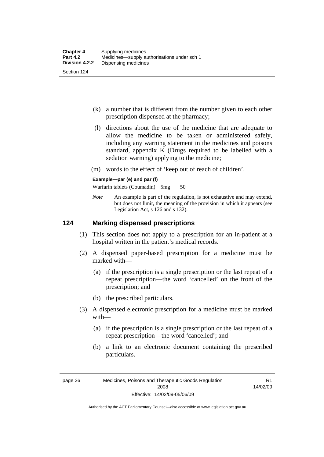- (k) a number that is different from the number given to each other prescription dispensed at the pharmacy;
- (l) directions about the use of the medicine that are adequate to allow the medicine to be taken or administered safely, including any warning statement in the medicines and poisons standard, appendix K (Drugs required to be labelled with a sedation warning) applying to the medicine;
- (m) words to the effect of 'keep out of reach of children'.

#### **Example—par (e) and par (f)**

Warfarin tablets (Coumadin) 5mg 50

*Note* An example is part of the regulation, is not exhaustive and may extend, but does not limit, the meaning of the provision in which it appears (see Legislation Act, s 126 and s 132).

### **124 Marking dispensed prescriptions**

- (1) This section does not apply to a prescription for an in-patient at a hospital written in the patient's medical records.
- (2) A dispensed paper-based prescription for a medicine must be marked with—
	- (a) if the prescription is a single prescription or the last repeat of a repeat prescription—the word 'cancelled' on the front of the prescription; and
	- (b) the prescribed particulars.
- (3) A dispensed electronic prescription for a medicine must be marked with—
	- (a) if the prescription is a single prescription or the last repeat of a repeat prescription—the word 'cancelled'; and
	- (b) a link to an electronic document containing the prescribed particulars.

page 36 Medicines, Poisons and Therapeutic Goods Regulation 2008 Effective: 14/02/09-05/06/09

R1 14/02/09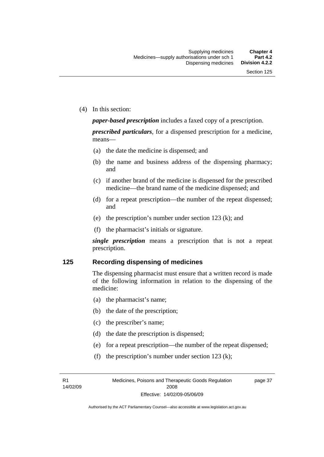(4) In this section:

*paper-based prescription* includes a faxed copy of a prescription.

*prescribed particulars*, for a dispensed prescription for a medicine, means—

- (a) the date the medicine is dispensed; and
- (b) the name and business address of the dispensing pharmacy; and
- (c) if another brand of the medicine is dispensed for the prescribed medicine—the brand name of the medicine dispensed; and
- (d) for a repeat prescription—the number of the repeat dispensed; and
- (e) the prescription's number under section 123 (k); and
- (f) the pharmacist's initials or signature.

*single prescription* means a prescription that is not a repeat prescription.

#### **125 Recording dispensing of medicines**

The dispensing pharmacist must ensure that a written record is made of the following information in relation to the dispensing of the medicine:

- (a) the pharmacist's name;
- (b) the date of the prescription;
- (c) the prescriber's name;
- (d) the date the prescription is dispensed;
- (e) for a repeat prescription—the number of the repeat dispensed;
- (f) the prescription's number under section 123 (k);

R1 14/02/09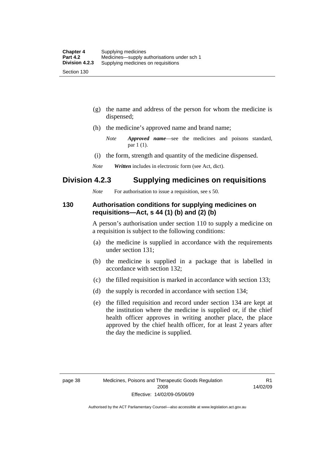- (g) the name and address of the person for whom the medicine is dispensed;
- (h) the medicine's approved name and brand name;
	- *Note Approved name*—see the medicines and poisons standard, par 1 (1).
- (i) the form, strength and quantity of the medicine dispensed.
- *Note Written* includes in electronic form (see Act, dict).

### **Division 4.2.3 Supplying medicines on requisitions**

*Note* For authorisation to issue a requisition, see s 50.

### **130 Authorisation conditions for supplying medicines on requisitions—Act, s 44 (1) (b) and (2) (b)**

A person's authorisation under section 110 to supply a medicine on a requisition is subject to the following conditions:

- (a) the medicine is supplied in accordance with the requirements under section 131;
- (b) the medicine is supplied in a package that is labelled in accordance with section 132;
- (c) the filled requisition is marked in accordance with section 133;
- (d) the supply is recorded in accordance with section 134;
- (e) the filled requisition and record under section 134 are kept at the institution where the medicine is supplied or, if the chief health officer approves in writing another place, the place approved by the chief health officer, for at least 2 years after the day the medicine is supplied.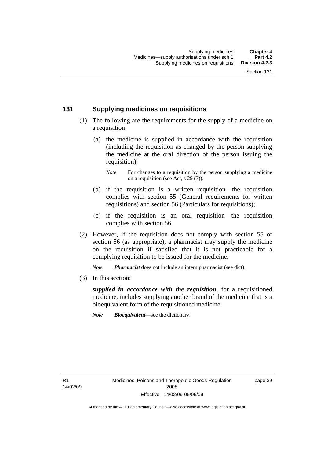### **131 Supplying medicines on requisitions**

- (1) The following are the requirements for the supply of a medicine on a requisition:
	- (a) the medicine is supplied in accordance with the requisition (including the requisition as changed by the person supplying the medicine at the oral direction of the person issuing the requisition);

- (b) if the requisition is a written requisition—the requisition complies with section 55 (General requirements for written requisitions) and section 56 (Particulars for requisitions);
- (c) if the requisition is an oral requisition—the requisition complies with section 56.
- (2) However, if the requisition does not comply with section 55 or section 56 (as appropriate), a pharmacist may supply the medicine on the requisition if satisfied that it is not practicable for a complying requisition to be issued for the medicine.

*Note Pharmacist* does not include an intern pharmacist (see dict).

(3) In this section:

*supplied in accordance with the requisition*, for a requisitioned medicine, includes supplying another brand of the medicine that is a bioequivalent form of the requisitioned medicine.

*Note Bioequivalent*—see the dictionary.

R1 14/02/09 page 39

*Note* For changes to a requisition by the person supplying a medicine on a requisition (see Act, s 29 (3)).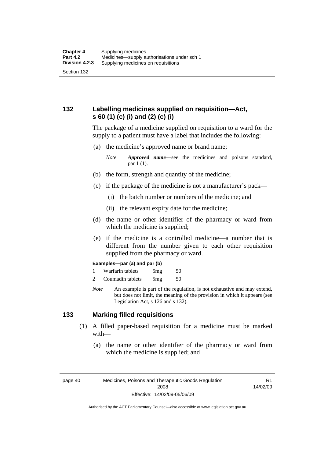### **132 Labelling medicines supplied on requisition—Act, s 60 (1) (c) (i) and (2) (c) (i)**

The package of a medicine supplied on requisition to a ward for the supply to a patient must have a label that includes the following:

(a) the medicine's approved name or brand name;

*Note Approved name*—see the medicines and poisons standard, par 1 (1).

- (b) the form, strength and quantity of the medicine;
- (c) if the package of the medicine is not a manufacturer's pack—
	- (i) the batch number or numbers of the medicine; and
	- (ii) the relevant expiry date for the medicine;
- (d) the name or other identifier of the pharmacy or ward from which the medicine is supplied;
- (e) if the medicine is a controlled medicine—a number that is different from the number given to each other requisition supplied from the pharmacy or ward.

#### **Examples—par (a) and par (b)**

- 1 Warfarin tablets 5mg 50
- 2 Coumadin tablets 5mg 50
- *Note* An example is part of the regulation, is not exhaustive and may extend, but does not limit, the meaning of the provision in which it appears (see Legislation Act, s 126 and s 132).

### **133 Marking filled requisitions**

- (1) A filled paper-based requisition for a medicine must be marked with—
	- (a) the name or other identifier of the pharmacy or ward from which the medicine is supplied; and

page 40 Medicines, Poisons and Therapeutic Goods Regulation 2008 Effective: 14/02/09-05/06/09

R1 14/02/09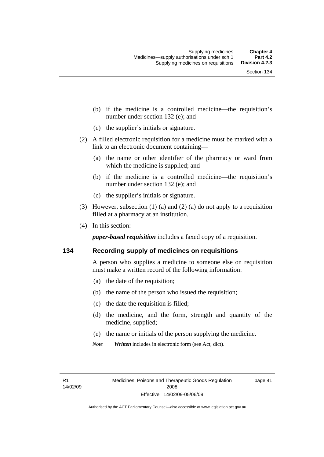- (b) if the medicine is a controlled medicine—the requisition's number under section 132 (e); and
- (c) the supplier's initials or signature.
- (2) A filled electronic requisition for a medicine must be marked with a link to an electronic document containing—
	- (a) the name or other identifier of the pharmacy or ward from which the medicine is supplied; and
	- (b) if the medicine is a controlled medicine—the requisition's number under section 132 (e); and
	- (c) the supplier's initials or signature.
- (3) However, subsection (1) (a) and (2) (a) do not apply to a requisition filled at a pharmacy at an institution.
- (4) In this section:

*paper-based requisition* includes a faxed copy of a requisition.

### **134 Recording supply of medicines on requisitions**

A person who supplies a medicine to someone else on requisition must make a written record of the following information:

- (a) the date of the requisition;
- (b) the name of the person who issued the requisition;
- (c) the date the requisition is filled;
- (d) the medicine, and the form, strength and quantity of the medicine, supplied;
- (e) the name or initials of the person supplying the medicine.
- *Note Written* includes in electronic form (see Act, dict).

R1 14/02/09 page 41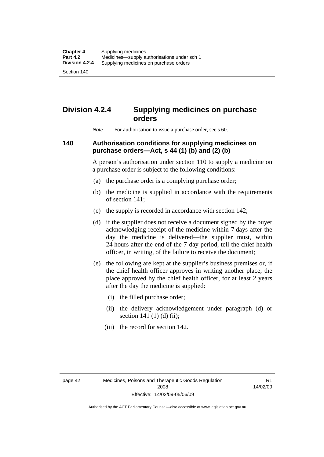Section 140

# **Division 4.2.4 Supplying medicines on purchase orders**

*Note* For authorisation to issue a purchase order, see s 60.

### **140 Authorisation conditions for supplying medicines on purchase orders—Act, s 44 (1) (b) and (2) (b)**

A person's authorisation under section 110 to supply a medicine on a purchase order is subject to the following conditions:

- (a) the purchase order is a complying purchase order;
- (b) the medicine is supplied in accordance with the requirements of section 141;
- (c) the supply is recorded in accordance with section 142;
- (d) if the supplier does not receive a document signed by the buyer acknowledging receipt of the medicine within 7 days after the day the medicine is delivered—the supplier must, within 24 hours after the end of the 7-day period, tell the chief health officer, in writing, of the failure to receive the document;
- (e) the following are kept at the supplier's business premises or, if the chief health officer approves in writing another place, the place approved by the chief health officer, for at least 2 years after the day the medicine is supplied:
	- (i) the filled purchase order;
	- (ii) the delivery acknowledgement under paragraph (d) or section 141 $(1)$  $(d)$  $(ii)$ ;
	- (iii) the record for section 142.

R1 14/02/09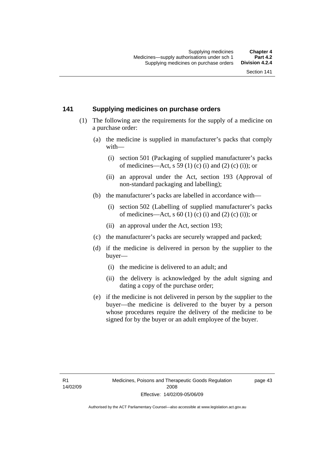### **141 Supplying medicines on purchase orders**

- (1) The following are the requirements for the supply of a medicine on a purchase order:
	- (a) the medicine is supplied in manufacturer's packs that comply with—
		- (i) section 501 (Packaging of supplied manufacturer's packs of medicines—Act, s 59 (1) (c) (i) and (2) (c) (i)); or
		- (ii) an approval under the Act, section 193 (Approval of non-standard packaging and labelling);
	- (b) the manufacturer's packs are labelled in accordance with—
		- (i) section 502 (Labelling of supplied manufacturer's packs of medicines—Act, s  $60$  (1) (c) (i) and (2) (c) (i)); or
		- (ii) an approval under the Act, section 193;
	- (c) the manufacturer's packs are securely wrapped and packed;
	- (d) if the medicine is delivered in person by the supplier to the buyer—
		- (i) the medicine is delivered to an adult; and
		- (ii) the delivery is acknowledged by the adult signing and dating a copy of the purchase order;
	- (e) if the medicine is not delivered in person by the supplier to the buyer—the medicine is delivered to the buyer by a person whose procedures require the delivery of the medicine to be signed for by the buyer or an adult employee of the buyer.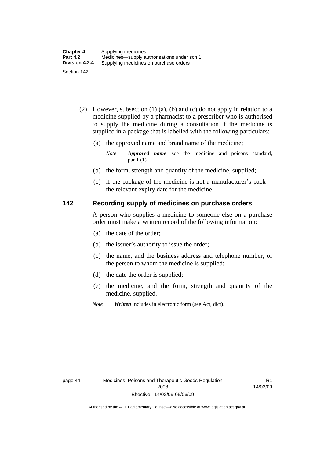- (2) However, subsection (1) (a), (b) and (c) do not apply in relation to a medicine supplied by a pharmacist to a prescriber who is authorised to supply the medicine during a consultation if the medicine is supplied in a package that is labelled with the following particulars:
	- (a) the approved name and brand name of the medicine;

*Note Approved name*—see the medicine and poisons standard, par 1 (1).

- (b) the form, strength and quantity of the medicine, supplied;
- (c) if the package of the medicine is not a manufacturer's pack the relevant expiry date for the medicine.

### **142 Recording supply of medicines on purchase orders**

A person who supplies a medicine to someone else on a purchase order must make a written record of the following information:

- (a) the date of the order;
- (b) the issuer's authority to issue the order;
- (c) the name, and the business address and telephone number, of the person to whom the medicine is supplied;
- (d) the date the order is supplied;
- (e) the medicine, and the form, strength and quantity of the medicine, supplied.
- *Note Written* includes in electronic form (see Act, dict).

R1 14/02/09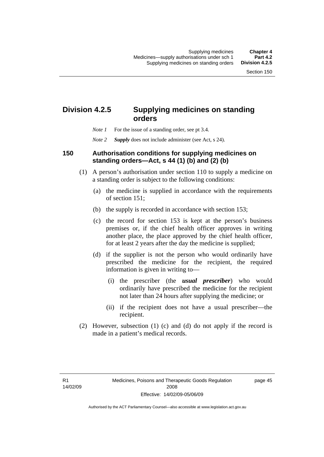# **Division 4.2.5 Supplying medicines on standing orders**

- *Note 1* For the issue of a standing order, see pt 3.4.
- *Note 2 Supply* does not include administer (see Act, s 24).

### **150 Authorisation conditions for supplying medicines on standing orders—Act, s 44 (1) (b) and (2) (b)**

- (1) A person's authorisation under section 110 to supply a medicine on a standing order is subject to the following conditions:
	- (a) the medicine is supplied in accordance with the requirements of section 151;
	- (b) the supply is recorded in accordance with section 153;
	- (c) the record for section 153 is kept at the person's business premises or, if the chief health officer approves in writing another place, the place approved by the chief health officer, for at least 2 years after the day the medicine is supplied;
	- (d) if the supplier is not the person who would ordinarily have prescribed the medicine for the recipient, the required information is given in writing to—
		- (i) the prescriber (the *usual prescriber*) who would ordinarily have prescribed the medicine for the recipient not later than 24 hours after supplying the medicine; or
		- (ii) if the recipient does not have a usual prescriber—the recipient.
- (2) However, subsection (1) (c) and (d) do not apply if the record is made in a patient's medical records.

page 45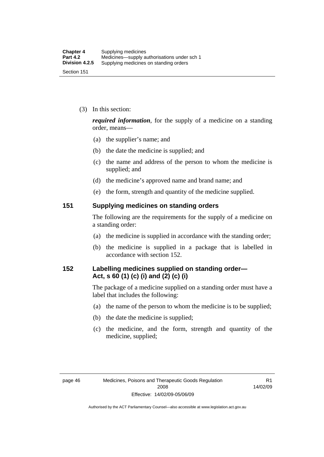(3) In this section:

*required information*, for the supply of a medicine on a standing order, means—

- (a) the supplier's name; and
- (b) the date the medicine is supplied; and
- (c) the name and address of the person to whom the medicine is supplied; and
- (d) the medicine's approved name and brand name; and
- (e) the form, strength and quantity of the medicine supplied.

### **151 Supplying medicines on standing orders**

The following are the requirements for the supply of a medicine on a standing order:

- (a) the medicine is supplied in accordance with the standing order;
- (b) the medicine is supplied in a package that is labelled in accordance with section 152.

### **152 Labelling medicines supplied on standing order— Act, s 60 (1) (c) (i) and (2) (c) (i)**

The package of a medicine supplied on a standing order must have a label that includes the following:

- (a) the name of the person to whom the medicine is to be supplied;
- (b) the date the medicine is supplied;
- (c) the medicine, and the form, strength and quantity of the medicine, supplied;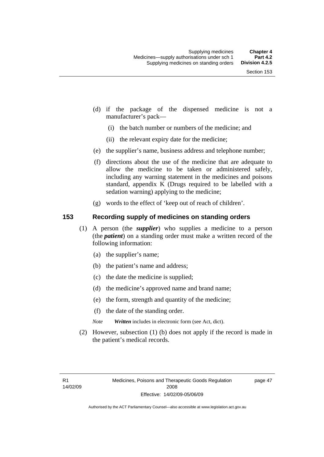- (d) if the package of the dispensed medicine is not a manufacturer's pack—
	- (i) the batch number or numbers of the medicine; and
	- (ii) the relevant expiry date for the medicine;
- (e) the supplier's name, business address and telephone number;
- (f) directions about the use of the medicine that are adequate to allow the medicine to be taken or administered safely, including any warning statement in the medicines and poisons standard, appendix K (Drugs required to be labelled with a sedation warning) applying to the medicine;
- (g) words to the effect of 'keep out of reach of children'.

### **153 Recording supply of medicines on standing orders**

- (1) A person (the *supplier*) who supplies a medicine to a person (the *patient*) on a standing order must make a written record of the following information:
	- (a) the supplier's name;
	- (b) the patient's name and address;
	- (c) the date the medicine is supplied;
	- (d) the medicine's approved name and brand name;
	- (e) the form, strength and quantity of the medicine;
	- (f) the date of the standing order.
	- *Note Written* includes in electronic form (see Act, dict).
- (2) However, subsection (1) (b) does not apply if the record is made in the patient's medical records.

page 47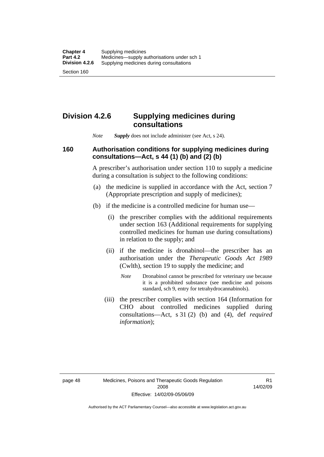Section 160

# **Division 4.2.6 Supplying medicines during consultations**

*Note Supply* does not include administer (see Act, s 24).

### **160 Authorisation conditions for supplying medicines during consultations—Act, s 44 (1) (b) and (2) (b)**

A prescriber's authorisation under section 110 to supply a medicine during a consultation is subject to the following conditions:

- (a) the medicine is supplied in accordance with the Act, section 7 (Appropriate prescription and supply of medicines);
- (b) if the medicine is a controlled medicine for human use—
	- (i) the prescriber complies with the additional requirements under section 163 (Additional requirements for supplying controlled medicines for human use during consultations) in relation to the supply; and
	- (ii) if the medicine is dronabinol—the prescriber has an authorisation under the *Therapeutic Goods Act 1989* (Cwlth), section 19 to supply the medicine; and
		- *Note* Dronabinol cannot be prescribed for veterinary use because it is a prohibited substance (see medicine and poisons standard, sch 9, entry for tetrahydrocannabinols).
	- (iii) the prescriber complies with section 164 (Information for CHO about controlled medicines supplied during consultations—Act, s 31 (2) (b) and (4), def *required information*);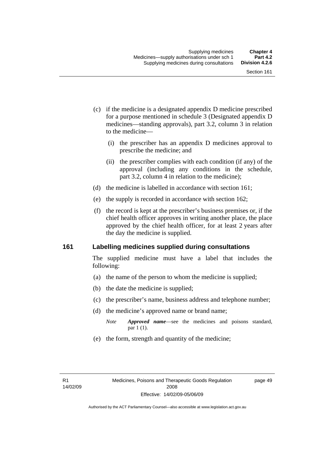- (c) if the medicine is a designated appendix D medicine prescribed for a purpose mentioned in schedule 3 (Designated appendix D medicines—standing approvals), part 3.2, column 3 in relation to the medicine—
	- (i) the prescriber has an appendix D medicines approval to prescribe the medicine; and
	- (ii) the prescriber complies with each condition (if any) of the approval (including any conditions in the schedule, part 3.2, column 4 in relation to the medicine);
- (d) the medicine is labelled in accordance with section 161;
- (e) the supply is recorded in accordance with section 162;
- (f) the record is kept at the prescriber's business premises or, if the chief health officer approves in writing another place, the place approved by the chief health officer, for at least 2 years after the day the medicine is supplied.

### **161 Labelling medicines supplied during consultations**

The supplied medicine must have a label that includes the following:

- (a) the name of the person to whom the medicine is supplied;
- (b) the date the medicine is supplied;
- (c) the prescriber's name, business address and telephone number;
- (d) the medicine's approved name or brand name;
	- *Note Approved name*—see the medicines and poisons standard, par 1 (1).
- (e) the form, strength and quantity of the medicine;

page 49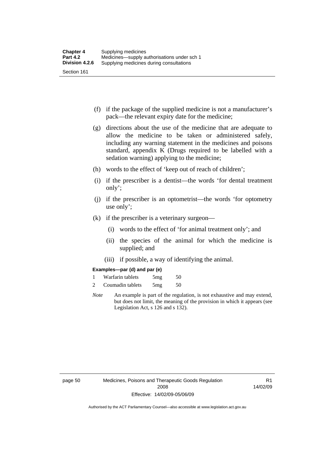- (f) if the package of the supplied medicine is not a manufacturer's pack—the relevant expiry date for the medicine;
- (g) directions about the use of the medicine that are adequate to allow the medicine to be taken or administered safely, including any warning statement in the medicines and poisons standard, appendix K (Drugs required to be labelled with a sedation warning) applying to the medicine;
- (h) words to the effect of 'keep out of reach of children';
- (i) if the prescriber is a dentist—the words 'for dental treatment only';
- (j) if the prescriber is an optometrist—the words 'for optometry use only';
- (k) if the prescriber is a veterinary surgeon—
	- (i) words to the effect of 'for animal treatment only'; and
	- (ii) the species of the animal for which the medicine is supplied; and
	- (iii) if possible, a way of identifying the animal.

#### **Examples—par (d) and par (e)**

| Warfarin tablets | 5mg | 50 |
|------------------|-----|----|
| Coumadin tablets | 5mg | 50 |

*Note* An example is part of the regulation, is not exhaustive and may extend, but does not limit, the meaning of the provision in which it appears (see Legislation Act, s 126 and s 132).

R1 14/02/09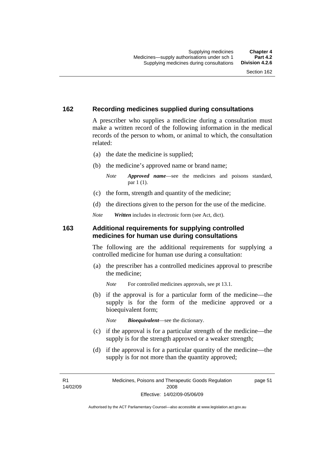## **162 Recording medicines supplied during consultations**

A prescriber who supplies a medicine during a consultation must make a written record of the following information in the medical records of the person to whom, or animal to which, the consultation related:

- (a) the date the medicine is supplied;
- (b) the medicine's approved name or brand name;

*Note Approved name*—see the medicines and poisons standard, par 1 (1).

- (c) the form, strength and quantity of the medicine;
- (d) the directions given to the person for the use of the medicine.

*Note Written* includes in electronic form (see Act, dict).

#### **163 Additional requirements for supplying controlled medicines for human use during consultations**

The following are the additional requirements for supplying a controlled medicine for human use during a consultation:

- (a) the prescriber has a controlled medicines approval to prescribe the medicine;
	- *Note* For controlled medicines approvals, see pt 13.1.
- (b) if the approval is for a particular form of the medicine—the supply is for the form of the medicine approved or a bioequivalent form;

*Note Bioequivalent*—see the dictionary.

- (c) if the approval is for a particular strength of the medicine—the supply is for the strength approved or a weaker strength;
- (d) if the approval is for a particular quantity of the medicine—the supply is for not more than the quantity approved;

R1 14/02/09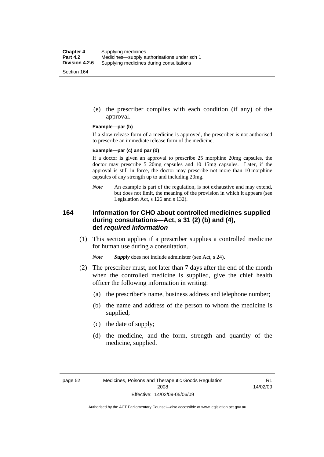(e) the prescriber complies with each condition (if any) of the approval.

#### **Example—par (b)**

If a slow release form of a medicine is approved, the prescriber is not authorised to prescribe an immediate release form of the medicine.

#### **Example—par (c) and par (d)**

If a doctor is given an approval to prescribe 25 morphine 20mg capsules, the doctor may prescribe 5 20mg capsules and 10 15mg capsules. Later, if the approval is still in force, the doctor may prescribe not more than 10 morphine capsules of any strength up to and including 20mg.

*Note* An example is part of the regulation, is not exhaustive and may extend, but does not limit, the meaning of the provision in which it appears (see Legislation Act, s 126 and s 132).

## **164 Information for CHO about controlled medicines supplied during consultations—Act, s 31 (2) (b) and (4), def** *required information*

 (1) This section applies if a prescriber supplies a controlled medicine for human use during a consultation.

*Note Supply* does not include administer (see Act, s 24).

- (2) The prescriber must, not later than 7 days after the end of the month when the controlled medicine is supplied, give the chief health officer the following information in writing:
	- (a) the prescriber's name, business address and telephone number;
	- (b) the name and address of the person to whom the medicine is supplied;
	- (c) the date of supply;
	- (d) the medicine, and the form, strength and quantity of the medicine, supplied.

R1 14/02/09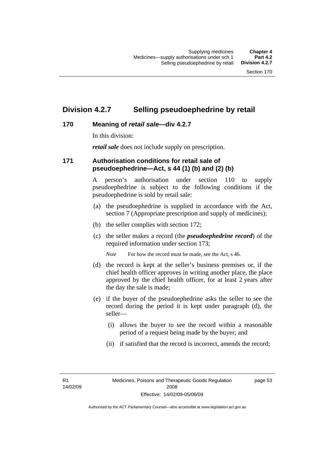## **Division 4.2.7 Selling pseudoephedrine by retail**

## **170 Meaning of** *retail sale***—div 4.2.7**

In this division:

*retail sale* does not include supply on prescription.

## **171 Authorisation conditions for retail sale of pseudoephedrine—Act, s 44 (1) (b) and (2) (b)**

A person's authorisation under section 110 to supply pseudoephedrine is subject to the following conditions if the pseudoephedrine is sold by retail sale:

- (a) the pseudoephedrine is supplied in accordance with the Act, section 7 (Appropriate prescription and supply of medicines);
- (b) the seller complies with section 172;
- (c) the seller makes a record (the *pseudoephedrine record*) of the required information under section 173;

*Note* For how the record must be made, see the Act, s 46.

- (d) the record is kept at the seller's business premises or, if the chief health officer approves in writing another place, the place approved by the chief health officer, for at least 2 years after the day the sale is made;
- (e) if the buyer of the pseudoephedrine asks the seller to see the record during the period it is kept under paragraph (d), the seller—
	- (i) allows the buyer to see the record within a reasonable period of a request being made by the buyer; and
	- (ii) if satisfied that the record is incorrect, amends the record;

R1 14/02/09 page 53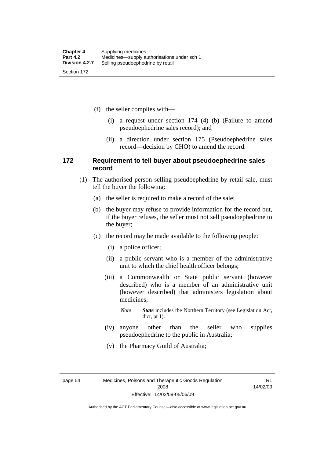(f) the seller complies with—

- (i) a request under section 174 (4) (b) (Failure to amend pseudoephedrine sales record); and
- (ii) a direction under section 175 (Pseudoephedrine sales record—decision by CHO) to amend the record.

### **172 Requirement to tell buyer about pseudoephedrine sales record**

- (1) The authorised person selling pseudoephedrine by retail sale, must tell the buyer the following:
	- (a) the seller is required to make a record of the sale;
	- (b) the buyer may refuse to provide information for the record but, if the buyer refuses, the seller must not sell pseudoephedrine to the buyer;
	- (c) the record may be made available to the following people:
		- (i) a police officer;
		- (ii) a public servant who is a member of the administrative unit to which the chief health officer belongs;
		- (iii) a Commonwealth or State public servant (however described) who is a member of an administrative unit (however described) that administers legislation about medicines;
			- *Note State* includes the Northern Territory (see Legislation Act, dict, pt 1).
		- (iv) anyone other than the seller who supplies pseudoephedrine to the public in Australia;
		- (v) the Pharmacy Guild of Australia;

R1 14/02/09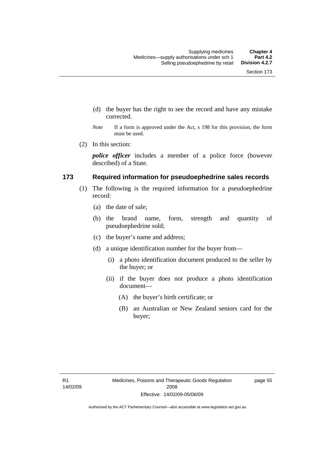- (d) the buyer has the right to see the record and have any mistake corrected.
- *Note* If a form is approved under the Act, s 198 for this provision, the form must be used.
- (2) In this section:

*police officer* includes a member of a police force (however described) of a State.

### **173 Required information for pseudoephedrine sales records**

- (1) The following is the required information for a pseudoephedrine record:
	- (a) the date of sale;
	- (b) the brand name, form, strength and quantity of pseudoephedrine sold;
	- (c) the buyer's name and address;
	- (d) a unique identification number for the buyer from—
		- (i) a photo identification document produced to the seller by the buyer; or
		- (ii) if the buyer does not produce a photo identification document—
			- (A) the buyer's birth certificate; or
			- (B) an Australian or New Zealand seniors card for the buyer;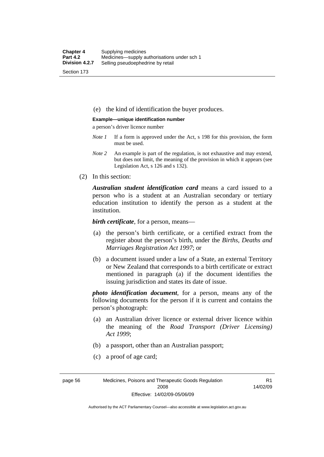(e) the kind of identification the buyer produces.

#### **Example—unique identification number**

a person's driver licence number

- *Note 1* If a form is approved under the Act, s 198 for this provision, the form must be used.
- *Note 2* An example is part of the regulation, is not exhaustive and may extend, but does not limit, the meaning of the provision in which it appears (see Legislation Act, s 126 and s 132).
- (2) In this section:

*Australian student identification card* means a card issued to a person who is a student at an Australian secondary or tertiary education institution to identify the person as a student at the institution.

*birth certificate*, for a person, means—

- (a) the person's birth certificate, or a certified extract from the register about the person's birth, under the *Births, Deaths and Marriages Registration Act 1997*; or
- (b) a document issued under a law of a State, an external Territory or New Zealand that corresponds to a birth certificate or extract mentioned in paragraph (a) if the document identifies the issuing jurisdiction and states its date of issue.

*photo identification document*, for a person, means any of the following documents for the person if it is current and contains the person's photograph:

- (a) an Australian driver licence or external driver licence within the meaning of the *Road Transport (Driver Licensing) Act 1999*;
- (b) a passport, other than an Australian passport;
- (c) a proof of age card;

page 56 Medicines, Poisons and Therapeutic Goods Regulation 2008 Effective: 14/02/09-05/06/09

R1 14/02/09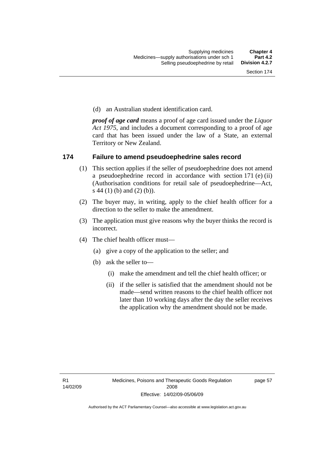(d) an Australian student identification card.

*proof of age card* means a proof of age card issued under the *Liquor Act 1975*, and includes a document corresponding to a proof of age card that has been issued under the law of a State, an external Territory or New Zealand.

### **174 Failure to amend pseudoephedrine sales record**

- (1) This section applies if the seller of pseudoephedrine does not amend a pseudoephedrine record in accordance with section 171 (e) (ii) (Authorisation conditions for retail sale of pseudoephedrine—Act, s 44 (1) (b) and (2) (b)).
- (2) The buyer may, in writing, apply to the chief health officer for a direction to the seller to make the amendment.
- (3) The application must give reasons why the buyer thinks the record is incorrect.
- (4) The chief health officer must—
	- (a) give a copy of the application to the seller; and
	- (b) ask the seller to—
		- (i) make the amendment and tell the chief health officer; or
		- (ii) if the seller is satisfied that the amendment should not be made—send written reasons to the chief health officer not later than 10 working days after the day the seller receives the application why the amendment should not be made.

page 57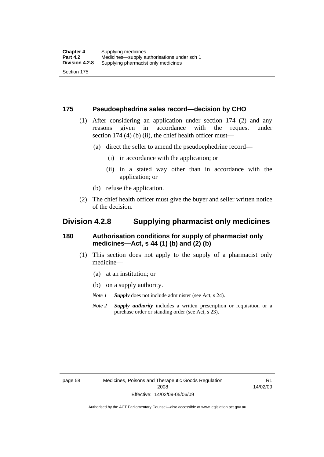### **175 Pseudoephedrine sales record—decision by CHO**

- (1) After considering an application under section 174 (2) and any reasons given in accordance with the request under section 174  $(4)$  (b)  $(ii)$ , the chief health officer must—
	- (a) direct the seller to amend the pseudoephedrine record—
		- (i) in accordance with the application; or
		- (ii) in a stated way other than in accordance with the application; or
	- (b) refuse the application.
- (2) The chief health officer must give the buyer and seller written notice of the decision.

## **Division 4.2.8 Supplying pharmacist only medicines**

### **180 Authorisation conditions for supply of pharmacist only medicines—Act, s 44 (1) (b) and (2) (b)**

- (1) This section does not apply to the supply of a pharmacist only medicine—
	- (a) at an institution; or
	- (b) on a supply authority.

*Note 1 Supply* does not include administer (see Act, s 24).

*Note 2 Supply authority* includes a written prescription or requisition or a purchase order or standing order (see Act, s 23).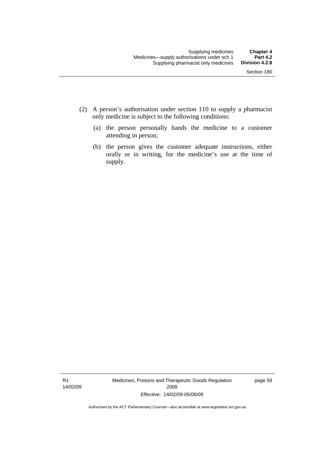- (2) A person's authorisation under section 110 to supply a pharmacist only medicine is subject to the following conditions:
	- (a) the person personally hands the medicine to a customer attending in person;
	- (b) the person gives the customer adequate instructions, either orally or in writing, for the medicine's use at the time of supply.

R1 14/02/09 Medicines, Poisons and Therapeutic Goods Regulation 2008 Effective: 14/02/09-05/06/09

page 59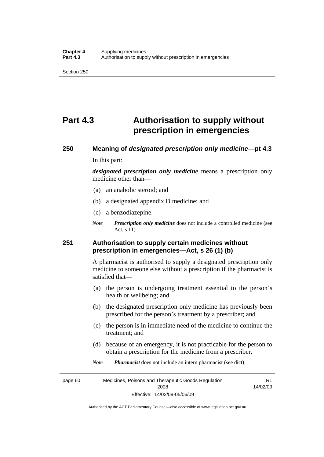## **Part 4.3 Authorisation to supply without prescription in emergencies**

# **250 Meaning of** *designated prescription only medicine***—pt 4.3**

In this part:

*designated prescription only medicine* means a prescription only medicine other than—

- (a) an anabolic steroid; and
- (b) a designated appendix D medicine; and
- (c) a benzodiazepine.
- *Note Prescription only medicine* does not include a controlled medicine (see Act, s 11)

## **251 Authorisation to supply certain medicines without prescription in emergencies—Act, s 26 (1) (b)**

A pharmacist is authorised to supply a designated prescription only medicine to someone else without a prescription if the pharmacist is satisfied that—

- (a) the person is undergoing treatment essential to the person's health or wellbeing; and
- (b) the designated prescription only medicine has previously been prescribed for the person's treatment by a prescriber; and
- (c) the person is in immediate need of the medicine to continue the treatment; and
- (d) because of an emergency, it is not practicable for the person to obtain a prescription for the medicine from a prescriber.

R1

*Note Pharmacist* does not include an intern pharmacist (see dict).

page 60 Medicines, Poisons and Therapeutic Goods Regulation 2008 Effective: 14/02/09-05/06/09 14/02/09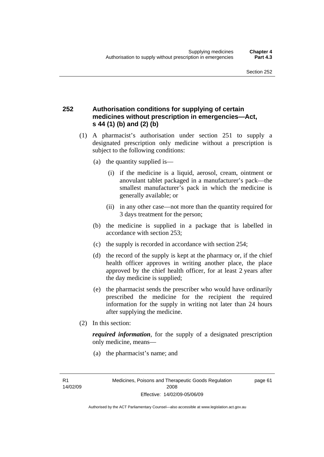## **252 Authorisation conditions for supplying of certain medicines without prescription in emergencies—Act, s 44 (1) (b) and (2) (b)**

- (1) A pharmacist's authorisation under section 251 to supply a designated prescription only medicine without a prescription is subject to the following conditions:
	- (a) the quantity supplied is—
		- (i) if the medicine is a liquid, aerosol, cream, ointment or anovulant tablet packaged in a manufacturer's pack—the smallest manufacturer's pack in which the medicine is generally available; or
		- (ii) in any other case—not more than the quantity required for 3 days treatment for the person;
	- (b) the medicine is supplied in a package that is labelled in accordance with section 253;
	- (c) the supply is recorded in accordance with section 254;
	- (d) the record of the supply is kept at the pharmacy or, if the chief health officer approves in writing another place, the place approved by the chief health officer, for at least 2 years after the day medicine is supplied;
	- (e) the pharmacist sends the prescriber who would have ordinarily prescribed the medicine for the recipient the required information for the supply in writing not later than 24 hours after supplying the medicine.
- (2) In this section:

*required information*, for the supply of a designated prescription only medicine, means—

(a) the pharmacist's name; and

R1 14/02/09 page 61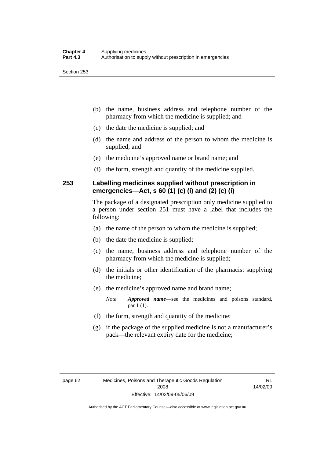- (b) the name, business address and telephone number of the pharmacy from which the medicine is supplied; and
- (c) the date the medicine is supplied; and
- (d) the name and address of the person to whom the medicine is supplied; and
- (e) the medicine's approved name or brand name; and
- (f) the form, strength and quantity of the medicine supplied.

## **253 Labelling medicines supplied without prescription in emergencies—Act, s 60 (1) (c) (i) and (2) (c) (i)**

The package of a designated prescription only medicine supplied to a person under section 251 must have a label that includes the following:

- (a) the name of the person to whom the medicine is supplied;
- (b) the date the medicine is supplied;
- (c) the name, business address and telephone number of the pharmacy from which the medicine is supplied;
- (d) the initials or other identification of the pharmacist supplying the medicine;
- (e) the medicine's approved name and brand name;

*Note Approved name*—see the medicines and poisons standard, par 1 (1).

- (f) the form, strength and quantity of the medicine;
- (g) if the package of the supplied medicine is not a manufacturer's pack—the relevant expiry date for the medicine;

R1 14/02/09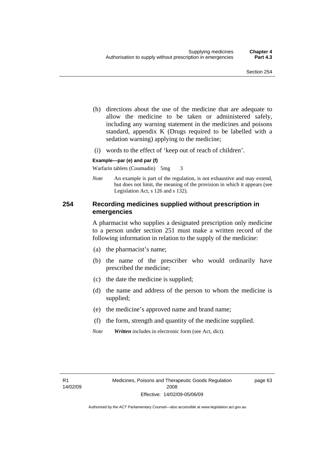- (h) directions about the use of the medicine that are adequate to allow the medicine to be taken or administered safely, including any warning statement in the medicines and poisons standard, appendix K (Drugs required to be labelled with a sedation warning) applying to the medicine;
- (i) words to the effect of 'keep out of reach of children'.

#### **Example—par (e) and par (f)**

Warfarin tablets (Coumadin) 5mg 3

*Note* An example is part of the regulation, is not exhaustive and may extend, but does not limit, the meaning of the provision in which it appears (see Legislation Act, s 126 and s 132).

## **254 Recording medicines supplied without prescription in emergencies**

A pharmacist who supplies a designated prescription only medicine to a person under section 251 must make a written record of the following information in relation to the supply of the medicine:

- (a) the pharmacist's name;
- (b) the name of the prescriber who would ordinarily have prescribed the medicine;
- (c) the date the medicine is supplied;
- (d) the name and address of the person to whom the medicine is supplied;
- (e) the medicine's approved name and brand name;
- (f) the form, strength and quantity of the medicine supplied.
- *Note Written* includes in electronic form (see Act, dict).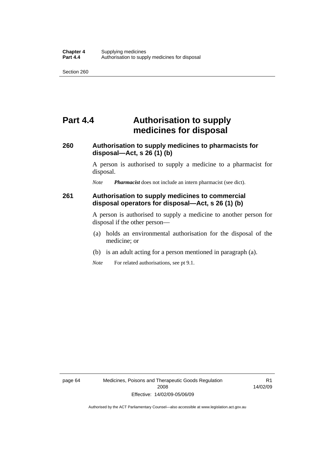## **Part 4.4 Authorisation to supply medicines for disposal**

## **260 Authorisation to supply medicines to pharmacists for disposal—Act, s 26 (1) (b)**

A person is authorised to supply a medicine to a pharmacist for disposal.

*Note Pharmacist* does not include an intern pharmacist (see dict).

### **261 Authorisation to supply medicines to commercial disposal operators for disposal—Act, s 26 (1) (b)**

A person is authorised to supply a medicine to another person for disposal if the other person—

- (a) holds an environmental authorisation for the disposal of the medicine; or
- (b) is an adult acting for a person mentioned in paragraph (a).
- *Note* For related authorisations, see pt 9.1.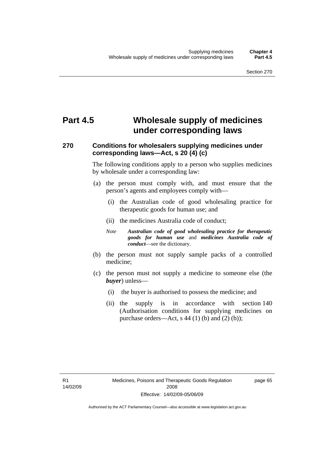## **Part 4.5 Wholesale supply of medicines under corresponding laws**

## **270 Conditions for wholesalers supplying medicines under corresponding laws—Act, s 20 (4) (c)**

The following conditions apply to a person who supplies medicines by wholesale under a corresponding law:

- (a) the person must comply with, and must ensure that the person's agents and employees comply with—
	- (i) the Australian code of good wholesaling practice for therapeutic goods for human use; and
	- (ii) the medicines Australia code of conduct;
	- *Note Australian code of good wholesaling practice for therapeutic goods for human use* and *medicines Australia code of conduct*—see the dictionary.
- (b) the person must not supply sample packs of a controlled medicine;
- (c) the person must not supply a medicine to someone else (the *buyer*) unless—
	- (i) the buyer is authorised to possess the medicine; and
	- (ii) the supply is in accordance with section 140 (Authorisation conditions for supplying medicines on purchase orders—Act, s  $44$  (1) (b) and (2) (b));

R1 14/02/09 page 65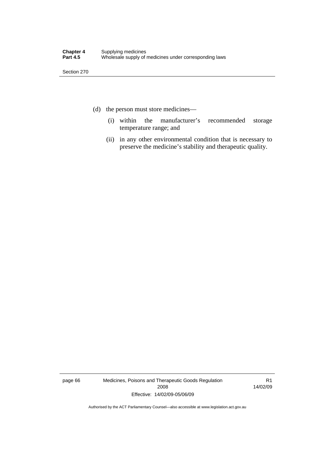- (d) the person must store medicines—
	- (i) within the manufacturer's recommended storage temperature range; and
	- (ii) in any other environmental condition that is necessary to preserve the medicine's stability and therapeutic quality.

page 66 Medicines, Poisons and Therapeutic Goods Regulation 2008 Effective: 14/02/09-05/06/09

R1 14/02/09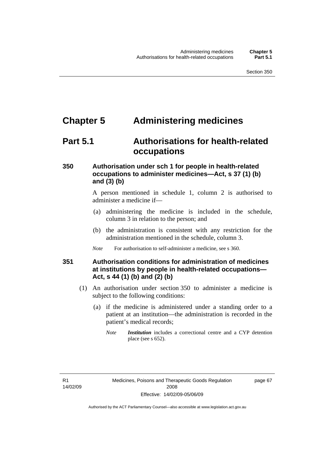## **Chapter 5 Administering medicines**

## **Part 5.1 Authorisations for health-related occupations**

## **350 Authorisation under sch 1 for people in health-related occupations to administer medicines—Act, s 37 (1) (b) and (3) (b)**

A person mentioned in schedule 1, column 2 is authorised to administer a medicine if—

- (a) administering the medicine is included in the schedule, column 3 in relation to the person; and
- (b) the administration is consistent with any restriction for the administration mentioned in the schedule, column 3.
- *Note* For authorisation to self-administer a medicine, see s 360.

## **351 Authorisation conditions for administration of medicines at institutions by people in health-related occupations— Act, s 44 (1) (b) and (2) (b)**

- (1) An authorisation under section 350 to administer a medicine is subject to the following conditions:
	- (a) if the medicine is administered under a standing order to a patient at an institution—the administration is recorded in the patient's medical records;
		- *Note Institution* includes a correctional centre and a CYP detention place (see s 652).

R1 14/02/09 page 67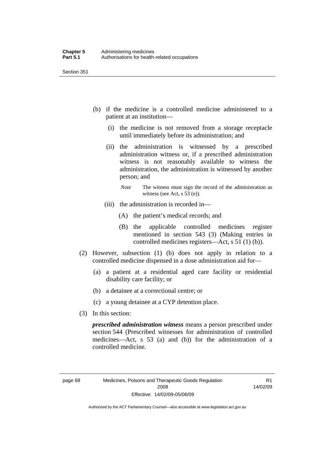- (b) if the medicine is a controlled medicine administered to a patient at an institution—
	- (i) the medicine is not removed from a storage receptacle until immediately before its administration; and
	- (ii) the administration is witnessed by a prescribed administration witness or, if a prescribed administration witness is not reasonably available to witness the administration, the administration is witnessed by another person; and
		- *Note* The witness must sign the record of the administration as witness (see Act, s 53 (e)).
	- (iii) the administration is recorded in—
		- (A) the patient's medical records; and
		- (B) the applicable controlled medicines register mentioned in section 543 (3) (Making entries in controlled medicines registers—Act, s 51 (1) (b)).
- (2) However, subsection (1) (b) does not apply in relation to a controlled medicine dispensed in a dose administration aid for—
	- (a) a patient at a residential aged care facility or residential disability care facility; or
	- (b) a detainee at a correctional centre; or
	- (c) a young detainee at a CYP detention place.
- (3) In this section:

*prescribed administration witness* means a person prescribed under section 544 (Prescribed witnesses for administration of controlled medicines—Act, s 53 (a) and (b)) for the administration of a controlled medicine.

R1 14/02/09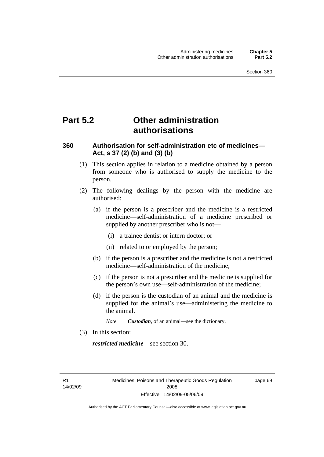## **Part 5.2 Other administration authorisations**

## **360 Authorisation for self-administration etc of medicines— Act, s 37 (2) (b) and (3) (b)**

- (1) This section applies in relation to a medicine obtained by a person from someone who is authorised to supply the medicine to the person.
- (2) The following dealings by the person with the medicine are authorised:
	- (a) if the person is a prescriber and the medicine is a restricted medicine—self-administration of a medicine prescribed or supplied by another prescriber who is not—
		- (i) a trainee dentist or intern doctor; or
		- (ii) related to or employed by the person;
	- (b) if the person is a prescriber and the medicine is not a restricted medicine—self-administration of the medicine;
	- (c) if the person is not a prescriber and the medicine is supplied for the person's own use—self-administration of the medicine;
	- (d) if the person is the custodian of an animal and the medicine is supplied for the animal's use—administering the medicine to the animal.
		- *Note Custodian*, of an animal—see the dictionary.
- (3) In this section:

*restricted medicine*—see section 30.

R1 14/02/09 page 69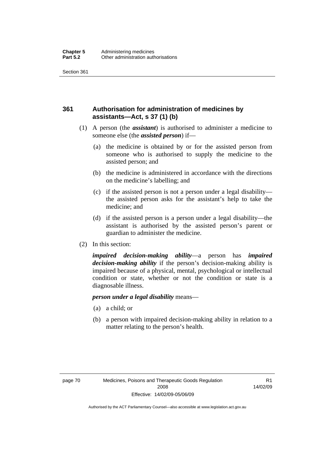## **361 Authorisation for administration of medicines by assistants—Act, s 37 (1) (b)**

- (1) A person (the *assistant*) is authorised to administer a medicine to someone else (the *assisted person*) if—
	- (a) the medicine is obtained by or for the assisted person from someone who is authorised to supply the medicine to the assisted person; and
	- (b) the medicine is administered in accordance with the directions on the medicine's labelling; and
	- (c) if the assisted person is not a person under a legal disability the assisted person asks for the assistant's help to take the medicine; and
	- (d) if the assisted person is a person under a legal disability—the assistant is authorised by the assisted person's parent or guardian to administer the medicine.
- (2) In this section:

*impaired decision-making ability*—a person has *impaired decision-making ability* if the person's decision-making ability is impaired because of a physical, mental, psychological or intellectual condition or state, whether or not the condition or state is a diagnosable illness.

#### *person under a legal disability* means—

- (a) a child; or
- (b) a person with impaired decision-making ability in relation to a matter relating to the person's health.

R1 14/02/09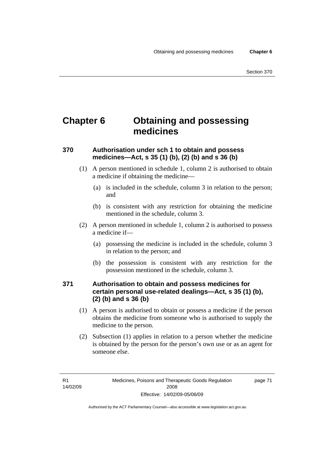## **Chapter 6 Obtaining and possessing medicines**

## **370 Authorisation under sch 1 to obtain and possess medicines—Act, s 35 (1) (b), (2) (b) and s 36 (b)**

- (1) A person mentioned in schedule 1, column 2 is authorised to obtain a medicine if obtaining the medicine—
	- (a) is included in the schedule, column 3 in relation to the person; and
	- (b) is consistent with any restriction for obtaining the medicine mentioned in the schedule, column 3.
- (2) A person mentioned in schedule 1, column 2 is authorised to possess a medicine if—
	- (a) possessing the medicine is included in the schedule, column 3 in relation to the person; and
	- (b) the possession is consistent with any restriction for the possession mentioned in the schedule, column 3.

## **371 Authorisation to obtain and possess medicines for certain personal use-related dealings—Act, s 35 (1) (b), (2) (b) and s 36 (b)**

- (1) A person is authorised to obtain or possess a medicine if the person obtains the medicine from someone who is authorised to supply the medicine to the person.
- (2) Subsection (1) applies in relation to a person whether the medicine is obtained by the person for the person's own use or as an agent for someone else.

page 71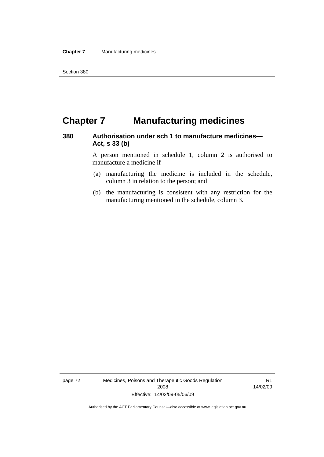## **Chapter 7 Manufacturing medicines**

## **380 Authorisation under sch 1 to manufacture medicines— Act, s 33 (b)**

A person mentioned in schedule 1, column 2 is authorised to manufacture a medicine if—

- (a) manufacturing the medicine is included in the schedule, column 3 in relation to the person; and
- (b) the manufacturing is consistent with any restriction for the manufacturing mentioned in the schedule, column 3.

page 72 Medicines, Poisons and Therapeutic Goods Regulation 2008 Effective: 14/02/09-05/06/09

R1 14/02/09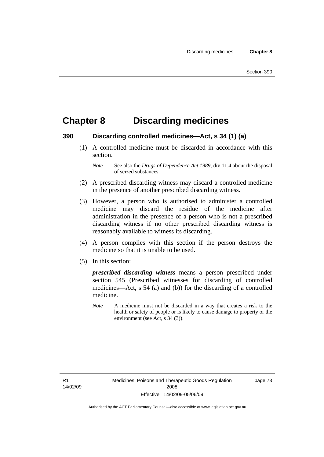## **Chapter 8 Discarding medicines**

### **390 Discarding controlled medicines—Act, s 34 (1) (a)**

 (1) A controlled medicine must be discarded in accordance with this section.

- (2) A prescribed discarding witness may discard a controlled medicine in the presence of another prescribed discarding witness.
- (3) However, a person who is authorised to administer a controlled medicine may discard the residue of the medicine after administration in the presence of a person who is not a prescribed discarding witness if no other prescribed discarding witness is reasonably available to witness its discarding.
- (4) A person complies with this section if the person destroys the medicine so that it is unable to be used.
- (5) In this section:

*prescribed discarding witness* means a person prescribed under section 545 (Prescribed witnesses for discarding of controlled medicines—Act, s 54 (a) and (b)) for the discarding of a controlled medicine.

*Note* A medicine must not be discarded in a way that creates a risk to the health or safety of people or is likely to cause damage to property or the environment (see Act, s 34 (3)).

R1 14/02/09 page 73

*Note* See also the *Drugs of Dependence Act 1989*, div 11.4 about the disposal of seized substances.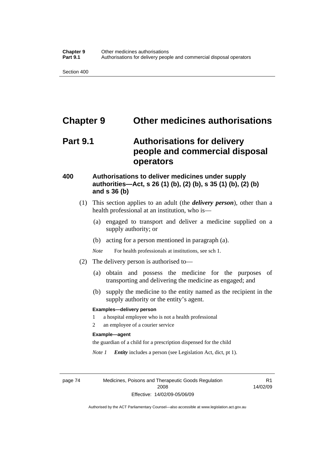## **Chapter 9 Other medicines authorisations**

## **Part 9.1 Authorisations for delivery people and commercial disposal operators**

## **400 Authorisations to deliver medicines under supply authorities—Act, s 26 (1) (b), (2) (b), s 35 (1) (b), (2) (b) and s 36 (b)**

- (1) This section applies to an adult (the *delivery person*), other than a health professional at an institution, who is—
	- (a) engaged to transport and deliver a medicine supplied on a supply authority; or
	- (b) acting for a person mentioned in paragraph (a).
	- *Note* For health professionals at institutions, see sch 1.
- (2) The delivery person is authorised to—
	- (a) obtain and possess the medicine for the purposes of transporting and delivering the medicine as engaged; and
	- (b) supply the medicine to the entity named as the recipient in the supply authority or the entity's agent.

#### **Examples—delivery person**

- 1 a hospital employee who is not a health professional
- 2 an employee of a courier service

#### **Example—agent**

the guardian of a child for a prescription dispensed for the child

*Note 1 Entity* includes a person (see Legislation Act, dict, pt 1).

page 74 Medicines, Poisons and Therapeutic Goods Regulation 2008 Effective: 14/02/09-05/06/09

R1 14/02/09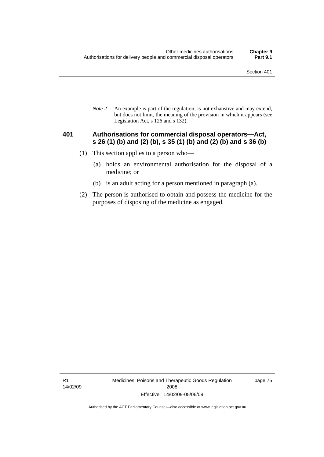*Note 2* An example is part of the regulation, is not exhaustive and may extend, but does not limit, the meaning of the provision in which it appears (see Legislation Act, s 126 and s 132).

### **401 Authorisations for commercial disposal operators—Act, s 26 (1) (b) and (2) (b), s 35 (1) (b) and (2) (b) and s 36 (b)**

- (1) This section applies to a person who—
	- (a) holds an environmental authorisation for the disposal of a medicine; or
	- (b) is an adult acting for a person mentioned in paragraph (a).
- (2) The person is authorised to obtain and possess the medicine for the purposes of disposing of the medicine as engaged.

R1 14/02/09 Medicines, Poisons and Therapeutic Goods Regulation 2008 Effective: 14/02/09-05/06/09

page 75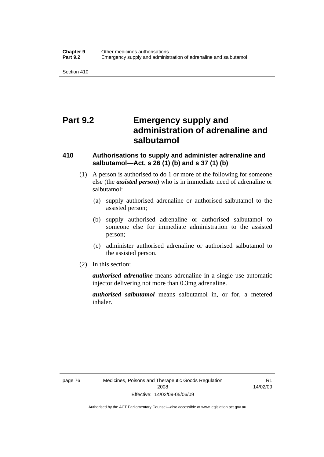## **Part 9.2 Emergency supply and administration of adrenaline and salbutamol**

## **410 Authorisations to supply and administer adrenaline and salbutamol—Act, s 26 (1) (b) and s 37 (1) (b)**

- (1) A person is authorised to do 1 or more of the following for someone else (the *assisted person*) who is in immediate need of adrenaline or salbutamol:
	- (a) supply authorised adrenaline or authorised salbutamol to the assisted person;
	- (b) supply authorised adrenaline or authorised salbutamol to someone else for immediate administration to the assisted person;
	- (c) administer authorised adrenaline or authorised salbutamol to the assisted person.
- (2) In this section:

*authorised adrenaline* means adrenaline in a single use automatic injector delivering not more than 0.3mg adrenaline.

*authorised salbutamol* means salbutamol in, or for, a metered inhaler.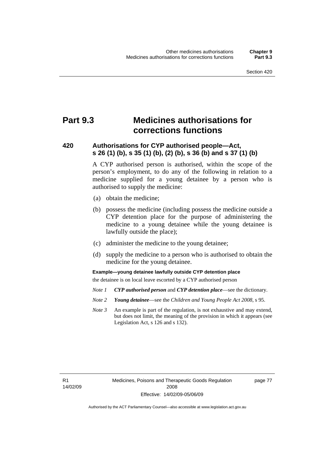## **Part 9.3 Medicines authorisations for corrections functions**

## **420 Authorisations for CYP authorised people—Act, s 26 (1) (b), s 35 (1) (b), (2) (b), s 36 (b) and s 37 (1) (b)**

A CYP authorised person is authorised, within the scope of the person's employment, to do any of the following in relation to a medicine supplied for a young detainee by a person who is authorised to supply the medicine:

- (a) obtain the medicine;
- (b) possess the medicine (including possess the medicine outside a CYP detention place for the purpose of administering the medicine to a young detainee while the young detainee is lawfully outside the place);
- (c) administer the medicine to the young detainee;
- (d) supply the medicine to a person who is authorised to obtain the medicine for the young detainee.

**Example—young detainee lawfully outside CYP detention place** 

the detainee is on local leave escorted by a CYP authorised person

- *Note 1 CYP authorised person* and *CYP detention place*—see the dictionary.
- *Note 2 Young detainee*—see the *Children and Young People Act 2008*, s 95.
- *Note 3* An example is part of the regulation, is not exhaustive and may extend, but does not limit, the meaning of the provision in which it appears (see Legislation Act, s 126 and s 132).

page 77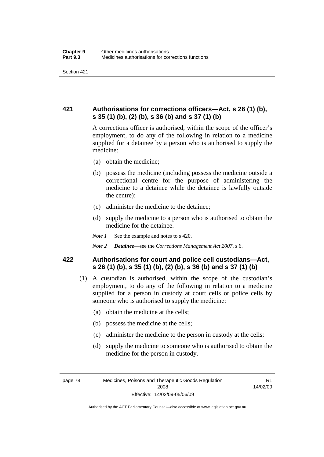## **421 Authorisations for corrections officers—Act, s 26 (1) (b), s 35 (1) (b), (2) (b), s 36 (b) and s 37 (1) (b)**

A corrections officer is authorised, within the scope of the officer's employment, to do any of the following in relation to a medicine supplied for a detainee by a person who is authorised to supply the medicine:

- (a) obtain the medicine;
- (b) possess the medicine (including possess the medicine outside a correctional centre for the purpose of administering the medicine to a detainee while the detainee is lawfully outside the centre);
- (c) administer the medicine to the detainee;
- (d) supply the medicine to a person who is authorised to obtain the medicine for the detainee.
- *Note 1* See the example and notes to s 420.
- *Note 2 Detainee*—see the *Corrections Management Act 2007*, s 6.

## **422 Authorisations for court and police cell custodians—Act, s 26 (1) (b), s 35 (1) (b), (2) (b), s 36 (b) and s 37 (1) (b)**

- (1) A custodian is authorised, within the scope of the custodian's employment, to do any of the following in relation to a medicine supplied for a person in custody at court cells or police cells by someone who is authorised to supply the medicine:
	- (a) obtain the medicine at the cells;
	- (b) possess the medicine at the cells;
	- (c) administer the medicine to the person in custody at the cells;
	- (d) supply the medicine to someone who is authorised to obtain the medicine for the person in custody.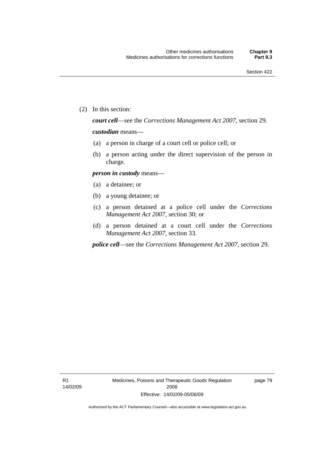(2) In this section:

*court cell*—see the *Corrections Management Act 2007*, section 29.

#### *custodian* means—

- (a) a person in charge of a court cell or police cell; or
- (b) a person acting under the direct supervision of the person in charge.

#### *person in custody* means—

- (a) a detainee; or
- (b) a young detainee; or
- (c) a person detained at a police cell under the *Corrections Management Act 2007*, section 30; or
- (d) a person detained at a court cell under the *Corrections Management Act 2007*, section 33.

*police cell*—see the *Corrections Management Act 2007*, section 29.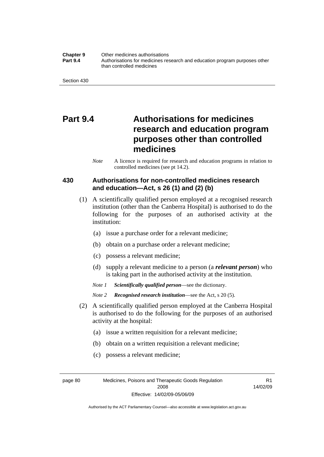#### **Chapter 9** Other medicines authorisations **Part 9.4** • **Authorisations for medicines research and education program purposes other** than controlled medicines

## **Part 9.4 Authorisations for medicines research and education program purposes other than controlled medicines**

*Note* A licence is required for research and education programs in relation to controlled medicines (see pt 14.2).

## **430 Authorisations for non-controlled medicines research and education—Act, s 26 (1) and (2) (b)**

- (1) A scientifically qualified person employed at a recognised research institution (other than the Canberra Hospital) is authorised to do the following for the purposes of an authorised activity at the institution:
	- (a) issue a purchase order for a relevant medicine;
	- (b) obtain on a purchase order a relevant medicine;
	- (c) possess a relevant medicine;
	- (d) supply a relevant medicine to a person (a *relevant person*) who is taking part in the authorised activity at the institution.
	- *Note 1 Scientifically qualified person*—see the dictionary.
	- *Note 2 Recognised research institution*—see the Act, s 20 (5).
- (2) A scientifically qualified person employed at the Canberra Hospital is authorised to do the following for the purposes of an authorised activity at the hospital:
	- (a) issue a written requisition for a relevant medicine;
	- (b) obtain on a written requisition a relevant medicine;
	- (c) possess a relevant medicine;

page 80 Medicines, Poisons and Therapeutic Goods Regulation 2008 Effective: 14/02/09-05/06/09

R1 14/02/09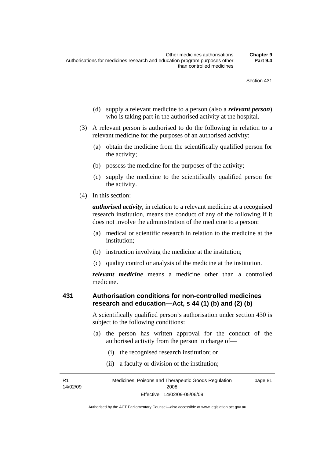- (d) supply a relevant medicine to a person (also a *relevant person*) who is taking part in the authorised activity at the hospital.
- (3) A relevant person is authorised to do the following in relation to a relevant medicine for the purposes of an authorised activity:
	- (a) obtain the medicine from the scientifically qualified person for the activity;
	- (b) possess the medicine for the purposes of the activity;
	- (c) supply the medicine to the scientifically qualified person for the activity.
- (4) In this section:

*authorised activity*, in relation to a relevant medicine at a recognised research institution, means the conduct of any of the following if it does not involve the administration of the medicine to a person:

- (a) medical or scientific research in relation to the medicine at the institution;
- (b) instruction involving the medicine at the institution;
- (c) quality control or analysis of the medicine at the institution.

*relevant medicine* means a medicine other than a controlled medicine.

### **431 Authorisation conditions for non-controlled medicines research and education—Act, s 44 (1) (b) and (2) (b)**

A scientifically qualified person's authorisation under section 430 is subject to the following conditions:

- (a) the person has written approval for the conduct of the authorised activity from the person in charge of—
	- (i) the recognised research institution; or
	- (ii) a faculty or division of the institution;

R1 14/02/09 Medicines, Poisons and Therapeutic Goods Regulation 2008 Effective: 14/02/09-05/06/09 page 81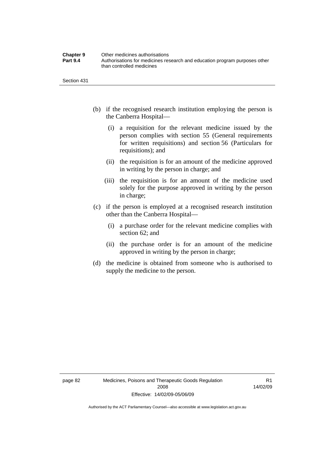| <b>Chapter 9</b> | Other medicines authorisations                                             |
|------------------|----------------------------------------------------------------------------|
| <b>Part 9.4</b>  | Authorisations for medicines research and education program purposes other |
|                  | than controlled medicines                                                  |

- (b) if the recognised research institution employing the person is the Canberra Hospital—
	- (i) a requisition for the relevant medicine issued by the person complies with section 55 (General requirements for written requisitions) and section 56 (Particulars for requisitions); and
	- (ii) the requisition is for an amount of the medicine approved in writing by the person in charge; and
	- (iii) the requisition is for an amount of the medicine used solely for the purpose approved in writing by the person in charge;
- (c) if the person is employed at a recognised research institution other than the Canberra Hospital—
	- (i) a purchase order for the relevant medicine complies with section 62; and
	- (ii) the purchase order is for an amount of the medicine approved in writing by the person in charge;
- (d) the medicine is obtained from someone who is authorised to supply the medicine to the person.

R1 14/02/09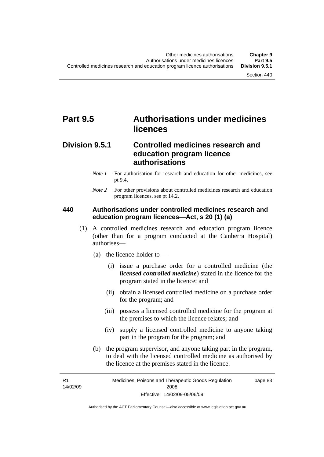## **Part 9.5 Authorisations under medicines licences**

## **Division 9.5.1 Controlled medicines research and education program licence authorisations**

- *Note 1* For authorisation for research and education for other medicines, see pt 9.4.
- *Note* 2 For other provisions about controlled medicines research and education program licences, see pt 14.2.

### **440 Authorisations under controlled medicines research and education program licences—Act, s 20 (1) (a)**

- (1) A controlled medicines research and education program licence (other than for a program conducted at the Canberra Hospital) authorises—
	- (a) the licence-holder to—
		- (i) issue a purchase order for a controlled medicine (the *licensed controlled medicine*) stated in the licence for the program stated in the licence; and
		- (ii) obtain a licensed controlled medicine on a purchase order for the program; and
		- (iii) possess a licensed controlled medicine for the program at the premises to which the licence relates; and
		- (iv) supply a licensed controlled medicine to anyone taking part in the program for the program; and
	- (b) the program supervisor, and anyone taking part in the program, to deal with the licensed controlled medicine as authorised by the licence at the premises stated in the licence.

R1 14/02/09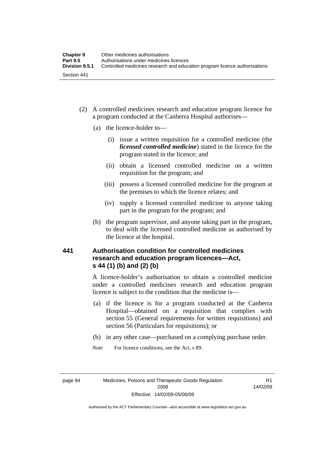- (2) A controlled medicines research and education program licence for a program conducted at the Canberra Hospital authorises—
	- (a) the licence-holder to—
		- (i) issue a written requisition for a controlled medicine (the *licensed controlled medicine*) stated in the licence for the program stated in the licence; and
		- (ii) obtain a licensed controlled medicine on a written requisition for the program; and
		- (iii) possess a licensed controlled medicine for the program at the premises to which the licence relates; and
		- (iv) supply a licensed controlled medicine to anyone taking part in the program for the program; and
	- (b) the program supervisor, and anyone taking part in the program, to deal with the licensed controlled medicine as authorised by the licence at the hospital.

## **441 Authorisation condition for controlled medicines research and education program licences—Act, s 44 (1) (b) and (2) (b)**

A licence-holder's authorisation to obtain a controlled medicine under a controlled medicines research and education program licence is subject to the condition that the medicine is—

- (a) if the licence is for a program conducted at the Canberra Hospital—obtained on a requisition that complies with section 55 (General requirements for written requisitions) and section 56 (Particulars for requisitions); or
- (b) in any other case—purchased on a complying purchase order.
- *Note* For licence conditions, see the Act, s 89.

R1 14/02/09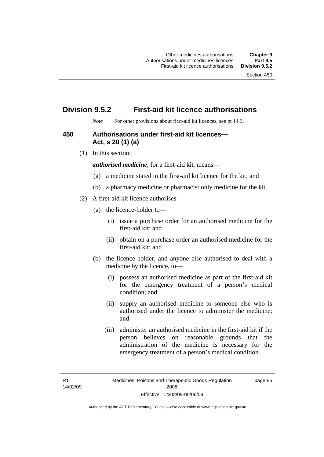## **Division 9.5.2 First-aid kit licence authorisations**

*Note* For other provisions about first-aid kit licences, see pt 14.3.

## **450 Authorisations under first-aid kit licences— Act, s 20 (1) (a)**

(1) In this section:

*authorised medicine*, for a first-aid kit, means—

- (a) a medicine stated in the first-aid kit licence for the kit; and
- (b) a pharmacy medicine or pharmacist only medicine for the kit.
- (2) A first-aid kit licence authorises—
	- (a) the licence-holder to—
		- (i) issue a purchase order for an authorised medicine for the first-aid kit; and
		- (ii) obtain on a purchase order an authorised medicine for the first-aid kit; and
	- (b) the licence-holder, and anyone else authorised to deal with a medicine by the licence, to—
		- (i) possess an authorised medicine as part of the first-aid kit for the emergency treatment of a person's medical condition; and
		- (ii) supply an authorised medicine to someone else who is authorised under the licence to administer the medicine; and
		- (iii) administer an authorised medicine in the first-aid kit if the person believes on reasonable grounds that the administration of the medicine is necessary for the emergency treatment of a person's medical condition.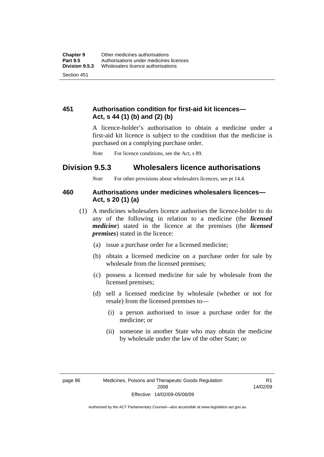## **451 Authorisation condition for first-aid kit licences— Act, s 44 (1) (b) and (2) (b)**

A licence-holder's authorisation to obtain a medicine under a first-aid kit licence is subject to the condition that the medicine is purchased on a complying purchase order.

*Note* For licence conditions, see the Act, s 89.

## **Division 9.5.3 Wholesalers licence authorisations**

*Note* For other provisions about wholesalers licences, see pt 14.4.

## **460 Authorisations under medicines wholesalers licences— Act, s 20 (1) (a)**

- (1) A medicines wholesalers licence authorises the licence-holder to do any of the following in relation to a medicine (the *licensed medicine*) stated in the licence at the premises (the *licensed premises*) stated in the licence:
	- (a) issue a purchase order for a licensed medicine;
	- (b) obtain a licensed medicine on a purchase order for sale by wholesale from the licensed premises;
	- (c) possess a licensed medicine for sale by wholesale from the licensed premises;
	- (d) sell a licensed medicine by wholesale (whether or not for resale) from the licensed premises to—
		- (i) a person authorised to issue a purchase order for the medicine; or
		- (ii) someone in another State who may obtain the medicine by wholesale under the law of the other State; or

R1 14/02/09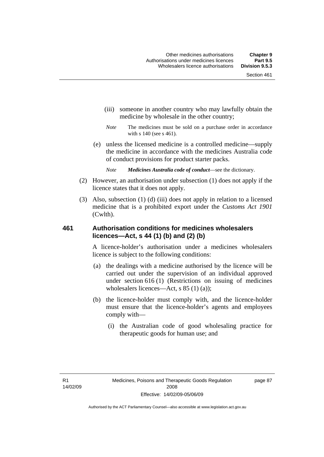- (iii) someone in another country who may lawfully obtain the medicine by wholesale in the other country;
- *Note* The medicines must be sold on a purchase order in accordance with s 140 (see s 461).
- (e) unless the licensed medicine is a controlled medicine—supply the medicine in accordance with the medicines Australia code of conduct provisions for product starter packs.
	- *Note Medicines Australia code of conduct*—see the dictionary.
- (2) However, an authorisation under subsection (1) does not apply if the licence states that it does not apply.
- (3) Also, subsection (1) (d) (iii) does not apply in relation to a licensed medicine that is a prohibited export under the *Customs Act 1901* (Cwlth).

## **461 Authorisation conditions for medicines wholesalers licences—Act, s 44 (1) (b) and (2) (b)**

A licence-holder's authorisation under a medicines wholesalers licence is subject to the following conditions:

- (a) the dealings with a medicine authorised by the licence will be carried out under the supervision of an individual approved under section 616 (1) (Restrictions on issuing of medicines wholesalers licences—Act, s 85 (1) (a));
- (b) the licence-holder must comply with, and the licence-holder must ensure that the licence-holder's agents and employees comply with—
	- (i) the Australian code of good wholesaling practice for therapeutic goods for human use; and

page 87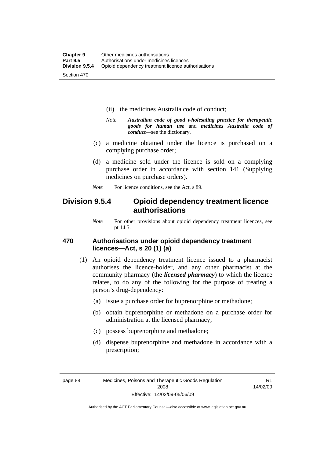- (ii) the medicines Australia code of conduct;
- *Note Australian code of good wholesaling practice for therapeutic goods for human use* and *medicines Australia code of conduct*—see the dictionary.
- (c) a medicine obtained under the licence is purchased on a complying purchase order;
- (d) a medicine sold under the licence is sold on a complying purchase order in accordance with section 141 (Supplying medicines on purchase orders).
- *Note* For licence conditions, see the Act, s 89.

## **Division 9.5.4 Opioid dependency treatment licence authorisations**

*Note* For other provisions about opioid dependency treatment licences, see pt 14.5.

## **470 Authorisations under opioid dependency treatment licences—Act, s 20 (1) (a)**

- (1) An opioid dependency treatment licence issued to a pharmacist authorises the licence-holder, and any other pharmacist at the community pharmacy (the *licensed pharmacy*) to which the licence relates, to do any of the following for the purpose of treating a person's drug-dependency:
	- (a) issue a purchase order for buprenorphine or methadone;
	- (b) obtain buprenorphine or methadone on a purchase order for administration at the licensed pharmacy;
	- (c) possess buprenorphine and methadone;
	- (d) dispense buprenorphine and methadone in accordance with a prescription;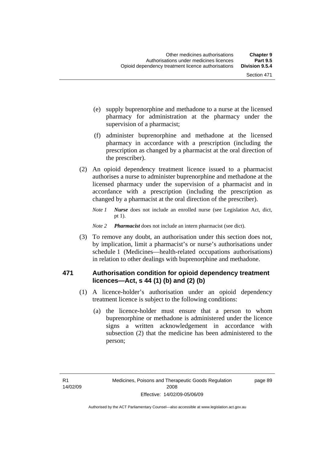- (e) supply buprenorphine and methadone to a nurse at the licensed pharmacy for administration at the pharmacy under the supervision of a pharmacist;
- (f) administer buprenorphine and methadone at the licensed pharmacy in accordance with a prescription (including the prescription as changed by a pharmacist at the oral direction of the prescriber).
- (2) An opioid dependency treatment licence issued to a pharmacist authorises a nurse to administer buprenorphine and methadone at the licensed pharmacy under the supervision of a pharmacist and in accordance with a prescription (including the prescription as changed by a pharmacist at the oral direction of the prescriber).
	- *Note 1 Nurse* does not include an enrolled nurse (see Legislation Act, dict, pt 1).
	- *Note 2 Pharmacist* does not include an intern pharmacist (see dict).
- (3) To remove any doubt, an authorisation under this section does not, by implication, limit a pharmacist's or nurse's authorisations under schedule 1 (Medicines—health-related occupations authorisations) in relation to other dealings with buprenorphine and methadone.

## **471 Authorisation condition for opioid dependency treatment licences—Act, s 44 (1) (b) and (2) (b)**

- (1) A licence-holder's authorisation under an opioid dependency treatment licence is subject to the following conditions:
	- (a) the licence-holder must ensure that a person to whom buprenorphine or methadone is administered under the licence signs a written acknowledgement in accordance with subsection (2) that the medicine has been administered to the person;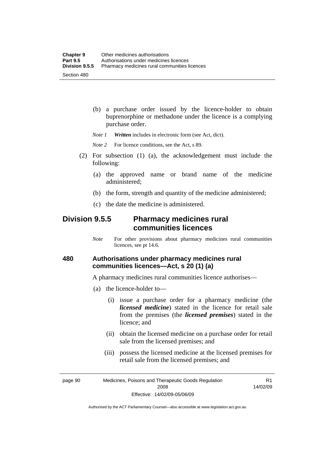(b) a purchase order issued by the licence-holder to obtain buprenorphine or methadone under the licence is a complying purchase order.

*Note 1 Written* includes in electronic form (see Act, dict).

*Note* 2 For licence conditions, see the Act, s 89.

- (2) For subsection (1) (a), the acknowledgement must include the following:
	- (a) the approved name or brand name of the medicine administered;
	- (b) the form, strength and quantity of the medicine administered;
	- (c) the date the medicine is administered.

## **Division 9.5.5 Pharmacy medicines rural communities licences**

*Note* For other provisions about pharmacy medicines rural communities licences, see pt 14.6.

## **480 Authorisations under pharmacy medicines rural communities licences—Act, s 20 (1) (a)**

A pharmacy medicines rural communities licence authorises—

- (a) the licence-holder to—
	- (i) issue a purchase order for a pharmacy medicine (the *licensed medicine*) stated in the licence for retail sale from the premises (the *licensed premises*) stated in the licence; and
	- (ii) obtain the licensed medicine on a purchase order for retail sale from the licensed premises; and
	- (iii) possess the licensed medicine at the licensed premises for retail sale from the licensed premises; and

page 90 Medicines, Poisons and Therapeutic Goods Regulation 2008 Effective: 14/02/09-05/06/09

R1 14/02/09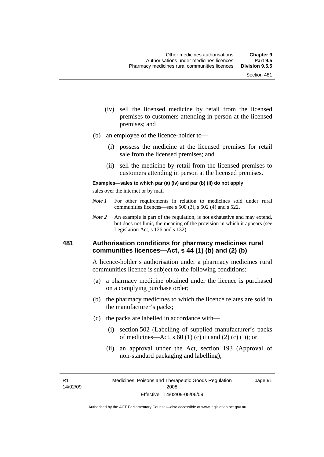- (iv) sell the licensed medicine by retail from the licensed premises to customers attending in person at the licensed premises; and
- (b) an employee of the licence-holder to—
	- (i) possess the medicine at the licensed premises for retail sale from the licensed premises; and
	- (ii) sell the medicine by retail from the licensed premises to customers attending in person at the licensed premises.

#### **Examples—sales to which par (a) (iv) and par (b) (ii) do not apply**

sales over the internet or by mail

- *Note 1* For other requirements in relation to medicines sold under rural communities licences—see s 500 (3), s 502 (4) and s 522.
- *Note 2* An example is part of the regulation, is not exhaustive and may extend, but does not limit, the meaning of the provision in which it appears (see Legislation Act, s 126 and s 132).

### **481 Authorisation conditions for pharmacy medicines rural communities licences—Act, s 44 (1) (b) and (2) (b)**

A licence-holder's authorisation under a pharmacy medicines rural communities licence is subject to the following conditions:

- (a) a pharmacy medicine obtained under the licence is purchased on a complying purchase order;
- (b) the pharmacy medicines to which the licence relates are sold in the manufacturer's packs;
- (c) the packs are labelled in accordance with—
	- (i) section 502 (Labelling of supplied manufacturer's packs of medicines—Act, s  $60(1)$  (c) (i) and (2) (c) (i)); or
	- (ii) an approval under the Act, section 193 (Approval of non-standard packaging and labelling);

R1 14/02/09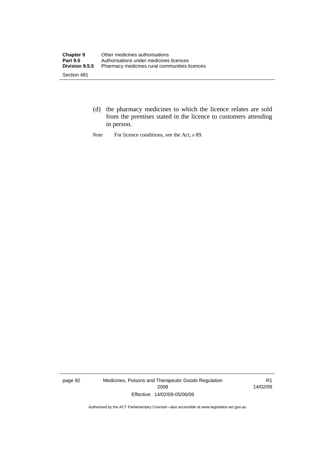- (d) the pharmacy medicines to which the licence relates are sold from the premises stated in the licence to customers attending in person.
- *Note* For licence conditions, see the Act, s 89.

page 92 Medicines, Poisons and Therapeutic Goods Regulation 2008 Effective: 14/02/09-05/06/09

R1 14/02/09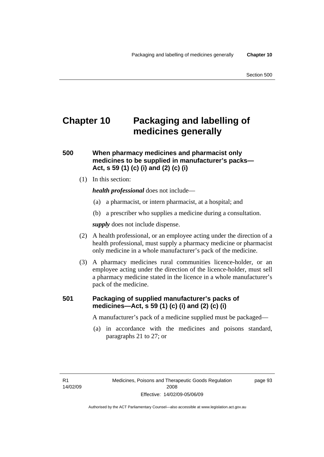# **Chapter 10 Packaging and labelling of medicines generally**

## **500 When pharmacy medicines and pharmacist only medicines to be supplied in manufacturer's packs— Act, s 59 (1) (c) (i) and (2) (c) (i)**

(1) In this section:

*health professional* does not include—

- (a) a pharmacist, or intern pharmacist, at a hospital; and
- (b) a prescriber who supplies a medicine during a consultation.

*supply* does not include dispense.

- (2) A health professional, or an employee acting under the direction of a health professional, must supply a pharmacy medicine or pharmacist only medicine in a whole manufacturer's pack of the medicine.
- (3) A pharmacy medicines rural communities licence-holder, or an employee acting under the direction of the licence-holder, must sell a pharmacy medicine stated in the licence in a whole manufacturer's pack of the medicine.

## **501 Packaging of supplied manufacturer's packs of medicines—Act, s 59 (1) (c) (i) and (2) (c) (i)**

A manufacturer's pack of a medicine supplied must be packaged—

 (a) in accordance with the medicines and poisons standard, paragraphs 21 to 27; or

R1 14/02/09 page 93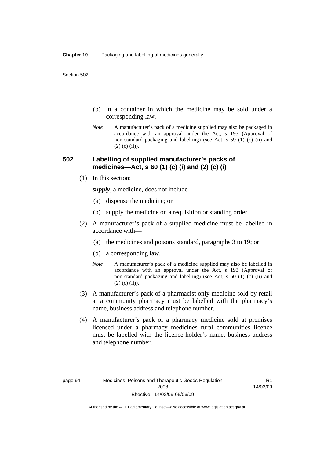- (b) in a container in which the medicine may be sold under a corresponding law.
- *Note* A manufacturer's pack of a medicine supplied may also be packaged in accordance with an approval under the Act, s 193 (Approval of non-standard packaging and labelling) (see Act, s 59 (1) (c) (ii) and  $(2)$  (c) (ii)).

## **502 Labelling of supplied manufacturer's packs of medicines—Act, s 60 (1) (c) (i) and (2) (c) (i)**

(1) In this section:

*supply*, a medicine, does not include—

- (a) dispense the medicine; or
- (b) supply the medicine on a requisition or standing order.
- (2) A manufacturer's pack of a supplied medicine must be labelled in accordance with—
	- (a) the medicines and poisons standard, paragraphs 3 to 19; or
	- (b) a corresponding law.
	- *Note* A manufacturer's pack of a medicine supplied may also be labelled in accordance with an approval under the Act, s 193 (Approval of non-standard packaging and labelling) (see Act, s 60 (1) (c) (ii) and  $(2)$  (c) (ii)).
- (3) A manufacturer's pack of a pharmacist only medicine sold by retail at a community pharmacy must be labelled with the pharmacy's name, business address and telephone number.
- (4) A manufacturer's pack of a pharmacy medicine sold at premises licensed under a pharmacy medicines rural communities licence must be labelled with the licence-holder's name, business address and telephone number.

R1 14/02/09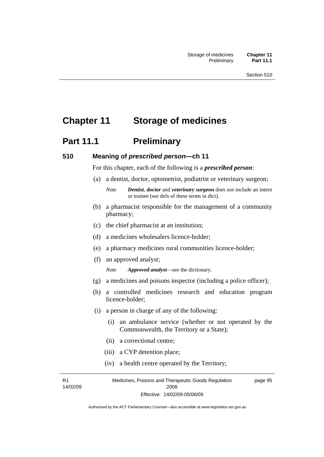# **Chapter 11 Storage of medicines**

# **Part 11.1** Preliminary

### **510 Meaning of** *prescribed person***—ch 11**

For this chapter, each of the following is a *prescribed person*:

- (a) a dentist, doctor, optometrist, podiatrist or veterinary surgeon;
	- *Note Dentist*, *doctor* and *veterinary surgeon* does not include an intern or trainee (see defs of these terms in dict).
- (b) a pharmacist responsible for the management of a community pharmacy;
- (c) the chief pharmacist at an institution;
- (d) a medicines wholesalers licence-holder;
- (e) a pharmacy medicines rural communities licence-holder;
- (f) an approved analyst;

*Note Approved analyst*—see the dictionary.

- (g) a medicines and poisons inspector (including a police officer);
- (h) a controlled medicines research and education program licence-holder;
- (i) a person in charge of any of the following:
	- (i) an ambulance service (whether or not operated by the Commonwealth, the Territory or a State);
	- (ii) a correctional centre;
	- (iii) a CYP detention place;
	- (iv) a health centre operated by the Territory;

R1 14/02/09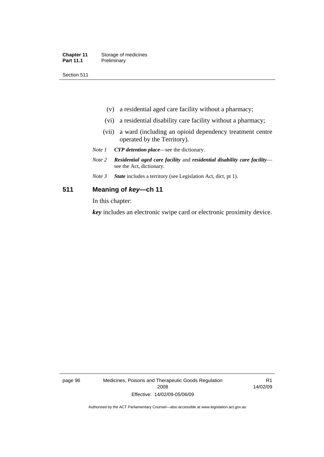| <b>Chapter 11</b> | Storage of medicines |
|-------------------|----------------------|
| <b>Part 11.1</b>  | Preliminary          |

Section 511

- (v) a residential aged care facility without a pharmacy;
- (vi) a residential disability care facility without a pharmacy;
- (vii) a ward (including an opioid dependency treatment centre operated by the Territory).
- *Note 1 CYP detention place*—see the dictionary.
- *Note 2 Residential aged care facility* and *residential disability care facility* see the Act, dictionary.
- *Note 3 State* includes a territory (see Legislation Act, dict, pt 1).

### **511 Meaning of** *key***—ch 11**

In this chapter:

*key* includes an electronic swipe card or electronic proximity device.

page 96 Medicines, Poisons and Therapeutic Goods Regulation 2008 Effective: 14/02/09-05/06/09

R1 14/02/09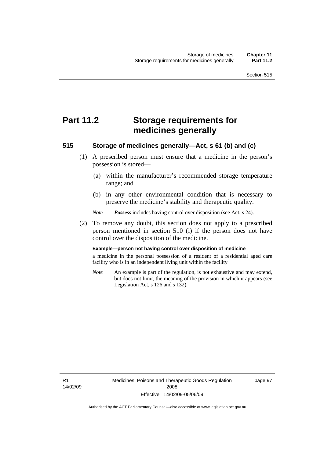# **Part 11.2 Storage requirements for medicines generally**

## **515 Storage of medicines generally—Act, s 61 (b) and (c)**

- (1) A prescribed person must ensure that a medicine in the person's possession is stored—
	- (a) within the manufacturer's recommended storage temperature range; and
	- (b) in any other environmental condition that is necessary to preserve the medicine's stability and therapeutic quality.

*Note Possess* includes having control over disposition (see Act, s 24).

 (2) To remove any doubt, this section does not apply to a prescribed person mentioned in section 510 (i) if the person does not have control over the disposition of the medicine.

#### **Example—person not having control over disposition of medicine**

a medicine in the personal possession of a resident of a residential aged care facility who is in an independent living unit within the facility

*Note* An example is part of the regulation, is not exhaustive and may extend, but does not limit, the meaning of the provision in which it appears (see Legislation Act, s 126 and s 132).

R1 14/02/09 Medicines, Poisons and Therapeutic Goods Regulation 2008 Effective: 14/02/09-05/06/09

page 97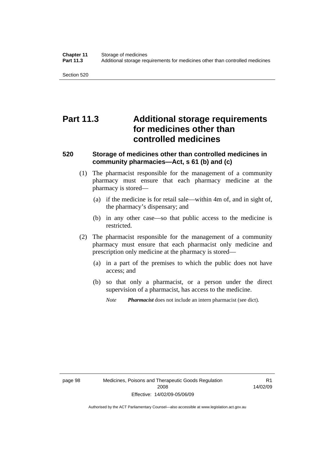Section 520

# **Part 11.3 Additional storage requirements for medicines other than controlled medicines**

## **520 Storage of medicines other than controlled medicines in community pharmacies—Act, s 61 (b) and (c)**

- (1) The pharmacist responsible for the management of a community pharmacy must ensure that each pharmacy medicine at the pharmacy is stored—
	- (a) if the medicine is for retail sale—within 4m of, and in sight of, the pharmacy's dispensary; and
	- (b) in any other case—so that public access to the medicine is restricted.
- (2) The pharmacist responsible for the management of a community pharmacy must ensure that each pharmacist only medicine and prescription only medicine at the pharmacy is stored—
	- (a) in a part of the premises to which the public does not have access; and
	- (b) so that only a pharmacist, or a person under the direct supervision of a pharmacist, has access to the medicine.
		- *Note Pharmacist* does not include an intern pharmacist (see dict).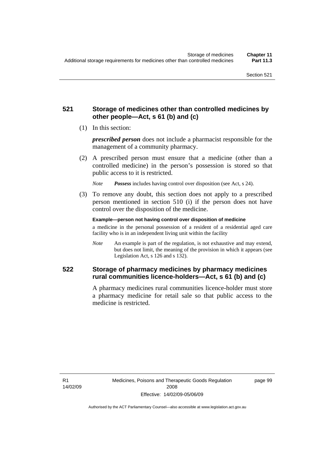## **521 Storage of medicines other than controlled medicines by other people—Act, s 61 (b) and (c)**

(1) In this section:

*prescribed person* does not include a pharmacist responsible for the management of a community pharmacy.

 (2) A prescribed person must ensure that a medicine (other than a controlled medicine) in the person's possession is stored so that public access to it is restricted.

*Note Possess* includes having control over disposition (see Act, s 24).

 (3) To remove any doubt, this section does not apply to a prescribed person mentioned in section 510 (i) if the person does not have control over the disposition of the medicine.

**Example—person not having control over disposition of medicine** 

a medicine in the personal possession of a resident of a residential aged care facility who is in an independent living unit within the facility

*Note* An example is part of the regulation, is not exhaustive and may extend, but does not limit, the meaning of the provision in which it appears (see Legislation Act, s 126 and s 132).

## **522 Storage of pharmacy medicines by pharmacy medicines rural communities licence-holders—Act, s 61 (b) and (c)**

A pharmacy medicines rural communities licence-holder must store a pharmacy medicine for retail sale so that public access to the medicine is restricted.

R1 14/02/09 page 99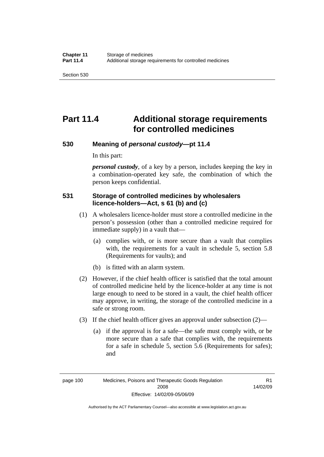Section 530

# **Part 11.4 Additional storage requirements for controlled medicines**

## **530 Meaning of** *personal custody***—pt 11.4**

In this part:

*personal custody*, of a key by a person, includes keeping the key in a combination-operated key safe, the combination of which the person keeps confidential.

## **531 Storage of controlled medicines by wholesalers licence-holders—Act, s 61 (b) and (c)**

- (1) A wholesalers licence-holder must store a controlled medicine in the person's possession (other than a controlled medicine required for immediate supply) in a vault that—
	- (a) complies with, or is more secure than a vault that complies with, the requirements for a vault in schedule 5, section 5.8 (Requirements for vaults); and
	- (b) is fitted with an alarm system.
- (2) However, if the chief health officer is satisfied that the total amount of controlled medicine held by the licence-holder at any time is not large enough to need to be stored in a vault, the chief health officer may approve, in writing, the storage of the controlled medicine in a safe or strong room.
- (3) If the chief health officer gives an approval under subsection (2)—
	- (a) if the approval is for a safe—the safe must comply with, or be more secure than a safe that complies with, the requirements for a safe in schedule 5, section 5.6 (Requirements for safes); and

R1 14/02/09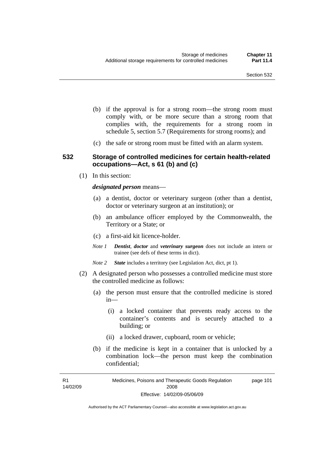- (b) if the approval is for a strong room—the strong room must comply with, or be more secure than a strong room that complies with, the requirements for a strong room in schedule 5, section 5.7 (Requirements for strong rooms); and
- (c) the safe or strong room must be fitted with an alarm system.

### **532 Storage of controlled medicines for certain health-related occupations—Act, s 61 (b) and (c)**

(1) In this section:

*designated person* means—

- (a) a dentist, doctor or veterinary surgeon (other than a dentist, doctor or veterinary surgeon at an institution); or
- (b) an ambulance officer employed by the Commonwealth, the Territory or a State; or
- (c) a first-aid kit licence-holder.
- *Note 1 Dentist*, *doctor* and *veterinary surgeon* does not include an intern or trainee (see defs of these terms in dict).
- *Note 2 State* includes a territory (see Legislation Act, dict, pt 1).
- (2) A designated person who possesses a controlled medicine must store the controlled medicine as follows:
	- (a) the person must ensure that the controlled medicine is stored in—
		- (i) a locked container that prevents ready access to the container's contents and is securely attached to a building; or
		- (ii) a locked drawer, cupboard, room or vehicle;
	- (b) if the medicine is kept in a container that is unlocked by a combination lock—the person must keep the combination confidential;

R1 14/02/09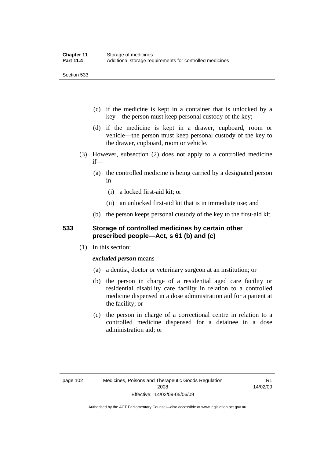Section 533

- (c) if the medicine is kept in a container that is unlocked by a key—the person must keep personal custody of the key;
- (d) if the medicine is kept in a drawer, cupboard, room or vehicle—the person must keep personal custody of the key to the drawer, cupboard, room or vehicle.
- (3) However, subsection (2) does not apply to a controlled medicine if—
	- (a) the controlled medicine is being carried by a designated person in—
		- (i) a locked first-aid kit; or
		- (ii) an unlocked first-aid kit that is in immediate use; and
	- (b) the person keeps personal custody of the key to the first-aid kit.

## **533 Storage of controlled medicines by certain other prescribed people—Act, s 61 (b) and (c)**

(1) In this section:

## *excluded person* means—

- (a) a dentist, doctor or veterinary surgeon at an institution; or
- (b) the person in charge of a residential aged care facility or residential disability care facility in relation to a controlled medicine dispensed in a dose administration aid for a patient at the facility; or
- (c) the person in charge of a correctional centre in relation to a controlled medicine dispensed for a detainee in a dose administration aid; or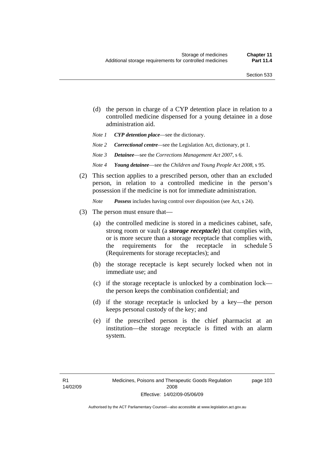- (d) the person in charge of a CYP detention place in relation to a controlled medicine dispensed for a young detainee in a dose administration aid.
- *Note 1 CYP detention place*—see the dictionary.
- *Note 2 Correctional centre—see the Legislation Act, dictionary, pt 1.*
- *Note 3 Detainee*—see the *Corrections Management Act 2007*, s 6.
- *Note 4 Young detainee*—see the *Children and Young People Act 2008*, s 95.
- (2) This section applies to a prescribed person, other than an excluded person, in relation to a controlled medicine in the person's possession if the medicine is not for immediate administration.

*Note Possess* includes having control over disposition (see Act, s 24).

- (3) The person must ensure that—
	- (a) the controlled medicine is stored in a medicines cabinet, safe, strong room or vault (a *storage receptacle*) that complies with, or is more secure than a storage receptacle that complies with, the requirements for the receptacle in schedule 5 (Requirements for storage receptacles); and
	- (b) the storage receptacle is kept securely locked when not in immediate use; and
	- (c) if the storage receptacle is unlocked by a combination lock the person keeps the combination confidential; and
	- (d) if the storage receptacle is unlocked by a key—the person keeps personal custody of the key; and
	- (e) if the prescribed person is the chief pharmacist at an institution—the storage receptacle is fitted with an alarm system.

page 103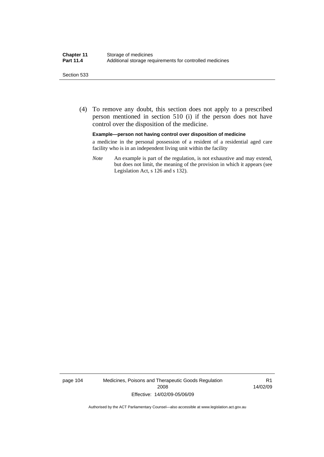#### Section 533

 (4) To remove any doubt, this section does not apply to a prescribed person mentioned in section 510 (i) if the person does not have control over the disposition of the medicine.

#### **Example—person not having control over disposition of medicine**

a medicine in the personal possession of a resident of a residential aged care facility who is in an independent living unit within the facility

*Note* An example is part of the regulation, is not exhaustive and may extend, but does not limit, the meaning of the provision in which it appears (see Legislation Act, s 126 and s 132).

page 104 Medicines, Poisons and Therapeutic Goods Regulation 2008 Effective: 14/02/09-05/06/09

R1 14/02/09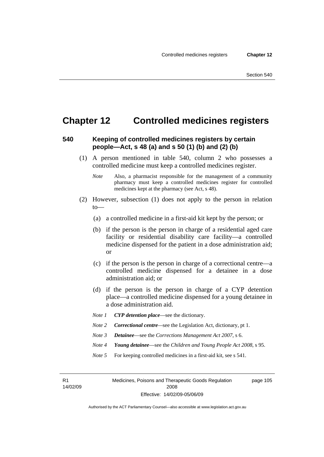## **Chapter 12 Controlled medicines registers**

## **540 Keeping of controlled medicines registers by certain people—Act, s 48 (a) and s 50 (1) (b) and (2) (b)**

- (1) A person mentioned in table 540, column 2 who possesses a controlled medicine must keep a controlled medicines register.
	- *Note* Also, a pharmacist responsible for the management of a community pharmacy must keep a controlled medicines register for controlled medicines kept at the pharmacy (see Act, s 48).
- (2) However, subsection (1) does not apply to the person in relation to—
	- (a) a controlled medicine in a first-aid kit kept by the person; or
	- (b) if the person is the person in charge of a residential aged care facility or residential disability care facility—a controlled medicine dispensed for the patient in a dose administration aid; or
	- (c) if the person is the person in charge of a correctional centre—a controlled medicine dispensed for a detainee in a dose administration aid; or
	- (d) if the person is the person in charge of a CYP detention place—a controlled medicine dispensed for a young detainee in a dose administration aid.
	- *Note 1 CYP detention place*—see the dictionary.
	- *Note 2 Correctional centre*—see the Legislation Act, dictionary, pt 1.
	- *Note 3 Detainee*—see the *Corrections Management Act 2007*, s 6.
	- *Note 4 Young detainee*—see the *Children and Young People Act 2008*, s 95.
	- *Note* 5 For keeping controlled medicines in a first-aid kit, see s 541.

R1 14/02/09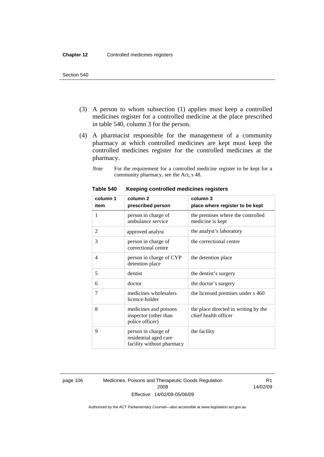- (3) A person to whom subsection (1) applies must keep a controlled medicines register for a controlled medicine at the place prescribed in table 540, column 3 for the person.
- (4) A pharmacist responsible for the management of a community pharmacy at which controlled medicines are kept must keep the controlled medicines register for the controlled medicines at the pharmacy.
	- *Note* For the requirement for a controlled medicine register to be kept for a community pharmacy, see the Act, s 48.

| column 1 | column <sub>2</sub>                                                       | column 3                                                     |
|----------|---------------------------------------------------------------------------|--------------------------------------------------------------|
| item     | prescribed person                                                         | place where register to be kept                              |
| 1        | person in charge of<br>ambulance service                                  | the premises where the controlled<br>medicine is kept        |
| 2        | approved analyst                                                          | the analyst's laboratory                                     |
| 3        | person in charge of<br>correctional centre                                | the correctional centre                                      |
| 4        | person in charge of CYP<br>detention place                                | the detention place                                          |
| 5        | dentist                                                                   | the dentist's surgery                                        |
| 6        | doctor                                                                    | the doctor's surgery                                         |
| 7        | medicines wholesalers<br>licence-holder                                   | the licensed premises under s 460                            |
| 8        | medicines and poisons<br>inspector (other than<br>police officer)         | the place directed in writing by the<br>chief health officer |
| 9        | person in charge of<br>residential aged care<br>facility without pharmacy | the facility                                                 |

#### **Table 540 Keeping controlled medicines registers**

page 106 Medicines, Poisons and Therapeutic Goods Regulation 2008 Effective: 14/02/09-05/06/09

R1 14/02/09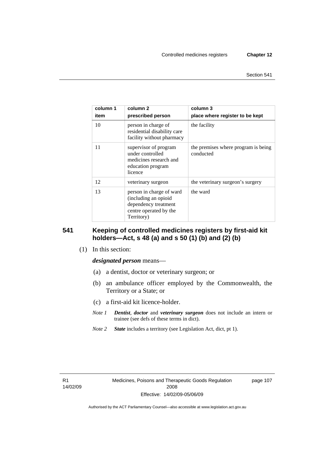| column 1<br>item | column 2<br>prescribed person                                                                                    | column 3<br>place where register to be kept      |
|------------------|------------------------------------------------------------------------------------------------------------------|--------------------------------------------------|
| 10               | person in charge of<br>residential disability care<br>facility without pharmacy                                  | the facility                                     |
| 11               | supervisor of program<br>under controlled<br>medicines research and<br>education program<br>licence              | the premises where program is being<br>conducted |
| 12               | veterinary surgeon                                                                                               | the veterinary surgeon's surgery                 |
| 13               | person in charge of ward<br>(including an opioid<br>dependency treatment<br>centre operated by the<br>Territory) | the ward                                         |

## **541 Keeping of controlled medicines registers by first-aid kit holders—Act, s 48 (a) and s 50 (1) (b) and (2) (b)**

(1) In this section:

#### *designated person* means—

- (a) a dentist, doctor or veterinary surgeon; or
- (b) an ambulance officer employed by the Commonwealth, the Territory or a State; or
- (c) a first-aid kit licence-holder.
- *Note 1 Dentist*, *doctor* and *veterinary surgeon* does not include an intern or trainee (see defs of these terms in dict).
- *Note 2 State* includes a territory (see Legislation Act, dict, pt 1).

R1 14/02/09 page 107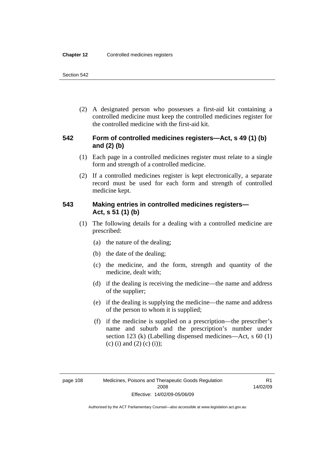(2) A designated person who possesses a first-aid kit containing a controlled medicine must keep the controlled medicines register for the controlled medicine with the first-aid kit.

## **542 Form of controlled medicines registers—Act, s 49 (1) (b) and (2) (b)**

- (1) Each page in a controlled medicines register must relate to a single form and strength of a controlled medicine.
- (2) If a controlled medicines register is kept electronically, a separate record must be used for each form and strength of controlled medicine kept.

## **543 Making entries in controlled medicines registers— Act, s 51 (1) (b)**

- (1) The following details for a dealing with a controlled medicine are prescribed:
	- (a) the nature of the dealing;
	- (b) the date of the dealing;
	- (c) the medicine, and the form, strength and quantity of the medicine, dealt with;
	- (d) if the dealing is receiving the medicine—the name and address of the supplier;
	- (e) if the dealing is supplying the medicine—the name and address of the person to whom it is supplied;
	- (f) if the medicine is supplied on a prescription—the prescriber's name and suburb and the prescription's number under section 123 (k) (Labelling dispensed medicines—Act, s 60 (1) (c) (i) and (2) (c) (i));

R1 14/02/09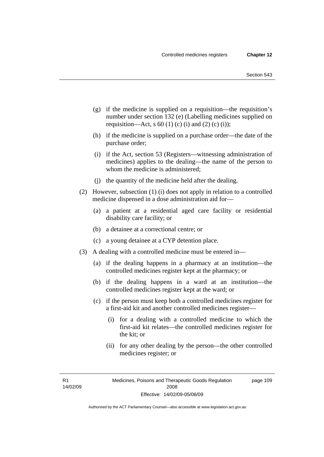- (g) if the medicine is supplied on a requisition—the requisition's number under section 132 (e) (Labelling medicines supplied on requisition—Act, s 60 (1) (c) (i) and (2) (c) (i));
- (h) if the medicine is supplied on a purchase order—the date of the purchase order;
- (i) if the Act, section 53 (Registers—witnessing administration of medicines) applies to the dealing—the name of the person to whom the medicine is administered;
- (j) the quantity of the medicine held after the dealing.
- (2) However, subsection (1) (i) does not apply in relation to a controlled medicine dispensed in a dose administration aid for—
	- (a) a patient at a residential aged care facility or residential disability care facility; or
	- (b) a detainee at a correctional centre; or
	- (c) a young detainee at a CYP detention place.
- (3) A dealing with a controlled medicine must be entered in—
	- (a) if the dealing happens in a pharmacy at an institution—the controlled medicines register kept at the pharmacy; or
	- (b) if the dealing happens in a ward at an institution—the controlled medicines register kept at the ward; or
	- (c) if the person must keep both a controlled medicines register for a first-aid kit and another controlled medicines register—
		- (i) for a dealing with a controlled medicine to which the first-aid kit relates—the controlled medicines register for the kit; or
		- (ii) for any other dealing by the person—the other controlled medicines register; or

R1 14/02/09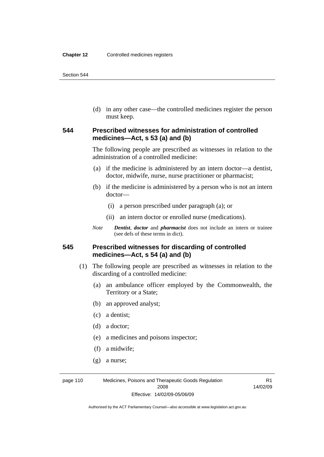(d) in any other case—the controlled medicines register the person must keep.

## **544 Prescribed witnesses for administration of controlled medicines—Act, s 53 (a) and (b)**

The following people are prescribed as witnesses in relation to the administration of a controlled medicine:

- (a) if the medicine is administered by an intern doctor—a dentist, doctor, midwife, nurse, nurse practitioner or pharmacist;
- (b) if the medicine is administered by a person who is not an intern doctor—
	- (i) a person prescribed under paragraph (a); or
	- (ii) an intern doctor or enrolled nurse (medications).
- *Note Dentist*, *doctor* and *pharmacist* does not include an intern or trainee (see defs of these terms in dict).

## **545 Prescribed witnesses for discarding of controlled medicines—Act, s 54 (a) and (b)**

- (1) The following people are prescribed as witnesses in relation to the discarding of a controlled medicine:
	- (a) an ambulance officer employed by the Commonwealth, the Territory or a State;
	- (b) an approved analyst;
	- (c) a dentist;
	- (d) a doctor;
	- (e) a medicines and poisons inspector;
	- (f) a midwife;
	- (g) a nurse;

page 110 Medicines, Poisons and Therapeutic Goods Regulation 2008 Effective: 14/02/09-05/06/09

R1 14/02/09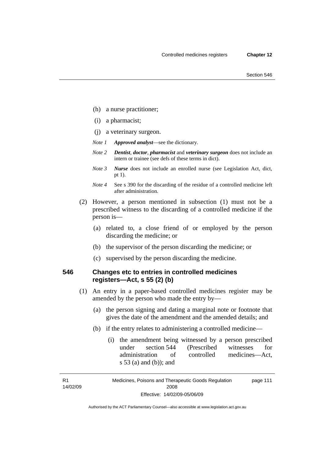- (h) a nurse practitioner;
- (i) a pharmacist;
- (j) a veterinary surgeon.
- *Note 1 Approved analyst*—see the dictionary.
- *Note 2 Dentist*, *doctor*, *pharmacist* and *veterinary surgeon* does not include an intern or trainee (see defs of these terms in dict).
- *Note 3 Nurse* does not include an enrolled nurse (see Legislation Act, dict, pt 1).
- *Note 4* See s 390 for the discarding of the residue of a controlled medicine left after administration.
- (2) However, a person mentioned in subsection (1) must not be a prescribed witness to the discarding of a controlled medicine if the person is—
	- (a) related to, a close friend of or employed by the person discarding the medicine; or
	- (b) the supervisor of the person discarding the medicine; or
	- (c) supervised by the person discarding the medicine.

## **546 Changes etc to entries in controlled medicines registers—Act, s 55 (2) (b)**

- (1) An entry in a paper-based controlled medicines register may be amended by the person who made the entry by—
	- (a) the person signing and dating a marginal note or footnote that gives the date of the amendment and the amended details; and
	- (b) if the entry relates to administering a controlled medicine—
		- (i) the amendment being witnessed by a person prescribed under section 544 (Prescribed witnesses for administration of controlled medicines—Act, s 53 (a) and (b)); and

R1 14/02/09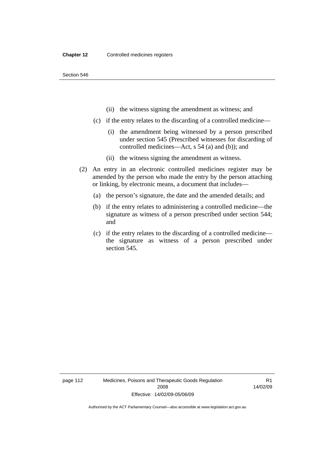- (ii) the witness signing the amendment as witness; and
- (c) if the entry relates to the discarding of a controlled medicine—
	- (i) the amendment being witnessed by a person prescribed under section 545 (Prescribed witnesses for discarding of controlled medicines—Act, s 54 (a) and (b)); and
	- (ii) the witness signing the amendment as witness.
- (2) An entry in an electronic controlled medicines register may be amended by the person who made the entry by the person attaching or linking, by electronic means, a document that includes—
	- (a) the person's signature, the date and the amended details; and
	- (b) if the entry relates to administering a controlled medicine—the signature as witness of a person prescribed under section 544; and
	- (c) if the entry relates to the discarding of a controlled medicine the signature as witness of a person prescribed under section 545.

page 112 Medicines, Poisons and Therapeutic Goods Regulation 2008 Effective: 14/02/09-05/06/09

R1 14/02/09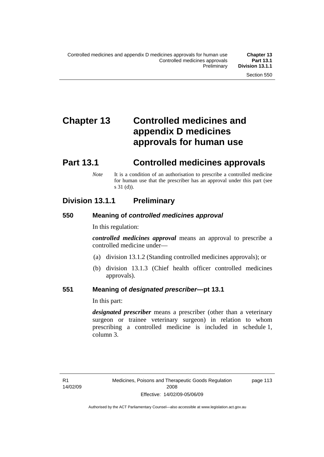# **Chapter 13 Controlled medicines and appendix D medicines approvals for human use**

# **Part 13.1 Controlled medicines approvals**

*Note* It is a condition of an authorisation to prescribe a controlled medicine for human use that the prescriber has an approval under this part (see s 31 (d)).

## **Division 13.1.1 Preliminary**

## **550 Meaning of** *controlled medicines approval*

In this regulation:

*controlled medicines approval* means an approval to prescribe a controlled medicine under—

- (a) division 13.1.2 (Standing controlled medicines approvals); or
- (b) division 13.1.3 (Chief health officer controlled medicines approvals).

## **551 Meaning of** *designated prescriber***—pt 13.1**

In this part:

*designated prescriber* means a prescriber (other than a veterinary surgeon or trainee veterinary surgeon) in relation to whom prescribing a controlled medicine is included in schedule 1, column 3.

page 113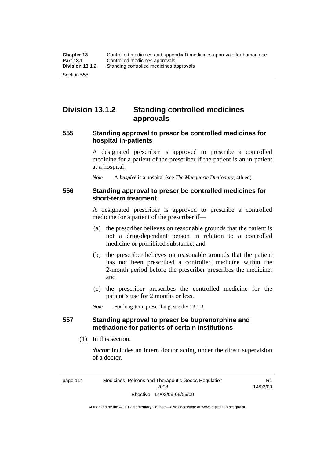## **Division 13.1.2 Standing controlled medicines approvals**

## **555 Standing approval to prescribe controlled medicines for hospital in-patients**

A designated prescriber is approved to prescribe a controlled medicine for a patient of the prescriber if the patient is an in-patient at a hospital.

*Note* A *hospice* is a hospital (see *The Macquarie Dictionary*, 4th ed).

### **556 Standing approval to prescribe controlled medicines for short-term treatment**

A designated prescriber is approved to prescribe a controlled medicine for a patient of the prescriber if—

- (a) the prescriber believes on reasonable grounds that the patient is not a drug-dependant person in relation to a controlled medicine or prohibited substance; and
- (b) the prescriber believes on reasonable grounds that the patient has not been prescribed a controlled medicine within the 2-month period before the prescriber prescribes the medicine; and
- (c) the prescriber prescribes the controlled medicine for the patient's use for 2 months or less.

*Note* For long-term prescribing, see div 13.1.3.

## **557 Standing approval to prescribe buprenorphine and methadone for patients of certain institutions**

(1) In this section:

*doctor* includes an intern doctor acting under the direct supervision of a doctor.

R1 14/02/09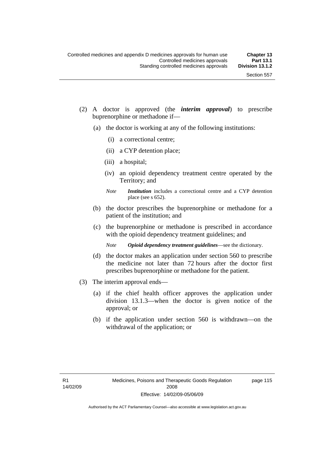- (2) A doctor is approved (the *interim approval*) to prescribe buprenorphine or methadone if—
	- (a) the doctor is working at any of the following institutions:
		- (i) a correctional centre;
		- (ii) a CYP detention place;
		- (iii) a hospital;
		- (iv) an opioid dependency treatment centre operated by the Territory; and
		- *Note Institution* includes a correctional centre and a CYP detention place (see s 652).
	- (b) the doctor prescribes the buprenorphine or methadone for a patient of the institution; and
	- (c) the buprenorphine or methadone is prescribed in accordance with the opioid dependency treatment guidelines; and
		- *Note Opioid dependency treatment guidelines*—see the dictionary.
	- (d) the doctor makes an application under section 560 to prescribe the medicine not later than 72 hours after the doctor first prescribes buprenorphine or methadone for the patient.
- (3) The interim approval ends—
	- (a) if the chief health officer approves the application under division 13.1.3—when the doctor is given notice of the approval; or
	- (b) if the application under section 560 is withdrawn—on the withdrawal of the application; or

page 115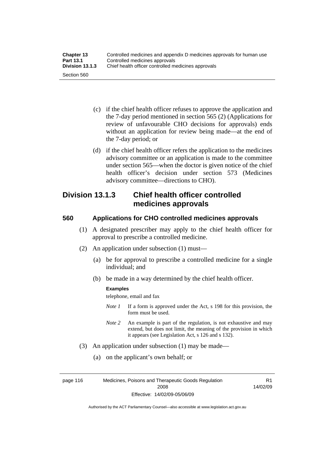| <b>Chapter 13</b> | Controlled medicines and appendix D medicines approvals for human use |
|-------------------|-----------------------------------------------------------------------|
| <b>Part 13.1</b>  | Controlled medicines approvals                                        |
| Division 13.1.3   | Chief health officer controlled medicines approvals                   |
| Section 560       |                                                                       |

- (c) if the chief health officer refuses to approve the application and the 7-day period mentioned in section 565 (2) (Applications for review of unfavourable CHO decisions for approvals) ends without an application for review being made—at the end of the 7-day period; or
- (d) if the chief health officer refers the application to the medicines advisory committee or an application is made to the committee under section 565—when the doctor is given notice of the chief health officer's decision under section 573 (Medicines advisory committee—directions to CHO).

## **Division 13.1.3 Chief health officer controlled medicines approvals**

## **560 Applications for CHO controlled medicines approvals**

- (1) A designated prescriber may apply to the chief health officer for approval to prescribe a controlled medicine.
- (2) An application under subsection (1) must—
	- (a) be for approval to prescribe a controlled medicine for a single individual; and
	- (b) be made in a way determined by the chief health officer.

#### **Examples**

telephone, email and fax

- *Note 1* If a form is approved under the Act, s 198 for this provision, the form must be used.
- *Note 2* An example is part of the regulation, is not exhaustive and may extend, but does not limit, the meaning of the provision in which it appears (see Legislation Act, s 126 and s 132).
- (3) An application under subsection (1) may be made—
	- (a) on the applicant's own behalf; or

page 116 Medicines, Poisons and Therapeutic Goods Regulation 2008 Effective: 14/02/09-05/06/09

R1 14/02/09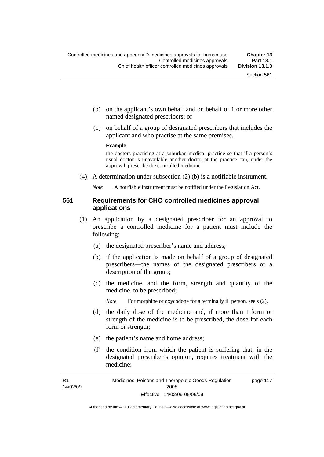- (b) on the applicant's own behalf and on behalf of 1 or more other named designated prescribers; or
- (c) on behalf of a group of designated prescribers that includes the applicant and who practise at the same premises.

#### **Example**

the doctors practising at a suburban medical practice so that if a person's usual doctor is unavailable another doctor at the practice can, under the approval, prescribe the controlled medicine

(4) A determination under subsection (2) (b) is a notifiable instrument.

*Note* A notifiable instrument must be notified under the Legislation Act.

## **561 Requirements for CHO controlled medicines approval applications**

- (1) An application by a designated prescriber for an approval to prescribe a controlled medicine for a patient must include the following:
	- (a) the designated prescriber's name and address;
	- (b) if the application is made on behalf of a group of designated prescribers—the names of the designated prescribers or a description of the group;
	- (c) the medicine, and the form, strength and quantity of the medicine, to be prescribed;

*Note* For morphine or oxycodone for a terminally ill person, see s (2).

- (d) the daily dose of the medicine and, if more than 1 form or strength of the medicine is to be prescribed, the dose for each form or strength;
- (e) the patient's name and home address;
- (f) the condition from which the patient is suffering that, in the designated prescriber's opinion, requires treatment with the medicine;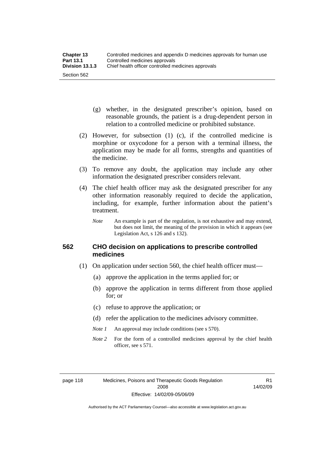- (g) whether, in the designated prescriber's opinion, based on reasonable grounds, the patient is a drug-dependent person in relation to a controlled medicine or prohibited substance.
- (2) However, for subsection (1) (c), if the controlled medicine is morphine or oxycodone for a person with a terminal illness, the application may be made for all forms, strengths and quantities of the medicine.
- (3) To remove any doubt, the application may include any other information the designated prescriber considers relevant.
- (4) The chief health officer may ask the designated prescriber for any other information reasonably required to decide the application, including, for example, further information about the patient's treatment.
	- *Note* An example is part of the regulation, is not exhaustive and may extend, but does not limit, the meaning of the provision in which it appears (see Legislation Act, s 126 and s 132).

## **562 CHO decision on applications to prescribe controlled medicines**

- (1) On application under section 560, the chief health officer must—
	- (a) approve the application in the terms applied for; or
	- (b) approve the application in terms different from those applied for; or
	- (c) refuse to approve the application; or
	- (d) refer the application to the medicines advisory committee.
	- *Note 1* An approval may include conditions (see s 570).
	- *Note* 2 For the form of a controlled medicines approval by the chief health officer, see s 571.

R1 14/02/09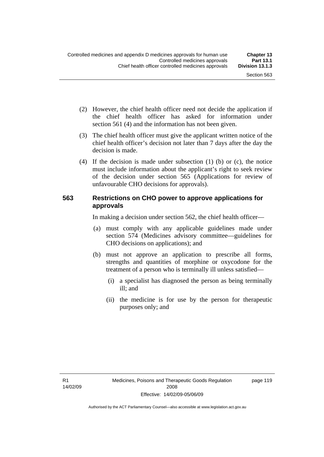- (2) However, the chief health officer need not decide the application if the chief health officer has asked for information under section 561 (4) and the information has not been given.
- (3) The chief health officer must give the applicant written notice of the chief health officer's decision not later than 7 days after the day the decision is made.
- (4) If the decision is made under subsection (1) (b) or (c), the notice must include information about the applicant's right to seek review of the decision under section 565 (Applications for review of unfavourable CHO decisions for approvals).

## **563 Restrictions on CHO power to approve applications for approvals**

In making a decision under section 562, the chief health officer—

- (a) must comply with any applicable guidelines made under section 574 (Medicines advisory committee—guidelines for CHO decisions on applications); and
- (b) must not approve an application to prescribe all forms, strengths and quantities of morphine or oxycodone for the treatment of a person who is terminally ill unless satisfied—
	- (i) a specialist has diagnosed the person as being terminally ill; and
	- (ii) the medicine is for use by the person for therapeutic purposes only; and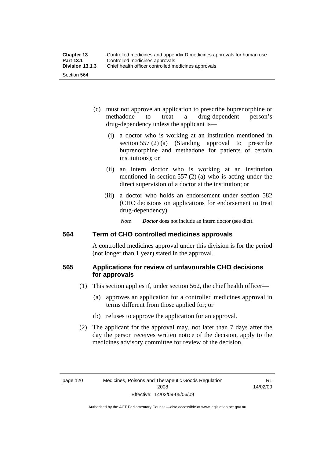- (c) must not approve an application to prescribe buprenorphine or methadone to treat a drug-dependent person's drug-dependency unless the applicant is—
	- (i) a doctor who is working at an institution mentioned in section 557 (2) (a) (Standing approval to prescribe buprenorphine and methadone for patients of certain institutions); or
	- (ii) an intern doctor who is working at an institution mentioned in section 557 (2) (a) who is acting under the direct supervision of a doctor at the institution; or
	- (iii) a doctor who holds an endorsement under section 582 (CHO decisions on applications for endorsement to treat drug-dependency).

*Note Doctor* does not include an intern doctor (see dict).

## **564 Term of CHO controlled medicines approvals**

A controlled medicines approval under this division is for the period (not longer than 1 year) stated in the approval.

## **565 Applications for review of unfavourable CHO decisions for approvals**

- (1) This section applies if, under section 562, the chief health officer—
	- (a) approves an application for a controlled medicines approval in terms different from those applied for; or
	- (b) refuses to approve the application for an approval.
- (2) The applicant for the approval may, not later than 7 days after the day the person receives written notice of the decision, apply to the medicines advisory committee for review of the decision.

R1 14/02/09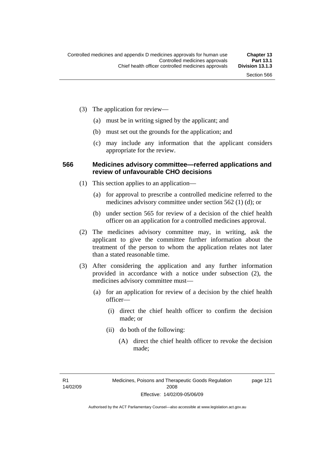page 121

- (3) The application for review—
	- (a) must be in writing signed by the applicant; and
	- (b) must set out the grounds for the application; and
	- (c) may include any information that the applicant considers appropriate for the review.

#### **566 Medicines advisory committee—referred applications and review of unfavourable CHO decisions**

- (1) This section applies to an application—
	- (a) for approval to prescribe a controlled medicine referred to the medicines advisory committee under section 562 (1) (d); or
	- (b) under section 565 for review of a decision of the chief health officer on an application for a controlled medicines approval.
- (2) The medicines advisory committee may, in writing, ask the applicant to give the committee further information about the treatment of the person to whom the application relates not later than a stated reasonable time.
- (3) After considering the application and any further information provided in accordance with a notice under subsection (2), the medicines advisory committee must—
	- (a) for an application for review of a decision by the chief health officer—
		- (i) direct the chief health officer to confirm the decision made; or
		- (ii) do both of the following:
			- (A) direct the chief health officer to revoke the decision made;

R1 14/02/09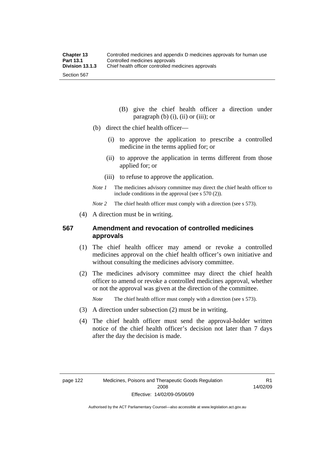- (B) give the chief health officer a direction under paragraph  $(b)$   $(i)$ ,  $(ii)$  or  $(iii)$ ; or
- (b) direct the chief health officer—
	- (i) to approve the application to prescribe a controlled medicine in the terms applied for; or
	- (ii) to approve the application in terms different from those applied for; or
	- (iii) to refuse to approve the application.
- *Note 1* The medicines advisory committee may direct the chief health officer to include conditions in the approval (see s 570 (2)).

*Note* 2 The chief health officer must comply with a direction (see s 573).

(4) A direction must be in writing.

#### **567 Amendment and revocation of controlled medicines approvals**

- (1) The chief health officer may amend or revoke a controlled medicines approval on the chief health officer's own initiative and without consulting the medicines advisory committee.
- (2) The medicines advisory committee may direct the chief health officer to amend or revoke a controlled medicines approval, whether or not the approval was given at the direction of the committee.

*Note* The chief health officer must comply with a direction (see s 573).

- (3) A direction under subsection (2) must be in writing.
- (4) The chief health officer must send the approval-holder written notice of the chief health officer's decision not later than 7 days after the day the decision is made.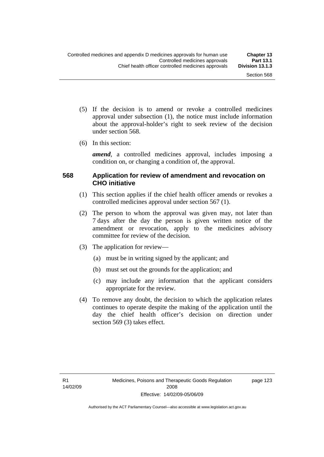- (5) If the decision is to amend or revoke a controlled medicines approval under subsection (1), the notice must include information about the approval-holder's right to seek review of the decision under section 568.
- (6) In this section:

*amend*, a controlled medicines approval, includes imposing a condition on, or changing a condition of, the approval.

### **568 Application for review of amendment and revocation on CHO initiative**

- (1) This section applies if the chief health officer amends or revokes a controlled medicines approval under section 567 (1).
- (2) The person to whom the approval was given may, not later than 7 days after the day the person is given written notice of the amendment or revocation, apply to the medicines advisory committee for review of the decision.
- (3) The application for review—
	- (a) must be in writing signed by the applicant; and
	- (b) must set out the grounds for the application; and
	- (c) may include any information that the applicant considers appropriate for the review.
- (4) To remove any doubt, the decision to which the application relates continues to operate despite the making of the application until the day the chief health officer's decision on direction under section 569 (3) takes effect.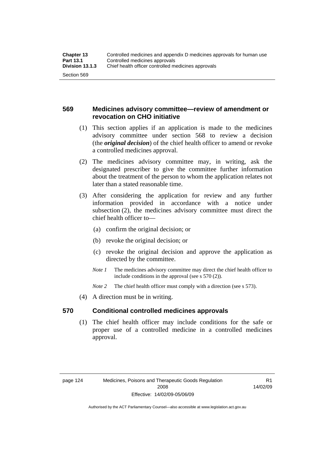### **569 Medicines advisory committee—review of amendment or revocation on CHO initiative**

- (1) This section applies if an application is made to the medicines advisory committee under section 568 to review a decision (the *original decision*) of the chief health officer to amend or revoke a controlled medicines approval.
- (2) The medicines advisory committee may, in writing, ask the designated prescriber to give the committee further information about the treatment of the person to whom the application relates not later than a stated reasonable time.
- (3) After considering the application for review and any further information provided in accordance with a notice under subsection (2), the medicines advisory committee must direct the chief health officer to—
	- (a) confirm the original decision; or
	- (b) revoke the original decision; or
	- (c) revoke the original decision and approve the application as directed by the committee.
	- *Note 1* The medicines advisory committee may direct the chief health officer to include conditions in the approval (see s 570 (2)).
	- *Note* 2 The chief health officer must comply with a direction (see s 573).
- (4) A direction must be in writing.

#### **570 Conditional controlled medicines approvals**

 (1) The chief health officer may include conditions for the safe or proper use of a controlled medicine in a controlled medicines approval.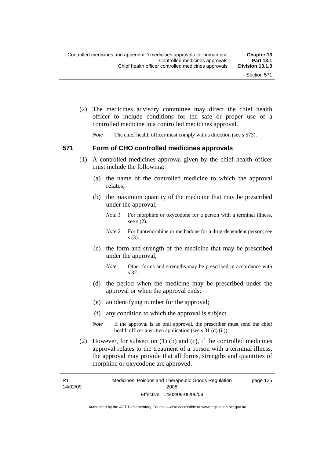(2) The medicines advisory committee may direct the chief health officer to include conditions for the safe or proper use of a controlled medicine in a controlled medicines approval.

*Note* The chief health officer must comply with a direction (see s 573).

#### **571 Form of CHO controlled medicines approvals**

- (1) A controlled medicines approval given by the chief health officer must include the following:
	- (a) the name of the controlled medicine to which the approval relates;
	- (b) the maximum quantity of the medicine that may be prescribed under the approval;
		- *Note 1* For morphine or oxycodone for a person with a terminal illness, see s (2).
		- *Note* 2 For buprenorphine or methadone for a drug-dependent person, see s (3).
	- (c) the form and strength of the medicine that may be prescribed under the approval;
		- *Note* Other forms and strengths may be prescribed in accordance with s 32.
	- (d) the period when the medicine may be prescribed under the approval or when the approval ends;
	- (e) an identifying number for the approval;
	- (f) any condition to which the approval is subject.
	- *Note* If the approval is an oral approval, the prescriber must send the chief health officer a written application (see s  $31$  (d) (ii)).
- (2) However, for subsection (1) (b) and (c), if the controlled medicines approval relates to the treatment of a person with a terminal illness, the approval may provide that all forms, strengths and quantities of morphine or oxycodone are approved.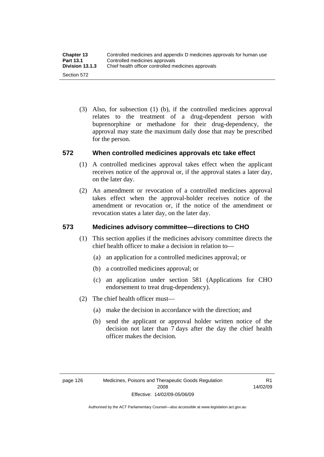(3) Also, for subsection (1) (b), if the controlled medicines approval relates to the treatment of a drug-dependent person with buprenorphine or methadone for their drug-dependency, the approval may state the maximum daily dose that may be prescribed for the person.

### **572 When controlled medicines approvals etc take effect**

- (1) A controlled medicines approval takes effect when the applicant receives notice of the approval or, if the approval states a later day, on the later day.
- (2) An amendment or revocation of a controlled medicines approval takes effect when the approval-holder receives notice of the amendment or revocation or, if the notice of the amendment or revocation states a later day, on the later day.

## **573 Medicines advisory committee—directions to CHO**

- (1) This section applies if the medicines advisory committee directs the chief health officer to make a decision in relation to—
	- (a) an application for a controlled medicines approval; or
	- (b) a controlled medicines approval; or
	- (c) an application under section 581 (Applications for CHO endorsement to treat drug-dependency).
- (2) The chief health officer must—
	- (a) make the decision in accordance with the direction; and
	- (b) send the applicant or approval holder written notice of the decision not later than 7 days after the day the chief health officer makes the decision.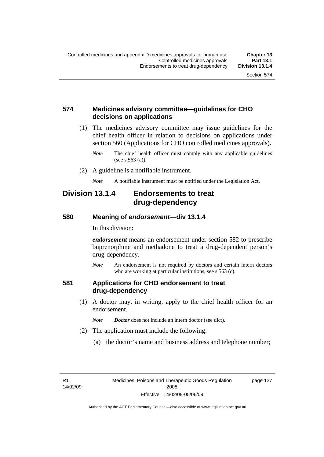page 127

#### **574 Medicines advisory committee—guidelines for CHO decisions on applications**

 (1) The medicines advisory committee may issue guidelines for the chief health officer in relation to decisions on applications under section 560 (Applications for CHO controlled medicines approvals).

- (2) A guideline is a notifiable instrument.
	- *Note* A notifiable instrument must be notified under the Legislation Act.

## **Division 13.1.4 Endorsements to treat drug-dependency**

#### **580 Meaning of** *endorsement***—div 13.1.4**

In this division:

*endorsement* means an endorsement under section 582 to prescribe buprenorphine and methadone to treat a drug-dependent person's drug-dependency.

*Note* An endorsement is not required by doctors and certain intern doctors who are working at particular institutions, see s 563 (c).

#### **581 Applications for CHO endorsement to treat drug-dependency**

- (1) A doctor may, in writing, apply to the chief health officer for an endorsement.
	- *Note Doctor* does not include an intern doctor (see dict).
- (2) The application must include the following:
	- (a) the doctor's name and business address and telephone number;

R1 14/02/09

*Note* The chief health officer must comply with any applicable guidelines (see s 563 (a)).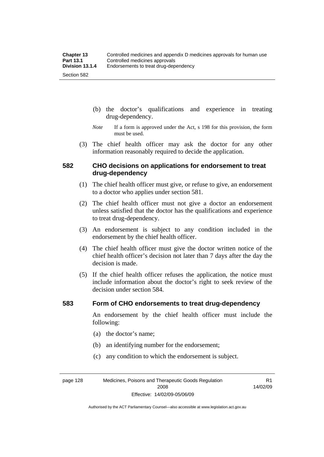- (b) the doctor's qualifications and experience in treating drug-dependency.
- *Note* If a form is approved under the Act, s 198 for this provision, the form must be used.
- (3) The chief health officer may ask the doctor for any other information reasonably required to decide the application.

#### **582 CHO decisions on applications for endorsement to treat drug-dependency**

- (1) The chief health officer must give, or refuse to give, an endorsement to a doctor who applies under section 581.
- (2) The chief health officer must not give a doctor an endorsement unless satisfied that the doctor has the qualifications and experience to treat drug-dependency.
- (3) An endorsement is subject to any condition included in the endorsement by the chief health officer.
- (4) The chief health officer must give the doctor written notice of the chief health officer's decision not later than 7 days after the day the decision is made.
- (5) If the chief health officer refuses the application, the notice must include information about the doctor's right to seek review of the decision under section 584.

#### **583 Form of CHO endorsements to treat drug-dependency**

An endorsement by the chief health officer must include the following:

- (a) the doctor's name;
- (b) an identifying number for the endorsement;
- (c) any condition to which the endorsement is subject.

page 128 Medicines, Poisons and Therapeutic Goods Regulation 2008 Effective: 14/02/09-05/06/09

R1 14/02/09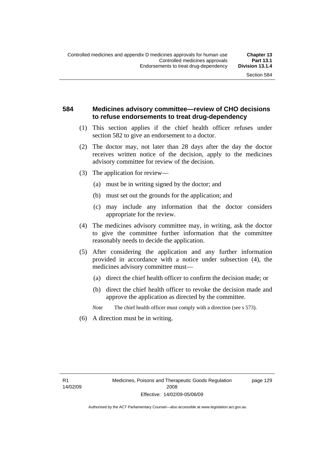#### **584 Medicines advisory committee—review of CHO decisions to refuse endorsements to treat drug-dependency**

- (1) This section applies if the chief health officer refuses under section 582 to give an endorsement to a doctor.
- (2) The doctor may, not later than 28 days after the day the doctor receives written notice of the decision, apply to the medicines advisory committee for review of the decision.
- (3) The application for review—
	- (a) must be in writing signed by the doctor; and
	- (b) must set out the grounds for the application; and
	- (c) may include any information that the doctor considers appropriate for the review.
- (4) The medicines advisory committee may, in writing, ask the doctor to give the committee further information that the committee reasonably needs to decide the application.
- (5) After considering the application and any further information provided in accordance with a notice under subsection (4), the medicines advisory committee must—
	- (a) direct the chief health officer to confirm the decision made; or
	- (b) direct the chief health officer to revoke the decision made and approve the application as directed by the committee.

*Note* The chief health officer must comply with a direction (see s 573).

(6) A direction must be in writing.

R1 14/02/09 page 129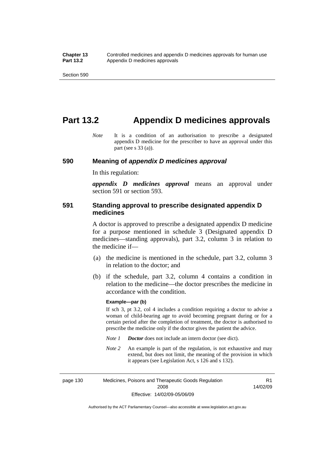## **Part 13.2 Appendix D medicines approvals**

*Note* It is a condition of an authorisation to prescribe a designated appendix D medicine for the prescriber to have an approval under this part (see s 33 (a)).

#### **590 Meaning of** *appendix D medicines approval*

In this regulation:

*appendix D medicines approval* means an approval under section 591 or section 593.

#### **591 Standing approval to prescribe designated appendix D medicines**

A doctor is approved to prescribe a designated appendix D medicine for a purpose mentioned in schedule 3 (Designated appendix D medicines—standing approvals), part 3.2, column 3 in relation to the medicine if—

- (a) the medicine is mentioned in the schedule, part 3.2, column 3 in relation to the doctor; and
- (b) if the schedule, part 3.2, column 4 contains a condition in relation to the medicine—the doctor prescribes the medicine in accordance with the condition.

#### **Example—par (b)**

If sch 3, pt 3.2, col 4 includes a condition requiring a doctor to advise a woman of child-bearing age to avoid becoming pregnant during or for a certain period after the completion of treatment, the doctor is authorised to prescribe the medicine only if the doctor gives the patient the advice.

- *Note 1 Doctor* does not include an intern doctor (see dict).
- *Note 2* An example is part of the regulation, is not exhaustive and may extend, but does not limit, the meaning of the provision in which it appears (see Legislation Act, s 126 and s 132).

page 130 Medicines, Poisons and Therapeutic Goods Regulation 2008 Effective: 14/02/09-05/06/09 R1 14/02/09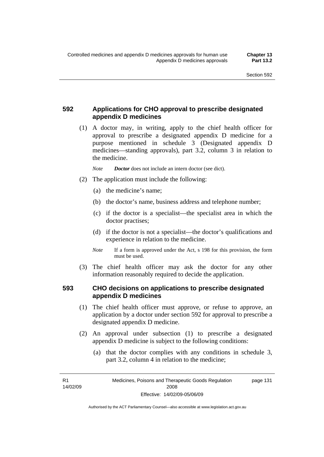### **592 Applications for CHO approval to prescribe designated appendix D medicines**

 (1) A doctor may, in writing, apply to the chief health officer for approval to prescribe a designated appendix D medicine for a purpose mentioned in schedule 3 (Designated appendix D medicines—standing approvals), part 3.2, column 3 in relation to the medicine.

*Note Doctor* does not include an intern doctor (see dict).

- (2) The application must include the following:
	- (a) the medicine's name;
	- (b) the doctor's name, business address and telephone number;
	- (c) if the doctor is a specialist—the specialist area in which the doctor practises;
	- (d) if the doctor is not a specialist—the doctor's qualifications and experience in relation to the medicine.
	- *Note* If a form is approved under the Act, s 198 for this provision, the form must be used.
- (3) The chief health officer may ask the doctor for any other information reasonably required to decide the application.

#### **593 CHO decisions on applications to prescribe designated appendix D medicines**

- (1) The chief health officer must approve, or refuse to approve, an application by a doctor under section 592 for approval to prescribe a designated appendix D medicine.
- (2) An approval under subsection (1) to prescribe a designated appendix D medicine is subject to the following conditions:
	- (a) that the doctor complies with any conditions in schedule 3, part 3.2, column 4 in relation to the medicine;

R1 14/02/09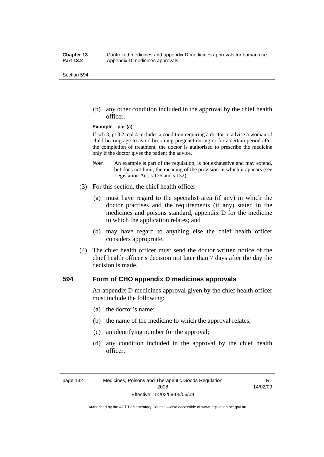(b) any other condition included in the approval by the chief health officer.

#### **Example—par (a)**

If sch 3, pt 3.2, col 4 includes a condition requiring a doctor to advise a woman of child-bearing age to avoid becoming pregnant during or for a certain period after the completion of treatment, the doctor is authorised to prescribe the medicine only if the doctor gives the patient the advice.

- *Note* An example is part of the regulation, is not exhaustive and may extend, but does not limit, the meaning of the provision in which it appears (see Legislation Act, s 126 and s 132).
- (3) For this section, the chief health officer—
	- (a) must have regard to the specialist area (if any) in which the doctor practises and the requirements (if any) stated in the medicines and poisons standard, appendix D for the medicine to which the application relates; and
	- (b) may have regard to anything else the chief health officer considers appropriate.
- (4) The chief health officer must send the doctor written notice of the chief health officer's decision not later than 7 days after the day the decision is made.

#### **594 Form of CHO appendix D medicines approvals**

An appendix D medicines approval given by the chief health officer must include the following:

- (a) the doctor's name;
- (b) the name of the medicine to which the approval relates;
- (c) an identifying number for the approval;
- (d) any condition included in the approval by the chief health officer.

R1 14/02/09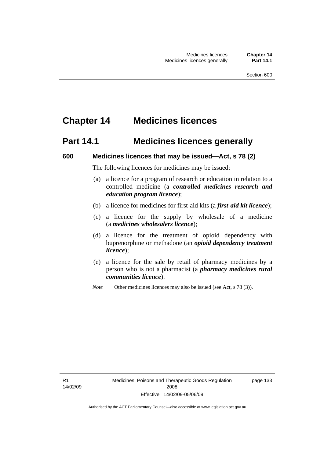## **Chapter 14 Medicines licences**

## **Part 14.1 Medicines licences generally**

#### **600 Medicines licences that may be issued—Act, s 78 (2)**

The following licences for medicines may be issued:

- (a) a licence for a program of research or education in relation to a controlled medicine (a *controlled medicines research and education program licence*);
- (b) a licence for medicines for first-aid kits (a *first-aid kit licence*);
- (c) a licence for the supply by wholesale of a medicine (a *medicines wholesalers licence*);
- (d) a licence for the treatment of opioid dependency with buprenorphine or methadone (an *opioid dependency treatment licence*);
- (e) a licence for the sale by retail of pharmacy medicines by a person who is not a pharmacist (a *pharmacy medicines rural communities licence*).
- *Note* Other medicines licences may also be issued (see Act, s 78 (3)).

R1 14/02/09 page 133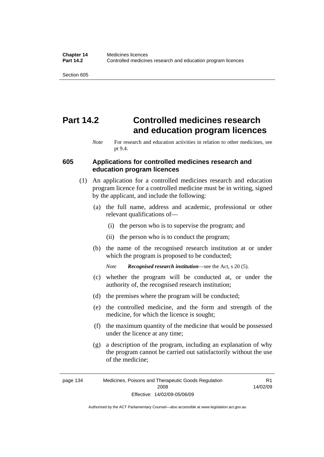# **Part 14.2 Controlled medicines research and education program licences**

#### **605 Applications for controlled medicines research and education program licences**

- (1) An application for a controlled medicines research and education program licence for a controlled medicine must be in writing, signed by the applicant, and include the following:
	- (a) the full name, address and academic, professional or other relevant qualifications of—
		- (i) the person who is to supervise the program; and
		- (ii) the person who is to conduct the program;
	- (b) the name of the recognised research institution at or under which the program is proposed to be conducted;

*Note Recognised research institution*—see the Act, s 20 (5).

- (c) whether the program will be conducted at, or under the authority of, the recognised research institution;
- (d) the premises where the program will be conducted;
- (e) the controlled medicine, and the form and strength of the medicine, for which the licence is sought;
- (f) the maximum quantity of the medicine that would be possessed under the licence at any time;
- (g) a description of the program, including an explanation of why the program cannot be carried out satisfactorily without the use of the medicine;

R1 14/02/09

*Note* For research and education activities in relation to other medicines, see pt 9.4.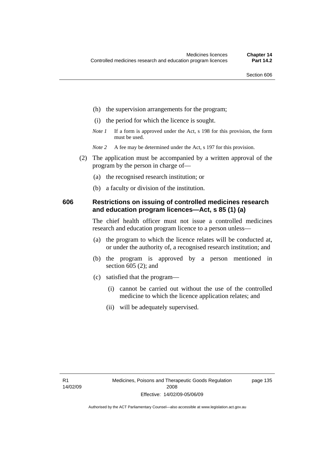- (h) the supervision arrangements for the program;
- (i) the period for which the licence is sought.
- *Note 1* If a form is approved under the Act, s 198 for this provision, the form must be used.
- *Note* 2 A fee may be determined under the Act, s 197 for this provision.
- (2) The application must be accompanied by a written approval of the program by the person in charge of—
	- (a) the recognised research institution; or
	- (b) a faculty or division of the institution.

#### **606 Restrictions on issuing of controlled medicines research and education program licences—Act, s 85 (1) (a)**

The chief health officer must not issue a controlled medicines research and education program licence to a person unless—

- (a) the program to which the licence relates will be conducted at, or under the authority of, a recognised research institution; and
- (b) the program is approved by a person mentioned in section 605 (2); and
- (c) satisfied that the program—
	- (i) cannot be carried out without the use of the controlled medicine to which the licence application relates; and
	- (ii) will be adequately supervised.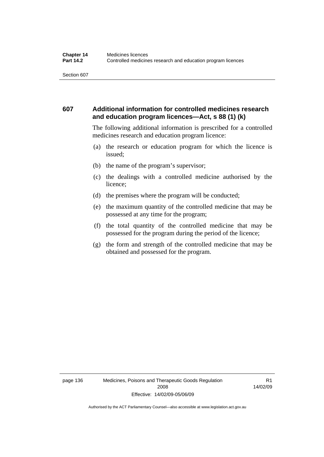### **607 Additional information for controlled medicines research and education program licences—Act, s 88 (1) (k)**

The following additional information is prescribed for a controlled medicines research and education program licence:

- (a) the research or education program for which the licence is issued;
- (b) the name of the program's supervisor;
- (c) the dealings with a controlled medicine authorised by the licence;
- (d) the premises where the program will be conducted;
- (e) the maximum quantity of the controlled medicine that may be possessed at any time for the program;
- (f) the total quantity of the controlled medicine that may be possessed for the program during the period of the licence;
- (g) the form and strength of the controlled medicine that may be obtained and possessed for the program.

page 136 Medicines, Poisons and Therapeutic Goods Regulation 2008 Effective: 14/02/09-05/06/09

R1 14/02/09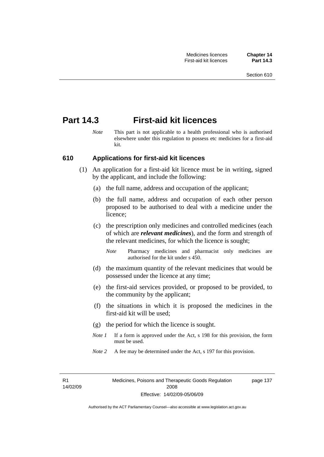## **Part 14.3 First-aid kit licences**

*Note* This part is not applicable to a health professional who is authorised elsewhere under this regulation to possess etc medicines for a first-aid kit.

#### **610 Applications for first-aid kit licences**

- (1) An application for a first-aid kit licence must be in writing, signed by the applicant, and include the following:
	- (a) the full name, address and occupation of the applicant;
	- (b) the full name, address and occupation of each other person proposed to be authorised to deal with a medicine under the licence;
	- (c) the prescription only medicines and controlled medicines (each of which are *relevant medicines*), and the form and strength of the relevant medicines, for which the licence is sought;
		- *Note* Pharmacy medicines and pharmacist only medicines are authorised for the kit under s 450.
	- (d) the maximum quantity of the relevant medicines that would be possessed under the licence at any time;
	- (e) the first-aid services provided, or proposed to be provided, to the community by the applicant;
	- (f) the situations in which it is proposed the medicines in the first-aid kit will be used;
	- (g) the period for which the licence is sought.
	- *Note 1* If a form is approved under the Act, s 198 for this provision, the form must be used.
	- *Note* 2 A fee may be determined under the Act, s 197 for this provision.

R1 14/02/09 page 137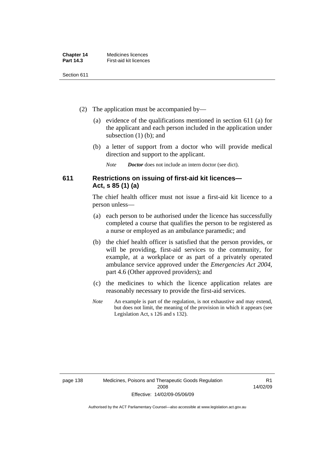| <b>Chapter 14</b> | Medicines licences     |
|-------------------|------------------------|
| Part 14.3         | First-aid kit licences |

- (2) The application must be accompanied by—
	- (a) evidence of the qualifications mentioned in section 611 (a) for the applicant and each person included in the application under subsection (1) (b); and
	- (b) a letter of support from a doctor who will provide medical direction and support to the applicant.
		- *Note Doctor* does not include an intern doctor (see dict).

### **611 Restrictions on issuing of first-aid kit licences— Act, s 85 (1) (a)**

The chief health officer must not issue a first-aid kit licence to a person unless—

- (a) each person to be authorised under the licence has successfully completed a course that qualifies the person to be registered as a nurse or employed as an ambulance paramedic; and
- (b) the chief health officer is satisfied that the person provides, or will be providing, first-aid services to the community, for example, at a workplace or as part of a privately operated ambulance service approved under the *Emergencies Act 2004*, part 4.6 (Other approved providers); and
- (c) the medicines to which the licence application relates are reasonably necessary to provide the first-aid services.
- *Note* An example is part of the regulation, is not exhaustive and may extend, but does not limit, the meaning of the provision in which it appears (see Legislation Act, s 126 and s 132).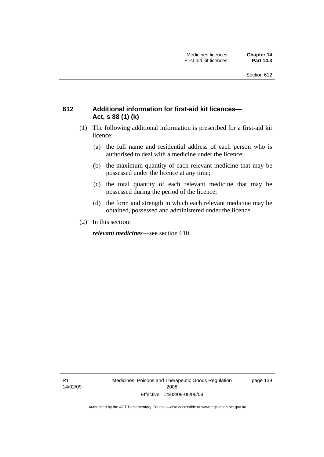### **612 Additional information for first-aid kit licences— Act, s 88 (1) (k)**

- (1) The following additional information is prescribed for a first-aid kit licence:
	- (a) the full name and residential address of each person who is authorised to deal with a medicine under the licence;
	- (b) the maximum quantity of each relevant medicine that may be possessed under the licence at any time;
	- (c) the total quantity of each relevant medicine that may be possessed during the period of the licence;
	- (d) the form and strength in which each relevant medicine may be obtained, possessed and administered under the licence.
- (2) In this section:

*relevant medicines*—see section 610.

R1 14/02/09 Medicines, Poisons and Therapeutic Goods Regulation 2008 Effective: 14/02/09-05/06/09

page 139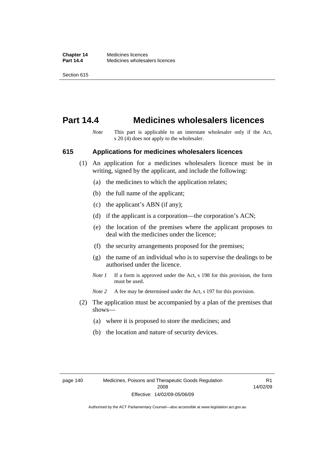## **Part 14.4 Medicines wholesalers licences**

*Note* This part is applicable to an interstate wholesaler only if the Act, s 20 (4) does not apply to the wholesaler.

#### **615 Applications for medicines wholesalers licences**

- (1) An application for a medicines wholesalers licence must be in writing, signed by the applicant, and include the following:
	- (a) the medicines to which the application relates;
	- (b) the full name of the applicant;
	- (c) the applicant's ABN (if any);
	- (d) if the applicant is a corporation—the corporation's ACN;
	- (e) the location of the premises where the applicant proposes to deal with the medicines under the licence;
	- (f) the security arrangements proposed for the premises;
	- (g) the name of an individual who is to supervise the dealings to be authorised under the licence.
	- *Note 1* If a form is approved under the Act, s 198 for this provision, the form must be used.
	- *Note* 2 A fee may be determined under the Act, s 197 for this provision.
- (2) The application must be accompanied by a plan of the premises that shows—
	- (a) where it is proposed to store the medicines; and
	- (b) the location and nature of security devices.

R1 14/02/09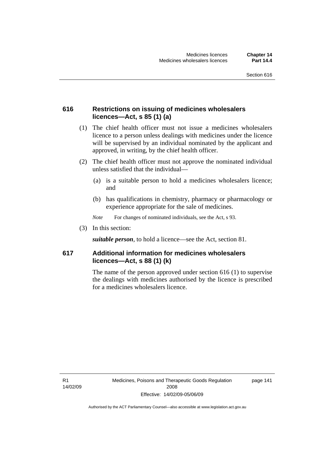### **616 Restrictions on issuing of medicines wholesalers licences—Act, s 85 (1) (a)**

- (1) The chief health officer must not issue a medicines wholesalers licence to a person unless dealings with medicines under the licence will be supervised by an individual nominated by the applicant and approved, in writing, by the chief health officer.
- (2) The chief health officer must not approve the nominated individual unless satisfied that the individual—
	- (a) is a suitable person to hold a medicines wholesalers licence; and
	- (b) has qualifications in chemistry, pharmacy or pharmacology or experience appropriate for the sale of medicines.
	- *Note* For changes of nominated individuals, see the Act, s 93.
- (3) In this section:

*suitable person*, to hold a licence—see the Act, section 81.

### **617 Additional information for medicines wholesalers licences—Act, s 88 (1) (k)**

The name of the person approved under section 616 (1) to supervise the dealings with medicines authorised by the licence is prescribed for a medicines wholesalers licence.

R1 14/02/09 page 141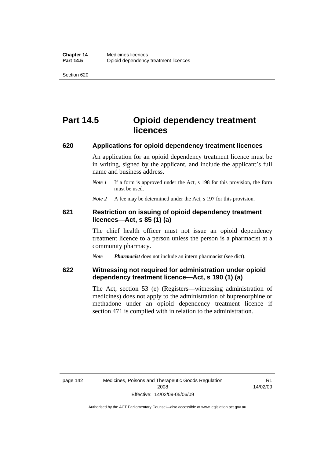# **Part 14.5 Opioid dependency treatment licences**

#### **620 Applications for opioid dependency treatment licences**

An application for an opioid dependency treatment licence must be in writing, signed by the applicant, and include the applicant's full name and business address.

*Note 1* If a form is approved under the Act, s 198 for this provision, the form must be used.

*Note* 2 A fee may be determined under the Act, s 197 for this provision.

#### **621 Restriction on issuing of opioid dependency treatment licences—Act, s 85 (1) (a)**

The chief health officer must not issue an opioid dependency treatment licence to a person unless the person is a pharmacist at a community pharmacy.

*Note Pharmacist* does not include an intern pharmacist (see dict).

#### **622 Witnessing not required for administration under opioid dependency treatment licence—Act, s 190 (1) (a)**

The Act, section 53 (e) (Registers—witnessing administration of medicines) does not apply to the administration of buprenorphine or methadone under an opioid dependency treatment licence if section 471 is complied with in relation to the administration.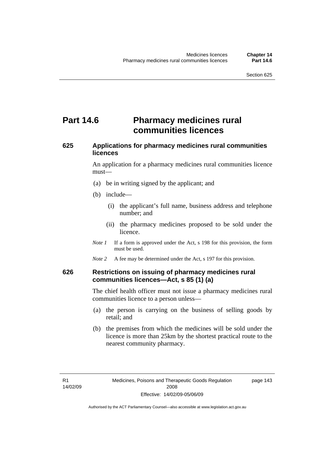# **Part 14.6** Pharmacy medicines rural **communities licences**

### **625 Applications for pharmacy medicines rural communities licences**

An application for a pharmacy medicines rural communities licence must—

- (a) be in writing signed by the applicant; and
- (b) include—
	- (i) the applicant's full name, business address and telephone number; and
	- (ii) the pharmacy medicines proposed to be sold under the licence.
- *Note 1* If a form is approved under the Act, s 198 for this provision, the form must be used.
- *Note* 2 A fee may be determined under the Act, s 197 for this provision.

#### **626 Restrictions on issuing of pharmacy medicines rural communities licences—Act, s 85 (1) (a)**

The chief health officer must not issue a pharmacy medicines rural communities licence to a person unless—

- (a) the person is carrying on the business of selling goods by retail; and
- (b) the premises from which the medicines will be sold under the licence is more than 25km by the shortest practical route to the nearest community pharmacy.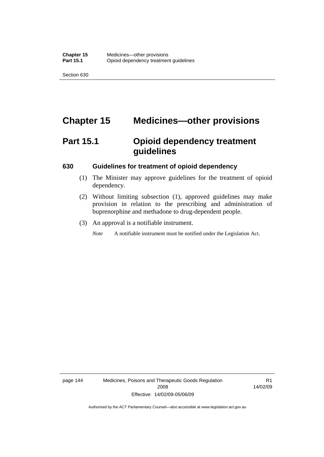# **Chapter 15 Medicines—other provisions**

# **Part 15.1 Opioid dependency treatment guidelines**

#### **630 Guidelines for treatment of opioid dependency**

- (1) The Minister may approve guidelines for the treatment of opioid dependency.
- (2) Without limiting subsection (1), approved guidelines may make provision in relation to the prescribing and administration of buprenorphine and methadone to drug-dependent people.
- (3) An approval is a notifiable instrument.

*Note* A notifiable instrument must be notified under the Legislation Act.

page 144 Medicines, Poisons and Therapeutic Goods Regulation 2008 Effective: 14/02/09-05/06/09

R1 14/02/09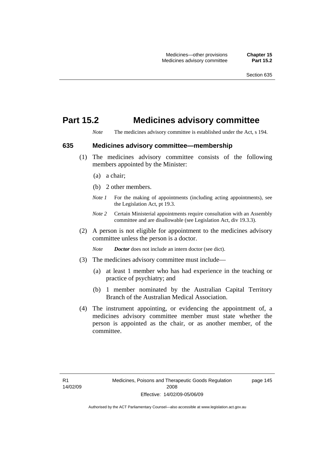## **Part 15.2 Medicines advisory committee**

*Note* The medicines advisory committee is established under the Act, s 194.

#### **635 Medicines advisory committee—membership**

- (1) The medicines advisory committee consists of the following members appointed by the Minister:
	- (a) a chair;
	- (b) 2 other members.
	- *Note 1* For the making of appointments (including acting appointments), see the Legislation Act, pt 19.3.
	- *Note 2* Certain Ministerial appointments require consultation with an Assembly committee and are disallowable (see Legislation Act, div 19.3.3).
- (2) A person is not eligible for appointment to the medicines advisory committee unless the person is a doctor.

*Note Doctor* does not include an intern doctor (see dict).

- (3) The medicines advisory committee must include—
	- (a) at least 1 member who has had experience in the teaching or practice of psychiatry; and
	- (b) 1 member nominated by the Australian Capital Territory Branch of the Australian Medical Association.
- (4) The instrument appointing, or evidencing the appointment of, a medicines advisory committee member must state whether the person is appointed as the chair, or as another member, of the committee.

page 145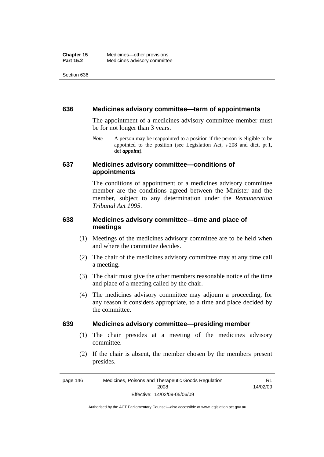#### **636 Medicines advisory committee—term of appointments**

The appointment of a medicines advisory committee member must be for not longer than 3 years.

*Note* A person may be reappointed to a position if the person is eligible to be appointed to the position (see Legislation Act, s 208 and dict, pt 1, def *appoint*).

#### **637 Medicines advisory committee—conditions of appointments**

The conditions of appointment of a medicines advisory committee member are the conditions agreed between the Minister and the member, subject to any determination under the *Remuneration Tribunal Act 1995*.

### **638 Medicines advisory committee—time and place of meetings**

- (1) Meetings of the medicines advisory committee are to be held when and where the committee decides.
- (2) The chair of the medicines advisory committee may at any time call a meeting.
- (3) The chair must give the other members reasonable notice of the time and place of a meeting called by the chair.
- (4) The medicines advisory committee may adjourn a proceeding, for any reason it considers appropriate, to a time and place decided by the committee.

#### **639 Medicines advisory committee—presiding member**

- (1) The chair presides at a meeting of the medicines advisory committee.
- (2) If the chair is absent, the member chosen by the members present presides.

R1

page 146 Medicines, Poisons and Therapeutic Goods Regulation 2008 Effective: 14/02/09-05/06/09 14/02/09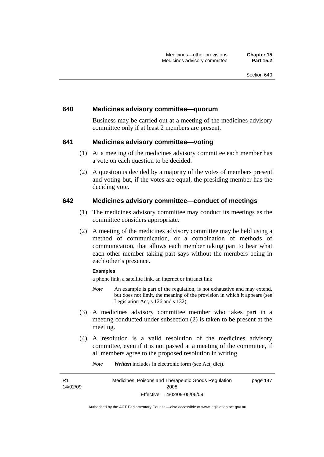#### **640 Medicines advisory committee—quorum**

Business may be carried out at a meeting of the medicines advisory committee only if at least 2 members are present.

#### **641 Medicines advisory committee—voting**

- (1) At a meeting of the medicines advisory committee each member has a vote on each question to be decided.
- (2) A question is decided by a majority of the votes of members present and voting but, if the votes are equal, the presiding member has the deciding vote.

#### **642 Medicines advisory committee—conduct of meetings**

- (1) The medicines advisory committee may conduct its meetings as the committee considers appropriate.
- (2) A meeting of the medicines advisory committee may be held using a method of communication, or a combination of methods of communication, that allows each member taking part to hear what each other member taking part says without the members being in each other's presence.

#### **Examples**

a phone link, a satellite link, an internet or intranet link

- *Note* An example is part of the regulation, is not exhaustive and may extend, but does not limit, the meaning of the provision in which it appears (see Legislation Act, s 126 and s 132).
- (3) A medicines advisory committee member who takes part in a meeting conducted under subsection (2) is taken to be present at the meeting.
- (4) A resolution is a valid resolution of the medicines advisory committee, even if it is not passed at a meeting of the committee, if all members agree to the proposed resolution in writing.

*Note Written* includes in electronic form (see Act, dict).

R1 14/02/09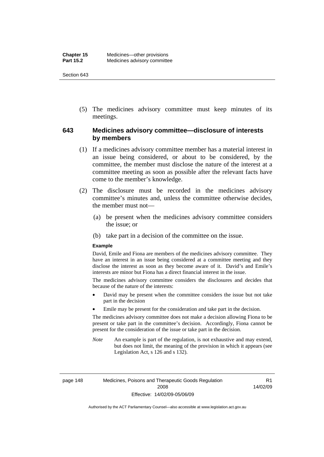(5) The medicines advisory committee must keep minutes of its meetings.

### **643 Medicines advisory committee—disclosure of interests by members**

- (1) If a medicines advisory committee member has a material interest in an issue being considered, or about to be considered, by the committee, the member must disclose the nature of the interest at a committee meeting as soon as possible after the relevant facts have come to the member's knowledge.
- (2) The disclosure must be recorded in the medicines advisory committee's minutes and, unless the committee otherwise decides, the member must not—
	- (a) be present when the medicines advisory committee considers the issue; or
	- (b) take part in a decision of the committee on the issue.

#### **Example**

David, Emile and Fiona are members of the medicines advisory committee. They have an interest in an issue being considered at a committee meeting and they disclose the interest as soon as they become aware of it. David's and Emile's interests are minor but Fiona has a direct financial interest in the issue.

The medicines advisory committee considers the disclosures and decides that because of the nature of the interests:

- David may be present when the committee considers the issue but not take part in the decision
- Emile may be present for the consideration and take part in the decision.

The medicines advisory committee does not make a decision allowing Fiona to be present or take part in the committee's decision. Accordingly, Fiona cannot be present for the consideration of the issue or take part in the decision.

*Note* An example is part of the regulation, is not exhaustive and may extend, but does not limit, the meaning of the provision in which it appears (see Legislation Act, s 126 and s 132).

R1 14/02/09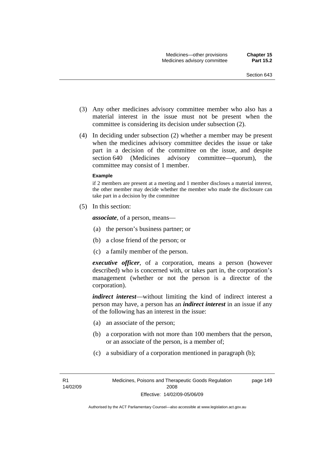- (3) Any other medicines advisory committee member who also has a material interest in the issue must not be present when the committee is considering its decision under subsection (2).
- (4) In deciding under subsection (2) whether a member may be present when the medicines advisory committee decides the issue or take part in a decision of the committee on the issue, and despite section 640 (Medicines advisory committee—quorum), the committee may consist of 1 member.

#### **Example**

if 2 members are present at a meeting and 1 member discloses a material interest, the other member may decide whether the member who made the disclosure can take part in a decision by the committee

(5) In this section:

*associate*, of a person, means—

- (a) the person's business partner; or
- (b) a close friend of the person; or
- (c) a family member of the person.

*executive officer*, of a corporation, means a person (however described) who is concerned with, or takes part in, the corporation's management (whether or not the person is a director of the corporation).

*indirect interest*—without limiting the kind of indirect interest a person may have, a person has an *indirect interest* in an issue if any of the following has an interest in the issue:

- (a) an associate of the person;
- (b) a corporation with not more than 100 members that the person, or an associate of the person, is a member of;
- (c) a subsidiary of a corporation mentioned in paragraph (b);

page 149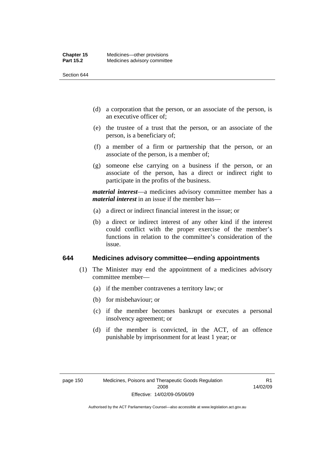- (d) a corporation that the person, or an associate of the person, is an executive officer of;
- (e) the trustee of a trust that the person, or an associate of the person, is a beneficiary of;
- (f) a member of a firm or partnership that the person, or an associate of the person, is a member of;
- (g) someone else carrying on a business if the person, or an associate of the person, has a direct or indirect right to participate in the profits of the business.

*material interest*—a medicines advisory committee member has a *material interest* in an issue if the member has—

- (a) a direct or indirect financial interest in the issue; or
- (b) a direct or indirect interest of any other kind if the interest could conflict with the proper exercise of the member's functions in relation to the committee's consideration of the issue.

#### **644 Medicines advisory committee—ending appointments**

- (1) The Minister may end the appointment of a medicines advisory committee member—
	- (a) if the member contravenes a territory law; or
	- (b) for misbehaviour; or
	- (c) if the member becomes bankrupt or executes a personal insolvency agreement; or
	- (d) if the member is convicted, in the ACT, of an offence punishable by imprisonment for at least 1 year; or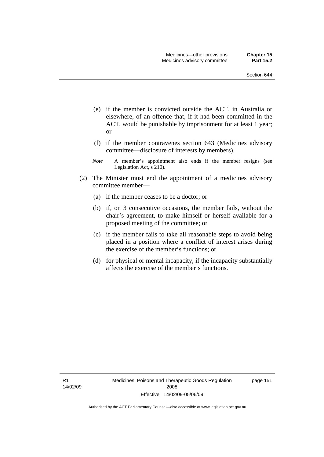- (e) if the member is convicted outside the ACT, in Australia or elsewhere, of an offence that, if it had been committed in the ACT, would be punishable by imprisonment for at least 1 year; or
- (f) if the member contravenes section 643 (Medicines advisory committee—disclosure of interests by members).
- *Note* A member's appointment also ends if the member resigns (see Legislation Act, s 210).
- (2) The Minister must end the appointment of a medicines advisory committee member—
	- (a) if the member ceases to be a doctor; or
	- (b) if, on 3 consecutive occasions, the member fails, without the chair's agreement, to make himself or herself available for a proposed meeting of the committee; or
	- (c) if the member fails to take all reasonable steps to avoid being placed in a position where a conflict of interest arises during the exercise of the member's functions; or
	- (d) for physical or mental incapacity, if the incapacity substantially affects the exercise of the member's functions.

R1 14/02/09 page 151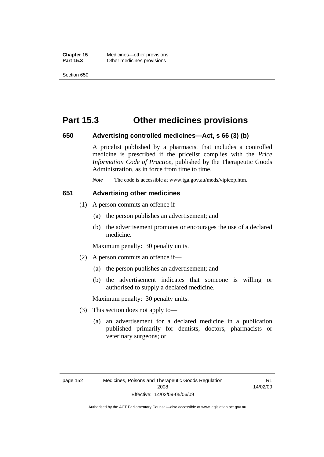## **Part 15.3 Other medicines provisions**

#### **650 Advertising controlled medicines—Act, s 66 (3) (b)**

A pricelist published by a pharmacist that includes a controlled medicine is prescribed if the pricelist complies with the *Price Information Code of Practice*, published by the Therapeutic Goods Administration, as in force from time to time.

*Note* The code is accessible at www.tga.gov.au/meds/vipicop.htm.

#### **651 Advertising other medicines**

- (1) A person commits an offence if—
	- (a) the person publishes an advertisement; and
	- (b) the advertisement promotes or encourages the use of a declared medicine.

Maximum penalty: 30 penalty units.

- (2) A person commits an offence if—
	- (a) the person publishes an advertisement; and
	- (b) the advertisement indicates that someone is willing or authorised to supply a declared medicine.

Maximum penalty: 30 penalty units.

- (3) This section does not apply to—
	- (a) an advertisement for a declared medicine in a publication published primarily for dentists, doctors, pharmacists or veterinary surgeons; or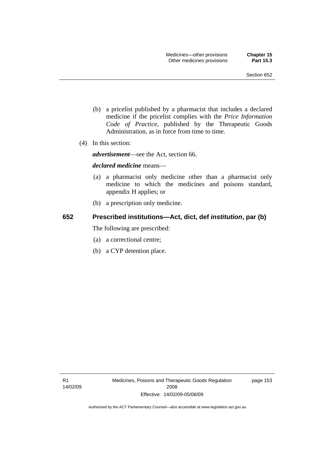- (b) a pricelist published by a pharmacist that includes a declared medicine if the pricelist complies with the *Price Information Code of Practice*, published by the Therapeutic Goods Administration, as in force from time to time.
- (4) In this section:

*advertisement*—see the Act, section 66.

#### *declared medicine* means—

- (a) a pharmacist only medicine other than a pharmacist only medicine to which the medicines and poisons standard, appendix H applies; or
- (b) a prescription only medicine.

### **652 Prescribed institutions—Act, dict, def** *institution***, par (b)**

The following are prescribed:

- (a) a correctional centre;
- (b) a CYP detention place.

page 153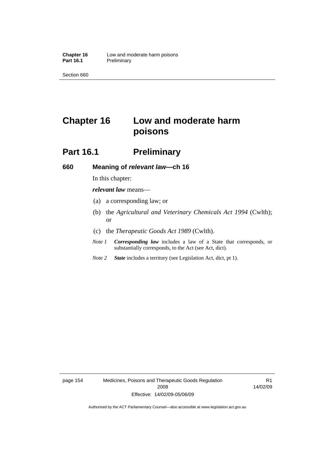# **Chapter 16 Low and moderate harm poisons**

## **Part 16.1** Preliminary

#### **660 Meaning of** *relevant law***—ch 16**

In this chapter:

*relevant law* means—

- (a) a corresponding law; or
- (b) the *Agricultural and Veterinary Chemicals Act 1994* (Cwlth); or
- (c) the *Therapeutic Goods Act 1989* (Cwlth).
- *Note 1 Corresponding law* includes a law of a State that corresponds, or substantially corresponds, to the Act (see Act, dict).
- *Note 2 State* includes a territory (see Legislation Act, dict, pt 1).

page 154 Medicines, Poisons and Therapeutic Goods Regulation 2008 Effective: 14/02/09-05/06/09

R1 14/02/09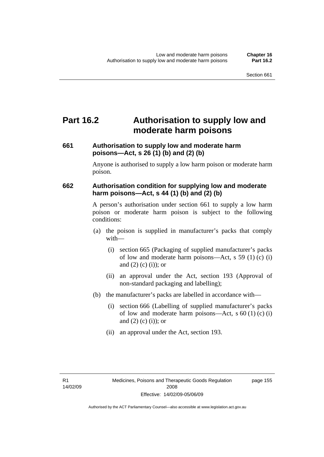# **Part 16.2 Authorisation to supply low and moderate harm poisons**

## **661 Authorisation to supply low and moderate harm poisons—Act, s 26 (1) (b) and (2) (b)**

Anyone is authorised to supply a low harm poison or moderate harm poison.

## **662 Authorisation condition for supplying low and moderate harm poisons—Act, s 44 (1) (b) and (2) (b)**

A person's authorisation under section 661 to supply a low harm poison or moderate harm poison is subject to the following conditions:

- (a) the poison is supplied in manufacturer's packs that comply with—
	- (i) section 665 (Packaging of supplied manufacturer's packs of low and moderate harm poisons—Act, s 59 (1) (c) (i) and  $(2)$  (c) (i)); or
	- (ii) an approval under the Act, section 193 (Approval of non-standard packaging and labelling);
- (b) the manufacturer's packs are labelled in accordance with—
	- (i) section 666 (Labelling of supplied manufacturer's packs of low and moderate harm poisons—Act, s  $60(1)(c)(i)$ and  $(2)$  (c) (i)); or
	- (ii) an approval under the Act, section 193.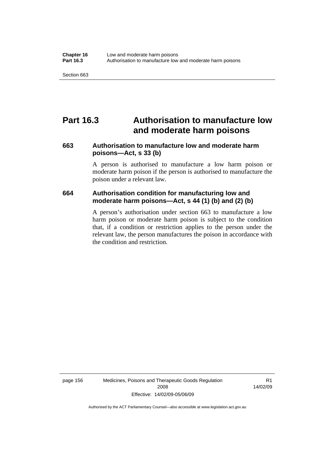## **Part 16.3 Authorisation to manufacture low and moderate harm poisons**

### **663 Authorisation to manufacture low and moderate harm poisons—Act, s 33 (b)**

A person is authorised to manufacture a low harm poison or moderate harm poison if the person is authorised to manufacture the poison under a relevant law.

### **664 Authorisation condition for manufacturing low and moderate harm poisons—Act, s 44 (1) (b) and (2) (b)**

A person's authorisation under section 663 to manufacture a low harm poison or moderate harm poison is subject to the condition that, if a condition or restriction applies to the person under the relevant law, the person manufactures the poison in accordance with the condition and restriction.

page 156 Medicines, Poisons and Therapeutic Goods Regulation 2008 Effective: 14/02/09-05/06/09

R1 14/02/09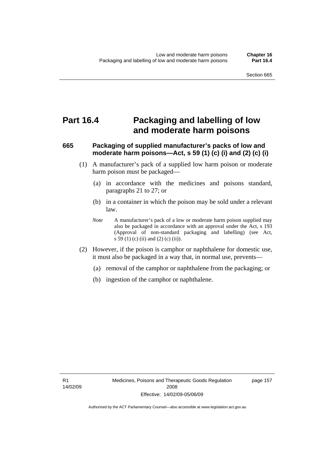# **Part 16.4 Packaging and labelling of low and moderate harm poisons**

# **665 Packaging of supplied manufacturer's packs of low and moderate harm poisons—Act, s 59 (1) (c) (i) and (2) (c) (i)**

- (1) A manufacturer's pack of a supplied low harm poison or moderate harm poison must be packaged—
	- (a) in accordance with the medicines and poisons standard, paragraphs 21 to 27; or
	- (b) in a container in which the poison may be sold under a relevant law.
	- *Note* A manufacturer's pack of a low or moderate harm poison supplied may also be packaged in accordance with an approval under the Act, s 193 (Approval of non-standard packaging and labelling) (see Act, s 59 (1) (c) (ii) and (2) (c) (ii)).
- (2) However, if the poison is camphor or naphthalene for domestic use, it must also be packaged in a way that, in normal use, prevents—
	- (a) removal of the camphor or naphthalene from the packaging; or
	- (b) ingestion of the camphor or naphthalene.

page 157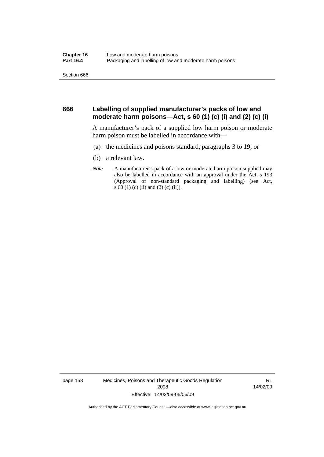#### **666 Labelling of supplied manufacturer's packs of low and moderate harm poisons—Act, s 60 (1) (c) (i) and (2) (c) (i)**

A manufacturer's pack of a supplied low harm poison or moderate harm poison must be labelled in accordance with—

- (a) the medicines and poisons standard, paragraphs 3 to 19; or
- (b) a relevant law.
- *Note* A manufacturer's pack of a low or moderate harm poison supplied may also be labelled in accordance with an approval under the Act, s 193 (Approval of non-standard packaging and labelling) (see Act, s 60 (1) (c) (ii) and (2) (c) (ii)).

page 158 Medicines, Poisons and Therapeutic Goods Regulation 2008 Effective: 14/02/09-05/06/09

R1 14/02/09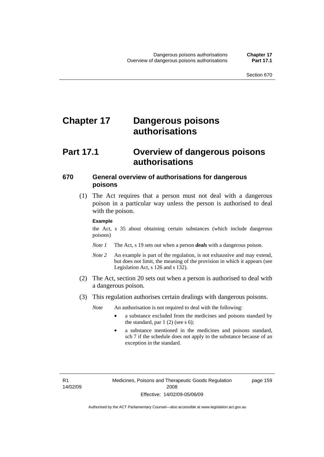# **Chapter 17 Dangerous poisons authorisations**

# **Part 17.1 Overview of dangerous poisons authorisations**

### **670 General overview of authorisations for dangerous poisons**

 (1) The Act requires that a person must not deal with a dangerous poison in a particular way unless the person is authorised to deal with the poison.

#### **Example**

the Act, s 35 about obtaining certain substances (which include dangerous poisons)

- *Note 1* The Act, s 19 sets out when a person *deals* with a dangerous poison.
- *Note 2* An example is part of the regulation, is not exhaustive and may extend, but does not limit, the meaning of the provision in which it appears (see Legislation Act, s 126 and s 132).
- (2) The Act, section 20 sets out when a person is authorised to deal with a dangerous poison.
- (3) This regulation authorises certain dealings with dangerous poisons.

*Note* An authorisation is not required to deal with the following:

- a substance excluded from the medicines and poisons standard by the standard, par  $1(2)$  (see s 6);
- a substance mentioned in the medicines and poisons standard, sch 7 if the schedule does not apply to the substance because of an exception in the standard.

R1 14/02/09 page 159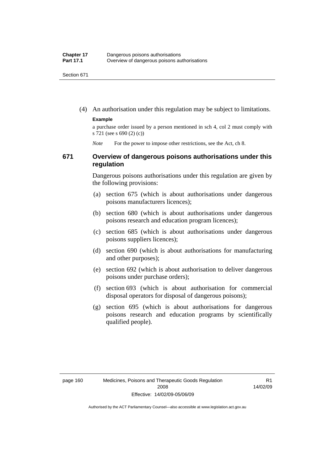(4) An authorisation under this regulation may be subject to limitations.

#### **Example**

a purchase order issued by a person mentioned in sch 4, col 2 must comply with s 721 (see s 690 (2) (c))

*Note* For the power to impose other restrictions, see the Act, ch 8.

#### **671 Overview of dangerous poisons authorisations under this regulation**

Dangerous poisons authorisations under this regulation are given by the following provisions:

- (a) section 675 (which is about authorisations under dangerous poisons manufacturers licences);
- (b) section 680 (which is about authorisations under dangerous poisons research and education program licences);
- (c) section 685 (which is about authorisations under dangerous poisons suppliers licences);
- (d) section 690 (which is about authorisations for manufacturing and other purposes);
- (e) section 692 (which is about authorisation to deliver dangerous poisons under purchase orders);
- (f) section 693 (which is about authorisation for commercial disposal operators for disposal of dangerous poisons);
- (g) section 695 (which is about authorisations for dangerous poisons research and education programs by scientifically qualified people).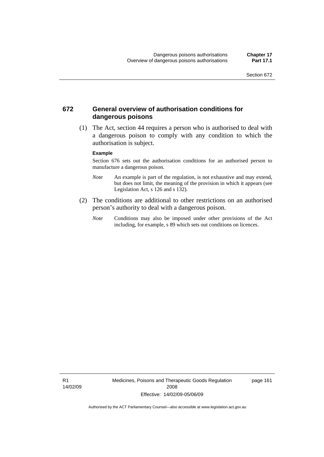### **672 General overview of authorisation conditions for dangerous poisons**

 (1) The Act, section 44 requires a person who is authorised to deal with a dangerous poison to comply with any condition to which the authorisation is subject.

#### **Example**

Section 676 sets out the authorisation conditions for an authorised person to manufacture a dangerous poison.

- *Note* An example is part of the regulation, is not exhaustive and may extend, but does not limit, the meaning of the provision in which it appears (see Legislation Act, s  $126$  and s  $132$ ).
- (2) The conditions are additional to other restrictions on an authorised person's authority to deal with a dangerous poison.
	- *Note* Conditions may also be imposed under other provisions of the Act including, for example, s 89 which sets out conditions on licences.

R1 14/02/09 Medicines, Poisons and Therapeutic Goods Regulation 2008 Effective: 14/02/09-05/06/09

page 161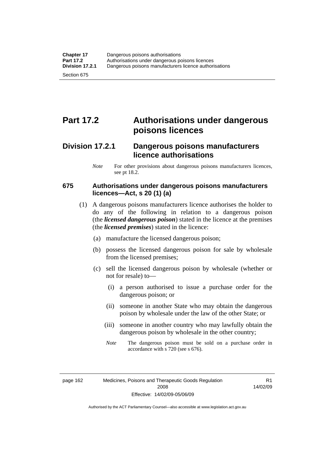# **Part 17.2 Authorisations under dangerous poisons licences**

# **Division 17.2.1 Dangerous poisons manufacturers licence authorisations**

*Note* For other provisions about dangerous poisons manufacturers licences, see pt 18.2.

### **675 Authorisations under dangerous poisons manufacturers licences—Act, s 20 (1) (a)**

- (1) A dangerous poisons manufacturers licence authorises the holder to do any of the following in relation to a dangerous poison (the *licensed dangerous poison*) stated in the licence at the premises (the *licensed premises*) stated in the licence:
	- (a) manufacture the licensed dangerous poison;
	- (b) possess the licensed dangerous poison for sale by wholesale from the licensed premises;
	- (c) sell the licensed dangerous poison by wholesale (whether or not for resale) to—
		- (i) a person authorised to issue a purchase order for the dangerous poison; or
		- (ii) someone in another State who may obtain the dangerous poison by wholesale under the law of the other State; or
		- (iii) someone in another country who may lawfully obtain the dangerous poison by wholesale in the other country;
		- *Note* The dangerous poison must be sold on a purchase order in accordance with s 720 (see s 676).

page 162 Medicines, Poisons and Therapeutic Goods Regulation 2008 Effective: 14/02/09-05/06/09

R1 14/02/09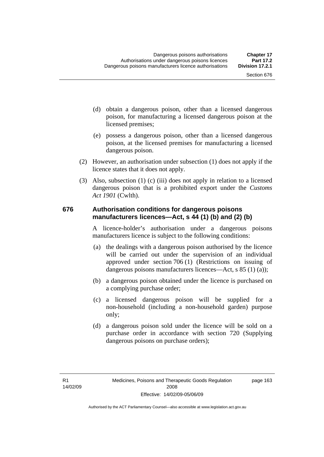- (d) obtain a dangerous poison, other than a licensed dangerous poison, for manufacturing a licensed dangerous poison at the licensed premises;
- (e) possess a dangerous poison, other than a licensed dangerous poison, at the licensed premises for manufacturing a licensed dangerous poison.
- (2) However, an authorisation under subsection (1) does not apply if the licence states that it does not apply.
- (3) Also, subsection (1) (c) (iii) does not apply in relation to a licensed dangerous poison that is a prohibited export under the *Customs Act 1901* (Cwlth).

### **676 Authorisation conditions for dangerous poisons manufacturers licences—Act, s 44 (1) (b) and (2) (b)**

A licence-holder's authorisation under a dangerous poisons manufacturers licence is subject to the following conditions:

- (a) the dealings with a dangerous poison authorised by the licence will be carried out under the supervision of an individual approved under section 706 (1) (Restrictions on issuing of dangerous poisons manufacturers licences—Act, s 85 (1) (a));
- (b) a dangerous poison obtained under the licence is purchased on a complying purchase order;
- (c) a licensed dangerous poison will be supplied for a non-household (including a non-household garden) purpose only;
- (d) a dangerous poison sold under the licence will be sold on a purchase order in accordance with section 720 (Supplying dangerous poisons on purchase orders);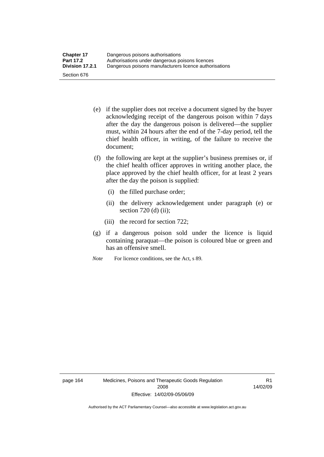- (e) if the supplier does not receive a document signed by the buyer acknowledging receipt of the dangerous poison within 7 days after the day the dangerous poison is delivered—the supplier must, within 24 hours after the end of the 7-day period, tell the chief health officer, in writing, of the failure to receive the document;
- (f) the following are kept at the supplier's business premises or, if the chief health officer approves in writing another place, the place approved by the chief health officer, for at least 2 years after the day the poison is supplied:
	- (i) the filled purchase order;
	- (ii) the delivery acknowledgement under paragraph (e) or section 720 (d) (ii);
	- (iii) the record for section 722;
- (g) if a dangerous poison sold under the licence is liquid containing paraquat—the poison is coloured blue or green and has an offensive smell.
- *Note* For licence conditions, see the Act, s 89.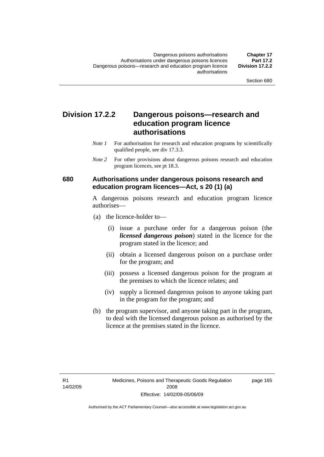# **Division 17.2.2 Dangerous poisons—research and education program licence authorisations**

- *Note 1* For authorisation for research and education programs by scientifically qualified people, see div 17.3.3.
- *Note 2* For other provisions about dangerous poisons research and education program licences, see pt 18.3.

### **680 Authorisations under dangerous poisons research and education program licences—Act, s 20 (1) (a)**

A dangerous poisons research and education program licence authorises—

- (a) the licence-holder to—
	- (i) issue a purchase order for a dangerous poison (the *licensed dangerous poison*) stated in the licence for the program stated in the licence; and
	- (ii) obtain a licensed dangerous poison on a purchase order for the program; and
	- (iii) possess a licensed dangerous poison for the program at the premises to which the licence relates; and
	- (iv) supply a licensed dangerous poison to anyone taking part in the program for the program; and
- (b) the program supervisor, and anyone taking part in the program, to deal with the licensed dangerous poison as authorised by the licence at the premises stated in the licence.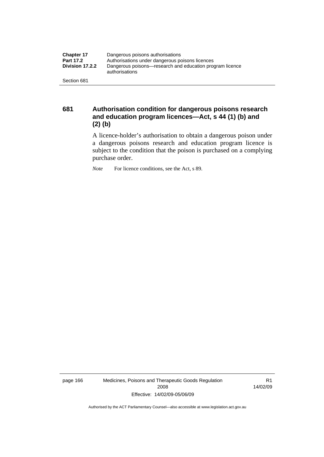| <b>Chapter 17</b> | Dangerous poisons authorisations                                           |  |
|-------------------|----------------------------------------------------------------------------|--|
| <b>Part 17.2</b>  | Authorisations under dangerous poisons licences                            |  |
| Division 17.2.2   | Dangerous poisons—research and education program licence<br>authorisations |  |
| Section 681       |                                                                            |  |

**681 Authorisation condition for dangerous poisons research and education program licences—Act, s 44 (1) (b) and (2) (b)** 

A licence-holder's authorisation to obtain a dangerous poison under a dangerous poisons research and education program licence is subject to the condition that the poison is purchased on a complying purchase order.

*Note* For licence conditions, see the Act, s 89.

page 166 Medicines, Poisons and Therapeutic Goods Regulation 2008 Effective: 14/02/09-05/06/09

R1 14/02/09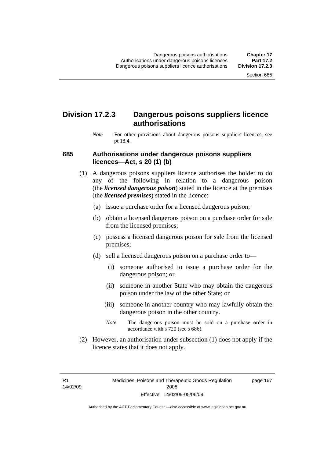# **Division 17.2.3 Dangerous poisons suppliers licence authorisations**

*Note* For other provisions about dangerous poisons suppliers licences, see pt 18.4.

### **685 Authorisations under dangerous poisons suppliers licences—Act, s 20 (1) (b)**

- (1) A dangerous poisons suppliers licence authorises the holder to do any of the following in relation to a dangerous poison (the *licensed dangerous poison*) stated in the licence at the premises (the *licensed premises*) stated in the licence:
	- (a) issue a purchase order for a licensed dangerous poison;
	- (b) obtain a licensed dangerous poison on a purchase order for sale from the licensed premises;
	- (c) possess a licensed dangerous poison for sale from the licensed premises;
	- (d) sell a licensed dangerous poison on a purchase order to—
		- (i) someone authorised to issue a purchase order for the dangerous poison; or
		- (ii) someone in another State who may obtain the dangerous poison under the law of the other State; or
		- (iii) someone in another country who may lawfully obtain the dangerous poison in the other country.
		- *Note* The dangerous poison must be sold on a purchase order in accordance with s 720 (see s 686).
- (2) However, an authorisation under subsection (1) does not apply if the licence states that it does not apply.

R1 14/02/09 page 167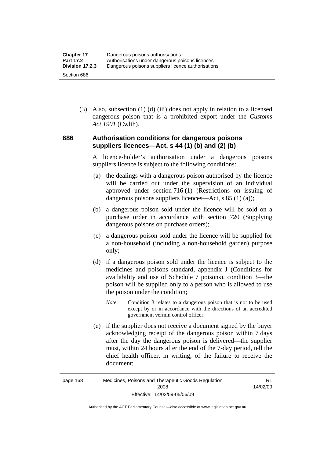(3) Also, subsection (1) (d) (iii) does not apply in relation to a licensed dangerous poison that is a prohibited export under the *Customs Act 1901* (Cwlth).

### **686 Authorisation conditions for dangerous poisons suppliers licences—Act, s 44 (1) (b) and (2) (b)**

A licence-holder's authorisation under a dangerous poisons suppliers licence is subject to the following conditions:

- (a) the dealings with a dangerous poison authorised by the licence will be carried out under the supervision of an individual approved under section 716 (1) (Restrictions on issuing of dangerous poisons suppliers licences—Act, s 85 (1) (a));
- (b) a dangerous poison sold under the licence will be sold on a purchase order in accordance with section 720 (Supplying dangerous poisons on purchase orders);
- (c) a dangerous poison sold under the licence will be supplied for a non-household (including a non-household garden) purpose only;
- (d) if a dangerous poison sold under the licence is subject to the medicines and poisons standard, appendix J (Conditions for availability and use of Schedule 7 poisons), condition 3—the poison will be supplied only to a person who is allowed to use the poison under the condition;
	- *Note* Condition 3 relates to a dangerous poison that is not to be used except by or in accordance with the directions of an accredited government vermin control officer.
- (e) if the supplier does not receive a document signed by the buyer acknowledging receipt of the dangerous poison within 7 days after the day the dangerous poison is delivered—the supplier must, within 24 hours after the end of the 7-day period, tell the chief health officer, in writing, of the failure to receive the document;

R1 14/02/09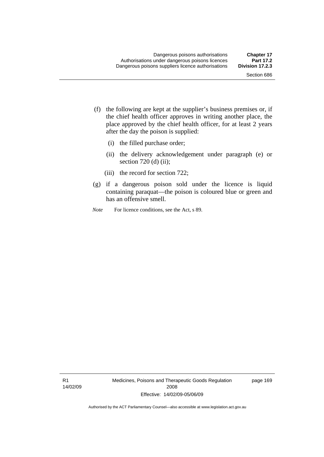- (f) the following are kept at the supplier's business premises or, if the chief health officer approves in writing another place, the place approved by the chief health officer, for at least 2 years after the day the poison is supplied:
	- (i) the filled purchase order;
	- (ii) the delivery acknowledgement under paragraph (e) or section 720 (d) (ii);
	- (iii) the record for section 722;
- (g) if a dangerous poison sold under the licence is liquid containing paraquat—the poison is coloured blue or green and has an offensive smell.
- *Note* For licence conditions, see the Act, s 89.

R1 14/02/09 Medicines, Poisons and Therapeutic Goods Regulation 2008 Effective: 14/02/09-05/06/09

page 169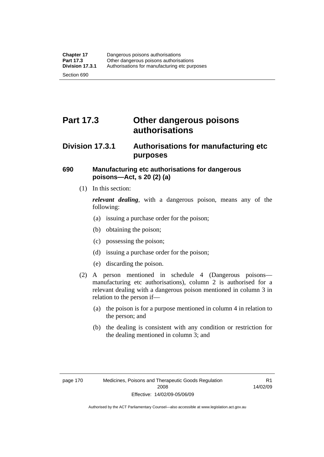# **Part 17.3 Other dangerous poisons authorisations**

# **Division 17.3.1 Authorisations for manufacturing etc purposes**

# **690 Manufacturing etc authorisations for dangerous poisons—Act, s 20 (2) (a)**

(1) In this section:

*relevant dealing*, with a dangerous poison, means any of the following:

- (a) issuing a purchase order for the poison;
- (b) obtaining the poison;
- (c) possessing the poison;
- (d) issuing a purchase order for the poison;
- (e) discarding the poison.
- (2) A person mentioned in schedule 4 (Dangerous poisons manufacturing etc authorisations), column 2 is authorised for a relevant dealing with a dangerous poison mentioned in column 3 in relation to the person if—
	- (a) the poison is for a purpose mentioned in column 4 in relation to the person; and
	- (b) the dealing is consistent with any condition or restriction for the dealing mentioned in column 3; and

R1 14/02/09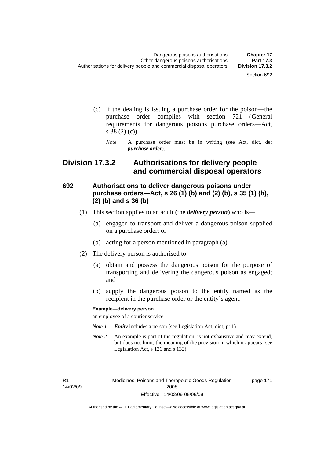- (c) if the dealing is issuing a purchase order for the poison—the purchase order complies with section 721 (General requirements for dangerous poisons purchase orders—Act, s 38 (2) (c)).
	- *Note* A purchase order must be in writing (see Act, dict, def *purchase order*).

# **Division 17.3.2 Authorisations for delivery people and commercial disposal operators**

# **692 Authorisations to deliver dangerous poisons under purchase orders—Act, s 26 (1) (b) and (2) (b), s 35 (1) (b), (2) (b) and s 36 (b)**

- (1) This section applies to an adult (the *delivery person*) who is—
	- (a) engaged to transport and deliver a dangerous poison supplied on a purchase order; or
	- (b) acting for a person mentioned in paragraph (a).
- (2) The delivery person is authorised to—
	- (a) obtain and possess the dangerous poison for the purpose of transporting and delivering the dangerous poison as engaged; and
	- (b) supply the dangerous poison to the entity named as the recipient in the purchase order or the entity's agent.

#### **Example—delivery person**

an employee of a courier service

- *Note 1 Entity* includes a person (see Legislation Act, dict, pt 1).
- *Note 2* An example is part of the regulation, is not exhaustive and may extend, but does not limit, the meaning of the provision in which it appears (see Legislation Act, s 126 and s 132).

R1 14/02/09 page 171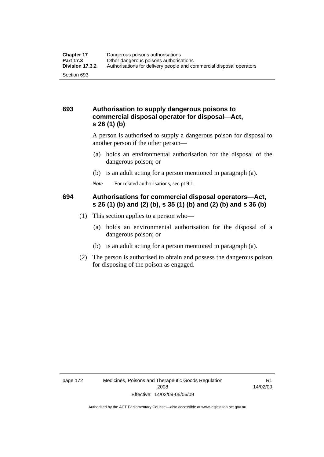# **693 Authorisation to supply dangerous poisons to commercial disposal operator for disposal—Act, s 26 (1) (b)**

A person is authorised to supply a dangerous poison for disposal to another person if the other person—

- (a) holds an environmental authorisation for the disposal of the dangerous poison; or
- (b) is an adult acting for a person mentioned in paragraph (a).
- *Note* For related authorisations, see pt 9.1.

# **694 Authorisations for commercial disposal operators—Act, s 26 (1) (b) and (2) (b), s 35 (1) (b) and (2) (b) and s 36 (b)**

- (1) This section applies to a person who—
	- (a) holds an environmental authorisation for the disposal of a dangerous poison; or
	- (b) is an adult acting for a person mentioned in paragraph (a).
- (2) The person is authorised to obtain and possess the dangerous poison for disposing of the poison as engaged.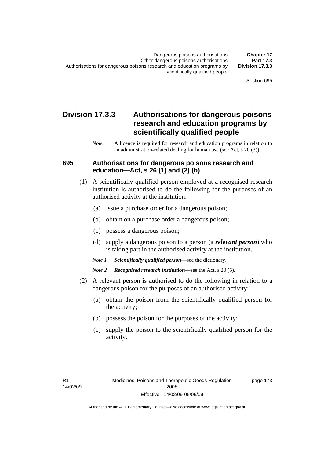# **Division 17.3.3 Authorisations for dangerous poisons research and education programs by scientifically qualified people**

*Note* A licence is required for research and education programs in relation to an administration-related dealing for human use (see Act, s 20 (3)).

### **695 Authorisations for dangerous poisons research and education—Act, s 26 (1) and (2) (b)**

- (1) A scientifically qualified person employed at a recognised research institution is authorised to do the following for the purposes of an authorised activity at the institution:
	- (a) issue a purchase order for a dangerous poison;
	- (b) obtain on a purchase order a dangerous poison;
	- (c) possess a dangerous poison;
	- (d) supply a dangerous poison to a person (a *relevant person*) who is taking part in the authorised activity at the institution.
	- *Note 1 Scientifically qualified person*—see the dictionary.
	- *Note 2 Recognised research institution*—see the Act, s 20 (5).
- (2) A relevant person is authorised to do the following in relation to a dangerous poison for the purposes of an authorised activity:
	- (a) obtain the poison from the scientifically qualified person for the activity;
	- (b) possess the poison for the purposes of the activity;
	- (c) supply the poison to the scientifically qualified person for the activity.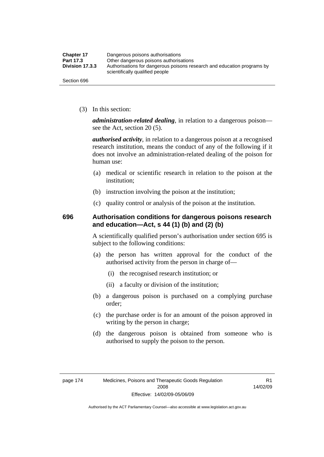| <b>Chapter 17</b> | Dangerous poisons authorisations                                                                           |
|-------------------|------------------------------------------------------------------------------------------------------------|
| Part 17.3         | Other dangerous poisons authorisations                                                                     |
| Division 17.3.3   | Authorisations for dangerous poisons research and education programs by<br>scientifically qualified people |
| Section 696       |                                                                                                            |

(3) In this section:

*administration-related dealing*, in relation to a dangerous poison see the Act, section 20 (5).

*authorised activity*, in relation to a dangerous poison at a recognised research institution, means the conduct of any of the following if it does not involve an administration-related dealing of the poison for human use:

- (a) medical or scientific research in relation to the poison at the institution;
- (b) instruction involving the poison at the institution;
- (c) quality control or analysis of the poison at the institution.

# **696 Authorisation conditions for dangerous poisons research and education—Act, s 44 (1) (b) and (2) (b)**

A scientifically qualified person's authorisation under section 695 is subject to the following conditions:

- (a) the person has written approval for the conduct of the authorised activity from the person in charge of—
	- (i) the recognised research institution; or
	- (ii) a faculty or division of the institution;
- (b) a dangerous poison is purchased on a complying purchase order;
- (c) the purchase order is for an amount of the poison approved in writing by the person in charge;
- (d) the dangerous poison is obtained from someone who is authorised to supply the poison to the person.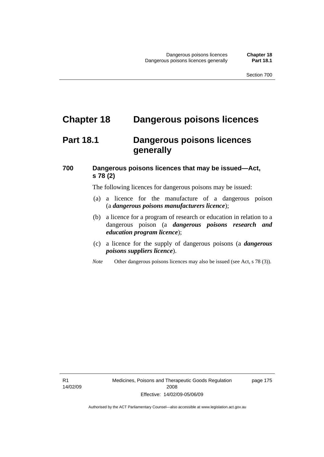# **Chapter 18 Dangerous poisons licences**

# **Part 18.1 Dangerous poisons licences generally**

# **700 Dangerous poisons licences that may be issued—Act, s 78 (2)**

The following licences for dangerous poisons may be issued:

- (a) a licence for the manufacture of a dangerous poison (a *dangerous poisons manufacturers licence*);
- (b) a licence for a program of research or education in relation to a dangerous poison (a *dangerous poisons research and education program licence*);
- (c) a licence for the supply of dangerous poisons (a *dangerous poisons suppliers licence*).
- *Note* Other dangerous poisons licences may also be issued (see Act, s 78 (3)).

R1 14/02/09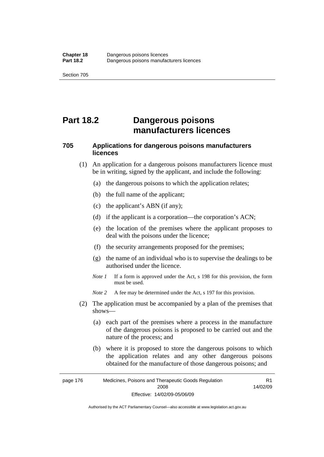# **Part 18.2 Dangerous poisons manufacturers licences**

# **705 Applications for dangerous poisons manufacturers licences**

- (1) An application for a dangerous poisons manufacturers licence must be in writing, signed by the applicant, and include the following:
	- (a) the dangerous poisons to which the application relates;
	- (b) the full name of the applicant;
	- (c) the applicant's ABN (if any);
	- (d) if the applicant is a corporation—the corporation's ACN;
	- (e) the location of the premises where the applicant proposes to deal with the poisons under the licence;
	- (f) the security arrangements proposed for the premises;
	- (g) the name of an individual who is to supervise the dealings to be authorised under the licence.
	- *Note 1* If a form is approved under the Act, s 198 for this provision, the form must be used.
	- *Note* 2 A fee may be determined under the Act, s 197 for this provision.
- (2) The application must be accompanied by a plan of the premises that shows—
	- (a) each part of the premises where a process in the manufacture of the dangerous poisons is proposed to be carried out and the nature of the process; and
	- (b) where it is proposed to store the dangerous poisons to which the application relates and any other dangerous poisons obtained for the manufacture of those dangerous poisons; and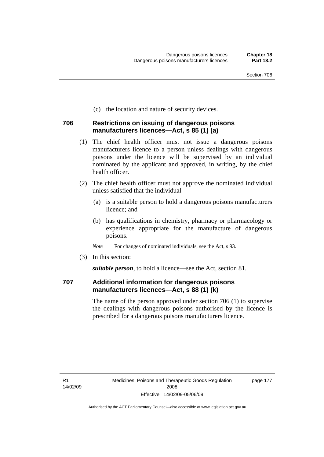(c) the location and nature of security devices.

### **706 Restrictions on issuing of dangerous poisons manufacturers licences—Act, s 85 (1) (a)**

- (1) The chief health officer must not issue a dangerous poisons manufacturers licence to a person unless dealings with dangerous poisons under the licence will be supervised by an individual nominated by the applicant and approved, in writing, by the chief health officer.
- (2) The chief health officer must not approve the nominated individual unless satisfied that the individual—
	- (a) is a suitable person to hold a dangerous poisons manufacturers licence; and
	- (b) has qualifications in chemistry, pharmacy or pharmacology or experience appropriate for the manufacture of dangerous poisons.
	- *Note* For changes of nominated individuals, see the Act, s 93.
- (3) In this section:

*suitable person*, to hold a licence—see the Act, section 81.

## **707 Additional information for dangerous poisons manufacturers licences—Act, s 88 (1) (k)**

The name of the person approved under section 706 (1) to supervise the dealings with dangerous poisons authorised by the licence is prescribed for a dangerous poisons manufacturers licence.

R1 14/02/09 page 177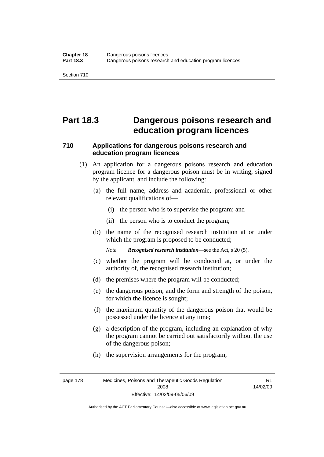# **Part 18.3 Dangerous poisons research and education program licences**

# **710 Applications for dangerous poisons research and education program licences**

- (1) An application for a dangerous poisons research and education program licence for a dangerous poison must be in writing, signed by the applicant, and include the following:
	- (a) the full name, address and academic, professional or other relevant qualifications of—
		- (i) the person who is to supervise the program; and
		- (ii) the person who is to conduct the program;
	- (b) the name of the recognised research institution at or under which the program is proposed to be conducted;

*Note Recognised research institution*—see the Act, s 20 (5).

- (c) whether the program will be conducted at, or under the authority of, the recognised research institution;
- (d) the premises where the program will be conducted;
- (e) the dangerous poison, and the form and strength of the poison, for which the licence is sought;
- (f) the maximum quantity of the dangerous poison that would be possessed under the licence at any time;
- (g) a description of the program, including an explanation of why the program cannot be carried out satisfactorily without the use of the dangerous poison;
- (h) the supervision arrangements for the program;

page 178 Medicines, Poisons and Therapeutic Goods Regulation 2008 Effective: 14/02/09-05/06/09

R1 14/02/09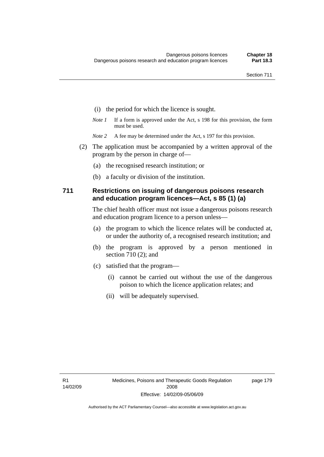- (i) the period for which the licence is sought.
- *Note 1* If a form is approved under the Act, s 198 for this provision, the form must be used.
- *Note* 2 A fee may be determined under the Act, s 197 for this provision.
- (2) The application must be accompanied by a written approval of the program by the person in charge of—
	- (a) the recognised research institution; or
	- (b) a faculty or division of the institution.

### **711 Restrictions on issuing of dangerous poisons research and education program licences—Act, s 85 (1) (a)**

The chief health officer must not issue a dangerous poisons research and education program licence to a person unless—

- (a) the program to which the licence relates will be conducted at, or under the authority of, a recognised research institution; and
- (b) the program is approved by a person mentioned in section 710 (2); and
- (c) satisfied that the program—
	- (i) cannot be carried out without the use of the dangerous poison to which the licence application relates; and
	- (ii) will be adequately supervised.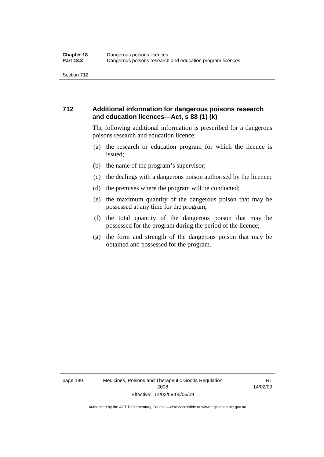# **712 Additional information for dangerous poisons research and education licences—Act, s 88 (1) (k)**

The following additional information is prescribed for a dangerous poisons research and education licence:

- (a) the research or education program for which the licence is issued;
- (b) the name of the program's supervisor;
- (c) the dealings with a dangerous poison authorised by the licence;
- (d) the premises where the program will be conducted;
- (e) the maximum quantity of the dangerous poison that may be possessed at any time for the program;
- (f) the total quantity of the dangerous poison that may be possessed for the program during the period of the licence;
- (g) the form and strength of the dangerous poison that may be obtained and possessed for the program.

page 180 Medicines, Poisons and Therapeutic Goods Regulation 2008 Effective: 14/02/09-05/06/09

R1 14/02/09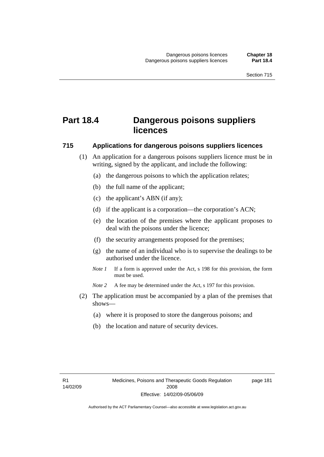# **Part 18.4 Dangerous poisons suppliers licences**

### **715 Applications for dangerous poisons suppliers licences**

- (1) An application for a dangerous poisons suppliers licence must be in writing, signed by the applicant, and include the following:
	- (a) the dangerous poisons to which the application relates;
	- (b) the full name of the applicant;
	- (c) the applicant's ABN (if any);
	- (d) if the applicant is a corporation—the corporation's ACN;
	- (e) the location of the premises where the applicant proposes to deal with the poisons under the licence;
	- (f) the security arrangements proposed for the premises;
	- (g) the name of an individual who is to supervise the dealings to be authorised under the licence.
	- *Note 1* If a form is approved under the Act, s 198 for this provision, the form must be used.
	- *Note 2* A fee may be determined under the Act, s 197 for this provision.
- (2) The application must be accompanied by a plan of the premises that shows—
	- (a) where it is proposed to store the dangerous poisons; and
	- (b) the location and nature of security devices.

page 181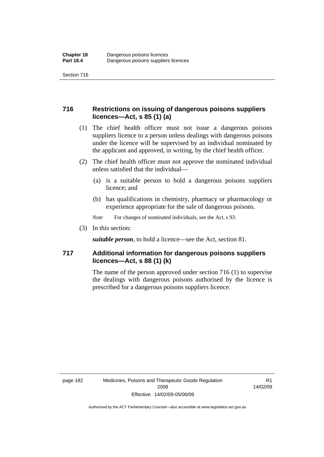# **716 Restrictions on issuing of dangerous poisons suppliers licences—Act, s 85 (1) (a)**

- (1) The chief health officer must not issue a dangerous poisons suppliers licence to a person unless dealings with dangerous poisons under the licence will be supervised by an individual nominated by the applicant and approved, in writing, by the chief health officer.
- (2) The chief health officer must not approve the nominated individual unless satisfied that the individual—
	- (a) is a suitable person to hold a dangerous poisons suppliers licence; and
	- (b) has qualifications in chemistry, pharmacy or pharmacology or experience appropriate for the sale of dangerous poisons.
	- *Note* For changes of nominated individuals, see the Act, s 93.
- (3) In this section:

*suitable person*, to hold a licence—see the Act, section 81.

# **717 Additional information for dangerous poisons suppliers licences—Act, s 88 (1) (k)**

The name of the person approved under section 716 (1) to supervise the dealings with dangerous poisons authorised by the licence is prescribed for a dangerous poisons suppliers licence.

R1 14/02/09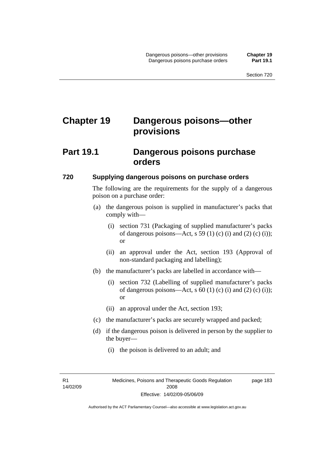# **Chapter 19 Dangerous poisons—other provisions**

# **Part 19.1 Dangerous poisons purchase orders**

### **720 Supplying dangerous poisons on purchase orders**

The following are the requirements for the supply of a dangerous poison on a purchase order:

- (a) the dangerous poison is supplied in manufacturer's packs that comply with—
	- (i) section 731 (Packaging of supplied manufacturer's packs of dangerous poisons—Act, s 59 (1) (c) (i) and (2) (c) (i)); or
	- (ii) an approval under the Act, section 193 (Approval of non-standard packaging and labelling);
- (b) the manufacturer's packs are labelled in accordance with—
	- (i) section 732 (Labelling of supplied manufacturer's packs of dangerous poisons—Act, s  $60$  (1) (c) (i) and (2) (c) (i)); or
	- (ii) an approval under the Act, section 193;
- (c) the manufacturer's packs are securely wrapped and packed;
- (d) if the dangerous poison is delivered in person by the supplier to the buyer—
	- (i) the poison is delivered to an adult; and

R1 14/02/09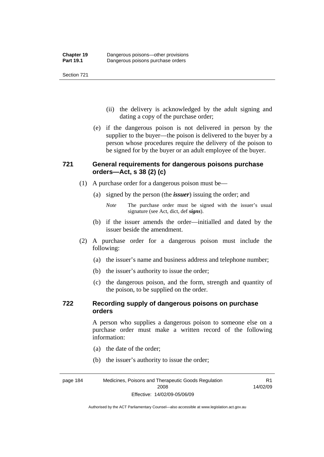- (ii) the delivery is acknowledged by the adult signing and dating a copy of the purchase order;
- (e) if the dangerous poison is not delivered in person by the supplier to the buyer—the poison is delivered to the buyer by a person whose procedures require the delivery of the poison to be signed for by the buyer or an adult employee of the buyer.

# **721 General requirements for dangerous poisons purchase orders—Act, s 38 (2) (c)**

- (1) A purchase order for a dangerous poison must be—
	- (a) signed by the person (the *issuer*) issuing the order; and
		- *Note* The purchase order must be signed with the issuer's usual signature (see Act, dict, def *signs*).
	- (b) if the issuer amends the order—initialled and dated by the issuer beside the amendment.
- (2) A purchase order for a dangerous poison must include the following:
	- (a) the issuer's name and business address and telephone number;
	- (b) the issuer's authority to issue the order;
	- (c) the dangerous poison, and the form, strength and quantity of the poison, to be supplied on the order.

# **722 Recording supply of dangerous poisons on purchase orders**

A person who supplies a dangerous poison to someone else on a purchase order must make a written record of the following information:

R1

- (a) the date of the order;
- (b) the issuer's authority to issue the order;

page 184 Medicines, Poisons and Therapeutic Goods Regulation 2008 Effective: 14/02/09-05/06/09 14/02/09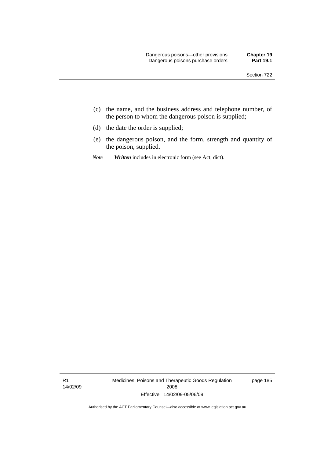- (c) the name, and the business address and telephone number, of the person to whom the dangerous poison is supplied;
- (d) the date the order is supplied;
- (e) the dangerous poison, and the form, strength and quantity of the poison, supplied.
- *Note Written* includes in electronic form (see Act, dict).

R1 14/02/09 Medicines, Poisons and Therapeutic Goods Regulation 2008 Effective: 14/02/09-05/06/09

page 185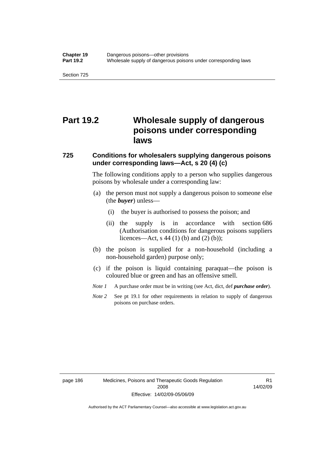# **Part 19.2 Wholesale supply of dangerous poisons under corresponding laws**

### **725 Conditions for wholesalers supplying dangerous poisons under corresponding laws—Act, s 20 (4) (c)**

The following conditions apply to a person who supplies dangerous poisons by wholesale under a corresponding law:

- (a) the person must not supply a dangerous poison to someone else (the *buyer*) unless—
	- (i) the buyer is authorised to possess the poison; and
	- (ii) the supply is in accordance with section 686 (Authorisation conditions for dangerous poisons suppliers licences—Act, s 44 (1) (b) and (2) (b));
- (b) the poison is supplied for a non-household (including a non-household garden) purpose only;
- (c) if the poison is liquid containing paraquat—the poison is coloured blue or green and has an offensive smell.
- *Note 1* A purchase order must be in writing (see Act, dict, def *purchase order*).
- *Note* 2 See pt 19.1 for other requirements in relation to supply of dangerous poisons on purchase orders.

page 186 Medicines, Poisons and Therapeutic Goods Regulation 2008 Effective: 14/02/09-05/06/09

R1 14/02/09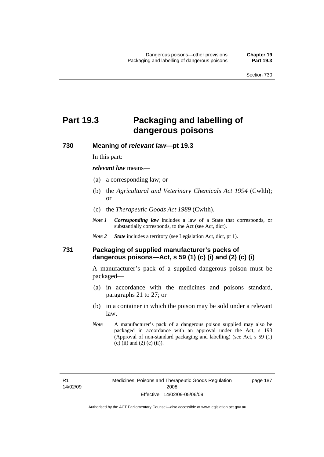page 187

# **Part 19.3 Packaging and labelling of dangerous poisons**

**730 Meaning of** *relevant law***—pt 19.3** 

In this part:

*relevant law* means—

- (a) a corresponding law; or
- (b) the *Agricultural and Veterinary Chemicals Act 1994* (Cwlth); or
- (c) the *Therapeutic Goods Act 1989* (Cwlth).
- *Note 1 Corresponding law* includes a law of a State that corresponds, or substantially corresponds, to the Act (see Act, dict).
- *Note 2 State* includes a territory (see Legislation Act, dict, pt 1).

# **731 Packaging of supplied manufacturer's packs of dangerous poisons—Act, s 59 (1) (c) (i) and (2) (c) (i)**

A manufacturer's pack of a supplied dangerous poison must be packaged—

- (a) in accordance with the medicines and poisons standard, paragraphs 21 to 27; or
- (b) in a container in which the poison may be sold under a relevant law.
- *Note* A manufacturer's pack of a dangerous poison supplied may also be packaged in accordance with an approval under the Act, s 193 (Approval of non-standard packaging and labelling) (see Act, s 59 (1) (c) (ii) and (2) (c) (ii)).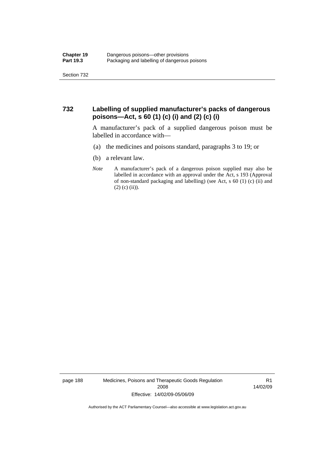# **732 Labelling of supplied manufacturer's packs of dangerous poisons—Act, s 60 (1) (c) (i) and (2) (c) (i)**

A manufacturer's pack of a supplied dangerous poison must be labelled in accordance with—

- (a) the medicines and poisons standard, paragraphs 3 to 19; or
- (b) a relevant law.
- *Note* A manufacturer's pack of a dangerous poison supplied may also be labelled in accordance with an approval under the Act, s 193 (Approval of non-standard packaging and labelling) (see Act, s 60 (1) (c) (ii) and  $(2)$  (c) (ii)).

page 188 Medicines, Poisons and Therapeutic Goods Regulation 2008 Effective: 14/02/09-05/06/09

R1 14/02/09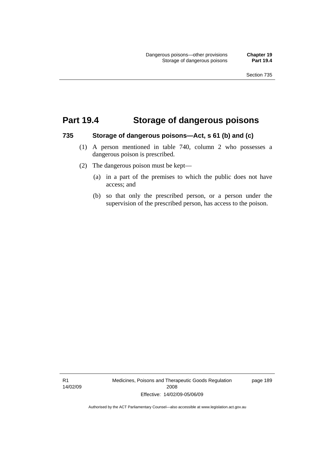# **Part 19.4 Storage of dangerous poisons**

#### **735 Storage of dangerous poisons—Act, s 61 (b) and (c)**

- (1) A person mentioned in table 740, column 2 who possesses a dangerous poison is prescribed.
- (2) The dangerous poison must be kept—
	- (a) in a part of the premises to which the public does not have access; and
	- (b) so that only the prescribed person, or a person under the supervision of the prescribed person, has access to the poison.

R1 14/02/09 Medicines, Poisons and Therapeutic Goods Regulation 2008 Effective: 14/02/09-05/06/09

page 189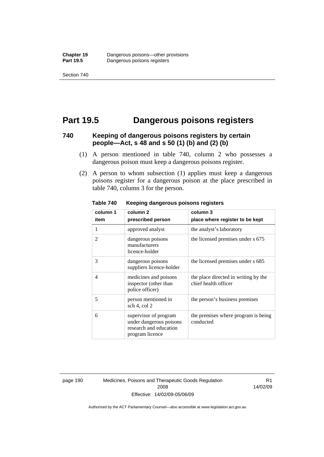# **Part 19.5 Dangerous poisons registers**

### **740 Keeping of dangerous poisons registers by certain people—Act, s 48 and s 50 (1) (b) and (2) (b)**

- (1) A person mentioned in table 740, column 2 who possesses a dangerous poison must keep a dangerous poisons register.
- (2) A person to whom subsection (1) applies must keep a dangerous poisons register for a dangerous poison at the place prescribed in table 740, column 3 for the person.

| column 1                 | column <sub>2</sub>                                                                           | column 3                                                     |
|--------------------------|-----------------------------------------------------------------------------------------------|--------------------------------------------------------------|
| item                     | prescribed person                                                                             | place where register to be kept                              |
| 1                        | approved analyst                                                                              | the analyst's laboratory                                     |
| $\overline{\mathcal{L}}$ | dangerous poisons<br>manufacturers<br>licence-holder                                          | the licensed premises under s 675                            |
| 3                        | dangerous poisons<br>suppliers licence-holder                                                 | the licensed premises under s 685                            |
| $\overline{4}$           | medicines and poisons<br>inspector (other than<br>police officer)                             | the place directed in writing by the<br>chief health officer |
| 5                        | person mentioned in<br>sch 4, col 2                                                           | the person's business premises                               |
| 6                        | supervisor of program<br>under dangerous poisons<br>research and education<br>program licence | the premises where program is being<br>conducted             |

**Table 740 Keeping dangerous poisons registers** 

page 190 Medicines, Poisons and Therapeutic Goods Regulation 2008 Effective: 14/02/09-05/06/09

R1 14/02/09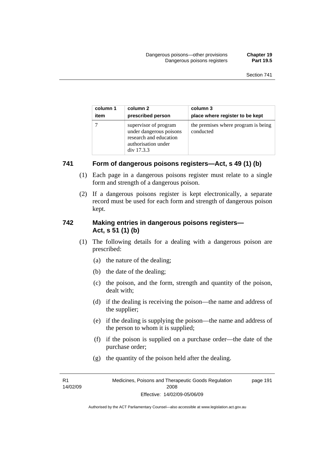| column 1 | column 2                                                                                                        | column 3                                         |
|----------|-----------------------------------------------------------------------------------------------------------------|--------------------------------------------------|
| item     | prescribed person                                                                                               | place where register to be kept                  |
|          | supervisor of program<br>under dangerous poisons<br>research and education<br>authorisation under<br>div 17.3.3 | the premises where program is being<br>conducted |

# **741 Form of dangerous poisons registers—Act, s 49 (1) (b)**

- (1) Each page in a dangerous poisons register must relate to a single form and strength of a dangerous poison.
- (2) If a dangerous poisons register is kept electronically, a separate record must be used for each form and strength of dangerous poison kept.

# **742 Making entries in dangerous poisons registers— Act, s 51 (1) (b)**

- (1) The following details for a dealing with a dangerous poison are prescribed:
	- (a) the nature of the dealing;
	- (b) the date of the dealing;
	- (c) the poison, and the form, strength and quantity of the poison, dealt with;
	- (d) if the dealing is receiving the poison—the name and address of the supplier;
	- (e) if the dealing is supplying the poison—the name and address of the person to whom it is supplied;
	- (f) if the poison is supplied on a purchase order—the date of the purchase order;
	- (g) the quantity of the poison held after the dealing.

R1 14/02/09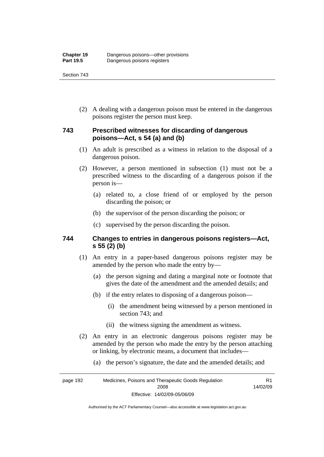(2) A dealing with a dangerous poison must be entered in the dangerous poisons register the person must keep.

# **743 Prescribed witnesses for discarding of dangerous poisons—Act, s 54 (a) and (b)**

- (1) An adult is prescribed as a witness in relation to the disposal of a dangerous poison.
- (2) However, a person mentioned in subsection (1) must not be a prescribed witness to the discarding of a dangerous poison if the person is—
	- (a) related to, a close friend of or employed by the person discarding the poison; or
	- (b) the supervisor of the person discarding the poison; or
	- (c) supervised by the person discarding the poison.

### **744 Changes to entries in dangerous poisons registers—Act, s 55 (2) (b)**

- (1) An entry in a paper-based dangerous poisons register may be amended by the person who made the entry by—
	- (a) the person signing and dating a marginal note or footnote that gives the date of the amendment and the amended details; and
	- (b) if the entry relates to disposing of a dangerous poison—
		- (i) the amendment being witnessed by a person mentioned in section 743; and
		- (ii) the witness signing the amendment as witness.
- (2) An entry in an electronic dangerous poisons register may be amended by the person who made the entry by the person attaching or linking, by electronic means, a document that includes—
	- (a) the person's signature, the date and the amended details; and

page 192 Medicines, Poisons and Therapeutic Goods Regulation 2008 Effective: 14/02/09-05/06/09 R1 14/02/09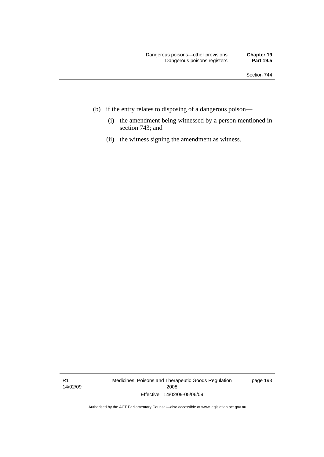- (b) if the entry relates to disposing of a dangerous poison—
	- (i) the amendment being witnessed by a person mentioned in section 743; and
	- (ii) the witness signing the amendment as witness.

R1 14/02/09 Medicines, Poisons and Therapeutic Goods Regulation 2008 Effective: 14/02/09-05/06/09

page 193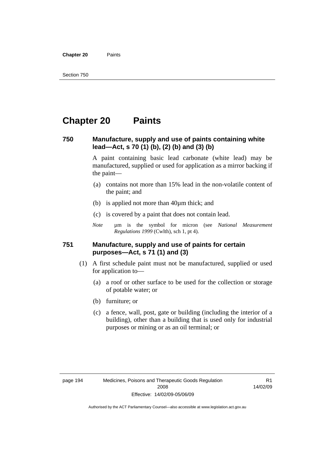**Chapter 20** Paints

## **Chapter 20 Paints**

### **750 Manufacture, supply and use of paints containing white lead—Act, s 70 (1) (b), (2) (b) and (3) (b)**

A paint containing basic lead carbonate (white lead) may be manufactured, supplied or used for application as a mirror backing if the paint—

- (a) contains not more than 15% lead in the non-volatile content of the paint; and
- (b) is applied not more than 40µm thick; and
- (c) is covered by a paint that does not contain lead.
- *Note* um is the symbol for micron (see *National Measurement Regulations 1999* (Cwlth), sch 1, pt 4).

### **751 Manufacture, supply and use of paints for certain purposes—Act, s 71 (1) and (3)**

- (1) A first schedule paint must not be manufactured, supplied or used for application to—
	- (a) a roof or other surface to be used for the collection or storage of potable water; or
	- (b) furniture; or
	- (c) a fence, wall, post, gate or building (including the interior of a building), other than a building that is used only for industrial purposes or mining or as an oil terminal; or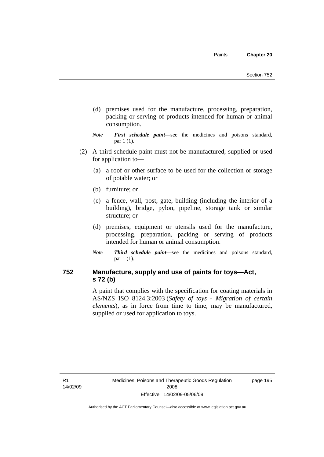- (d) premises used for the manufacture, processing, preparation, packing or serving of products intended for human or animal consumption.
- *Note First schedule paint*—see the medicines and poisons standard, par 1 (1).
- (2) A third schedule paint must not be manufactured, supplied or used for application to—
	- (a) a roof or other surface to be used for the collection or storage of potable water; or
	- (b) furniture; or
	- (c) a fence, wall, post, gate, building (including the interior of a building), bridge, pylon, pipeline, storage tank or similar structure; or
	- (d) premises, equipment or utensils used for the manufacture, processing, preparation, packing or serving of products intended for human or animal consumption.
	- *Note Third schedule paint*—see the medicines and poisons standard, par 1 (1).

## **752 Manufacture, supply and use of paints for toys—Act, s 72 (b)**

A paint that complies with the specification for coating materials in AS/NZS ISO 8124.3:2003 (*Safety of toys - Migration of certain elements*), as in force from time to time, may be manufactured, supplied or used for application to toys.

R1 14/02/09 page 195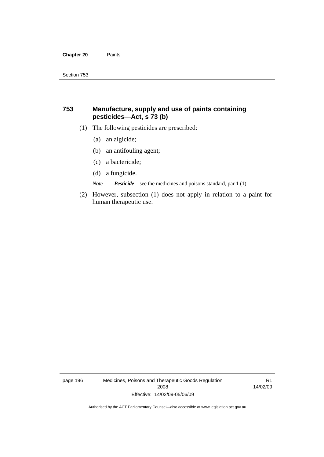#### **Chapter 20** Paints

## **753 Manufacture, supply and use of paints containing pesticides—Act, s 73 (b)**

- (1) The following pesticides are prescribed:
	- (a) an algicide;
	- (b) an antifouling agent;
	- (c) a bactericide;
	- (d) a fungicide.

*Note Pesticide*—see the medicines and poisons standard, par 1 (1).

 (2) However, subsection (1) does not apply in relation to a paint for human therapeutic use.

page 196 Medicines, Poisons and Therapeutic Goods Regulation 2008 Effective: 14/02/09-05/06/09

R1 14/02/09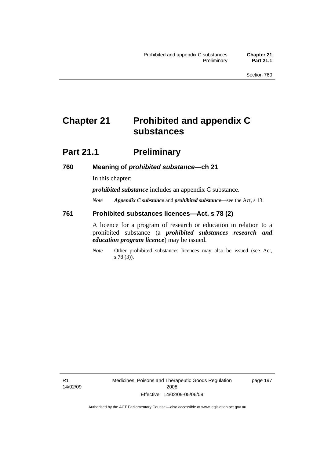## **Chapter 21 Prohibited and appendix C substances**

## **Part 21.1 Preliminary**

### **760 Meaning of** *prohibited substance***—ch 21**

In this chapter:

*prohibited substance* includes an appendix C substance.

*Note Appendix C substance* and *prohibited substance*—see the Act, s 13.

### **761 Prohibited substances licences—Act, s 78 (2)**

A licence for a program of research or education in relation to a prohibited substance (a *prohibited substances research and education program licence*) may be issued.

*Note* Other prohibited substances licences may also be issued (see Act, s 78 (3)).

R1 14/02/09 page 197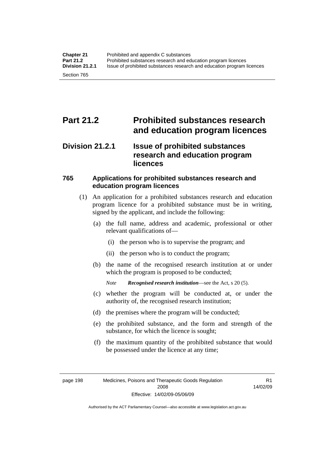## **Part 21.2 Prohibited substances research and education program licences**

## **Division 21.2.1 Issue of prohibited substances research and education program licences**

## **765 Applications for prohibited substances research and education program licences**

- (1) An application for a prohibited substances research and education program licence for a prohibited substance must be in writing, signed by the applicant, and include the following:
	- (a) the full name, address and academic, professional or other relevant qualifications of—
		- (i) the person who is to supervise the program; and
		- (ii) the person who is to conduct the program;
	- (b) the name of the recognised research institution at or under which the program is proposed to be conducted;

*Note Recognised research institution*—see the Act, s 20 (5).

- (c) whether the program will be conducted at, or under the authority of, the recognised research institution;
- (d) the premises where the program will be conducted;
- (e) the prohibited substance, and the form and strength of the substance, for which the licence is sought;
- (f) the maximum quantity of the prohibited substance that would be possessed under the licence at any time;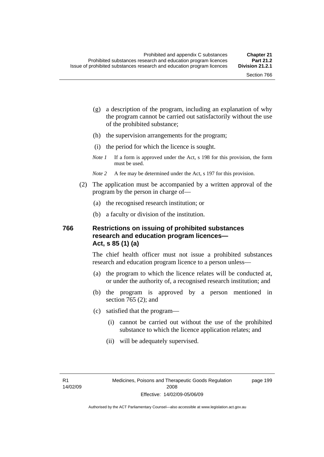page 199

- (g) a description of the program, including an explanation of why the program cannot be carried out satisfactorily without the use of the prohibited substance;
- (h) the supervision arrangements for the program;
- (i) the period for which the licence is sought.
- *Note 1* If a form is approved under the Act, s 198 for this provision, the form must be used.
- *Note* 2 A fee may be determined under the Act, s 197 for this provision.
- (2) The application must be accompanied by a written approval of the program by the person in charge of—
	- (a) the recognised research institution; or
	- (b) a faculty or division of the institution.

## **766 Restrictions on issuing of prohibited substances research and education program licences— Act, s 85 (1) (a)**

The chief health officer must not issue a prohibited substances research and education program licence to a person unless—

- (a) the program to which the licence relates will be conducted at, or under the authority of, a recognised research institution; and
- (b) the program is approved by a person mentioned in section 765 (2); and
- (c) satisfied that the program—
	- (i) cannot be carried out without the use of the prohibited substance to which the licence application relates; and
	- (ii) will be adequately supervised.

R1 14/02/09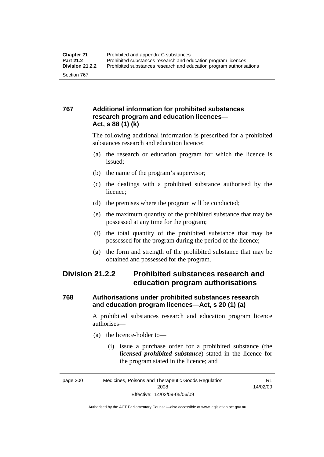## **767 Additional information for prohibited substances research program and education licences— Act, s 88 (1) (k)**

The following additional information is prescribed for a prohibited substances research and education licence:

- (a) the research or education program for which the licence is issued;
- (b) the name of the program's supervisor;
- (c) the dealings with a prohibited substance authorised by the licence;
- (d) the premises where the program will be conducted;
- (e) the maximum quantity of the prohibited substance that may be possessed at any time for the program;
- (f) the total quantity of the prohibited substance that may be possessed for the program during the period of the licence;
- (g) the form and strength of the prohibited substance that may be obtained and possessed for the program.

## **Division 21.2.2 Prohibited substances research and education program authorisations**

## **768 Authorisations under prohibited substances research and education program licences—Act, s 20 (1) (a)**

A prohibited substances research and education program licence authorises—

- (a) the licence-holder to—
	- (i) issue a purchase order for a prohibited substance (the *licensed prohibited substance*) stated in the licence for the program stated in the licence; and

R1 14/02/09

Authorised by the ACT Parliamentary Counsel—also accessible at www.legislation.act.gov.au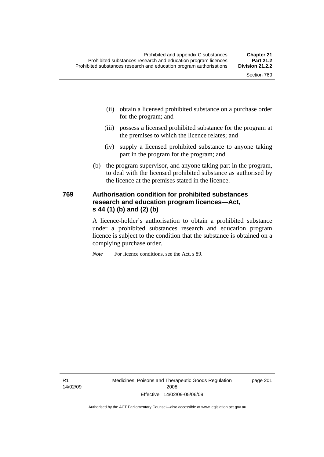- (ii) obtain a licensed prohibited substance on a purchase order for the program; and
- (iii) possess a licensed prohibited substance for the program at the premises to which the licence relates; and
- (iv) supply a licensed prohibited substance to anyone taking part in the program for the program; and
- (b) the program supervisor, and anyone taking part in the program, to deal with the licensed prohibited substance as authorised by the licence at the premises stated in the licence.

## **769 Authorisation condition for prohibited substances research and education program licences—Act, s 44 (1) (b) and (2) (b)**

A licence-holder's authorisation to obtain a prohibited substance under a prohibited substances research and education program licence is subject to the condition that the substance is obtained on a complying purchase order.

*Note* For licence conditions, see the Act, s 89.

R1 14/02/09 Medicines, Poisons and Therapeutic Goods Regulation 2008 Effective: 14/02/09-05/06/09

page 201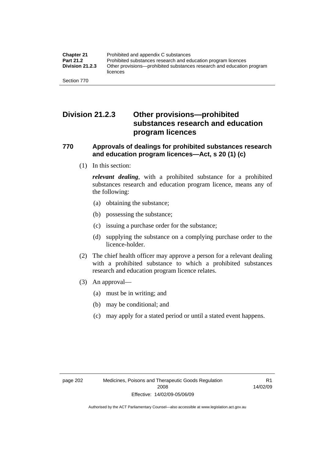## **Division 21.2.3 Other provisions—prohibited substances research and education program licences**

## **770 Approvals of dealings for prohibited substances research and education program licences—Act, s 20 (1) (c)**

(1) In this section:

*relevant dealing*, with a prohibited substance for a prohibited substances research and education program licence, means any of the following:

- (a) obtaining the substance;
- (b) possessing the substance;
- (c) issuing a purchase order for the substance;
- (d) supplying the substance on a complying purchase order to the licence-holder.
- (2) The chief health officer may approve a person for a relevant dealing with a prohibited substance to which a prohibited substances research and education program licence relates.
- (3) An approval—
	- (a) must be in writing; and
	- (b) may be conditional; and
	- (c) may apply for a stated period or until a stated event happens.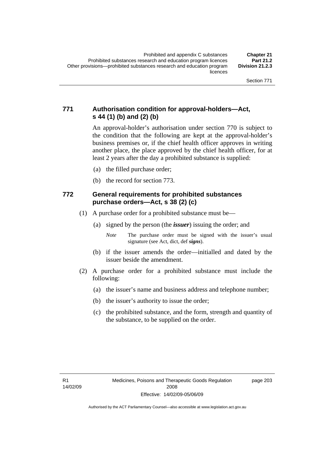## **771 Authorisation condition for approval-holders—Act, s 44 (1) (b) and (2) (b)**

An approval-holder's authorisation under section 770 is subject to the condition that the following are kept at the approval-holder's business premises or, if the chief health officer approves in writing another place, the place approved by the chief health officer, for at least 2 years after the day a prohibited substance is supplied:

- (a) the filled purchase order;
- (b) the record for section 773.

## **772 General requirements for prohibited substances purchase orders—Act, s 38 (2) (c)**

- (1) A purchase order for a prohibited substance must be—
	- (a) signed by the person (the *issuer*) issuing the order; and
		- *Note* The purchase order must be signed with the issuer's usual signature (see Act, dict, def *signs*).
	- (b) if the issuer amends the order—initialled and dated by the issuer beside the amendment.
- (2) A purchase order for a prohibited substance must include the following:
	- (a) the issuer's name and business address and telephone number;
	- (b) the issuer's authority to issue the order;
	- (c) the prohibited substance, and the form, strength and quantity of the substance, to be supplied on the order.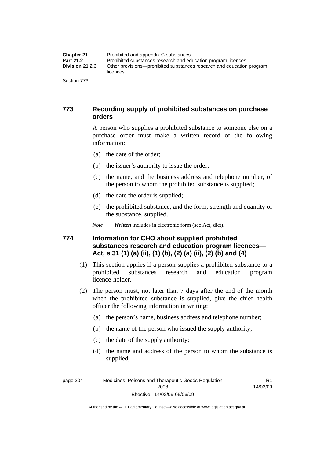| <b>Chapter 21</b>      | Prohibited and appendix C substances                                              |
|------------------------|-----------------------------------------------------------------------------------|
| <b>Part 21.2</b>       | Prohibited substances research and education program licences                     |
| <b>Division 21.2.3</b> | Other provisions—prohibited substances research and education program<br>licences |
| Section 773            |                                                                                   |

## **773 Recording supply of prohibited substances on purchase orders**

A person who supplies a prohibited substance to someone else on a purchase order must make a written record of the following information:

- (a) the date of the order;
- (b) the issuer's authority to issue the order;
- (c) the name, and the business address and telephone number, of the person to whom the prohibited substance is supplied;
- (d) the date the order is supplied;
- (e) the prohibited substance, and the form, strength and quantity of the substance, supplied.

*Note Written* includes in electronic form (see Act, dict).

## **774 Information for CHO about supplied prohibited substances research and education program licences— Act, s 31 (1) (a) (ii), (1) (b), (2) (a) (ii), (2) (b) and (4)**

- (1) This section applies if a person supplies a prohibited substance to a prohibited substances research and education program licence-holder.
- (2) The person must, not later than 7 days after the end of the month when the prohibited substance is supplied, give the chief health officer the following information in writing:
	- (a) the person's name, business address and telephone number;
	- (b) the name of the person who issued the supply authority;
	- (c) the date of the supply authority;
	- (d) the name and address of the person to whom the substance is supplied;

page 204 Medicines, Poisons and Therapeutic Goods Regulation 2008 Effective: 14/02/09-05/06/09

R1 14/02/09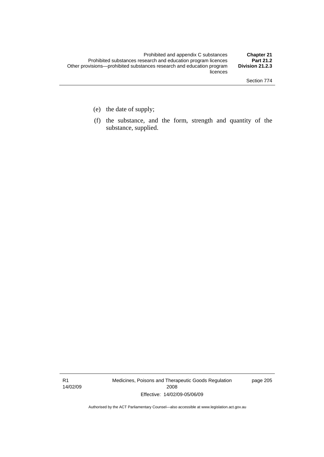- (e) the date of supply;
- (f) the substance, and the form, strength and quantity of the substance, supplied.

R1 14/02/09 Medicines, Poisons and Therapeutic Goods Regulation 2008 Effective: 14/02/09-05/06/09

page 205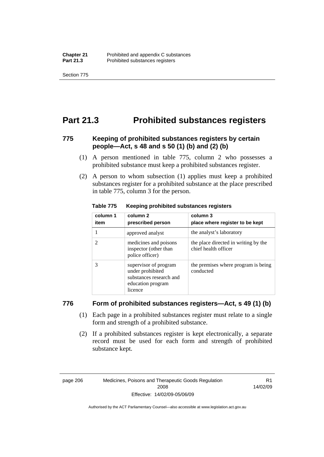Section 775

## **Part 21.3 Prohibited substances registers**

## **775 Keeping of prohibited substances registers by certain people—Act, s 48 and s 50 (1) (b) and (2) (b)**

- (1) A person mentioned in table 775, column 2 who possesses a prohibited substance must keep a prohibited substances register.
- (2) A person to whom subsection (1) applies must keep a prohibited substances register for a prohibited substance at the place prescribed in table 775, column 3 for the person.

| column 1<br>item | column 2<br>prescribed person                                                                        | column 3<br>place where register to be kept                  |
|------------------|------------------------------------------------------------------------------------------------------|--------------------------------------------------------------|
|                  | approved analyst                                                                                     | the analyst's laboratory                                     |
| 2                | medicines and poisons<br>inspector (other than<br>police officer)                                    | the place directed in writing by the<br>chief health officer |
| 3                | supervisor of program<br>under prohibited<br>substances research and<br>education program<br>licence | the premises where program is being<br>conducted             |

#### **Table 775 Keeping prohibited substances registers**

### **776 Form of prohibited substances registers—Act, s 49 (1) (b)**

- (1) Each page in a prohibited substances register must relate to a single form and strength of a prohibited substance.
- (2) If a prohibited substances register is kept electronically, a separate record must be used for each form and strength of prohibited substance kept.

page 206 Medicines, Poisons and Therapeutic Goods Regulation 2008 Effective: 14/02/09-05/06/09

R1 14/02/09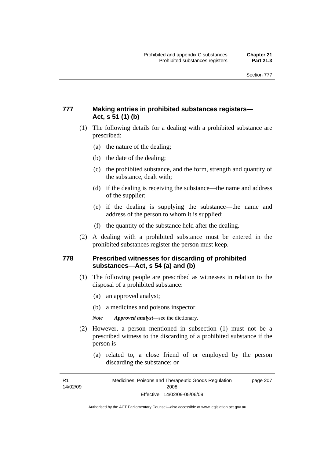## **777 Making entries in prohibited substances registers— Act, s 51 (1) (b)**

- (1) The following details for a dealing with a prohibited substance are prescribed:
	- (a) the nature of the dealing;
	- (b) the date of the dealing;
	- (c) the prohibited substance, and the form, strength and quantity of the substance, dealt with;
	- (d) if the dealing is receiving the substance—the name and address of the supplier;
	- (e) if the dealing is supplying the substance—the name and address of the person to whom it is supplied;
	- (f) the quantity of the substance held after the dealing.
- (2) A dealing with a prohibited substance must be entered in the prohibited substances register the person must keep.

## **778 Prescribed witnesses for discarding of prohibited substances—Act, s 54 (a) and (b)**

- (1) The following people are prescribed as witnesses in relation to the disposal of a prohibited substance:
	- (a) an approved analyst;
	- (b) a medicines and poisons inspector.

*Note Approved analyst*—see the dictionary.

- (2) However, a person mentioned in subsection (1) must not be a prescribed witness to the discarding of a prohibited substance if the person is—
	- (a) related to, a close friend of or employed by the person discarding the substance; or

R1 14/02/09

Medicines, Poisons and Therapeutic Goods Regulation 2008 Effective: 14/02/09-05/06/09 page 207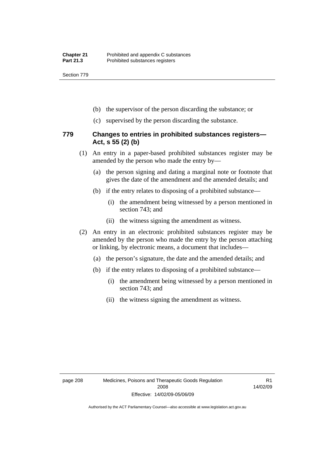Section 779

- (b) the supervisor of the person discarding the substance; or
- (c) supervised by the person discarding the substance.

### **779 Changes to entries in prohibited substances registers— Act, s 55 (2) (b)**

- (1) An entry in a paper-based prohibited substances register may be amended by the person who made the entry by—
	- (a) the person signing and dating a marginal note or footnote that gives the date of the amendment and the amended details; and
	- (b) if the entry relates to disposing of a prohibited substance—
		- (i) the amendment being witnessed by a person mentioned in section 743; and
		- (ii) the witness signing the amendment as witness.
- (2) An entry in an electronic prohibited substances register may be amended by the person who made the entry by the person attaching or linking, by electronic means, a document that includes—
	- (a) the person's signature, the date and the amended details; and
	- (b) if the entry relates to disposing of a prohibited substance—
		- (i) the amendment being witnessed by a person mentioned in section 743; and
		- (ii) the witness signing the amendment as witness.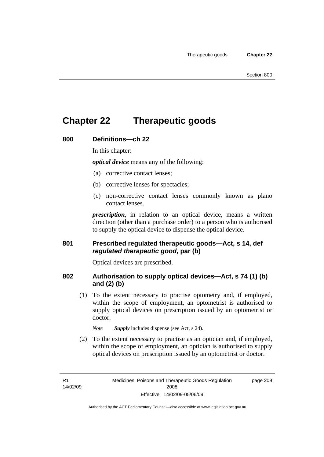## **Chapter 22 Therapeutic goods**

### **800 Definitions—ch 22**

In this chapter:

*optical device* means any of the following:

- (a) corrective contact lenses;
- (b) corrective lenses for spectacles;
- (c) non-corrective contact lenses commonly known as plano contact lenses.

*prescription*, in relation to an optical device, means a written direction (other than a purchase order) to a person who is authorised to supply the optical device to dispense the optical device.

### **801 Prescribed regulated therapeutic goods—Act, s 14, def**  *regulated therapeutic good***, par (b)**

Optical devices are prescribed.

## **802 Authorisation to supply optical devices—Act, s 74 (1) (b) and (2) (b)**

 (1) To the extent necessary to practise optometry and, if employed, within the scope of employment, an optometrist is authorised to supply optical devices on prescription issued by an optometrist or doctor.

*Note Supply* includes dispense (see Act, s 24).

 (2) To the extent necessary to practise as an optician and, if employed, within the scope of employment, an optician is authorised to supply optical devices on prescription issued by an optometrist or doctor.

R1 14/02/09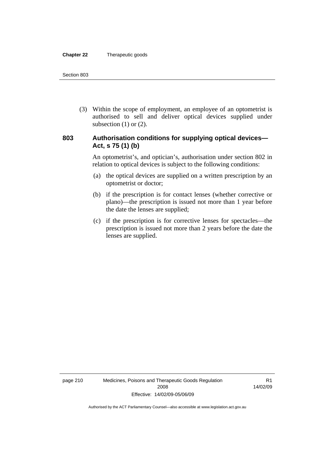#### **Chapter 22** Therapeutic goods

 (3) Within the scope of employment, an employee of an optometrist is authorised to sell and deliver optical devices supplied under subsection  $(1)$  or  $(2)$ .

## **803 Authorisation conditions for supplying optical devices— Act, s 75 (1) (b)**

An optometrist's, and optician's, authorisation under section 802 in relation to optical devices is subject to the following conditions:

- (a) the optical devices are supplied on a written prescription by an optometrist or doctor;
- (b) if the prescription is for contact lenses (whether corrective or plano)—the prescription is issued not more than 1 year before the date the lenses are supplied;
- (c) if the prescription is for corrective lenses for spectacles—the prescription is issued not more than 2 years before the date the lenses are supplied.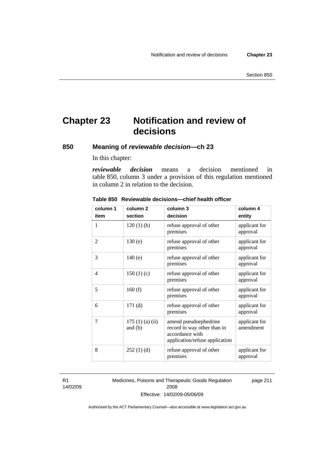## **Chapter 23 Notification and review of decisions**

**850 Meaning of** *reviewable decision—***ch 23** 

In this chapter:

*reviewable decision* means a decision mentioned in table 850, column 3 under a provision of this regulation mentioned in column 2 in relation to the decision.

| column 1       | column <sub>2</sub>        | column 3                                                                                                  | column 4                   |
|----------------|----------------------------|-----------------------------------------------------------------------------------------------------------|----------------------------|
| item           | section                    | decision                                                                                                  | entity                     |
| 1              | $120(1)$ (h)               | refuse approval of other<br>premises                                                                      | applicant for<br>approval  |
| $\overline{2}$ | 130(e)                     | refuse approval of other<br>premises                                                                      | applicant for<br>approval  |
| 3              | 140(e)                     | refuse approval of other<br>premises                                                                      | applicant for<br>approval  |
| 4              | 150(1)(c)                  | refuse approval of other<br>premises                                                                      | applicant for<br>approval  |
| 5              | 160(f)                     | refuse approval of other<br>premises                                                                      | applicant for<br>approval  |
| 6              | 171(d)                     | refuse approval of other<br>premises                                                                      | applicant for<br>approval  |
| 7              | 175(1)(a)(ii)<br>and $(b)$ | amend pseudoephedrine<br>record in way other than in<br>accordance with<br>application/refuse application | applicant for<br>amendment |
| 8              | 252(1)(d)                  | refuse approval of other<br>premises                                                                      | applicant for<br>approval  |

#### **Table 850 Reviewable decisions—chief health officer**

R1 14/02/09 Medicines, Poisons and Therapeutic Goods Regulation 2008 Effective: 14/02/09-05/06/09 page 211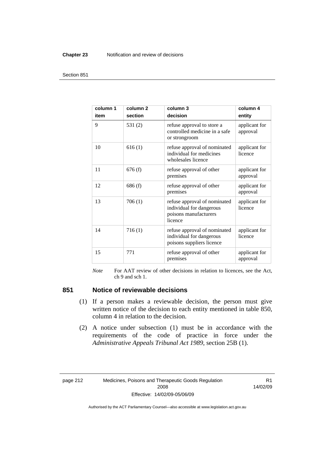#### **Chapter 23** Notification and review of decisions

#### Section 851

| column 1<br>item | column <sub>2</sub><br>section | column 3<br>decision                                                                         | column 4<br>entity        |
|------------------|--------------------------------|----------------------------------------------------------------------------------------------|---------------------------|
| 9                | 531(2)                         | refuse approval to store a<br>controlled medicine in a safe<br>or strongroom                 | applicant for<br>approval |
| 10               | 616(1)                         | refuse approval of nominated<br>individual for medicines<br>wholesales licence               | applicant for<br>licence  |
| 11               | 676(f)                         | refuse approval of other<br>premises                                                         | applicant for<br>approval |
| 12               | 686(f)                         | refuse approval of other<br>premises                                                         | applicant for<br>approval |
| 13               | 706(1)                         | refuse approval of nominated<br>individual for dangerous<br>poisons manufacturers<br>licence | applicant for<br>licence  |
| 14               | 716(1)                         | refuse approval of nominated<br>individual for dangerous<br>poisons suppliers licence        | applicant for<br>licence  |
| 15               | 771                            | refuse approval of other<br>premises                                                         | applicant for<br>approval |

*Note* For AAT review of other decisions in relation to licences, see the Act, ch 9 and sch 1.

## **851 Notice of reviewable decisions**

- (1) If a person makes a reviewable decision, the person must give written notice of the decision to each entity mentioned in table 850, column 4 in relation to the decision.
- (2) A notice under subsection (1) must be in accordance with the requirements of the code of practice in force under the *Administrative Appeals Tribunal Act 1989*, section 25B (1).

page 212 Medicines, Poisons and Therapeutic Goods Regulation 2008 Effective: 14/02/09-05/06/09

R1 14/02/09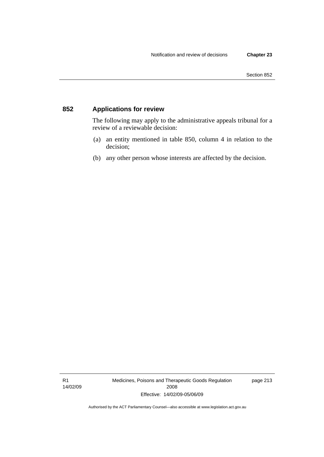## **852 Applications for review**

The following may apply to the administrative appeals tribunal for a review of a reviewable decision:

- (a) an entity mentioned in table 850, column 4 in relation to the decision;
- (b) any other person whose interests are affected by the decision.

R1 14/02/09 Medicines, Poisons and Therapeutic Goods Regulation 2008 Effective: 14/02/09-05/06/09

page 213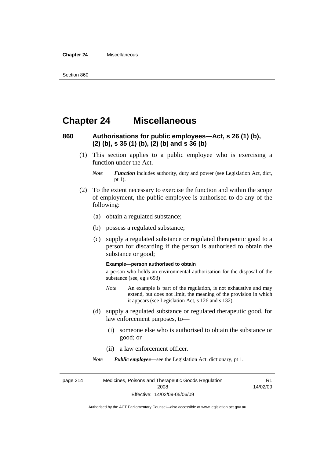#### **Chapter 24** Miscellaneous

## **Chapter 24 Miscellaneous**

## **860 Authorisations for public employees—Act, s 26 (1) (b), (2) (b), s 35 (1) (b), (2) (b) and s 36 (b)**

 (1) This section applies to a public employee who is exercising a function under the Act.

- (2) To the extent necessary to exercise the function and within the scope of employment, the public employee is authorised to do any of the following:
	- (a) obtain a regulated substance;
	- (b) possess a regulated substance;
	- (c) supply a regulated substance or regulated therapeutic good to a person for discarding if the person is authorised to obtain the substance or good;

#### **Example—person authorised to obtain**

a person who holds an environmental authorisation for the disposal of the substance (see, eg s 693)

- *Note* An example is part of the regulation, is not exhaustive and may extend, but does not limit, the meaning of the provision in which it appears (see Legislation Act, s 126 and s 132).
- (d) supply a regulated substance or regulated therapeutic good, for law enforcement purposes, to—
	- (i) someone else who is authorised to obtain the substance or good; or
	- (ii) a law enforcement officer.

*Note Public employee*—see the Legislation Act, dictionary, pt 1.

page 214 Medicines, Poisons and Therapeutic Goods Regulation 2008 Effective: 14/02/09-05/06/09 R1 14/02/09

*Note Function* includes authority, duty and power (see Legislation Act, dict, pt 1).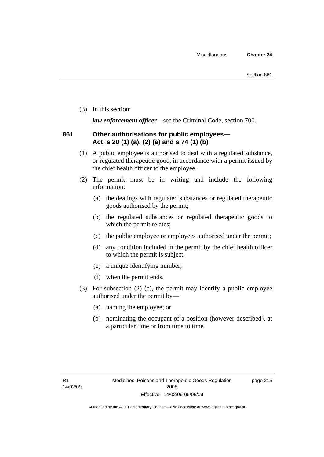(3) In this section:

*law enforcement officer*—see the Criminal Code, section 700.

## **861 Other authorisations for public employees— Act, s 20 (1) (a), (2) (a) and s 74 (1) (b)**

- (1) A public employee is authorised to deal with a regulated substance, or regulated therapeutic good, in accordance with a permit issued by the chief health officer to the employee.
- (2) The permit must be in writing and include the following information:
	- (a) the dealings with regulated substances or regulated therapeutic goods authorised by the permit;
	- (b) the regulated substances or regulated therapeutic goods to which the permit relates;
	- (c) the public employee or employees authorised under the permit;
	- (d) any condition included in the permit by the chief health officer to which the permit is subject;
	- (e) a unique identifying number;
	- (f) when the permit ends.
- (3) For subsection (2) (c), the permit may identify a public employee authorised under the permit by—
	- (a) naming the employee; or
	- (b) nominating the occupant of a position (however described), at a particular time or from time to time.

page 215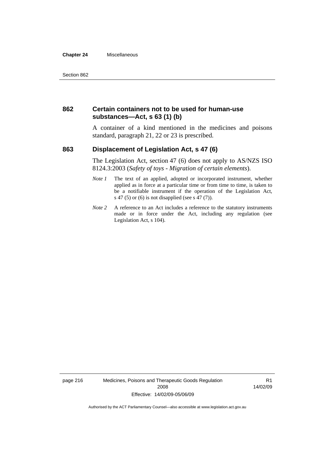#### **Chapter 24** Miscellaneous

### **862 Certain containers not to be used for human-use substances—Act, s 63 (1) (b)**

A container of a kind mentioned in the medicines and poisons standard, paragraph 21, 22 or 23 is prescribed.

### **863 Displacement of Legislation Act, s 47 (6)**

The Legislation Act, section 47 (6) does not apply to AS/NZS ISO 8124.3:2003 (*Safety of toys - Migration of certain elements*).

- *Note 1* The text of an applied, adopted or incorporated instrument, whether applied as in force at a particular time or from time to time, is taken to be a notifiable instrument if the operation of the Legislation Act, s 47 (5) or (6) is not disapplied (see s 47 (7)).
- *Note 2* A reference to an Act includes a reference to the statutory instruments made or in force under the Act, including any regulation (see Legislation Act, s 104).

page 216 Medicines, Poisons and Therapeutic Goods Regulation 2008 Effective: 14/02/09-05/06/09

R1 14/02/09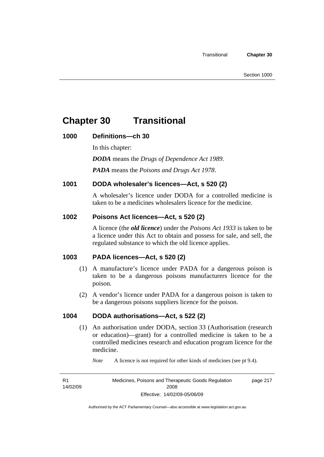## **Chapter 30 Transitional**

## **1000 Definitions—ch 30**

In this chapter:

*DODA* means the *Drugs of Dependence Act 1989*.

*PADA* means the *Poisons and Drugs Act 1978*.

## **1001 DODA wholesaler's licences—Act, s 520 (2)**

A wholesaler's licence under DODA for a controlled medicine is taken to be a medicines wholesalers licence for the medicine.

## **1002 Poisons Act licences—Act, s 520 (2)**

A licence (the *old licence*) under the *Poisons Act 1933* is taken to be a licence under this Act to obtain and possess for sale, and sell, the regulated substance to which the old licence applies.

## **1003 PADA licences—Act, s 520 (2)**

- (1) A manufacture's licence under PADA for a dangerous poison is taken to be a dangerous poisons manufacturers licence for the poison.
- (2) A vendor's licence under PADA for a dangerous poison is taken to be a dangerous poisons suppliers licence for the poison.

## **1004 DODA authorisations—Act, s 522 (2)**

- (1) An authorisation under DODA, section 33 (Authorisation (research or education)—grant) for a controlled medicine is taken to be a controlled medicines research and education program licence for the medicine.
	- *Note* A licence is not required for other kinds of medicines (see pt 9.4).

R1 14/02/09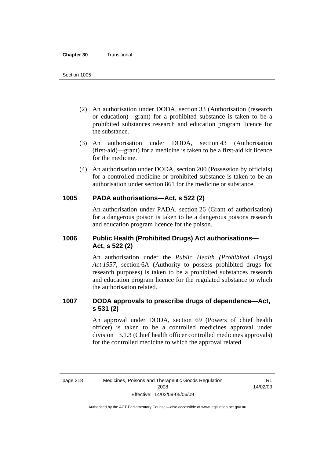#### **Chapter 30** Transitional

- (2) An authorisation under DODA, section 33 (Authorisation (research or education)—grant) for a prohibited substance is taken to be a prohibited substances research and education program licence for the substance.
- (3) An authorisation under DODA, section 43 (Authorisation (first-aid)—grant) for a medicine is taken to be a first-aid kit licence for the medicine.
- (4) An authorisation under DODA, section 200 (Possession by officials) for a controlled medicine or prohibited substance is taken to be an authorisation under section 861 for the medicine or substance.

### **1005 PADA authorisations—Act, s 522 (2)**

An authorisation under PADA, section 26 (Grant of authorisation) for a dangerous poison is taken to be a dangerous poisons research and education program licence for the poison.

## **1006 Public Health (Prohibited Drugs) Act authorisations— Act, s 522 (2)**

An authorisation under the *Public Health (Prohibited Drugs) Act 1957*, section 6A (Authority to possess prohibited drugs for research purposes) is taken to be a prohibited substances research and education program licence for the regulated substance to which the authorisation related.

## **1007 DODA approvals to prescribe drugs of dependence—Act, s 531 (2)**

An approval under DODA, section 69 (Powers of chief health officer) is taken to be a controlled medicines approval under division 13.1.3 (Chief health officer controlled medicines approvals) for the controlled medicine to which the approval related.

R1 14/02/09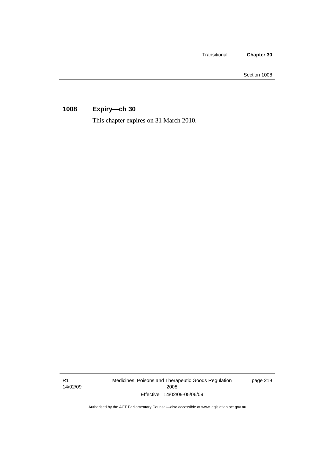Transitional **Chapter 30** 

Section 1008

## **1008 Expiry—ch 30**

This chapter expires on 31 March 2010.

R1 14/02/09 Medicines, Poisons and Therapeutic Goods Regulation 2008 Effective: 14/02/09-05/06/09

page 219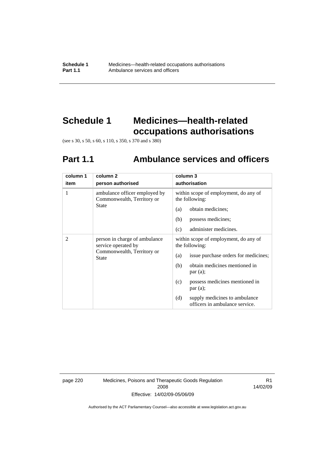## **Schedule 1 Medicines—health-related occupations authorisations**

(see s 30, s 50, s 60, s 110, s 350, s 370 and s 380)

# **Part 1.1 Ambulance services and officers**

| column 1 | column <sub>2</sub>                                                                                | column 3                                                               |
|----------|----------------------------------------------------------------------------------------------------|------------------------------------------------------------------------|
| item     | person authorised                                                                                  | authorisation                                                          |
| 1        | ambulance officer employed by<br>Commonwealth, Territory or                                        | within scope of employment, do any of<br>the following:                |
|          | <b>State</b>                                                                                       | obtain medicines;<br>(a)                                               |
|          |                                                                                                    | (b)<br>possess medicines;                                              |
|          |                                                                                                    | administer medicines.<br>(c)                                           |
| 2        | person in charge of ambulance<br>service operated by<br>Commonwealth, Territory or<br><b>State</b> | within scope of employment, do any of<br>the following:                |
|          |                                                                                                    | issue purchase orders for medicines;<br>(a)                            |
|          |                                                                                                    | obtain medicines mentioned in<br>(b)<br>par(a);                        |
|          |                                                                                                    | possess medicines mentioned in<br>(c)<br>par(a);                       |
|          |                                                                                                    | supply medicines to ambulance<br>(d)<br>officers in ambulance service. |

page 220 Medicines, Poisons and Therapeutic Goods Regulation 2008 Effective: 14/02/09-05/06/09

R1 14/02/09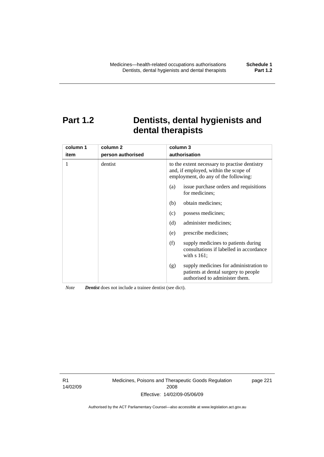## **Part 1.2 Dentists, dental hygienists and dental therapists**

| column 1<br>item | column 2<br>person authorised | column 3<br>authorisation                                                                                                      |  |
|------------------|-------------------------------|--------------------------------------------------------------------------------------------------------------------------------|--|
| 1                | dentist                       | to the extent necessary to practise dentistry<br>and, if employed, within the scope of<br>employment, do any of the following: |  |
|                  |                               | issue purchase orders and requisitions<br>(a)<br>for medicines:                                                                |  |
|                  |                               | obtain medicines;<br>(b)                                                                                                       |  |
|                  |                               | possess medicines;<br>(c)                                                                                                      |  |
|                  |                               | (d)<br>administer medicines;                                                                                                   |  |
|                  |                               | prescribe medicines;<br>(e)                                                                                                    |  |
|                  |                               | supply medicines to patients during<br>(f)<br>consultations if labelled in accordance<br>with $s$ 161;                         |  |
|                  |                               | supply medicines for administration to<br>(g)<br>patients at dental surgery to people<br>authorised to administer them.        |  |

*Note Dentist* does not include a trainee dentist (see dict).

R1 14/02/09 Medicines, Poisons and Therapeutic Goods Regulation 2008 Effective: 14/02/09-05/06/09

page 221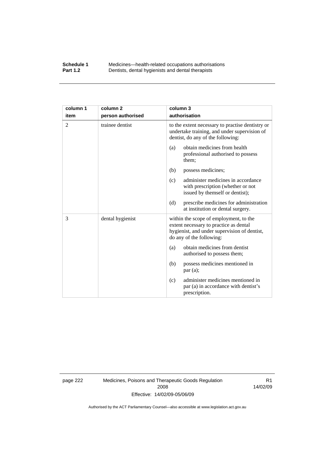### **Schedule 1** Medicines—health-related occupations authorisations<br>**Part 1.2** Dentists, dental hygienists and dental therapists **Part 1.2** Dentists, dental hygienists and dental therapists

| column 1       | column <sub>2</sub> | column 3                                                                                                                                                     |
|----------------|---------------------|--------------------------------------------------------------------------------------------------------------------------------------------------------------|
| item           | person authorised   | authorisation                                                                                                                                                |
| $\overline{2}$ | trainee dentist     | to the extent necessary to practise dentistry or<br>undertake training, and under supervision of<br>dentist, do any of the following:                        |
|                |                     | obtain medicines from health<br>(a)<br>professional authorised to possess<br>them;                                                                           |
|                |                     | (b)<br>possess medicines;                                                                                                                                    |
|                |                     | administer medicines in accordance<br>(c)<br>with prescription (whether or not<br>issued by themself or dentist);                                            |
|                |                     | prescribe medicines for administration<br>(d)<br>at institution or dental surgery.                                                                           |
| 3              | dental hygienist    | within the scope of employment, to the<br>extent necessary to practice as dental<br>hygienist, and under supervision of dentist,<br>do any of the following: |
|                |                     | obtain medicines from dentist<br>(a)<br>authorised to possess them;                                                                                          |
|                |                     | possess medicines mentioned in<br>(b)<br>par(a);                                                                                                             |
|                |                     | administer medicines mentioned in<br>(c)<br>par (a) in accordance with dentist's<br>prescription.                                                            |

page 222 Medicines, Poisons and Therapeutic Goods Regulation 2008 Effective: 14/02/09-05/06/09

R1 14/02/09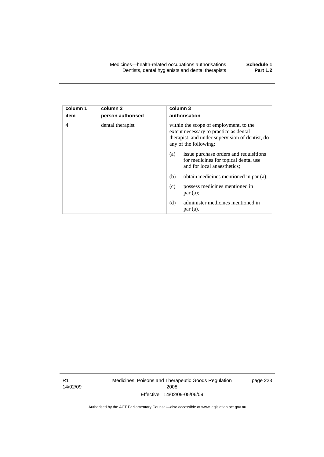| column 1<br>item | column 2<br>person authorised | column 3<br>authorisation                                                                                                                                    |  |
|------------------|-------------------------------|--------------------------------------------------------------------------------------------------------------------------------------------------------------|--|
| 4                | dental therapist              | within the scope of employment, to the<br>extent necessary to practice as dental<br>therapist, and under supervision of dentist, do<br>any of the following: |  |
|                  |                               | issue purchase orders and requisitions<br>(a)<br>for medicines for topical dental use<br>and for local anaesthetics;                                         |  |
|                  |                               | (b)<br>obtain medicines mentioned in par (a);                                                                                                                |  |
|                  |                               | possess medicines mentioned in<br>(c)<br>par(a);                                                                                                             |  |
|                  |                               | administer medicines mentioned in<br>(d)<br>par(a).                                                                                                          |  |

R1 14/02/09 Medicines, Poisons and Therapeutic Goods Regulation 2008 Effective: 14/02/09-05/06/09

page 223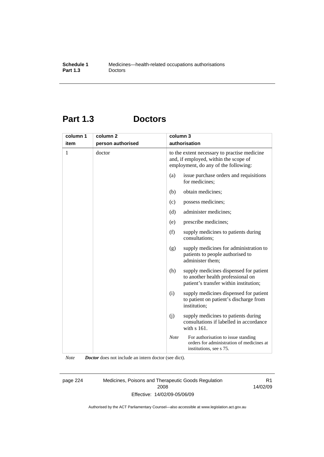## **Part 1.3 Doctors**

| column 1 | column <sub>2</sub> | column 3      |                                                                                                                               |
|----------|---------------------|---------------|-------------------------------------------------------------------------------------------------------------------------------|
| item     | person authorised   | authorisation |                                                                                                                               |
| 1        | doctor              |               | to the extent necessary to practise medicine<br>and, if employed, within the scope of<br>employment, do any of the following: |
|          |                     | (a)           | issue purchase orders and requisitions<br>for medicines;                                                                      |
|          |                     | (b)           | obtain medicines;                                                                                                             |
|          |                     | (c)           | possess medicines;                                                                                                            |
|          |                     | (d)           | administer medicines;                                                                                                         |
|          |                     | (e)           | prescribe medicines;                                                                                                          |
|          |                     | (f)           | supply medicines to patients during<br>consultations:                                                                         |
|          |                     | (g)           | supply medicines for administration to<br>patients to people authorised to<br>administer them;                                |
|          |                     | (h)           | supply medicines dispensed for patient<br>to another health professional on<br>patient's transfer within institution;         |
|          |                     | (i)           | supply medicines dispensed for patient<br>to patient on patient's discharge from<br>institution;                              |
|          |                     | (j)           | supply medicines to patients during<br>consultations if labelled in accordance<br>with s 161.                                 |
|          |                     | <b>Note</b>   | For authorisation to issue standing<br>orders for administration of medicines at<br>institutions, see s 75.                   |

*Note Doctor* does not include an intern doctor (see dict).

page 224 Medicines, Poisons and Therapeutic Goods Regulation 2008 Effective: 14/02/09-05/06/09

R1 14/02/09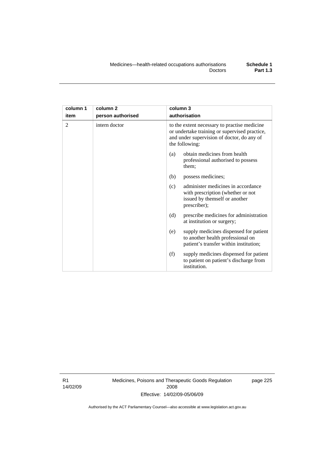| column 1       | column 2          | column 3                                                                                                                                                      |  |
|----------------|-------------------|---------------------------------------------------------------------------------------------------------------------------------------------------------------|--|
| item           | person authorised | authorisation                                                                                                                                                 |  |
| $\mathfrak{D}$ | intern doctor     | to the extent necessary to practise medicine<br>or undertake training or supervised practice,<br>and under supervision of doctor, do any of<br>the following: |  |
|                |                   | obtain medicines from health<br>(a)<br>professional authorised to possess<br>them;                                                                            |  |
|                |                   | (b)<br>possess medicines;                                                                                                                                     |  |
|                |                   | administer medicines in accordance<br>(c)<br>with prescription (whether or not<br>issued by themself or another<br>prescriber);                               |  |
|                |                   | (d)<br>prescribe medicines for administration<br>at institution or surgery;                                                                                   |  |
|                |                   | supply medicines dispensed for patient<br>(e)<br>to another health professional on<br>patient's transfer within institution;                                  |  |
|                |                   | (f)<br>supply medicines dispensed for patient<br>to patient on patient's discharge from<br>institution.                                                       |  |

R1 14/02/09 Medicines, Poisons and Therapeutic Goods Regulation 2008 Effective: 14/02/09-05/06/09

page 225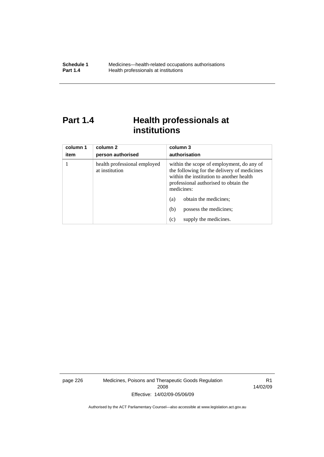## **Part 1.4 Health professionals at institutions**

| column 1<br>item | column 2<br>person authorised                  | column 3<br>authorisation                                                                                                                                                                   |
|------------------|------------------------------------------------|---------------------------------------------------------------------------------------------------------------------------------------------------------------------------------------------|
|                  | health professional employed<br>at institution | within the scope of employment, do any of<br>the following for the delivery of medicines<br>within the institution to another health<br>professional authorised to obtain the<br>medicines: |
|                  |                                                | obtain the medicines;<br>(a)                                                                                                                                                                |
|                  |                                                | possess the medicines;<br>(b)                                                                                                                                                               |
|                  |                                                | supply the medicines.<br>(c)                                                                                                                                                                |

page 226 Medicines, Poisons and Therapeutic Goods Regulation 2008 Effective: 14/02/09-05/06/09

R1 14/02/09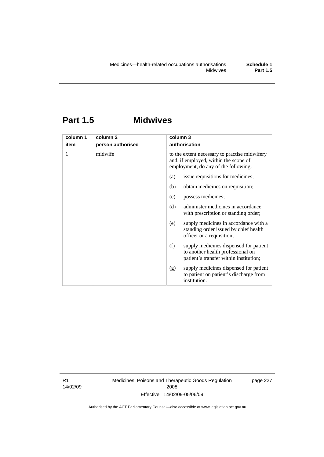## **Part 1.5 Midwives**

| column 1 | column <sub>2</sub> | column 3                                                                                                                       |
|----------|---------------------|--------------------------------------------------------------------------------------------------------------------------------|
| item     | person authorised   | authorisation                                                                                                                  |
| 1        | midwife             | to the extent necessary to practise midwifery<br>and, if employed, within the scope of<br>employment, do any of the following: |
|          |                     | issue requisitions for medicines;<br>(a)                                                                                       |
|          |                     | obtain medicines on requisition;<br>(b)                                                                                        |
|          |                     | possess medicines;<br>(c)                                                                                                      |
|          |                     | administer medicines in accordance<br>(d)<br>with prescription or standing order;                                              |
|          |                     | supply medicines in accordance with a<br>(e)<br>standing order issued by chief health<br>officer or a requisition;             |
|          |                     | (f)<br>supply medicines dispensed for patient<br>to another health professional on<br>patient's transfer within institution;   |
|          |                     | supply medicines dispensed for patient<br>(g)<br>to patient on patient's discharge from<br>institution.                        |

R1 14/02/09 Medicines, Poisons and Therapeutic Goods Regulation 2008 Effective: 14/02/09-05/06/09

page 227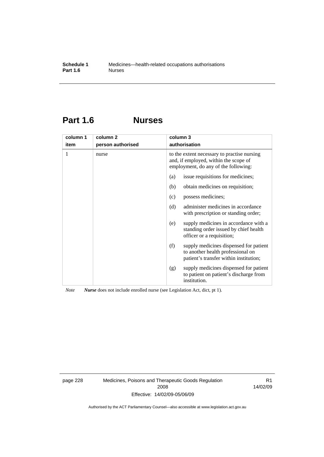## **Part 1.6 Nurses**

| column 1 | column <sub>2</sub> | column 3                                                                                                                     |
|----------|---------------------|------------------------------------------------------------------------------------------------------------------------------|
| item     | person authorised   | authorisation                                                                                                                |
| 1        | nurse               | to the extent necessary to practise nursing<br>and, if employed, within the scope of<br>employment, do any of the following: |
|          |                     | issue requisitions for medicines;<br>(a)                                                                                     |
|          |                     | obtain medicines on requisition;<br>(b)                                                                                      |
|          |                     | possess medicines;<br>(c)                                                                                                    |
|          |                     | administer medicines in accordance<br>(d)<br>with prescription or standing order;                                            |
|          |                     | supply medicines in accordance with a<br>(e)<br>standing order issued by chief health<br>officer or a requisition;           |
|          |                     | (f)<br>supply medicines dispensed for patient<br>to another health professional on<br>patient's transfer within institution; |
|          |                     | supply medicines dispensed for patient<br>(g)<br>to patient on patient's discharge from<br>institution.                      |

*Note Nurse* does not include enrolled nurse (see Legislation Act, dict, pt 1).

page 228 Medicines, Poisons and Therapeutic Goods Regulation 2008 Effective: 14/02/09-05/06/09

R1 14/02/09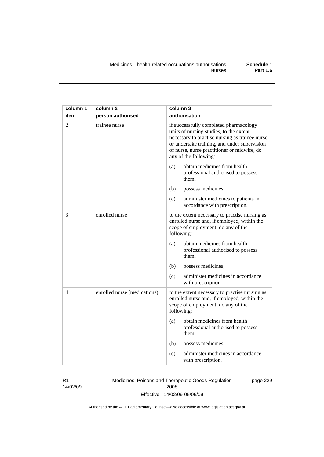| column 1       | column 2                     | column 3                                                                                                                                                                                                                                                    |
|----------------|------------------------------|-------------------------------------------------------------------------------------------------------------------------------------------------------------------------------------------------------------------------------------------------------------|
| item           | person authorised            | authorisation                                                                                                                                                                                                                                               |
| $\overline{2}$ | trainee nurse                | if successfully completed pharmacology<br>units of nursing studies, to the extent<br>necessary to practise nursing as trainee nurse<br>or undertake training, and under supervision<br>of nurse, nurse practitioner or midwife, do<br>any of the following: |
|                |                              | obtain medicines from health<br>(a)<br>professional authorised to possess<br>them;                                                                                                                                                                          |
|                |                              | (b)<br>possess medicines;                                                                                                                                                                                                                                   |
|                |                              | (c)<br>administer medicines to patients in<br>accordance with prescription.                                                                                                                                                                                 |
| 3              | enrolled nurse               | to the extent necessary to practise nursing as<br>enrolled nurse and, if employed, within the<br>scope of employment, do any of the<br>following:                                                                                                           |
|                |                              | obtain medicines from health<br>(a)<br>professional authorised to possess<br>them;                                                                                                                                                                          |
|                |                              | (b)<br>possess medicines;                                                                                                                                                                                                                                   |
|                |                              | (c)<br>administer medicines in accordance<br>with prescription.                                                                                                                                                                                             |
| 4              | enrolled nurse (medications) | to the extent necessary to practise nursing as<br>enrolled nurse and, if employed, within the<br>scope of employment, do any of the<br>following:                                                                                                           |
|                |                              | obtain medicines from health<br>(a)<br>professional authorised to possess<br>them;                                                                                                                                                                          |
|                |                              | (b)<br>possess medicines;                                                                                                                                                                                                                                   |
|                |                              | administer medicines in accordance<br>(c)<br>with prescription.                                                                                                                                                                                             |

### R1

14/02/09

Medicines, Poisons and Therapeutic Goods Regulation 2008 Effective: 14/02/09-05/06/09 page 229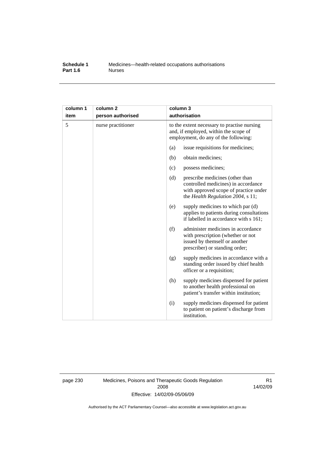#### **Schedule 1** Medicines—health-related occupations authorisations<br>**Part 1.6** Murses **Part 1.6**

| column 1<br>item | column 2<br>person authorised | column 3<br>authorisation                                                                                                    |                                                                                                                                                      |
|------------------|-------------------------------|------------------------------------------------------------------------------------------------------------------------------|------------------------------------------------------------------------------------------------------------------------------------------------------|
| 5                | nurse practitioner            | to the extent necessary to practise nursing<br>and, if employed, within the scope of<br>employment, do any of the following: |                                                                                                                                                      |
|                  |                               | (a)                                                                                                                          | issue requisitions for medicines;                                                                                                                    |
|                  |                               | (b)                                                                                                                          | obtain medicines;                                                                                                                                    |
|                  |                               | (c)                                                                                                                          | possess medicines;                                                                                                                                   |
|                  |                               | (d)                                                                                                                          | prescribe medicines (other than<br>controlled medicines) in accordance<br>with approved scope of practice under<br>the Health Regulation 2004, s 11; |
|                  |                               | (e)                                                                                                                          | supply medicines to which par (d)<br>applies to patients during consultations<br>if labelled in accordance with s 161;                               |
|                  |                               | (f)                                                                                                                          | administer medicines in accordance<br>with prescription (whether or not<br>issued by themself or another<br>prescriber) or standing order;           |
|                  |                               | (g)                                                                                                                          | supply medicines in accordance with a<br>standing order issued by chief health<br>officer or a requisition;                                          |
|                  |                               | (h)                                                                                                                          | supply medicines dispensed for patient<br>to another health professional on<br>patient's transfer within institution;                                |
|                  |                               | (i)                                                                                                                          | supply medicines dispensed for patient<br>to patient on patient's discharge from<br>institution.                                                     |

page 230 Medicines, Poisons and Therapeutic Goods Regulation 2008 Effective: 14/02/09-05/06/09

R1 14/02/09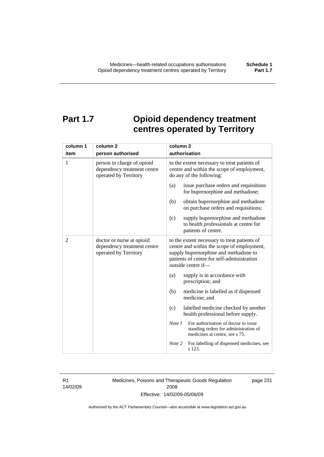# **Part 1.7 Opioid dependency treatment centres operated by Territory**

| column 1       | column 2                                                                           | column 3                                                                                                                                                                                                |  |
|----------------|------------------------------------------------------------------------------------|---------------------------------------------------------------------------------------------------------------------------------------------------------------------------------------------------------|--|
| item           | person authorised                                                                  | authorisation                                                                                                                                                                                           |  |
| 1              | person in charge of opioid<br>dependency treatment centre<br>operated by Territory | to the extent necessary to treat patients of<br>centre and within the scope of employment,<br>do any of the following:                                                                                  |  |
|                |                                                                                    | (a)<br>issue purchase orders and requisitions<br>for buprenorphine and methadone;                                                                                                                       |  |
|                |                                                                                    | (b)<br>obtain buprenorphine and methadone<br>on purchase orders and requisitions;                                                                                                                       |  |
|                |                                                                                    | supply buprenorphine and methadone<br>(c)<br>to health professionals at centre for<br>patients of centre.                                                                                               |  |
| $\overline{2}$ | doctor or nurse at opioid<br>dependency treatment centre<br>operated by Territory  | to the extent necessary to treat patients of<br>centre and within the scope of employment,<br>supply buprenorphine and methadone to<br>patients of centre for self-administration<br>outside centre if- |  |
|                |                                                                                    | supply is in accordance with<br>(a)<br>prescription; and                                                                                                                                                |  |
|                |                                                                                    | (b)<br>medicine is labelled as if dispensed<br>medicine; and                                                                                                                                            |  |
|                |                                                                                    | labelled medicine checked by another<br>(c)<br>health professional before supply.                                                                                                                       |  |
|                |                                                                                    | For authorisation of doctor to issue<br>Note 1<br>standing orders for administration of<br>medicines at centre, see s 75.                                                                               |  |
|                |                                                                                    | Note 2<br>For labelling of dispensed medicines, see<br>s 123.                                                                                                                                           |  |

R1 14/02/09 Medicines, Poisons and Therapeutic Goods Regulation 2008 Effective: 14/02/09-05/06/09

page 231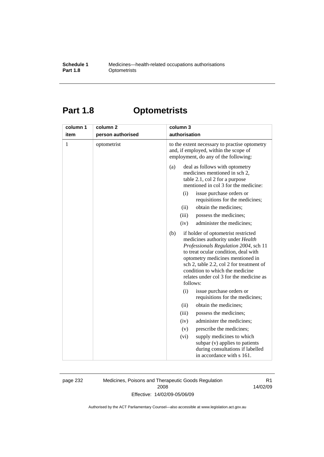#### **Schedule 1** Medicines—health-related occupations authorisations<br>**Part 1.8** Optometrists **Optometrists**

# **Part 1.8 Optometrists**

| column 1 | column <sub>2</sub> | column 3                                                                                                                                                                                                                                                                                                                                                                                                                                                                                                                                                                                                              |
|----------|---------------------|-----------------------------------------------------------------------------------------------------------------------------------------------------------------------------------------------------------------------------------------------------------------------------------------------------------------------------------------------------------------------------------------------------------------------------------------------------------------------------------------------------------------------------------------------------------------------------------------------------------------------|
| item     | person authorised   | authorisation                                                                                                                                                                                                                                                                                                                                                                                                                                                                                                                                                                                                         |
| 1        | optometrist         | to the extent necessary to practise optometry<br>and, if employed, within the scope of<br>employment, do any of the following:                                                                                                                                                                                                                                                                                                                                                                                                                                                                                        |
|          |                     | deal as follows with optometry<br>(a)<br>medicines mentioned in sch 2,<br>table 2.1, col 2 for a purpose<br>mentioned in col 3 for the medicine:<br>issue purchase orders or<br>(i)<br>requisitions for the medicines;<br>obtain the medicines;<br>(ii)<br>(iii)<br>possess the medicines;<br>administer the medicines;<br>(iv)<br>if holder of optometrist restricted<br>(b)<br>medicines authority under Health<br>Professionals Regulation 2004, sch 11<br>to treat ocular condition, deal with<br>optometry medicines mentioned in<br>sch 2, table 2.2, col 2 for treatment of<br>condition to which the medicine |
|          |                     | relates under col 3 for the medicine as<br>follows:                                                                                                                                                                                                                                                                                                                                                                                                                                                                                                                                                                   |
|          |                     | (i)<br>issue purchase orders or<br>requisitions for the medicines;                                                                                                                                                                                                                                                                                                                                                                                                                                                                                                                                                    |
|          |                     | obtain the medicines;<br>(ii)                                                                                                                                                                                                                                                                                                                                                                                                                                                                                                                                                                                         |
|          |                     | (iii)<br>possess the medicines;                                                                                                                                                                                                                                                                                                                                                                                                                                                                                                                                                                                       |
|          |                     | administer the medicines;<br>(iv)                                                                                                                                                                                                                                                                                                                                                                                                                                                                                                                                                                                     |
|          |                     | prescribe the medicines;<br>(v)                                                                                                                                                                                                                                                                                                                                                                                                                                                                                                                                                                                       |
|          |                     | supply medicines to which<br>(vi)<br>subpar (v) applies to patients<br>during consultations if labelled<br>in accordance with s 161.                                                                                                                                                                                                                                                                                                                                                                                                                                                                                  |

page 232 Medicines, Poisons and Therapeutic Goods Regulation 2008 Effective: 14/02/09-05/06/09

R1 14/02/09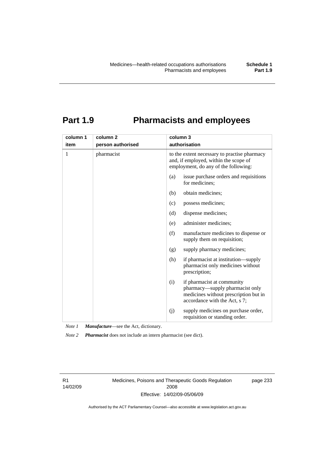# **Part 1.9 Pharmacists and employees**

| column 1 | column <sub>2</sub> | column 3                                                                                                                                       |  |
|----------|---------------------|------------------------------------------------------------------------------------------------------------------------------------------------|--|
| item     | person authorised   | authorisation                                                                                                                                  |  |
| 1        | pharmacist          | to the extent necessary to practise pharmacy<br>and, if employed, within the scope of<br>employment, do any of the following:                  |  |
|          |                     | (a)<br>issue purchase orders and requisitions<br>for medicines;                                                                                |  |
|          |                     | obtain medicines;<br>(b)                                                                                                                       |  |
|          |                     | possess medicines;<br>(c)                                                                                                                      |  |
|          |                     | dispense medicines;<br>(d)                                                                                                                     |  |
|          |                     | administer medicines;<br>(e)                                                                                                                   |  |
|          |                     | (f)<br>manufacture medicines to dispense or<br>supply them on requisition;                                                                     |  |
|          |                     | supply pharmacy medicines;<br>(g)                                                                                                              |  |
|          |                     | (h)<br>if pharmacist at institution—supply<br>pharmacist only medicines without<br>prescription;                                               |  |
|          |                     | if pharmacist at community<br>(i)<br>pharmacy-supply pharmacist only<br>medicines without prescription but in<br>accordance with the Act, s 7; |  |
|          |                     | supply medicines on purchase order,<br>(i)<br>requisition or standing order.                                                                   |  |

*Note 1 Manufacture*—see the Act, dictionary.

*Note 2 Pharmacist* does not include an intern pharmacist (see dict).

R1 14/02/09 Medicines, Poisons and Therapeutic Goods Regulation 2008 Effective: 14/02/09-05/06/09

page 233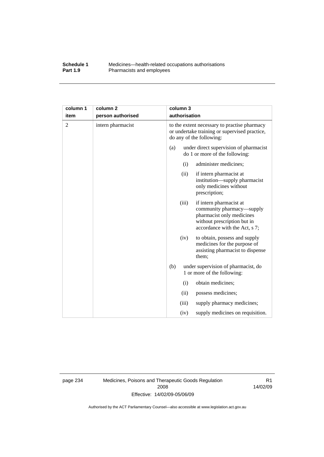#### **Schedule 1** Medicines—health-related occupations authorisations<br>**Part 1.9** Pharmacists and employees Pharmacists and employees

| column 1 | column <sub>2</sub> |                                                                                                                           | column 3      |                                                                                                                                                   |
|----------|---------------------|---------------------------------------------------------------------------------------------------------------------------|---------------|---------------------------------------------------------------------------------------------------------------------------------------------------|
| item     | person authorised   |                                                                                                                           | authorisation |                                                                                                                                                   |
| 2        | intern pharmacist   | to the extent necessary to practise pharmacy<br>or undertake training or supervised practice,<br>do any of the following: |               |                                                                                                                                                   |
|          |                     | (a)                                                                                                                       |               | under direct supervision of pharmacist<br>do 1 or more of the following:                                                                          |
|          |                     |                                                                                                                           | (i)           | administer medicines;                                                                                                                             |
|          |                     |                                                                                                                           | (ii)          | if intern pharmacist at<br>institution-supply pharmacist<br>only medicines without<br>prescription;                                               |
|          |                     |                                                                                                                           | (iii)         | if intern pharmacist at<br>community pharmacy—supply<br>pharmacist only medicines<br>without prescription but in<br>accordance with the Act, s 7; |
|          |                     |                                                                                                                           | (iv)          | to obtain, possess and supply<br>medicines for the purpose of<br>assisting pharmacist to dispense<br>them;                                        |
|          |                     | (b)                                                                                                                       |               | under supervision of pharmacist, do<br>1 or more of the following:                                                                                |
|          |                     |                                                                                                                           | (i)           | obtain medicines;                                                                                                                                 |
|          |                     |                                                                                                                           | (ii)          | possess medicines;                                                                                                                                |
|          |                     |                                                                                                                           | (iii)         | supply pharmacy medicines;                                                                                                                        |
|          |                     |                                                                                                                           | (iv)          | supply medicines on requisition.                                                                                                                  |

page 234 Medicines, Poisons and Therapeutic Goods Regulation 2008 Effective: 14/02/09-05/06/09

R1 14/02/09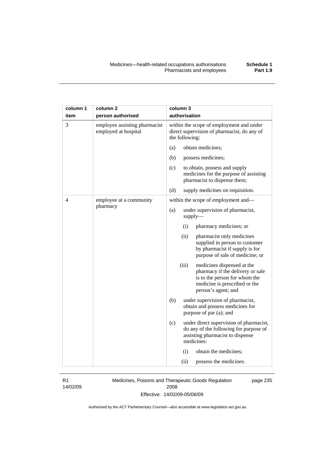| column 1<br>item | column <sub>2</sub><br>person authorised              | column 3<br>authorisation                                                                                                                                        |
|------------------|-------------------------------------------------------|------------------------------------------------------------------------------------------------------------------------------------------------------------------|
| 3                | employee assisting pharmacist<br>employed at hospital | within the scope of employment and under<br>direct supervision of pharmacist, do any of<br>the following:                                                        |
|                  |                                                       | obtain medicines;<br>(a)                                                                                                                                         |
|                  |                                                       | (b)<br>possess medicines;                                                                                                                                        |
|                  |                                                       | (c)<br>to obtain, possess and supply<br>medicines for the purpose of assisting<br>pharmacist to dispense them;                                                   |
|                  |                                                       | (d)<br>supply medicines on requisition.                                                                                                                          |
| 4                | employee at a community                               | within the scope of employment and—                                                                                                                              |
|                  | pharmacy                                              | (a)<br>under supervision of pharmacist,<br>supply                                                                                                                |
|                  |                                                       | pharmacy medicines; or<br>(i)                                                                                                                                    |
|                  |                                                       | (ii)<br>pharmacist only medicines<br>supplied in person to customer<br>by pharmacist if supply is for<br>purpose of sale of medicine; or                         |
|                  |                                                       | (iii)<br>medicines dispensed at the<br>pharmacy if the delivery or sale<br>is to the person for whom the<br>medicine is prescribed or the<br>person's agent; and |
|                  |                                                       | (b)<br>under supervision of pharmacist,<br>obtain and possess medicines for<br>purpose of par (a); and                                                           |
|                  |                                                       | (c)<br>under direct supervision of pharmacist,<br>do any of the following for purpose of<br>assisting pharmacist to dispense<br>medicines:                       |
|                  |                                                       | (i)<br>obtain the medicines;                                                                                                                                     |
|                  |                                                       | (ii)<br>possess the medicines.                                                                                                                                   |

R1 14/02/09 Medicines, Poisons and Therapeutic Goods Regulation 2008 Effective: 14/02/09-05/06/09

page 235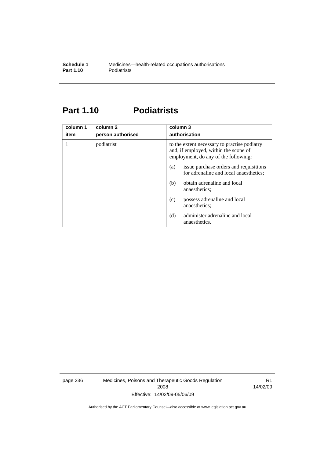# **Part 1.10 Podiatrists**

| column 1<br>item | column 2<br>person authorised | column 3<br>authorisation                                                                                                     |  |
|------------------|-------------------------------|-------------------------------------------------------------------------------------------------------------------------------|--|
|                  | podiatrist                    | to the extent necessary to practise podiatry<br>and, if employed, within the scope of<br>employment, do any of the following: |  |
|                  |                               | issue purchase orders and requisitions<br>(a)<br>for adrenaline and local anaesthetics;                                       |  |
|                  |                               | obtain adrenaline and local<br>(b)<br>anaesthetics:                                                                           |  |
|                  |                               | possess adrenaline and local<br>(c)<br>anaesthetics;                                                                          |  |
|                  |                               | administer adrenaline and local<br>(d)<br>anaesthetics.                                                                       |  |

page 236 Medicines, Poisons and Therapeutic Goods Regulation 2008 Effective: 14/02/09-05/06/09

R1 14/02/09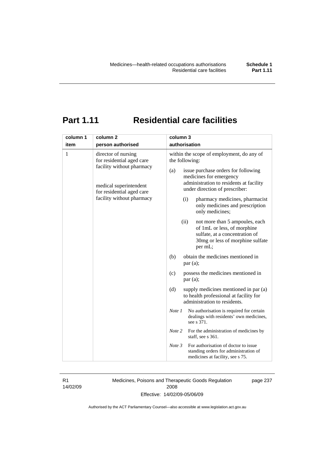# **Part 1.11 Residential care facilities**

R1 14/02/09 Medicines, Poisons and Therapeutic Goods Regulation 2008 Effective: 14/02/09-05/06/09

page 237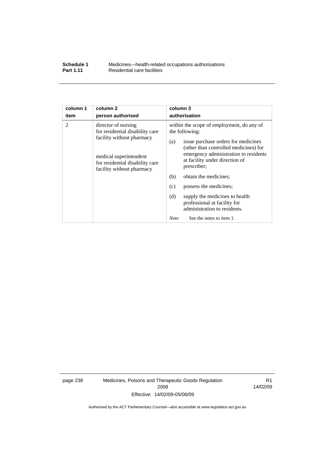| Schedule 1       | Medicines—health-related occupations authorisations |
|------------------|-----------------------------------------------------|
| <b>Part 1.11</b> | Residential care facilities                         |

| column 1 | column <sub>2</sub>                                                                                                                                                           | column 3                                                                                                                                                                                                                                                                                                                                                                                                                                                          |
|----------|-------------------------------------------------------------------------------------------------------------------------------------------------------------------------------|-------------------------------------------------------------------------------------------------------------------------------------------------------------------------------------------------------------------------------------------------------------------------------------------------------------------------------------------------------------------------------------------------------------------------------------------------------------------|
| item     | person authorised                                                                                                                                                             | authorisation                                                                                                                                                                                                                                                                                                                                                                                                                                                     |
| 2        | director of nursing<br>for residential disability care<br>facility without pharmacy<br>medical superintendent<br>for residential disability care<br>facility without pharmacy | within the scope of employment, do any of<br>the following:<br>issue purchase orders for medicines<br>(a)<br>(other than controlled medicines) for<br>emergency administration to residents<br>at facility under direction of<br>prescriber;<br>obtain the medicines;<br>(b)<br>possess the medicines;<br>(c)<br>supply the medicines to health<br>(d)<br>professional at facility for<br>administration to residents.<br>See the notes to item 1.<br><b>Note</b> |

page 238 Medicines, Poisons and Therapeutic Goods Regulation 2008 Effective: 14/02/09-05/06/09

R1 14/02/09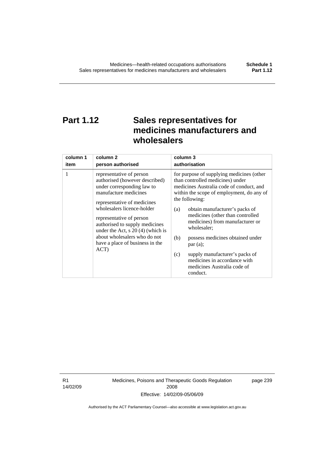# **Part 1.12 Sales representatives for medicines manufacturers and wholesalers**

| column 1 | column 2                                                                                                                                                                                                                                                                                                                                                       | column 3                                                                                                                                                                                                                                                                                                                                                                                                                                                                                          |
|----------|----------------------------------------------------------------------------------------------------------------------------------------------------------------------------------------------------------------------------------------------------------------------------------------------------------------------------------------------------------------|---------------------------------------------------------------------------------------------------------------------------------------------------------------------------------------------------------------------------------------------------------------------------------------------------------------------------------------------------------------------------------------------------------------------------------------------------------------------------------------------------|
| item     | person authorised                                                                                                                                                                                                                                                                                                                                              | authorisation                                                                                                                                                                                                                                                                                                                                                                                                                                                                                     |
| 1        | representative of person<br>authorised (however described)<br>under corresponding law to<br>manufacture medicines<br>representative of medicines<br>wholesalers licence-holder<br>representative of person<br>authorised to supply medicines<br>under the Act, $s$ 20 (4) (which is<br>about wholesalers who do not<br>have a place of business in the<br>ACT) | for purpose of supplying medicines (other<br>than controlled medicines) under<br>medicines Australia code of conduct, and<br>within the scope of employment, do any of<br>the following:<br>obtain manufacturer's packs of<br>(a)<br>medicines (other than controlled<br>medicines) from manufacturer or<br>wholesaler;<br>(b)<br>possess medicines obtained under<br>par(a);<br>supply manufacturer's packs of<br>(c)<br>medicines in accordance with<br>medicines Australia code of<br>conduct. |

R1 14/02/09 Medicines, Poisons and Therapeutic Goods Regulation 2008 Effective: 14/02/09-05/06/09

page 239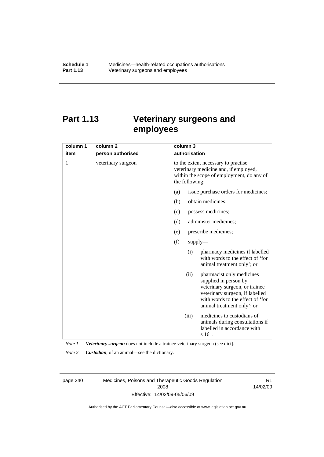# **Part 1.13 Veterinary surgeons and employees**

| column 1 | column <sub>2</sub> | column 3                                                                                                                                                                                          |  |
|----------|---------------------|---------------------------------------------------------------------------------------------------------------------------------------------------------------------------------------------------|--|
| item     | person authorised   | authorisation                                                                                                                                                                                     |  |
| 1        | veterinary surgeon  | to the extent necessary to practise<br>veterinary medicine and, if employed,<br>within the scope of employment, do any of<br>the following:                                                       |  |
|          |                     | issue purchase orders for medicines;<br>(a)                                                                                                                                                       |  |
|          |                     | (b)<br>obtain medicines;                                                                                                                                                                          |  |
|          |                     | possess medicines;<br>(c)                                                                                                                                                                         |  |
|          |                     | (d)<br>administer medicines;                                                                                                                                                                      |  |
|          |                     | prescribe medicines;<br>(e)                                                                                                                                                                       |  |
|          |                     | (f)<br>supply                                                                                                                                                                                     |  |
|          |                     | pharmacy medicines if labelled<br>(i)<br>with words to the effect of 'for<br>animal treatment only'; or                                                                                           |  |
|          |                     | (ii)<br>pharmacist only medicines<br>supplied in person by<br>veterinary surgeon, or trainee<br>veterinary surgeon, if labelled<br>with words to the effect of 'for<br>animal treatment only'; or |  |
|          |                     | medicines to custodians of<br>(iii)<br>animals during consultations if<br>labelled in accordance with<br>s 161.                                                                                   |  |

*Note 1 Veterinary surgeon* does not include a trainee veterinary surgeon (see dict).

*Note 2 Custodian*, of an animal—see the dictionary.

page 240 Medicines, Poisons and Therapeutic Goods Regulation 2008 Effective: 14/02/09-05/06/09

R1 14/02/09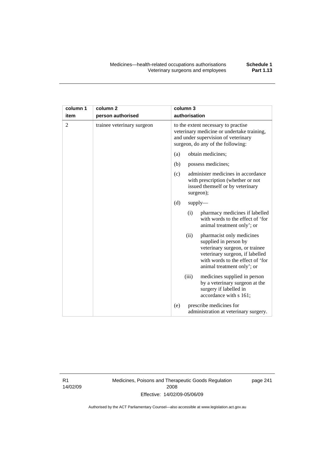| column 1       | column <sub>2</sub>        | column 3                                                                                                                                                                                          |  |
|----------------|----------------------------|---------------------------------------------------------------------------------------------------------------------------------------------------------------------------------------------------|--|
| item           | person authorised          | authorisation                                                                                                                                                                                     |  |
| $\overline{2}$ | trainee veterinary surgeon | to the extent necessary to practise<br>veterinary medicine or undertake training,<br>and under supervision of veterinary<br>surgeon, do any of the following:                                     |  |
|                |                            | obtain medicines;<br>(a)                                                                                                                                                                          |  |
|                |                            | (b)<br>possess medicines;                                                                                                                                                                         |  |
|                |                            | administer medicines in accordance<br>(c)<br>with prescription (whether or not<br>issued themself or by veterinary<br>surgeon);                                                                   |  |
|                |                            | (d)<br>supply                                                                                                                                                                                     |  |
|                |                            | (i)<br>pharmacy medicines if labelled<br>with words to the effect of 'for<br>animal treatment only'; or                                                                                           |  |
|                |                            | (ii)<br>pharmacist only medicines<br>supplied in person by<br>veterinary surgeon, or trainee<br>veterinary surgeon, if labelled<br>with words to the effect of 'for<br>animal treatment only'; or |  |
|                |                            | (iii)<br>medicines supplied in person<br>by a veterinary surgeon at the<br>surgery if labelled in<br>accordance with s 161;                                                                       |  |
|                |                            | prescribe medicines for<br>(e)<br>administration at veterinary surgery.                                                                                                                           |  |

R1 14/02/09 Medicines, Poisons and Therapeutic Goods Regulation 2008 Effective: 14/02/09-05/06/09

page 241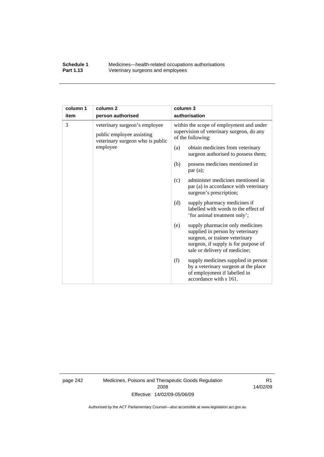#### **Schedule 1** Medicines—health-related occupations authorisations<br>**Part 1.13** Veterinary surgeons and employees Veterinary surgeons and employees

| column 1                                                                                                        | column <sub>2</sub> |                                                                         | column 3                                                                                                                                                                        |
|-----------------------------------------------------------------------------------------------------------------|---------------------|-------------------------------------------------------------------------|---------------------------------------------------------------------------------------------------------------------------------------------------------------------------------|
| item                                                                                                            | person authorised   |                                                                         | authorisation                                                                                                                                                                   |
| 3<br>veterinary surgeon's employee<br>public employee assisting<br>veterinary surgeon who is public<br>employee |                     |                                                                         | within the scope of employment and under<br>supervision of veterinary surgeon, do any<br>of the following:                                                                      |
|                                                                                                                 | (a)                 | obtain medicines from veterinary<br>surgeon authorised to possess them; |                                                                                                                                                                                 |
|                                                                                                                 |                     | (b)                                                                     | possess medicines mentioned in<br>par(a);                                                                                                                                       |
|                                                                                                                 |                     | (c)                                                                     | administer medicines mentioned in<br>par (a) in accordance with veterinary<br>surgeon's prescription;                                                                           |
|                                                                                                                 |                     | (d)                                                                     | supply pharmacy medicines if<br>labelled with words to the effect of<br>'for animal treatment only';                                                                            |
|                                                                                                                 |                     | (e)                                                                     | supply pharmacist only medicines<br>supplied in person by veterinary<br>surgeon, or trainee veterinary<br>surgeon, if supply is for purpose of<br>sale or delivery of medicine; |
|                                                                                                                 |                     | (f)                                                                     | supply medicines supplied in person<br>by a veterinary surgeon at the place<br>of employment if labelled in<br>accordance with s 161.                                           |

page 242 Medicines, Poisons and Therapeutic Goods Regulation 2008 Effective: 14/02/09-05/06/09

R1 14/02/09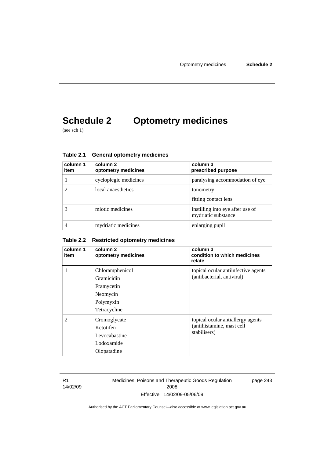# **Schedule 2 Optometry medicines**

(see sch 1)

| column 1<br>item | column 2<br>optometry medicines | column 3<br>prescribed purpose                          |
|------------------|---------------------------------|---------------------------------------------------------|
|                  | cycloplegic medicines           | paralysing accommodation of eye                         |
|                  | local anaesthetics              | tonometry<br>fitting contact lens                       |
|                  | miotic medicines                | instilling into eye after use of<br>mydriatic substance |
| 4                | mydriatic medicines             | enlarging pupil                                         |

**Table 2.1 General optometry medicines** 

#### **Table 2.2 Restricted optometry medicines**

| column 1<br>item | column 2<br>optometry medicines                                                      | column 3<br>condition to which medicines<br>relate                             |
|------------------|--------------------------------------------------------------------------------------|--------------------------------------------------------------------------------|
| 1                | Chloramphenicol<br>Gramicidin<br>Framycetin<br>Neomycin<br>Polymyxin<br>Tetracycline | topical ocular antiinfective agents<br>(antibacterial, antiviral)              |
| $\mathfrak{D}$   | Cromoglycate<br>Ketotifen<br>Levocabastine<br>Lodoxamide<br>Olopatadine              | topical ocular antiallergy agents<br>(antihistamine, mast cell<br>stabilisers) |

R1 14/02/09 Medicines, Poisons and Therapeutic Goods Regulation 2008 Effective: 14/02/09-05/06/09

page 243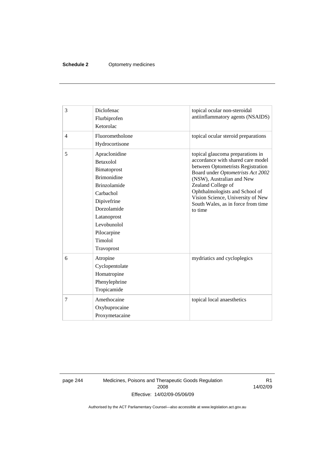#### **Schedule 2** Optometry medicines

| 3              | Diclofenac<br>Flurbiprofen<br>Ketorolac                                                                                                                                                                        | topical ocular non-steroidal<br>antiinflammatory agents (NSAIDS)                                                                                                                                                                                                                                                           |
|----------------|----------------------------------------------------------------------------------------------------------------------------------------------------------------------------------------------------------------|----------------------------------------------------------------------------------------------------------------------------------------------------------------------------------------------------------------------------------------------------------------------------------------------------------------------------|
| $\overline{4}$ | Fluorometholone<br>Hydrocortisone                                                                                                                                                                              | topical ocular steroid preparations                                                                                                                                                                                                                                                                                        |
| 5              | Apraclonidine<br><b>Betaxolol</b><br>Bimatoprost<br><b>Brimonidine</b><br><b>Brinzolamide</b><br>Carbachol<br>Dipivefrine<br>Dorzolamide<br>Latanoprost<br>Levobunolol<br>Pilocarpine<br>Timolol<br>Travoprost | topical glaucoma preparations in<br>accordance with shared care model<br>between Optometrists Registration<br>Board under Optometrists Act 2002<br>(NSW), Australian and New<br>Zealand College of<br>Ophthalmologists and School of<br>Vision Science, University of New<br>South Wales, as in force from time<br>to time |
| 6              | Atropine<br>Cyclopentolate<br>Homatropine<br>Phenylephrine<br>Tropicamide                                                                                                                                      | mydriatics and cycloplegics                                                                                                                                                                                                                                                                                                |
| 7              | Amethocaine<br>Oxybuprocaine<br>Proxymetacaine                                                                                                                                                                 | topical local anaesthetics                                                                                                                                                                                                                                                                                                 |

page 244 Medicines, Poisons and Therapeutic Goods Regulation 2008 Effective: 14/02/09-05/06/09

R1 14/02/09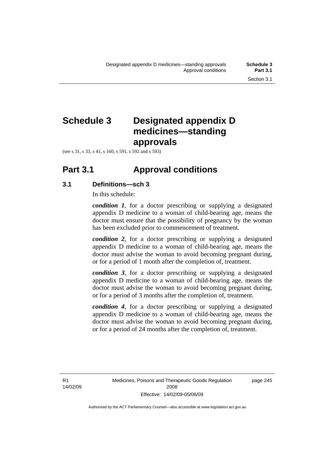# **Schedule 3 Designated appendix D medicines—standing approvals**

(see s 31, s 33, s 41, s 160, s 591, s 592 and s 593)

## **Part 3.1 Approval conditions**

### **3.1 Definitions—sch 3**

In this schedule:

*condition 1*, for a doctor prescribing or supplying a designated appendix D medicine to a woman of child-bearing age, means the doctor must ensure that the possibility of pregnancy by the woman has been excluded prior to commencement of treatment.

*condition 2*, for a doctor prescribing or supplying a designated appendix D medicine to a woman of child-bearing age, means the doctor must advise the woman to avoid becoming pregnant during, or for a period of 1 month after the completion of, treatment.

*condition 3*, for a doctor prescribing or supplying a designated appendix D medicine to a woman of child-bearing age, means the doctor must advise the woman to avoid becoming pregnant during, or for a period of 3 months after the completion of, treatment.

*condition 4*, for a doctor prescribing or supplying a designated appendix D medicine to a woman of child-bearing age, means the doctor must advise the woman to avoid becoming pregnant during, or for a period of 24 months after the completion of, treatment.

R1 14/02/09 page 245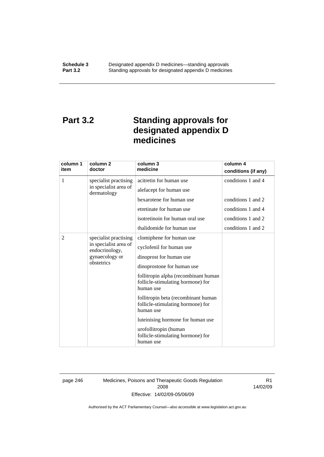# **Part 3.2 Standing approvals for designated appendix D medicines**

| column 1<br>item | column 2<br>doctor                                                                                                 | column 3<br>medicine                                                                                                                                                                                                                                                                                                                                                                                             | column 4<br>conditions (if any) |
|------------------|--------------------------------------------------------------------------------------------------------------------|------------------------------------------------------------------------------------------------------------------------------------------------------------------------------------------------------------------------------------------------------------------------------------------------------------------------------------------------------------------------------------------------------------------|---------------------------------|
| 1                | specialist practising<br>in specialist area of                                                                     | acitretin for human use                                                                                                                                                                                                                                                                                                                                                                                          | conditions 1 and 4              |
| dermatology      | alefacept for human use<br>bexarotene for human use<br>etretinate for human use<br>isotretinoin for human oral use | conditions 1 and 2<br>conditions 1 and 4<br>conditions 1 and 2                                                                                                                                                                                                                                                                                                                                                   |                                 |
|                  |                                                                                                                    | thalidomide for human use                                                                                                                                                                                                                                                                                                                                                                                        | conditions 1 and 2              |
| $\overline{2}$   | specialist practising<br>in specialist area of<br>endocrinology,<br>gynaecology or<br>obstetrics                   | clomiphene for human use<br>cyclofenil for human use<br>dinoprost for human use<br>dinoprostone for human use<br>follitropin alpha (recombinant human<br>follicle-stimulating hormone) for<br>human use<br>follitropin beta (recombinant human<br>follicle-stimulating hormone) for<br>human use<br>luteinising hormone for human use<br>urofollitropin (human<br>follicle-stimulating hormone) for<br>human use |                                 |

page 246 Medicines, Poisons and Therapeutic Goods Regulation 2008 Effective: 14/02/09-05/06/09

R1 14/02/09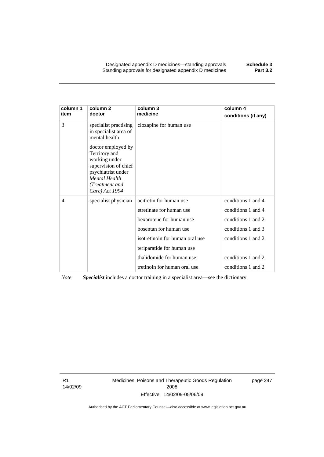Designated appendix D medicines—standing approvals **Schedule 3**  Standing approvals for designated appendix D medicines

| column 1<br>item | column <sub>2</sub><br>doctor                                                                                                                           | column 3<br>medicine            | column 4<br>conditions (if any) |
|------------------|---------------------------------------------------------------------------------------------------------------------------------------------------------|---------------------------------|---------------------------------|
| 3                | specialist practising<br>in specialist area of<br>mental health                                                                                         | clozapine for human use         |                                 |
|                  | doctor employed by<br>Territory and<br>working under<br>supervision of chief<br>psychiatrist under<br>Mental Health<br>(Treatment and<br>Care) Act 1994 |                                 |                                 |
| 4                | specialist physician                                                                                                                                    | acitretin for human use         | conditions 1 and 4              |
|                  |                                                                                                                                                         | etretinate for human use        | conditions 1 and 4              |
|                  |                                                                                                                                                         | bexarotene for human use        | conditions 1 and 2              |
|                  |                                                                                                                                                         | bosentan for human use          | conditions 1 and 3              |
|                  |                                                                                                                                                         | isotretinoin for human oral use | conditions 1 and 2              |
|                  |                                                                                                                                                         | teriparatide for human use      |                                 |
|                  |                                                                                                                                                         | thalidomide for human use       | conditions 1 and 2              |
|                  |                                                                                                                                                         | tretinoin for human oral use    | conditions 1 and 2              |

*Note Specialist* includes a doctor training in a specialist area—see the dictionary.

R1 14/02/09 Medicines, Poisons and Therapeutic Goods Regulation 2008 Effective: 14/02/09-05/06/09

page 247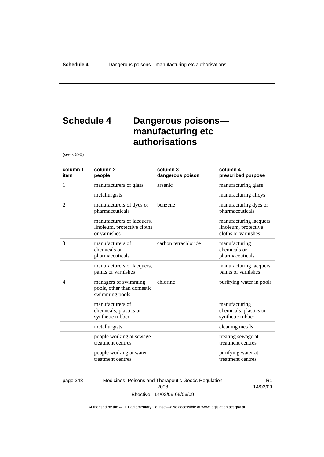# **Schedule 4 Dangerous poisons manufacturing etc authorisations**

(see s 690)

| column 1<br>item | column <sub>2</sub><br>people                                             | column 3<br>dangerous poison | column 4<br>prescribed purpose                                         |
|------------------|---------------------------------------------------------------------------|------------------------------|------------------------------------------------------------------------|
| 1                | manufacturers of glass                                                    | arsenic                      | manufacturing glass                                                    |
|                  | metallurgists                                                             |                              | manufacturing alloys                                                   |
| 2                | manufacturers of dyes or<br>pharmaceuticals                               | benzene                      | manufacturing dyes or<br>pharmaceuticals                               |
|                  | manufacturers of lacquers,<br>linoleum, protective cloths<br>or varnishes |                              | manufacturing lacquers,<br>linoleum, protective<br>cloths or varnishes |
| 3                | manufacturers of<br>chemicals or<br>pharmaceuticals                       | carbon tetrachloride         | manufacturing<br>chemicals or<br>pharmaceuticals                       |
|                  | manufacturers of lacquers,<br>paints or varnishes                         |                              | manufacturing lacquers,<br>paints or varnishes                         |
| $\overline{4}$   | managers of swimming<br>pools, other than domestic<br>swimming pools      | chlorine                     | purifying water in pools                                               |
|                  | manufacturers of<br>chemicals, plastics or<br>synthetic rubber            |                              | manufacturing<br>chemicals, plastics or<br>synthetic rubber            |
|                  | metallurgists                                                             |                              | cleaning metals                                                        |
|                  | people working at sewage<br>treatment centres                             |                              | treating sewage at<br>treatment centres                                |
|                  | people working at water<br>treatment centres                              |                              | purifying water at<br>treatment centres                                |

page 248 Medicines, Poisons and Therapeutic Goods Regulation 2008 Effective: 14/02/09-05/06/09

R1 14/02/09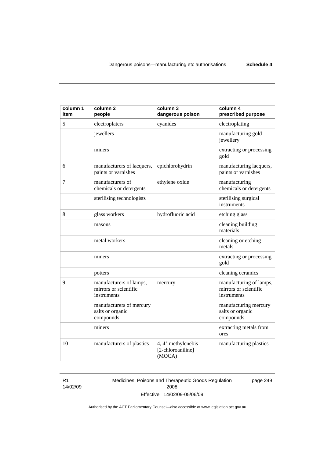| column 1<br>item | column <sub>2</sub><br>people                                   | column 3<br>dangerous poison                      | column 4<br>prescribed purpose                                  |
|------------------|-----------------------------------------------------------------|---------------------------------------------------|-----------------------------------------------------------------|
| 5                | electroplaters                                                  | cyanides                                          | electroplating                                                  |
|                  | jewellers                                                       |                                                   | manufacturing gold<br>jewellery                                 |
|                  | miners                                                          |                                                   | extracting or processing<br>gold                                |
| 6                | manufacturers of lacquers,<br>paints or varnishes               | epichlorohydrin                                   | manufacturing lacquers,<br>paints or varnishes                  |
| 7                | manufacturers of<br>chemicals or detergents                     | ethylene oxide                                    | manufacturing<br>chemicals or detergents                        |
|                  | sterilising technologists                                       |                                                   | sterilising surgical<br>instruments                             |
| 8                | glass workers                                                   | hydrofluoric acid                                 | etching glass                                                   |
|                  | masons                                                          |                                                   | cleaning building<br>materials                                  |
|                  | metal workers                                                   |                                                   | cleaning or etching<br>metals                                   |
|                  | miners                                                          |                                                   | extracting or processing<br>gold                                |
|                  | potters                                                         |                                                   | cleaning ceramics                                               |
| 9                | manufacturers of lamps,<br>mirrors or scientific<br>instruments | mercury                                           | manufacturing of lamps,<br>mirrors or scientific<br>instruments |
|                  | manufacturers of mercury<br>salts or organic<br>compounds       |                                                   | manufacturing mercury<br>salts or organic<br>compounds          |
|                  | miners                                                          |                                                   | extracting metals from<br>ores                                  |
| 10               | manufacturers of plastics                                       | 4, 4'-methylenebis<br>[2-chloroaniline]<br>(MOCA) | manufacturing plastics                                          |

R1 14/02/09 Medicines, Poisons and Therapeutic Goods Regulation 2008 Effective: 14/02/09-05/06/09

page 249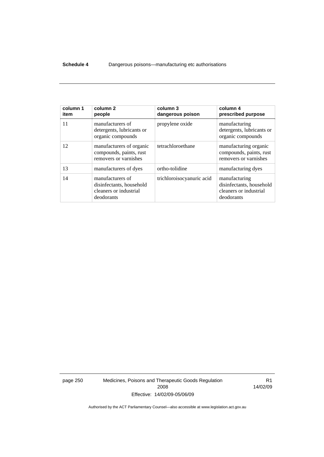#### **Schedule 4** Dangerous poisons—manufacturing etc authorisations

| column 1<br>item | column <sub>2</sub><br>people                                                        | column 3<br>dangerous poison | column 4<br>prescribed purpose                                                    |
|------------------|--------------------------------------------------------------------------------------|------------------------------|-----------------------------------------------------------------------------------|
| 11               | manufacturers of<br>detergents, lubricants or<br>organic compounds                   | propylene oxide              | manufacturing<br>detergents, lubricants or<br>organic compounds                   |
| 12               | manufacturers of organic<br>compounds, paints, rust<br>removers or varnishes         | tetrachloroethane            | manufacturing organic<br>compounds, paints, rust<br>removers or varnishes         |
| 13               | manufacturers of dyes                                                                | ortho-tolidine               | manufacturing dyes                                                                |
| 14               | manufacturers of<br>disinfectants, household<br>cleaners or industrial<br>deodorants | trichloroisocyanuric acid    | manufacturing<br>disinfectants, household<br>cleaners or industrial<br>deodorants |

page 250 Medicines, Poisons and Therapeutic Goods Regulation 2008 Effective: 14/02/09-05/06/09

R1 14/02/09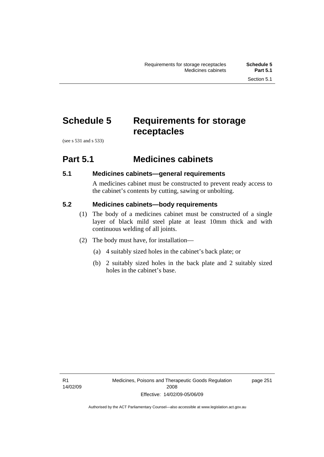# **Schedule 5 Requirements for storage receptacles**

(see s 531 and s 533)

## **Part 5.1 Medicines cabinets**

### **5.1 Medicines cabinets—general requirements**

A medicines cabinet must be constructed to prevent ready access to the cabinet's contents by cutting, sawing or unbolting.

## **5.2 Medicines cabinets—body requirements**

- (1) The body of a medicines cabinet must be constructed of a single layer of black mild steel plate at least 10mm thick and with continuous welding of all joints.
- (2) The body must have, for installation—
	- (a) 4 suitably sized holes in the cabinet's back plate; or
	- (b) 2 suitably sized holes in the back plate and 2 suitably sized holes in the cabinet's base.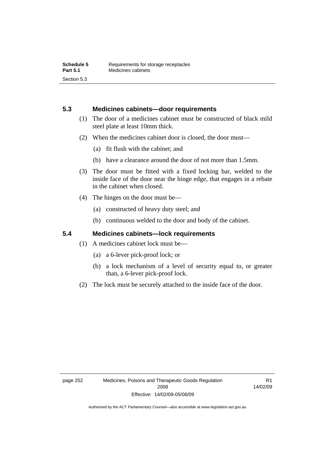### **5.3 Medicines cabinets—door requirements**

- (1) The door of a medicines cabinet must be constructed of black mild steel plate at least 10mm thick.
- (2) When the medicines cabinet door is closed, the door must—
	- (a) fit flush with the cabinet; and
	- (b) have a clearance around the door of not more than 1.5mm.
- (3) The door must be fitted with a fixed locking bar, welded to the inside face of the door near the hinge edge, that engages in a rebate in the cabinet when closed.
- (4) The hinges on the door must be—
	- (a) constructed of heavy duty steel; and
	- (b) continuous welded to the door and body of the cabinet.

### **5.4 Medicines cabinets—lock requirements**

- (1) A medicines cabinet lock must be—
	- (a) a 6-lever pick-proof lock; or
	- (b) a lock mechanism of a level of security equal to, or greater than, a 6-lever pick-proof lock.
- (2) The lock must be securely attached to the inside face of the door.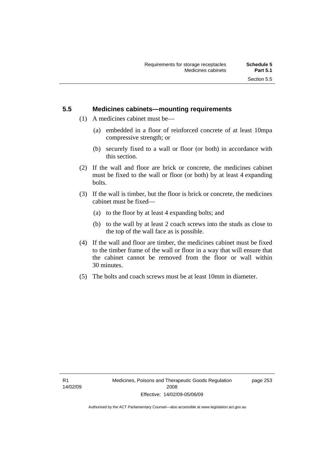### **5.5 Medicines cabinets—mounting requirements**

- (1) A medicines cabinet must be—
	- (a) embedded in a floor of reinforced concrete of at least 10mpa compressive strength; or
	- (b) securely fixed to a wall or floor (or both) in accordance with this section.
- (2) If the wall and floor are brick or concrete, the medicines cabinet must be fixed to the wall or floor (or both) by at least 4 expanding bolts.
- (3) If the wall is timber, but the floor is brick or concrete, the medicines cabinet must be fixed—
	- (a) to the floor by at least 4 expanding bolts; and
	- (b) to the wall by at least 2 coach screws into the studs as close to the top of the wall face as is possible.
- (4) If the wall and floor are timber, the medicines cabinet must be fixed to the timber frame of the wall or floor in a way that will ensure that the cabinet cannot be removed from the floor or wall within 30 minutes.
- (5) The bolts and coach screws must be at least 10mm in diameter.

page 253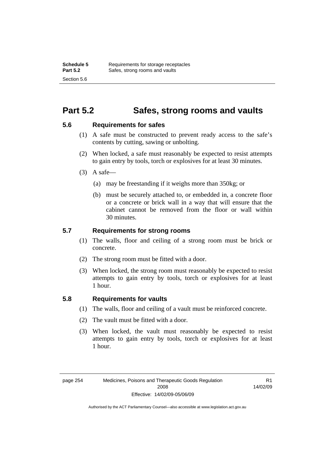## **Part 5.2 Safes, strong rooms and vaults**

#### **5.6 Requirements for safes**

- (1) A safe must be constructed to prevent ready access to the safe's contents by cutting, sawing or unbolting.
- (2) When locked, a safe must reasonably be expected to resist attempts to gain entry by tools, torch or explosives for at least 30 minutes.
- $(3)$  A safe-
	- (a) may be freestanding if it weighs more than 350kg; or
	- (b) must be securely attached to, or embedded in, a concrete floor or a concrete or brick wall in a way that will ensure that the cabinet cannot be removed from the floor or wall within 30 minutes.

### **5.7 Requirements for strong rooms**

- (1) The walls, floor and ceiling of a strong room must be brick or concrete.
- (2) The strong room must be fitted with a door.
- (3) When locked, the strong room must reasonably be expected to resist attempts to gain entry by tools, torch or explosives for at least 1 hour.

### **5.8 Requirements for vaults**

- (1) The walls, floor and ceiling of a vault must be reinforced concrete.
- (2) The vault must be fitted with a door.
- (3) When locked, the vault must reasonably be expected to resist attempts to gain entry by tools, torch or explosives for at least 1 hour.

R1 14/02/09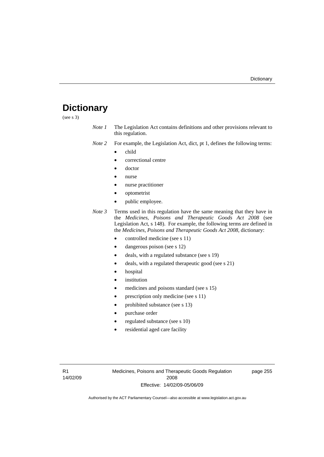# **Dictionary**

(see s 3)

- *Note 1* The Legislation Act contains definitions and other provisions relevant to this regulation.
- *Note 2* For example, the Legislation Act, dict, pt 1, defines the following terms:
	- child
		- correctional centre
	- doctor
	- nurse
	- nurse practitioner
	- optometrist
	- public employee.
- *Note 3* Terms used in this regulation have the same meaning that they have in the *Medicines, Poisons and Therapeutic Goods Act 2008* (see Legislation Act, s 148). For example, the following terms are defined in the *Medicines, Poisons and Therapeutic Goods Act 2008*, dictionary:
	- controlled medicine (see s 11)
	- dangerous poison (see s 12)
	- deals, with a regulated substance (see s 19)
	- deals, with a regulated therapeutic good (see s 21)
	- hospital
	- *institution*
	- medicines and poisons standard (see s 15)
	- prescription only medicine (see s 11)
	- prohibited substance (see s 13)
	- purchase order
	- regulated substance (see s 10)
	- residential aged care facility

Medicines, Poisons and Therapeutic Goods Regulation 2008 Effective: 14/02/09-05/06/09

page 255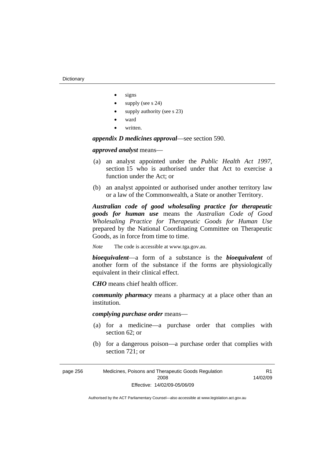- signs
- supply (see s 24)
- supply authority (see s 23)
- ward
- written.

*appendix D medicines approval*—see section 590.

*approved analyst* means—

- (a) an analyst appointed under the *Public Health Act 1997*, section 15 who is authorised under that Act to exercise a function under the Act; or
- (b) an analyst appointed or authorised under another territory law or a law of the Commonwealth, a State or another Territory.

*Australian code of good wholesaling practice for therapeutic goods for human use* means the *Australian Code of Good Wholesaling Practice for Therapeutic Goods for Human Use*  prepared by the National Coordinating Committee on Therapeutic Goods, as in force from time to time.

*Note* The code is accessible at www.tga.gov.au.

*bioequivalent*—a form of a substance is the *bioequivalent* of another form of the substance if the forms are physiologically equivalent in their clinical effect.

*CHO* means chief health officer.

*community pharmacy* means a pharmacy at a place other than an institution.

*complying purchase order* means—

- (a) for a medicine—a purchase order that complies with section 62; or
- (b) for a dangerous poison—a purchase order that complies with section 721; or

R<sub>1</sub> 14/02/09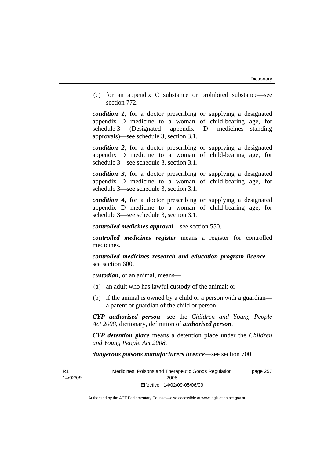(c) for an appendix C substance or prohibited substance—see section 772.

*condition 1*, for a doctor prescribing or supplying a designated appendix D medicine to a woman of child-bearing age, for schedule 3 (Designated appendix D medicines—standing approvals)—see schedule 3, section 3.1.

*condition 2*, for a doctor prescribing or supplying a designated appendix D medicine to a woman of child-bearing age, for schedule 3—see schedule 3, section 3.1.

*condition 3*, for a doctor prescribing or supplying a designated appendix D medicine to a woman of child-bearing age, for schedule 3—see schedule 3, section 3.1.

*condition 4*, for a doctor prescribing or supplying a designated appendix D medicine to a woman of child-bearing age, for schedule 3—see schedule 3, section 3.1.

*controlled medicines approval*—see section 550.

*controlled medicines register* means a register for controlled medicines.

*controlled medicines research and education program licence* see section 600.

*custodian*, of an animal, means—

- (a) an adult who has lawful custody of the animal; or
- (b) if the animal is owned by a child or a person with a guardian a parent or guardian of the child or person.

*CYP authorised person*—see the *Children and Young People Act 2008*, dictionary, definition of *authorised person*.

*CYP detention place* means a detention place under the *Children and Young People Act 2008*.

*dangerous poisons manufacturers licence*—see section 700.

 $R<sub>1</sub>$ 14/02/09 Medicines, Poisons and Therapeutic Goods Regulation 2008 Effective: 14/02/09-05/06/09 page 257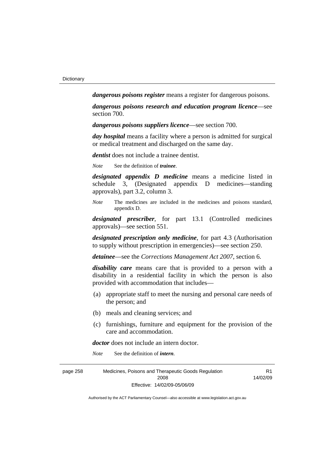*dangerous poisons register* means a register for dangerous poisons.

*dangerous poisons research and education program licence*—see section 700.

*dangerous poisons suppliers licence*—see section 700.

*day hospital* means a facility where a person is admitted for surgical or medical treatment and discharged on the same day.

*dentist* does not include a trainee dentist.

*Note* See the definition of *trainee*.

*designated appendix D medicine* means a medicine listed in schedule 3, (Designated appendix D medicines—standing approvals), part 3.2, column 3.

*Note* The medicines are included in the medicines and poisons standard, appendix D.

*designated prescriber*, for part 13.1 (Controlled medicines approvals)—see section 551.

*designated prescription only medicine*, for part 4.3 (Authorisation to supply without prescription in emergencies)—see section 250.

*detainee*—see the *Corrections Management Act 2007*, section 6.

*disability care* means care that is provided to a person with a disability in a residential facility in which the person is also provided with accommodation that includes—

- (a) appropriate staff to meet the nursing and personal care needs of the person; and
- (b) meals and cleaning services; and
- (c) furnishings, furniture and equipment for the provision of the care and accommodation.

R1

*doctor* does not include an intern doctor.

*Note* See the definition of *intern*.

page 258 Medicines, Poisons and Therapeutic Goods Regulation 2008 Effective: 14/02/09-05/06/09 14/02/09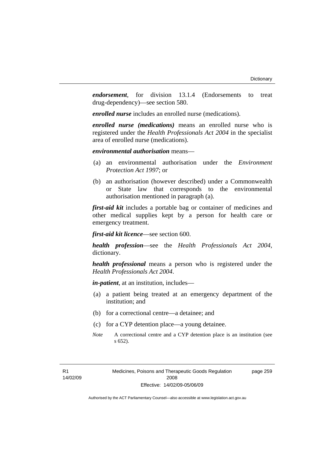*endorsement*, for division 13.1.4 (Endorsements to treat drug-dependency)—see section 580.

*enrolled nurse* includes an enrolled nurse (medications).

*enrolled nurse (medications)* means an enrolled nurse who is registered under the *Health Professionals Act 2004* in the specialist area of enrolled nurse (medications).

*environmental authorisation* means—

- (a) an environmental authorisation under the *Environment Protection Act 1997*; or
- (b) an authorisation (however described) under a Commonwealth or State law that corresponds to the environmental authorisation mentioned in paragraph (a).

*first-aid kit* includes a portable bag or container of medicines and other medical supplies kept by a person for health care or emergency treatment.

*first-aid kit licence*—see section 600.

*health profession*—see the *Health Professionals Act 2004*, dictionary.

*health professional* means a person who is registered under the *Health Professionals Act 2004*.

*in-patient*, at an institution, includes—

- (a) a patient being treated at an emergency department of the institution; and
- (b) for a correctional centre—a detainee; and
- (c) for a CYP detention place—a young detainee.
- *Note* A correctional centre and a CYP detention place is an institution (see s 652).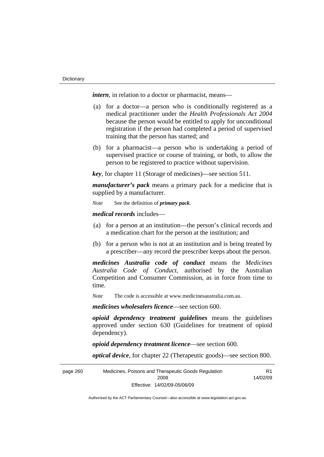*intern*, in relation to a doctor or pharmacist, means—

- (a) for a doctor—a person who is conditionally registered as a medical practitioner under the *Health Professionals Act 2004* because the person would be entitled to apply for unconditional registration if the person had completed a period of supervised training that the person has started; and
- (b) for a pharmacist—a person who is undertaking a period of supervised practice or course of training, or both, to allow the person to be registered to practice without supervision.

*key*, for chapter 11 (Storage of medicines)—see section 511.

*manufacturer's pack* means a primary pack for a medicine that is supplied by a manufacturer.

*Note* See the definition of *primary pack*.

*medical records* includes—

- (a) for a person at an institution—the person's clinical records and a medication chart for the person at the institution; and
- (b) for a person who is not at an institution and is being treated by a prescriber—any record the prescriber keeps about the person.

*medicines Australia code of conduct* means the *Medicines Australia Code of Conduct*, authorised by the Australian Competition and Consumer Commission, as in force from time to time.

*Note* The code is accessible at www.medicinesaustralia.com.au.

*medicines wholesalers licence*—see section 600.

*opioid dependency treatment guidelines* means the guidelines approved under section 630 (Guidelines for treatment of opioid dependency).

*opioid dependency treatment licence*—see section 600.

*optical device*, for chapter 22 (Therapeutic goods)—see section 800.

page 260 Medicines, Poisons and Therapeutic Goods Regulation 2008 Effective: 14/02/09-05/06/09 R1 14/02/09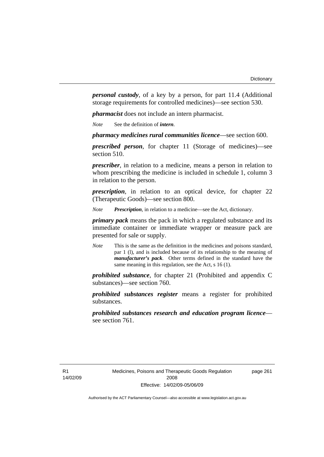*personal custody*, of a key by a person, for part 11.4 (Additional storage requirements for controlled medicines)—see section 530.

*pharmacist* does not include an intern pharmacist.

*Note* See the definition of *intern*.

*pharmacy medicines rural communities licence*—see section 600.

*prescribed person*, for chapter 11 (Storage of medicines)—see section 510.

*prescriber*, in relation to a medicine, means a person in relation to whom prescribing the medicine is included in schedule 1, column 3 in relation to the person.

*prescription*, in relation to an optical device, for chapter 22 (Therapeutic Goods)—see section 800.

*Note Prescription*, in relation to a medicine—see the Act, dictionary.

*primary pack* means the pack in which a regulated substance and its immediate container or immediate wrapper or measure pack are presented for sale or supply.

*Note* This is the same as the definition in the medicines and poisons standard, par 1 (l), and is included because of its relationship to the meaning of *manufacturer's pack*. Other terms defined in the standard have the same meaning in this regulation, see the Act, s 16 (1).

*prohibited substance*, for chapter 21 (Prohibited and appendix C substances)—see section 760.

*prohibited substances register* means a register for prohibited substances.

*prohibited substances research and education program licence* see section 761.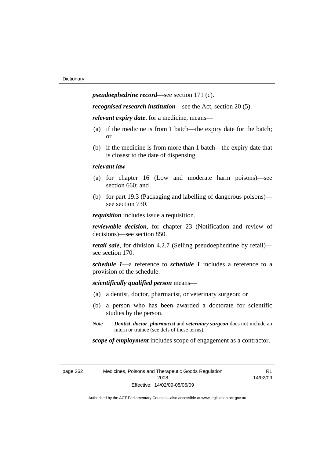*pseudoephedrine record*—see section 171 (c).

*recognised research institution*—see the Act, section 20 (5).

*relevant expiry date*, for a medicine, means—

- (a) if the medicine is from 1 batch—the expiry date for the batch; or
- (b) if the medicine is from more than 1 batch—the expiry date that is closest to the date of dispensing.

#### *relevant law*—

- (a) for chapter 16 (Low and moderate harm poisons)—see section 660; and
- (b) for part 19.3 (Packaging and labelling of dangerous poisons) see section 730.

*requisition* includes issue a requisition.

*reviewable decision*, for chapter 23 (Notification and review of decisions)—see section 850.

*retail sale*, for division 4.2.7 (Selling pseudoephedrine by retail) see section 170.

*schedule 1*—a reference to *schedule 1* includes a reference to a provision of the schedule.

*scientifically qualified person* means—

- (a) a dentist, doctor, pharmacist, or veterinary surgeon; or
- (b) a person who has been awarded a doctorate for scientific studies by the person.
- *Note Dentist*, *doctor*, *pharmacist* and *veterinary surgeon* does not include an intern or trainee (see defs of these terms).

*scope of employment* includes scope of engagement as a contractor.

| page 262 | Medicines, Poisons and Therapeutic Goods Regulation |
|----------|-----------------------------------------------------|
|          | 2008                                                |
|          | Effective: 14/02/09-05/06/09                        |

R<sub>1</sub> 14/02/09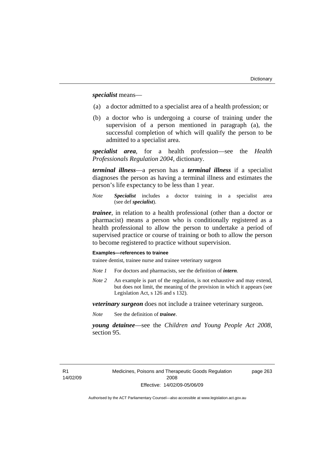*specialist* means—

- (a) a doctor admitted to a specialist area of a health profession; or
- (b) a doctor who is undergoing a course of training under the supervision of a person mentioned in paragraph (a), the successful completion of which will qualify the person to be admitted to a specialist area.

*specialist area*, for a health profession—see the *Health Professionals Regulation 2004*, dictionary.

*terminal illness*—a person has a *terminal illness* if a specialist diagnoses the person as having a terminal illness and estimates the person's life expectancy to be less than 1 year.

*Note Specialist* includes a doctor training in a specialist area (see def *specialist*).

*trainee*, in relation to a health professional (other than a doctor or pharmacist) means a person who is conditionally registered as a health professional to allow the person to undertake a period of supervised practice or course of training or both to allow the person to become registered to practice without supervision.

#### **Examples—references to trainee**

trainee dentist, trainee nurse and trainee veterinary surgeon

- *Note 1* For doctors and pharmacists, see the definition of *intern*.
- *Note 2* An example is part of the regulation, is not exhaustive and may extend, but does not limit, the meaning of the provision in which it appears (see Legislation Act, s 126 and s 132).

*veterinary surgeon* does not include a trainee veterinary surgeon.

*Note* See the definition of *trainee*.

*young detainee*—see the *Children and Young People Act 2008*, section 95.

R1 14/02/09 page 263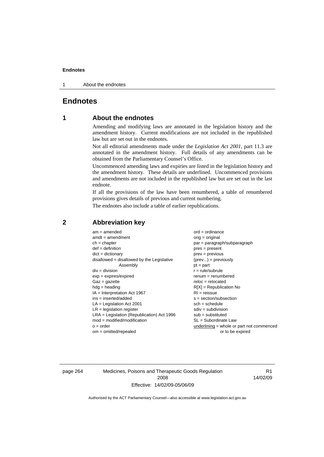#### **Endnotes**

1 About the endnotes

### **Endnotes**

### **1 About the endnotes**

Amending and modifying laws are annotated in the legislation history and the amendment history. Current modifications are not included in the republished law but are set out in the endnotes.

Not all editorial amendments made under the *Legislation Act 2001*, part 11.3 are annotated in the amendment history. Full details of any amendments can be obtained from the Parliamentary Counsel's Office.

Uncommenced amending laws and expiries are listed in the legislation history and the amendment history. These details are underlined. Uncommenced provisions and amendments are not included in the republished law but are set out in the last endnote.

If all the provisions of the law have been renumbered, a table of renumbered provisions gives details of previous and current numbering.

The endnotes also include a table of earlier republications.

| $am = amended$                               | $ord = ordinance$                         |
|----------------------------------------------|-------------------------------------------|
| $amdt = amendment$                           | $orig = original$                         |
| $ch = chapter$                               | $par = paragraph/subparagraph$            |
| $def = definition$                           | $pres = present$                          |
| $dict = dictionary$                          | $prev = previous$                         |
| $disallowed = disallowed by the Legislative$ | $(\text{prev}) = \text{previously}$       |
| Assembly                                     | $pt = part$                               |
| $div = division$                             | $r = rule/subrule$                        |
| $exp = expires/expired$                      | $renum = renumbered$                      |
| $Gaz = gazette$                              | $reloc = relocated$                       |
| $hdg =$ heading                              | $R[X]$ = Republication No                 |
| $IA = Interpretation Act 1967$               | $RI = reissue$                            |
| $ins = inserted/added$                       | $s = section/subsection$                  |
| $LA =$ Legislation Act 2001                  | $sch = schedule$                          |
| $LR =$ legislation register                  | $sdiv = subdivision$                      |
| $LRA =$ Legislation (Republication) Act 1996 | $sub =$ substituted                       |
| $mod = modified/modification$                | $SL = Subordinate$ Law                    |
| $o = order$                                  | underlining = whole or part not commenced |
| $om = omitted/report$                        | or to be expired                          |
|                                              |                                           |

### **2 Abbreviation key**

page 264 Medicines, Poisons and Therapeutic Goods Regulation 2008 Effective: 14/02/09-05/06/09

R1 14/02/09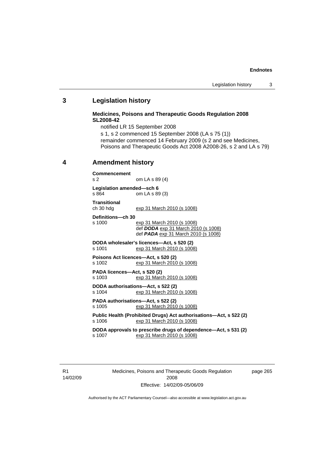#### **Endnotes**

# **3 Legislation history**

### **Medicines, Poisons and Therapeutic Goods Regulation 2008 SL2008-42**

notified LR 15 September 2008 s 1, s 2 commenced 15 September 2008 (LA s 75 (1)) remainder commenced 14 February 2009 (s 2 and see Medicines, Poisons and Therapeutic Goods Act 2008 A2008-26, s 2 and LA s 79)

# **4 Amendment history**

#### **Commencement**

s 2 om LA s 89 (4)

**Legislation amended—sch 6**  s 864 om LA s 89 (3)

**Transitional** 

ch 30 hdg exp 31 March 2010 (s 1008)

**Definitions—ch 30** 

exp 31 March 2010 (s 1008) def *DODA* exp 31 March 2010 (s 1008) def *PADA* exp 31 March 2010 (s 1008)

**DODA wholesaler's licences—Act, s 520 (2)**  s 1001 exp 31 March 2010 (s 1008)

**Poisons Act licences—Act, s 520 (2)**  s 1002 exp 31 March 2010 (s 1008)

**PADA licences—Act, s 520 (2)**  s 1003 exp 31 March 2010 (s 1008)

**DODA authorisations—Act, s 522 (2)**  s 1004 exp 31 March 2010 (s 1008)

**PADA authorisations—Act, s 522 (2)**  s 1005 exp 31 March 2010 (s 1008)

**Public Health (Prohibited Drugs) Act authorisations—Act, s 522 (2)**  s 1006 exp 31 March 2010 (s 1008)

**DODA approvals to prescribe drugs of dependence—Act, s 531 (2)**  exp 31 March 2010 (s 1008)

R1 14/02/09 Medicines, Poisons and Therapeutic Goods Regulation 2008 Effective: 14/02/09-05/06/09

page 265

Authorised by the ACT Parliamentary Counsel—also accessible at www.legislation.act.gov.au